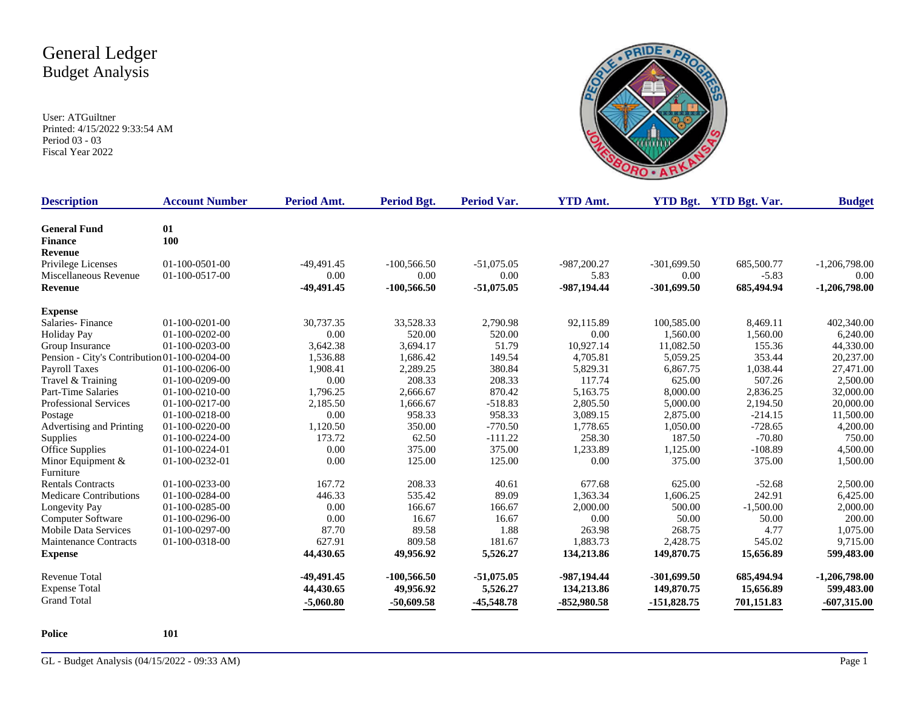User: ATGuiltner Printed: 4/15/2022 9:33:54 AM Period 03 - 03 Fiscal Year 2022



| <b>Description</b>                           | <b>Account Number</b> | Period Amt.  | Period Bgt.   | <b>Period Var.</b> | <b>YTD Amt.</b> |               | <b>YTD Bgt.</b> YTD Bgt. Var. | <b>Budget</b>   |
|----------------------------------------------|-----------------------|--------------|---------------|--------------------|-----------------|---------------|-------------------------------|-----------------|
| <b>General Fund</b>                          | 01                    |              |               |                    |                 |               |                               |                 |
| <b>Finance</b>                               | 100                   |              |               |                    |                 |               |                               |                 |
| <b>Revenue</b>                               |                       |              |               |                    |                 |               |                               |                 |
| Privilege Licenses                           | 01-100-0501-00        | $-49,491.45$ | $-100,566.50$ | $-51,075.05$       | -987,200.27     | $-301,699.50$ | 685,500.77                    | $-1,206,798.00$ |
| Miscellaneous Revenue                        | 01-100-0517-00        | 0.00         | 0.00          | 0.00               | 5.83            | 0.00          | $-5.83$                       | 0.00            |
| <b>Revenue</b>                               |                       | -49,491.45   | $-100,566.50$ | $-51,075.05$       | -987,194.44     | $-301,699.50$ | 685,494.94                    | $-1,206,798.00$ |
| <b>Expense</b>                               |                       |              |               |                    |                 |               |                               |                 |
| Salaries-Finance                             | $01-100-0201-00$      | 30,737.35    | 33,528.33     | 2,790.98           | 92,115.89       | 100,585.00    | 8,469.11                      | 402,340.00      |
| <b>Holiday Pay</b>                           | $01-100-0202-00$      | 0.00         | 520.00        | 520.00             | 0.00            | 1,560.00      | 1,560.00                      | 6,240.00        |
| Group Insurance                              | $01-100-0203-00$      | 3,642.38     | 3,694.17      | 51.79              | 10,927.14       | 11,082.50     | 155.36                        | 44,330.00       |
| Pension - City's Contribution 01-100-0204-00 |                       | 1,536.88     | 1,686.42      | 149.54             | 4,705.81        | 5,059.25      | 353.44                        | 20,237.00       |
| Payroll Taxes                                | 01-100-0206-00        | 1,908.41     | 2,289.25      | 380.84             | 5,829.31        | 6,867.75      | 1,038.44                      | 27,471.00       |
| Travel & Training                            | 01-100-0209-00        | 0.00         | 208.33        | 208.33             | 117.74          | 625.00        | 507.26                        | 2,500.00        |
| Part-Time Salaries                           | 01-100-0210-00        | 1,796.25     | 2,666.67      | 870.42             | 5,163.75        | 8,000.00      | 2,836.25                      | 32,000.00       |
| <b>Professional Services</b>                 | 01-100-0217-00        | 2,185.50     | 1,666.67      | $-518.83$          | 2,805.50        | 5,000.00      | 2,194.50                      | 20,000.00       |
| Postage                                      | 01-100-0218-00        | 0.00         | 958.33        | 958.33             | 3,089.15        | 2,875.00      | $-214.15$                     | 11,500.00       |
| Advertising and Printing                     | 01-100-0220-00        | 1,120.50     | 350.00        | $-770.50$          | 1,778.65        | 1,050.00      | $-728.65$                     | 4,200.00        |
| Supplies                                     | 01-100-0224-00        | 173.72       | 62.50         | $-111.22$          | 258.30          | 187.50        | $-70.80$                      | 750.00          |
| Office Supplies                              | 01-100-0224-01        | 0.00         | 375.00        | 375.00             | 1,233.89        | 1,125.00      | $-108.89$                     | 4,500.00        |
| Minor Equipment &                            | 01-100-0232-01        | 0.00         | 125.00        | 125.00             | 0.00            | 375.00        | 375.00                        | 1,500.00        |
| Furniture                                    |                       |              |               |                    |                 |               |                               |                 |
| <b>Rentals Contracts</b>                     | 01-100-0233-00        | 167.72       | 208.33        | 40.61              | 677.68          | 625.00        | $-52.68$                      | 2,500.00        |
| Medicare Contributions                       | 01-100-0284-00        | 446.33       | 535.42        | 89.09              | 1,363.34        | 1,606.25      | 242.91                        | 6,425.00        |
| Longevity Pay                                | 01-100-0285-00        | 0.00         | 166.67        | 166.67             | 2,000.00        | 500.00        | $-1,500.00$                   | 2,000.00        |
| Computer Software                            | 01-100-0296-00        | 0.00         | 16.67         | 16.67              | 0.00            | 50.00         | 50.00                         | 200.00          |
| <b>Mobile Data Services</b>                  | 01-100-0297-00        | 87.70        | 89.58         | 1.88               | 263.98          | 268.75        | 4.77                          | 1,075.00        |
| Maintenance Contracts                        | 01-100-0318-00        | 627.91       | 809.58        | 181.67             | 1,883.73        | 2,428.75      | 545.02                        | 9,715.00        |
| <b>Expense</b>                               |                       | 44,430.65    | 49,956.92     | 5,526.27           | 134,213.86      | 149,870.75    | 15,656.89                     | 599,483.00      |
| Revenue Total                                |                       | -49,491.45   | $-100,566.50$ | $-51,075.05$       | -987,194.44     | $-301,699.50$ | 685,494.94                    | $-1,206,798.00$ |
| <b>Expense Total</b>                         |                       | 44,430.65    | 49,956.92     | 5,526.27           | 134,213.86      | 149,870.75    | 15,656.89                     | 599,483.00      |
| <b>Grand Total</b>                           |                       | $-5,060.80$  | $-50,609.58$  | $-45,548.78$       | $-852,980.58$   | $-151,828.75$ | 701,151.83                    | $-607,315.00$   |

**Police 101**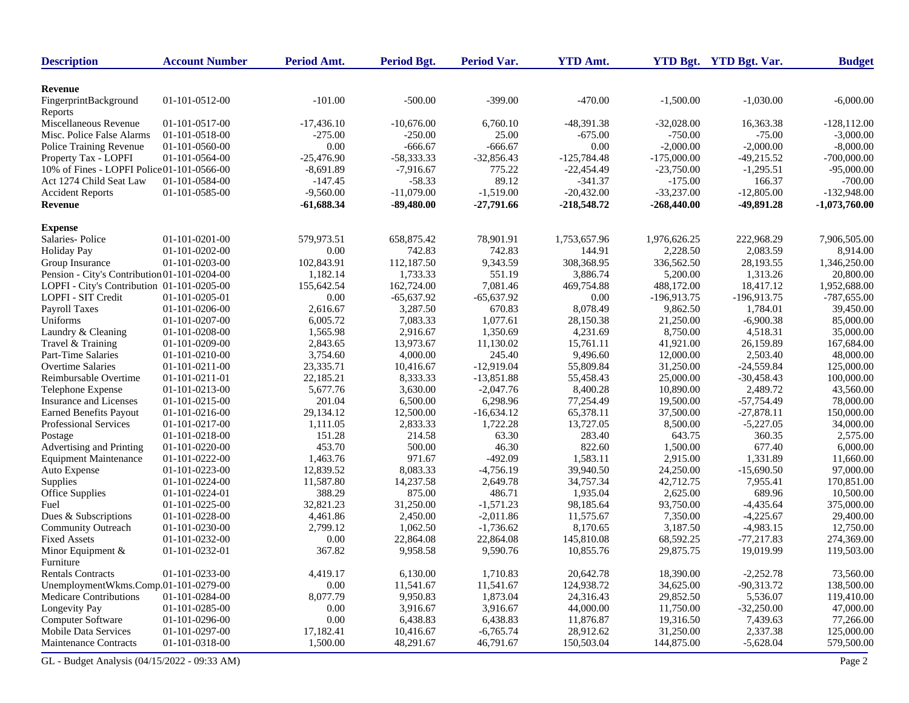| <b>Description</b>                           | <b>Account Number</b> | Period Amt.  | <b>Period Bgt.</b> | Period Var.  | <b>YTD Amt.</b> |               | YTD Bgt. YTD Bgt. Var. | <b>Budget</b>   |
|----------------------------------------------|-----------------------|--------------|--------------------|--------------|-----------------|---------------|------------------------|-----------------|
| Revenue                                      |                       |              |                    |              |                 |               |                        |                 |
| FingerprintBackground<br>Reports             | 01-101-0512-00        | $-101.00$    | $-500.00$          | $-399.00$    | $-470.00$       | $-1,500.00$   | $-1,030.00$            | $-6,000.00$     |
| Miscellaneous Revenue                        | 01-101-0517-00        | $-17,436.10$ | $-10,676.00$       | 6,760.10     | $-48,391.38$    | $-32,028.00$  | 16,363.38              | $-128, 112.00$  |
| Misc. Police False Alarms                    | 01-101-0518-00        | $-275.00$    | -250.00            | 25.00        | -675.00         | $-750.00$     | $-75.00$               | $-3,000.00$     |
| Police Training Revenue                      | 01-101-0560-00        | 0.00         | $-666.67$          | $-666.67$    | 0.00            | $-2,000.00$   | $-2,000.00$            | $-8,000.00$     |
| Property Tax - LOPFI                         | 01-101-0564-00        | -25,476.90   | $-58,333.33$       | $-32,856.43$ | $-125,784.48$   | $-175,000.00$ | $-49,215.52$           | $-700,000.00$   |
| 10% of Fines - LOPFI Police 01-101-0566-00   |                       | $-8,691.89$  | $-7,916.67$        | 775.22       | $-22,454.49$    | $-23,750.00$  | $-1,295.51$            | $-95,000.00$    |
| Act 1274 Child Seat Law                      | 01-101-0584-00        | $-147.45$    | $-58.33$           | 89.12        | $-341.37$       | $-175.00$     | 166.37                 | $-700.00$       |
| <b>Accident Reports</b>                      | 01-101-0585-00        | $-9,560.00$  | $-11,079.00$       | $-1,519.00$  | $-20,432.00$    | $-33,237.00$  | $-12,805.00$           | $-132,948.00$   |
| <b>Revenue</b>                               |                       | $-61,688.34$ | $-89,480.00$       | $-27,791.66$ | $-218,548.72$   | $-268,440.00$ | -49,891.28             | $-1,073,760.00$ |
| <b>Expense</b>                               |                       |              |                    |              |                 |               |                        |                 |
| Salaries-Police                              | 01-101-0201-00        | 579,973.51   | 658,875.42         | 78,901.91    | 1,753,657.96    | 1,976,626.25  | 222,968.29             | 7,906,505.00    |
| <b>Holiday Pay</b>                           | 01-101-0202-00        | 0.00         | 742.83             | 742.83       | 144.91          | 2,228.50      | 2,083.59               | 8,914.00        |
| Group Insurance                              | 01-101-0203-00        | 102,843.91   | 112,187.50         | 9,343.59     | 308,368.95      | 336,562.50    | 28,193.55              | 1,346,250.00    |
| Pension - City's Contribution 01-101-0204-00 |                       | 1,182.14     | 1,733.33           | 551.19       | 3,886.74        | 5,200.00      | 1,313.26               | 20,800.00       |
| LOPFI - City's Contribution 01-101-0205-00   |                       | 155,642.54   | 162,724.00         | 7,081.46     | 469,754.88      | 488,172.00    | 18,417.12              | 1,952,688.00    |
| LOPFI - SIT Credit                           | 01-101-0205-01        | 0.00         | $-65,637.92$       | $-65,637.92$ | 0.00            | $-196,913.75$ | $-196,913.75$          | $-787,655.00$   |
| Payroll Taxes                                | 01-101-0206-00        | 2,616.67     | 3,287.50           | 670.83       | 8,078.49        | 9,862.50      | 1,784.01               | 39,450.00       |
| Uniforms                                     | 01-101-0207-00        | 6,005.72     | 7,083.33           | 1,077.61     | 28,150.38       | 21,250.00     | $-6,900.38$            | 85,000.00       |
| Laundry & Cleaning                           | 01-101-0208-00        | 1,565.98     | 2,916.67           | 1,350.69     | 4,231.69        | 8,750.00      | 4,518.31               | 35,000.00       |
| Travel & Training                            | 01-101-0209-00        | 2,843.65     | 13,973.67          | 11,130.02    | 15,761.11       | 41,921.00     | 26.159.89              | 167,684.00      |
| Part-Time Salaries                           | 01-101-0210-00        | 3,754.60     | 4,000.00           | 245.40       | 9,496.60        | 12,000.00     | 2,503.40               | 48,000.00       |
| <b>Overtime Salaries</b>                     | $01-101-0211-00$      | 23,335.71    | 10,416.67          | $-12,919.04$ | 55,809.84       | 31,250.00     | $-24,559.84$           | 125,000.00      |
| Reimbursable Overtime                        | 01-101-0211-01        | 22,185.21    | 8.333.33           | $-13,851.88$ | 55.458.43       | 25,000.00     | $-30,458.43$           | 100,000.00      |
| Telephone Expense                            | 01-101-0213-00        | 5,677.76     | 3,630.00           | $-2,047.76$  | 8,400.28        | 10,890.00     | 2,489.72               | 43,560.00       |
| Insurance and Licenses                       | 01-101-0215-00        | 201.04       | 6,500.00           | 6,298.96     | 77,254.49       | 19,500.00     | $-57,754.49$           | 78,000.00       |
| <b>Earned Benefits Payout</b>                | 01-101-0216-00        | 29,134.12    | 12,500.00          | $-16,634.12$ | 65,378.11       | 37,500.00     | $-27,878.11$           | 150,000.00      |
| Professional Services                        | 01-101-0217-00        | 1,111.05     | 2,833.33           | 1,722.28     | 13,727.05       | 8,500.00      | $-5,227.05$            | 34,000.00       |
| Postage                                      | 01-101-0218-00        | 151.28       | 214.58             | 63.30        | 283.40          | 643.75        | 360.35                 | 2,575.00        |
| Advertising and Printing                     | 01-101-0220-00        | 453.70       | 500.00             | 46.30        | 822.60          | 1,500.00      | 677.40                 | 6,000.00        |
| <b>Equipment Maintenance</b>                 | 01-101-0222-00        | 1,463.76     | 971.67             | $-492.09$    | 1,583.11        | 2,915.00      | 1,331.89               | 11,660.00       |
| Auto Expense                                 | 01-101-0223-00        | 12,839.52    | 8,083.33           | $-4,756.19$  | 39,940.50       | 24,250.00     | $-15,690.50$           | 97,000.00       |
| Supplies                                     | 01-101-0224-00        | 11,587.80    | 14,237.58          | 2,649.78     | 34,757.34       | 42,712.75     | 7,955.41               | 170,851.00      |
| Office Supplies                              | 01-101-0224-01        | 388.29       | 875.00             | 486.71       | 1,935.04        | 2,625.00      | 689.96                 | 10,500.00       |
| Fuel                                         | 01-101-0225-00        | 32,821.23    | 31,250.00          | $-1,571.23$  | 98,185.64       | 93,750.00     | $-4,435.64$            | 375,000.00      |
| Dues & Subscriptions                         | 01-101-0228-00        | 4,461.86     | 2,450.00           | $-2,011.86$  | 11,575.67       | 7,350.00      | $-4,225.67$            | 29,400.00       |
| Community Outreach                           | 01-101-0230-00        | 2,799.12     | 1,062.50           | $-1,736.62$  | 8,170.65        | 3,187.50      | $-4,983.15$            | 12,750.00       |
| <b>Fixed Assets</b>                          | 01-101-0232-00        | 0.00         | 22,864.08          | 22,864.08    | 145,810.08      | 68,592.25     | $-77,217.83$           | 274,369.00      |
| Minor Equipment &                            | 01-101-0232-01        | 367.82       | 9,958.58           | 9,590.76     | 10,855.76       | 29,875.75     | 19,019.99              | 119,503.00      |
| Furniture                                    |                       |              |                    |              |                 |               |                        |                 |
| <b>Rentals Contracts</b>                     | 01-101-0233-00        | 4,419.17     | 6,130.00           | 1,710.83     | 20,642.78       | 18,390.00     | $-2,252.78$            | 73,560.00       |
| UnemploymentWkms.Comp.01-101-0279-00         |                       | 0.00         | 11,541.67          | 11,541.67    | 124,938.72      | 34,625.00     | $-90,313.72$           | 138,500.00      |
| <b>Medicare Contributions</b>                | 01-101-0284-00        | 8,077.79     | 9,950.83           | 1,873.04     | 24,316.43       | 29,852.50     | 5,536.07               | 119,410.00      |
| Longevity Pay                                | 01-101-0285-00        | 0.00         | 3,916.67           | 3,916.67     | 44,000.00       | 11,750.00     | $-32,250.00$           | 47,000.00       |
| Computer Software                            | 01-101-0296-00        | 0.00         | 6,438.83           | 6,438.83     | 11,876.87       | 19,316.50     | 7,439.63               | 77,266.00       |
| <b>Mobile Data Services</b>                  | 01-101-0297-00        | 17,182.41    | 10,416.67          | $-6,765.74$  | 28,912.62       | 31,250.00     | 2,337.38               | 125,000.00      |
| <b>Maintenance Contracts</b>                 | 01-101-0318-00        | 1,500.00     | 48,291.67          | 46,791.67    | 150,503.04      | 144,875.00    | $-5,628.04$            | 579,500.00      |
| GL - Budget Analysis (04/15/2022 - 09:33 AM) |                       |              |                    |              |                 |               |                        | Page 2          |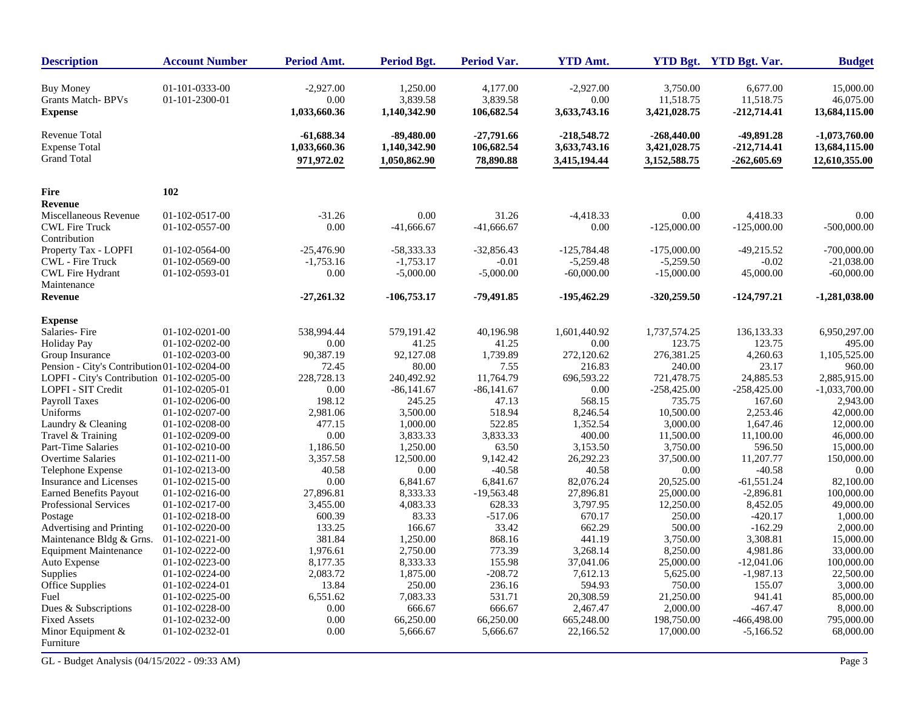| <b>Description</b>                                             | <b>Account Number</b>            | Period Amt.                         | <b>Period Bgt.</b>                   | Period Var.                        | <b>YTD Amt.</b>                     |                                       | YTD Bgt. YTD Bgt. Var.                 | <b>Budget</b>                           |
|----------------------------------------------------------------|----------------------------------|-------------------------------------|--------------------------------------|------------------------------------|-------------------------------------|---------------------------------------|----------------------------------------|-----------------------------------------|
| <b>Buy Money</b><br><b>Grants Match-BPVs</b><br><b>Expense</b> | 01-101-0333-00<br>01-101-2300-01 | $-2,927.00$<br>0.00<br>1,033,660.36 | 1,250.00<br>3,839.58<br>1,140,342.90 | 4,177.00<br>3,839.58<br>106,682.54 | $-2,927.00$<br>0.00<br>3,633,743.16 | 3,750.00<br>11,518.75<br>3,421,028.75 | 6,677.00<br>11,518.75<br>$-212,714.41$ | 15,000.00<br>46,075.00<br>13,684,115.00 |
| <b>Revenue Total</b><br><b>Expense Total</b>                   |                                  | -61,688.34                          | $-89,480.00$                         | $-27,791.66$                       | $-218,548.72$                       | $-268,440.00$                         | -49,891.28                             | $-1,073,760.00$                         |
| <b>Grand Total</b>                                             |                                  | 1,033,660.36<br>971,972.02          | 1,140,342.90<br>1,050,862.90         | 106,682.54<br>78,890.88            | 3,633,743.16<br>3,415,194.44        | 3,421,028.75<br>3,152,588.75          | $-212,714.41$<br>$-262,605.69$         | 13,684,115.00<br>12,610,355.00          |
| <b>Fire</b>                                                    | 102                              |                                     |                                      |                                    |                                     |                                       |                                        |                                         |
| <b>Revenue</b>                                                 |                                  |                                     |                                      |                                    |                                     |                                       |                                        |                                         |
| Miscellaneous Revenue                                          | 01-102-0517-00                   | $-31.26$                            | 0.00                                 | 31.26                              | $-4,418.33$                         | 0.00                                  | 4.418.33                               | 0.00                                    |
| <b>CWL Fire Truck</b>                                          | 01-102-0557-00                   | 0.00                                | $-41,666.67$                         | $-41,666.67$                       | 0.00                                | $-125,000.00$                         | $-125,000.00$                          | $-500,000.00$                           |
| Contribution                                                   |                                  |                                     |                                      |                                    |                                     |                                       |                                        |                                         |
| Property Tax - LOPFI                                           | 01-102-0564-00                   | $-25,476.90$                        | $-58,333.33$                         | $-32,856.43$                       | $-125,784.48$                       | $-175,000.00$                         | $-49,215.52$                           | $-700,000.00$                           |
| CWL - Fire Truck                                               | 01-102-0569-00                   | $-1,753.16$                         | $-1,753.17$                          | $-0.01$                            | $-5,259.48$                         | $-5,259.50$                           | $-0.02$                                | $-21,038.00$                            |
| <b>CWL Fire Hydrant</b>                                        | 01-102-0593-01                   | 0.00                                | $-5,000.00$                          | $-5,000.00$                        | $-60,000.00$                        | $-15,000.00$                          | 45,000.00                              | $-60,000.00$                            |
| Maintenance                                                    |                                  |                                     |                                      |                                    |                                     |                                       |                                        |                                         |
| <b>Revenue</b>                                                 |                                  | $-27,261.32$                        | $-106,753.17$                        | -79,491.85                         | -195,462.29                         | $-320,259.50$                         | $-124,797.21$                          | -1,281,038.00                           |
| <b>Expense</b>                                                 |                                  |                                     |                                      |                                    |                                     |                                       |                                        |                                         |
| Salaries-Fire                                                  | $01 - 102 - 0201 - 00$           | 538,994.44                          | 579,191.42                           | 40,196.98                          | 1,601,440.92                        | 1,737,574.25                          | 136, 133. 33                           | 6,950,297.00                            |
| <b>Holiday Pay</b>                                             | 01-102-0202-00                   | 0.00                                | 41.25                                | 41.25                              | 0.00                                | 123.75                                | 123.75                                 | 495.00                                  |
| Group Insurance                                                | $01-102-0203-00$                 | 90,387.19                           | 92,127.08                            | 1,739.89                           | 272,120.62                          | 276,381.25                            | 4,260.63                               | 1,105,525.00                            |
| Pension - City's Contribution 01-102-0204-00                   |                                  | 72.45                               | 80.00                                | 7.55                               | 216.83                              | 240.00                                | 23.17                                  | 960.00                                  |
| LOPFI - City's Contribution 01-102-0205-00                     |                                  | 228,728.13                          | 240,492.92                           | 11,764.79                          | 696,593.22                          | 721,478.75                            | 24,885.53                              | 2,885,915.00                            |
| LOPFI - SIT Credit                                             | 01-102-0205-01                   | 0.00                                | $-86,141.67$                         | $-86,141.67$                       | 0.00                                | $-258,425.00$                         | $-258,425.00$                          | $-1,033,700.00$                         |
| Payroll Taxes                                                  | 01-102-0206-00                   | 198.12                              | 245.25                               | 47.13                              | 568.15                              | 735.75                                | 167.60                                 | 2,943.00                                |
| Uniforms                                                       | 01-102-0207-00                   | 2,981.06                            | 3,500.00                             | 518.94                             | 8,246.54                            | 10,500.00                             | 2,253.46                               | 42,000.00                               |
| Laundry & Cleaning                                             | 01-102-0208-00                   | 477.15                              | 1,000.00                             | 522.85                             | 1,352.54                            | 3,000.00                              | 1,647.46                               | 12,000.00                               |
| Travel & Training                                              | 01-102-0209-00                   | 0.00                                | 3,833.33                             | 3,833.33                           | 400.00                              | 11,500.00                             | 11,100.00                              | 46,000.00                               |
| Part-Time Salaries                                             | 01-102-0210-00                   | 1,186.50                            | 1,250.00                             | 63.50                              | 3,153.50                            | 3,750.00                              | 596.50                                 | 15,000.00                               |
| <b>Overtime Salaries</b>                                       | $01-102-0211-00$                 | 3,357.58                            | 12,500.00                            | 9,142.42                           | 26,292.23                           | 37,500.00                             | 11,207.77                              | 150,000.00                              |
| Telephone Expense                                              | 01-102-0213-00                   | 40.58                               | 0.00                                 | $-40.58$                           | 40.58                               | 0.00                                  | $-40.58$                               | 0.00                                    |
| Insurance and Licenses                                         | 01-102-0215-00                   | 0.00                                | 6,841.67                             | 6,841.67                           | 82,076.24                           | 20,525.00                             | $-61,551.24$                           | 82,100.00                               |
| <b>Earned Benefits Payout</b>                                  | 01-102-0216-00                   | 27,896.81                           | 8,333.33                             | $-19,563.48$                       | 27,896.81                           | 25,000.00                             | $-2,896.81$                            | 100,000.00                              |
| <b>Professional Services</b>                                   | 01-102-0217-00                   | 3,455.00                            | 4,083.33                             | 628.33                             | 3,797.95                            | 12,250.00                             | 8,452.05                               | 49,000.00                               |
| Postage                                                        | 01-102-0218-00                   | 600.39                              | 83.33                                | $-517.06$                          | 670.17                              | 250.00                                | $-420.17$                              | 1,000.00                                |
| Advertising and Printing                                       | 01-102-0220-00                   | 133.25                              | 166.67                               | 33.42                              | 662.29                              | 500.00                                | $-162.29$                              | 2,000.00                                |
| Maintenance Bldg & Grns.                                       | 01-102-0221-00                   | 381.84                              | 1,250.00                             | 868.16                             | 441.19                              | 3,750.00                              | 3,308.81                               | 15,000.00                               |
| <b>Equipment Maintenance</b>                                   | 01-102-0222-00                   | 1,976.61                            | 2,750.00                             | 773.39                             | 3,268.14                            | 8,250.00                              | 4,981.86                               | 33,000.00                               |
| Auto Expense                                                   | 01-102-0223-00                   | 8,177.35                            | 8,333.33                             | 155.98                             | 37,041.06                           | 25,000.00                             | $-12,041.06$                           | 100,000.00                              |
| Supplies                                                       | 01-102-0224-00                   | 2,083.72                            | 1,875.00                             | $-208.72$                          | 7,612.13                            | 5,625.00                              | $-1,987.13$                            | 22,500.00                               |
| <b>Office Supplies</b>                                         | 01-102-0224-01                   | 13.84                               | 250.00                               | 236.16                             | 594.93                              | 750.00                                | 155.07                                 | 3,000.00                                |
| Fuel                                                           | 01-102-0225-00                   | 6,551.62                            | 7,083.33                             | 531.71                             | 20,308.59                           | 21,250.00                             | 941.41                                 | 85,000.00                               |
| Dues & Subscriptions                                           | 01-102-0228-00                   | 0.00                                | 666.67                               | 666.67                             | 2,467.47                            | 2,000.00                              | $-467.47$                              | 8,000.00                                |
| <b>Fixed Assets</b>                                            | 01-102-0232-00                   | 0.00                                | 66,250.00                            | 66,250.00                          | 665,248.00                          | 198,750.00                            | -466,498.00                            | 795,000.00                              |
| Minor Equipment $&$<br>Furniture                               | 01-102-0232-01                   | 0.00                                | 5,666.67                             | 5,666.67                           | 22,166.52                           | 17,000.00                             | $-5,166.52$                            | 68,000.00                               |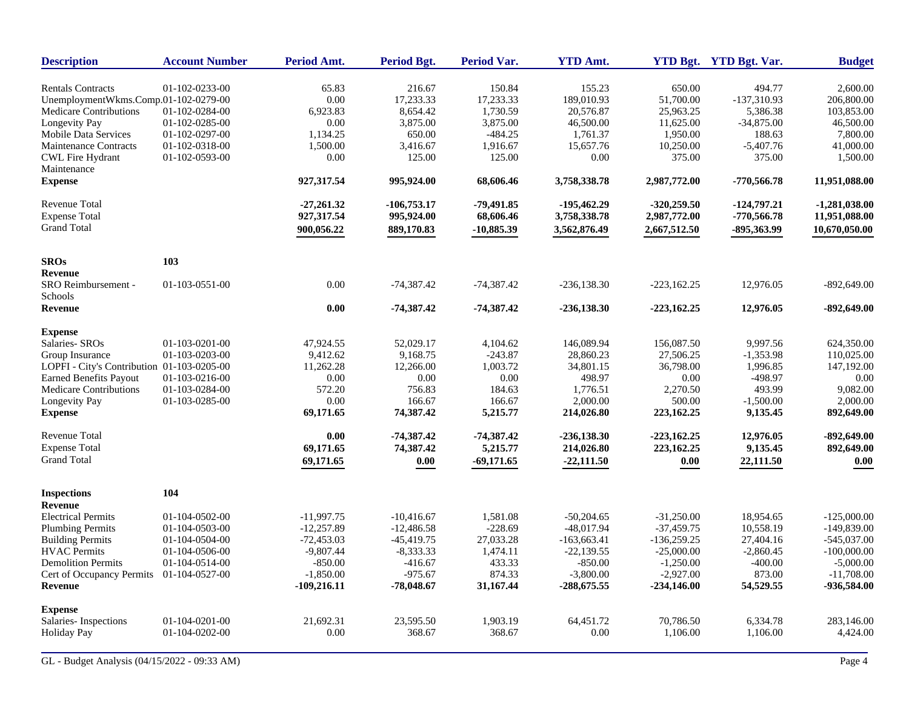| <b>Description</b>                         | <b>Account Number</b> | Period Amt.   | <b>Period Bgt.</b> | <b>Period Var.</b> | <b>YTD Amt.</b> |               | YTD Bgt. YTD Bgt. Var. | <b>Budget</b>       |
|--------------------------------------------|-----------------------|---------------|--------------------|--------------------|-----------------|---------------|------------------------|---------------------|
| <b>Rentals Contracts</b>                   | 01-102-0233-00        | 65.83         | 216.67             | 150.84             | 155.23          | 650.00        | 494.77                 | 2,600.00            |
| UnemploymentWkms.Comp.01-102-0279-00       |                       | 0.00          | 17,233.33          | 17,233.33          | 189,010.93      | 51,700.00     | -137,310.93            | 206,800.00          |
| <b>Medicare Contributions</b>              | 01-102-0284-00        | 6,923.83      | 8,654.42           | 1,730.59           | 20,576.87       | 25,963.25     | 5,386.38               | 103,853.00          |
| Longevity Pay                              | 01-102-0285-00        | 0.00          | 3,875.00           | 3,875.00           | 46,500.00       | 11,625.00     | $-34,875.00$           | 46,500.00           |
| Mobile Data Services                       | 01-102-0297-00        | 1,134.25      | 650.00             | $-484.25$          | 1,761.37        | 1,950.00      | 188.63                 | 7,800.00            |
| <b>Maintenance Contracts</b>               | 01-102-0318-00        | 1,500.00      | 3,416.67           | 1,916.67           | 15,657.76       | 10,250.00     | $-5,407.76$            | 41,000.00           |
| <b>CWL Fire Hydrant</b>                    | 01-102-0593-00        | 0.00          | 125.00             | 125.00             | 0.00            | 375.00        | 375.00                 | 1,500.00            |
| Maintenance                                |                       |               |                    |                    |                 |               |                        |                     |
| <b>Expense</b>                             |                       | 927,317.54    | 995,924.00         | 68,606.46          | 3,758,338.78    | 2,987,772.00  | $-770,566.78$          | 11,951,088.00       |
| <b>Revenue Total</b>                       |                       | $-27,261.32$  | $-106,753.17$      | -79,491.85         | -195,462.29     | $-320,259.50$ | $-124,797.21$          | $-1,281,038.00$     |
| <b>Expense Total</b>                       |                       | 927,317.54    | 995,924.00         | 68,606.46          | 3,758,338.78    | 2,987,772.00  | $-770,566.78$          | 11,951,088.00       |
| <b>Grand Total</b>                         |                       | 900,056.22    | 889,170.83         | $-10,885.39$       | 3,562,876.49    | 2,667,512.50  | -895,363.99            | 10,670,050.00       |
| <b>SROs</b>                                | 103                   |               |                    |                    |                 |               |                        |                     |
| <b>Revenue</b>                             |                       |               |                    |                    |                 |               |                        |                     |
| SRO Reimbursement -<br>Schools             | 01-103-0551-00        | 0.00          | $-74,387.42$       | $-74,387.42$       | $-236, 138.30$  | $-223,162.25$ | 12,976.05              | $-892,649.00$       |
| <b>Revenue</b>                             |                       | 0.00          | $-74,387,42$       | $-74,387.42$       | $-236,138.30$   | $-223,162.25$ | 12,976.05              | $-892,649.00$       |
| <b>Expense</b>                             |                       |               |                    |                    |                 |               |                        |                     |
| Salaries- SROs                             | $01-103-0201-00$      | 47.924.55     | 52,029.17          | 4,104.62           | 146,089.94      | 156,087.50    | 9,997.56               | 624,350.00          |
| Group Insurance                            | 01-103-0203-00        | 9,412.62      | 9,168.75           | $-243.87$          | 28,860.23       | 27,506.25     | $-1,353.98$            | 110,025.00          |
| LOPFI - City's Contribution 01-103-0205-00 |                       | 11,262.28     | 12,266.00          | 1,003.72           | 34,801.15       | 36,798.00     | 1,996.85               | 147,192.00          |
| Earned Benefits Payout                     | 01-103-0216-00        | 0.00          | 0.00               | 0.00               | 498.97          | 0.00          | $-498.97$              | 0.00                |
| <b>Medicare Contributions</b>              | 01-103-0284-00        | 572.20        | 756.83             | 184.63             | 1,776.51        | 2,270.50      | 493.99                 | 9,082.00            |
| Longevity Pay                              | 01-103-0285-00        | 0.00          | 166.67             | 166.67             | 2,000.00        | 500.00        | $-1,500.00$            | 2,000.00            |
| <b>Expense</b>                             |                       | 69,171.65     | 74,387.42          | 5,215.77           | 214,026.80      | 223,162.25    | 9,135.45               | 892,649.00          |
| <b>Revenue Total</b>                       |                       | 0.00          | $-74,387.42$       | $-74,387.42$       | $-236, 138.30$  | $-223,162.25$ | 12,976.05              | $-892,649.00$       |
| <b>Expense Total</b>                       |                       | 69,171.65     | 74,387.42          | 5,215.77           | 214,026.80      | 223,162.25    | 9,135.45               | 892,649.00          |
| <b>Grand Total</b>                         |                       | 69,171.65     | 0.00               | $-69,171.65$       | $-22,111.50$    | 0.00          | 22,111.50              | $\boldsymbol{0.00}$ |
| <b>Inspections</b>                         | 104                   |               |                    |                    |                 |               |                        |                     |
| <b>Revenue</b>                             |                       |               |                    |                    |                 |               |                        |                     |
| <b>Electrical Permits</b>                  | 01-104-0502-00        | $-11,997.75$  | $-10,416.67$       | 1,581.08           | $-50,204.65$    | $-31,250.00$  | 18,954.65              | $-125,000.00$       |
| <b>Plumbing Permits</b>                    | 01-104-0503-00        | $-12,257.89$  | $-12,486.58$       | $-228.69$          | $-48,017.94$    | $-37,459.75$  | 10,558.19              | $-149,839.00$       |
| <b>Building Permits</b>                    | 01-104-0504-00        | $-72,453.03$  | $-45,419.75$       | 27,033.28          | $-163,663.41$   | $-136,259.25$ | 27,404.16              | $-545,037.00$       |
| <b>HVAC Permits</b>                        | 01-104-0506-00        | $-9,807.44$   | $-8,333.33$        | 1,474.11           | $-22,139.55$    | $-25,000.00$  | $-2,860.45$            | $-100,000.00$       |
| <b>Demolition Permits</b>                  | 01-104-0514-00        | $-850.00$     | $-416.67$          | 433.33             | $-850.00$       | $-1,250.00$   | $-400.00$              | $-5,000.00$         |
| Cert of Occupancy Permits                  | 01-104-0527-00        | $-1,850.00$   | $-975.67$          | 874.33             | $-3,800.00$     | $-2,927.00$   | 873.00                 | $-11,708.00$        |
| <b>Revenue</b>                             |                       | $-109,216.11$ | $-78,048.67$       | 31,167.44          | $-288,675.55$   | $-234,146.00$ | 54,529.55              | -936,584.00         |
| <b>Expense</b>                             |                       |               |                    |                    |                 |               |                        |                     |
| Salaries-Inspections                       | 01-104-0201-00        | 21.692.31     | 23,595.50          | 1,903.19           | 64.451.72       | 70,786.50     | 6,334.78               | 283,146.00          |
| <b>Holiday Pay</b>                         | 01-104-0202-00        | 0.00          | 368.67             | 368.67             | 0.00            | 1,106.00      | 1,106.00               | 4,424.00            |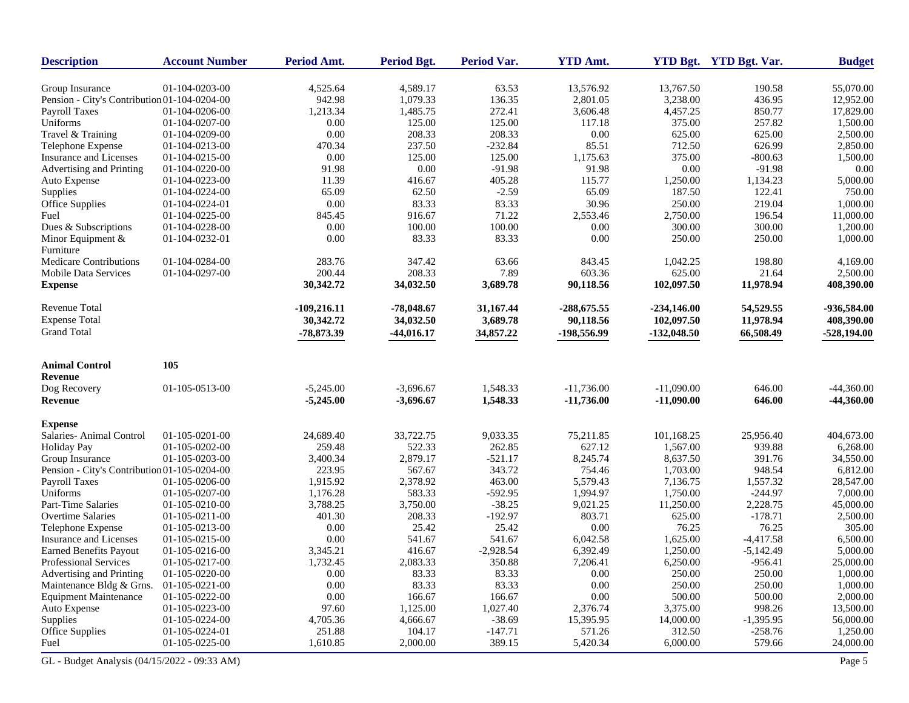| <b>Description</b>                           | <b>Account Number</b> | Period Amt.   | <b>Period Bgt.</b> | Period Var. | <b>YTD Amt.</b> |               | <b>YTD Bgt.</b> YTD Bgt. Var. | <b>Budget</b> |
|----------------------------------------------|-----------------------|---------------|--------------------|-------------|-----------------|---------------|-------------------------------|---------------|
| Group Insurance                              | 01-104-0203-00        | 4,525.64      | 4,589.17           | 63.53       | 13,576.92       | 13,767.50     | 190.58                        | 55,070.00     |
| Pension - City's Contribution 01-104-0204-00 |                       | 942.98        | 1,079.33           | 136.35      | 2,801.05        | 3,238.00      | 436.95                        | 12,952.00     |
| <b>Payroll Taxes</b>                         | 01-104-0206-00        | 1,213.34      | 1,485.75           | 272.41      | 3,606.48        | 4,457.25      | 850.77                        | 17,829.00     |
| Uniforms                                     | 01-104-0207-00        | 0.00          | 125.00             | 125.00      | 117.18          | 375.00        | 257.82                        | 1,500.00      |
| Travel & Training                            | 01-104-0209-00        | 0.00          | 208.33             | 208.33      | 0.00            | 625.00        | 625.00                        | 2,500.00      |
| Telephone Expense                            | 01-104-0213-00        | 470.34        | 237.50             | $-232.84$   | 85.51           | 712.50        | 626.99                        | 2,850.00      |
| Insurance and Licenses                       | 01-104-0215-00        | 0.00          | 125.00             | 125.00      | 1,175.63        | 375.00        | $-800.63$                     | 1,500.00      |
| Advertising and Printing                     | 01-104-0220-00        | 91.98         | 0.00               | $-91.98$    | 91.98           | 0.00          | $-91.98$                      | 0.00          |
| Auto Expense                                 | 01-104-0223-00        | 11.39         | 416.67             | 405.28      | 115.77          | 1,250.00      | 1,134.23                      | 5,000.00      |
| Supplies                                     | 01-104-0224-00        | 65.09         | 62.50              | $-2.59$     | 65.09           | 187.50        | 122.41                        | 750.00        |
| <b>Office Supplies</b>                       | 01-104-0224-01        | 0.00          | 83.33              | 83.33       | 30.96           | 250.00        | 219.04                        | 1,000.00      |
| Fuel                                         | 01-104-0225-00        | 845.45        | 916.67             | 71.22       | 2,553.46        | 2,750.00      | 196.54                        | 11,000.00     |
| Dues & Subscriptions                         | 01-104-0228-00        | 0.00          | 100.00             | 100.00      | 0.00            | 300.00        | 300.00                        | 1,200.00      |
| Minor Equipment $&$<br>Furniture             | 01-104-0232-01        | 0.00          | 83.33              | 83.33       | 0.00            | 250.00        | 250.00                        | 1,000.00      |
| <b>Medicare Contributions</b>                | 01-104-0284-00        | 283.76        | 347.42             | 63.66       | 843.45          | 1,042.25      | 198.80                        | 4,169.00      |
| <b>Mobile Data Services</b>                  | 01-104-0297-00        | 200.44        | 208.33             | 7.89        | 603.36          | 625.00        | 21.64                         | 2,500.00      |
| <b>Expense</b>                               |                       | 30,342.72     | 34,032.50          | 3,689.78    | 90,118.56       | 102,097.50    | 11,978.94                     | 408,390.00    |
| Revenue Total                                |                       | $-109,216.11$ | $-78,048.67$       | 31,167.44   | -288,675.55     | $-234,146.00$ | 54,529.55                     | -936,584.00   |
| <b>Expense Total</b>                         |                       | 30,342.72     | 34,032.50          | 3,689.78    | 90,118.56       | 102,097.50    | 11,978.94                     | 408,390.00    |
| <b>Grand Total</b>                           |                       | -78,873.39    | $-44,016.17$       | 34,857.22   | -198,556.99     | $-132,048.50$ | 66,508.49                     | $-528,194.00$ |
| <b>Animal Control</b>                        | 105                   |               |                    |             |                 |               |                               |               |
| <b>Revenue</b>                               |                       |               |                    |             |                 |               |                               |               |
| Dog Recovery                                 | 01-105-0513-00        | $-5,245.00$   | $-3,696.67$        | 1,548.33    | $-11,736.00$    | $-11,090.00$  | 646.00                        | $-44,360.00$  |
| <b>Revenue</b>                               |                       | $-5,245.00$   | $-3,696.67$        | 1,548.33    | $-11,736.00$    | $-11,090.00$  | 646.00                        | $-44,360.00$  |
| <b>Expense</b>                               |                       |               |                    |             |                 |               |                               |               |
| Salaries- Animal Control                     | 01-105-0201-00        | 24,689.40     | 33,722.75          | 9,033.35    | 75,211.85       | 101,168.25    | 25,956.40                     | 404,673.00    |
| <b>Holiday Pay</b>                           | 01-105-0202-00        | 259.48        | 522.33             | 262.85      | 627.12          | 1,567.00      | 939.88                        | 6,268.00      |
| Group Insurance                              | 01-105-0203-00        | 3,400.34      | 2,879.17           | $-521.17$   | 8,245.74        | 8,637.50      | 391.76                        | 34,550.00     |
| Pension - City's Contribution 01-105-0204-00 |                       | 223.95        | 567.67             | 343.72      | 754.46          | 1,703.00      | 948.54                        | 6,812.00      |
| <b>Payroll Taxes</b>                         | 01-105-0206-00        | 1,915.92      | 2,378.92           | 463.00      | 5,579.43        | 7,136.75      | 1,557.32                      | 28,547.00     |
| Uniforms                                     | 01-105-0207-00        | 1,176.28      | 583.33             | $-592.95$   | 1,994.97        | 1,750.00      | $-244.97$                     | 7,000.00      |
| Part-Time Salaries                           | 01-105-0210-00        | 3,788.25      | 3,750.00           | $-38.25$    | 9,021.25        | 11,250.00     | 2,228.75                      | 45,000.00     |
| Overtime Salaries                            | 01-105-0211-00        | 401.30        | 208.33             | $-192.97$   | 803.71          | 625.00        | $-178.71$                     | 2,500.00      |
| Telephone Expense                            | 01-105-0213-00        | 0.00          | 25.42              | 25.42       | 0.00            | 76.25         | 76.25                         | 305.00        |
| Insurance and Licenses                       | 01-105-0215-00        | 0.00          | 541.67             | 541.67      | 6,042.58        | 1,625.00      | $-4,417.58$                   | 6,500.00      |
| Earned Benefits Payout                       | 01-105-0216-00        | 3,345.21      | 416.67             | $-2,928.54$ | 6,392.49        | 1,250.00      | $-5,142.49$                   | 5,000.00      |
| Professional Services                        | 01-105-0217-00        | 1,732.45      | 2,083.33           | 350.88      | 7,206.41        | 6,250.00      | $-956.41$                     | 25,000.00     |
| Advertising and Printing                     | 01-105-0220-00        | 0.00          | 83.33              | 83.33       | $0.00\,$        | 250.00        | 250.00                        | 1,000.00      |
| Maintenance Bldg & Grns.                     | 01-105-0221-00        | $0.00\,$      | 83.33              | 83.33       | 0.00            | 250.00        | 250.00                        | 1,000.00      |
| <b>Equipment Maintenance</b>                 | 01-105-0222-00        | 0.00          | 166.67             | 166.67      | $0.00\,$        | 500.00        | 500.00                        | 2,000.00      |
| Auto Expense                                 | 01-105-0223-00        | 97.60         | 1,125.00           | 1,027.40    | 2,376.74        | 3,375.00      | 998.26                        | 13,500.00     |
| Supplies                                     | 01-105-0224-00        | 4,705.36      | 4,666.67           | $-38.69$    | 15,395.95       | 14,000.00     | $-1,395.95$                   | 56,000.00     |
| <b>Office Supplies</b>                       | 01-105-0224-01        | 251.88        | 104.17             | $-147.71$   | 571.26          | 312.50        | $-258.76$                     | 1,250.00      |
| Fuel                                         | 01-105-0225-00        | 1,610.85      | 2,000.00           | 389.15      | 5,420.34        | 6,000.00      | 579.66                        | 24,000.00     |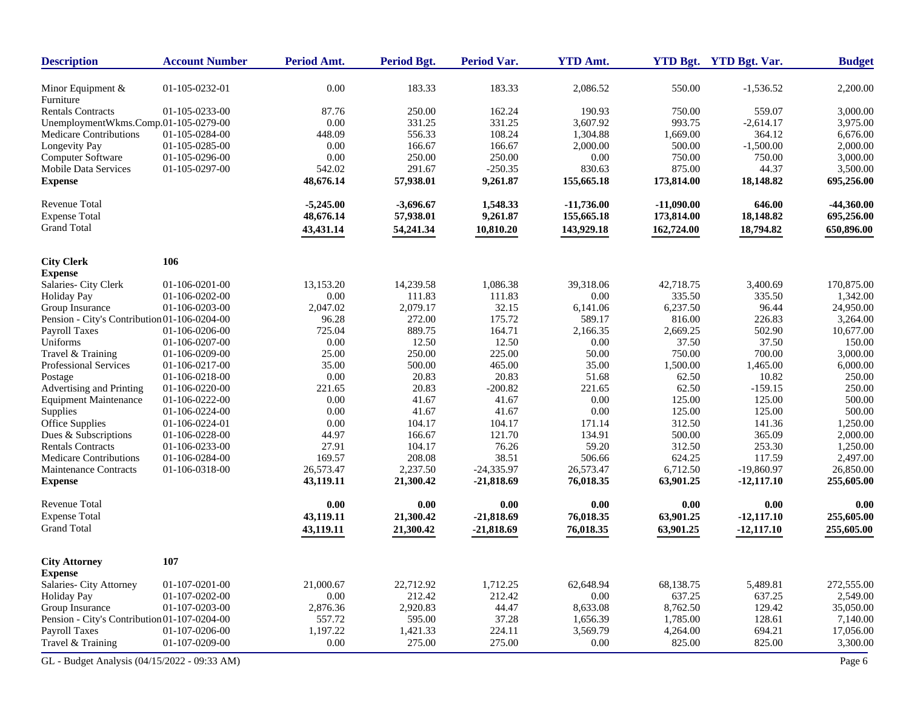| <b>Description</b>                           | <b>Account Number</b> | Period Amt.       | <b>Period Bgt.</b>  | <b>Period Var.</b> | <b>YTD Amt.</b>   |                    | YTD Bgt. YTD Bgt. Var. | <b>Budget</b>         |
|----------------------------------------------|-----------------------|-------------------|---------------------|--------------------|-------------------|--------------------|------------------------|-----------------------|
| Minor Equipment &<br>Furniture               | 01-105-0232-01        | 0.00              | 183.33              | 183.33             | 2,086.52          | 550.00             | $-1,536.52$            | 2,200.00              |
| <b>Rentals Contracts</b>                     | 01-105-0233-00        | 87.76             | 250.00              | 162.24             | 190.93            | 750.00             | 559.07                 | 3,000.00              |
| UnemploymentWkms.Comp.01-105-0279-00         |                       | 0.00              | 331.25              | 331.25             | 3,607.92          | 993.75             | $-2,614.17$            | 3,975.00              |
| Medicare Contributions                       | 01-105-0284-00        | 448.09            | 556.33              | 108.24             | 1,304.88          | 1,669.00           | 364.12                 | 6,676.00              |
| Longevity Pay                                | 01-105-0285-00        | 0.00              | 166.67              | 166.67             | 2,000.00          | 500.00             | $-1,500.00$            | 2,000.00              |
| <b>Computer Software</b>                     | 01-105-0296-00        | 0.00              | 250.00              | 250.00             | 0.00              | 750.00             | 750.00                 | 3,000.00              |
| Mobile Data Services                         | 01-105-0297-00        | 542.02            | 291.67              | $-250.35$          | 830.63            | 875.00             | 44.37                  | 3,500.00              |
| <b>Expense</b>                               |                       | 48,676.14         | 57,938.01           | 9,261.87           | 155,665.18        | 173,814.00         | 18,148.82              | 695,256.00            |
| <b>Revenue Total</b>                         |                       | $-5,245.00$       | $-3,696.67$         | 1,548.33           | $-11,736.00$      | $-11,090.00$       | 646.00                 | $-44,360.00$          |
| <b>Expense Total</b>                         |                       | 48,676.14         | 57,938.01           | 9,261.87           | 155,665.18        | 173,814.00         | 18,148.82              | 695,256.00            |
| <b>Grand Total</b>                           |                       | 43,431.14         | 54,241.34           | 10,810.20          | 143,929.18        | 162,724.00         | 18,794.82              | 650,896.00            |
|                                              |                       |                   |                     |                    |                   |                    |                        |                       |
| <b>City Clerk</b>                            | 106                   |                   |                     |                    |                   |                    |                        |                       |
| <b>Expense</b>                               | 01-106-0201-00        |                   |                     |                    |                   |                    | 3,400.69               | 170,875.00            |
| Salaries- City Clerk                         | 01-106-0202-00        | 13,153.20<br>0.00 | 14,239.58<br>111.83 | 1,086.38           | 39,318.06<br>0.00 | 42,718.75          |                        |                       |
| <b>Holiday Pay</b><br>Group Insurance        | 01-106-0203-00        | 2,047.02          | 2,079.17            | 111.83<br>32.15    | 6,141.06          | 335.50<br>6,237.50 | 335.50<br>96.44        | 1,342.00<br>24,950.00 |
| Pension - City's Contribution 01-106-0204-00 |                       | 96.28             | 272.00              | 175.72             | 589.17            | 816.00             | 226.83                 | 3,264.00              |
| Payroll Taxes                                | 01-106-0206-00        | 725.04            | 889.75              | 164.71             | 2,166.35          | 2,669.25           | 502.90                 | 10,677.00             |
| Uniforms                                     | 01-106-0207-00        | 0.00              | 12.50               | 12.50              | 0.00              | 37.50              | 37.50                  | 150.00                |
| Travel & Training                            | 01-106-0209-00        | 25.00             | 250.00              | 225.00             | 50.00             | 750.00             | 700.00                 | 3,000.00              |
| Professional Services                        | 01-106-0217-00        | 35.00             | 500.00              | 465.00             | 35.00             | 1,500.00           | 1,465.00               | 6,000.00              |
| Postage                                      | 01-106-0218-00        | 0.00              | 20.83               | 20.83              | 51.68             | 62.50              | 10.82                  | 250.00                |
| Advertising and Printing                     | 01-106-0220-00        | 221.65            | 20.83               | $-200.82$          | 221.65            | 62.50              | $-159.15$              | 250.00                |
| <b>Equipment Maintenance</b>                 | 01-106-0222-00        | 0.00              | 41.67               | 41.67              | 0.00              | 125.00             | 125.00                 | 500.00                |
| Supplies                                     | 01-106-0224-00        | 0.00              | 41.67               | 41.67              | 0.00              | 125.00             | 125.00                 | 500.00                |
| Office Supplies                              | 01-106-0224-01        | 0.00              | 104.17              | 104.17             | 171.14            | 312.50             | 141.36                 | 1,250.00              |
| Dues & Subscriptions                         | 01-106-0228-00        | 44.97             | 166.67              | 121.70             | 134.91            | 500.00             | 365.09                 | 2,000.00              |
| <b>Rentals Contracts</b>                     | 01-106-0233-00        | 27.91             | 104.17              | 76.26              | 59.20             | 312.50             | 253.30                 | 1,250.00              |
| <b>Medicare Contributions</b>                | 01-106-0284-00        | 169.57            | 208.08              | 38.51              | 506.66            | 624.25             | 117.59                 | 2,497.00              |
| Maintenance Contracts                        | 01-106-0318-00        | 26,573.47         | 2,237.50            | $-24,335.97$       | 26,573.47         | 6,712.50           | $-19,860.97$           | 26,850.00             |
| <b>Expense</b>                               |                       | 43,119.11         | 21,300.42           | $-21,818.69$       | 76,018.35         | 63,901.25          | $-12,117.10$           | 255,605.00            |
| <b>Revenue Total</b>                         |                       | 0.00              | 0.00                | 0.00               | 0.00              | 0.00               | 0.00                   | 0.00                  |
| <b>Expense Total</b>                         |                       | 43,119.11         | 21,300.42           | $-21,818.69$       | 76,018.35         | 63,901.25          | $-12,117.10$           | 255,605.00            |
| <b>Grand Total</b>                           |                       | 43,119.11         | 21,300.42           | $-21,818.69$       | 76,018.35         | 63,901.25          | $-12,117.10$           | 255,605.00            |
| <b>City Attorney</b>                         | 107                   |                   |                     |                    |                   |                    |                        |                       |
| <b>Expense</b>                               |                       |                   |                     |                    |                   |                    |                        |                       |
| Salaries- City Attorney                      | 01-107-0201-00        | 21,000.67         | 22,712.92           | 1,712.25           | 62,648.94         | 68,138.75          | 5,489.81               | 272,555.00            |
| <b>Holiday Pay</b>                           | 01-107-0202-00        | 0.00              | 212.42              | 212.42             | 0.00              | 637.25             | 637.25                 | 2,549.00              |
| Group Insurance                              | 01-107-0203-00        | 2,876.36          | 2,920.83            | 44.47              | 8,633.08          | 8,762.50           | 129.42                 | 35,050.00             |
| Pension - City's Contribution 01-107-0204-00 |                       | 557.72            | 595.00              | 37.28              | 1,656.39          | 1,785.00           | 128.61                 | 7,140.00              |
| Payroll Taxes                                | 01-107-0206-00        | 1,197.22          | 1,421.33            | 224.11             | 3,569.79          | 4,264.00           | 694.21                 | 17,056.00             |
| Travel & Training                            | 01-107-0209-00        | $0.00\,$          | 275.00              | 275.00             | 0.00              | 825.00             | 825.00                 | 3,300.00              |
| GL - Budget Analysis (04/15/2022 - 09:33 AM) |                       |                   |                     |                    |                   |                    |                        | Page 6                |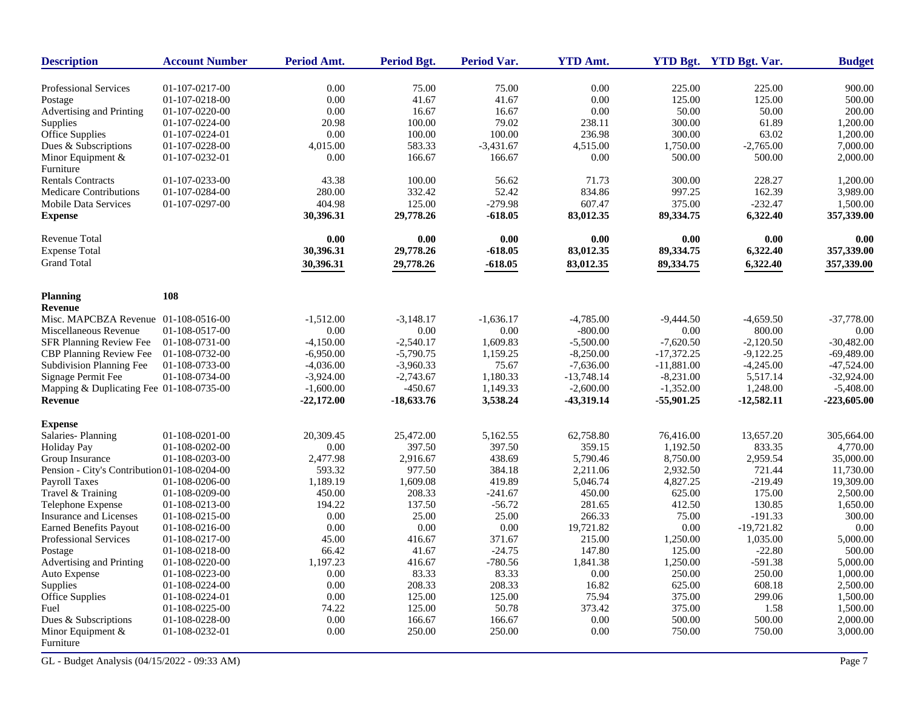| <b>Description</b>                           | <b>Account Number</b> | <b>Period Amt.</b> | Period Bgt.  | Period Var. | <b>YTD Amt.</b> |              | YTD Bgt. YTD Bgt. Var. | <b>Budget</b> |
|----------------------------------------------|-----------------------|--------------------|--------------|-------------|-----------------|--------------|------------------------|---------------|
| <b>Professional Services</b>                 | 01-107-0217-00        | 0.00               | 75.00        | 75.00       | 0.00            | 225.00       | 225.00                 | 900.00        |
| Postage                                      | 01-107-0218-00        | 0.00               | 41.67        | 41.67       | 0.00            | 125.00       | 125.00                 | 500.00        |
| Advertising and Printing                     | 01-107-0220-00        | 0.00               | 16.67        | 16.67       | 0.00            | 50.00        | 50.00                  | 200.00        |
| Supplies                                     | 01-107-0224-00        | 20.98              | 100.00       | 79.02       | 238.11          | 300.00       | 61.89                  | 1,200.00      |
| Office Supplies                              | 01-107-0224-01        | 0.00               | 100.00       | 100.00      | 236.98          | 300.00       | 63.02                  | 1,200.00      |
| Dues & Subscriptions                         | 01-107-0228-00        | 4,015.00           | 583.33       | $-3,431.67$ | 4,515.00        | 1,750.00     | $-2,765.00$            | 7,000.00      |
| Minor Equipment $&$                          | 01-107-0232-01        | 0.00               | 166.67       | 166.67      | 0.00            | 500.00       | 500.00                 | 2,000.00      |
| Furniture                                    |                       |                    |              |             |                 |              |                        |               |
| <b>Rentals Contracts</b>                     | 01-107-0233-00        | 43.38              | 100.00       | 56.62       | 71.73           | 300.00       | 228.27                 | 1,200.00      |
| <b>Medicare Contributions</b>                | 01-107-0284-00        | 280.00             | 332.42       | 52.42       | 834.86          | 997.25       | 162.39                 | 3,989.00      |
| Mobile Data Services                         | 01-107-0297-00        | 404.98             | 125.00       | $-279.98$   | 607.47          | 375.00       | $-232.47$              | 1,500.00      |
| <b>Expense</b>                               |                       | 30,396.31          | 29,778.26    | $-618.05$   | 83,012.35       | 89,334.75    | 6,322.40               | 357,339.00    |
| Revenue Total                                |                       | 0.00               | 0.00         | 0.00        | 0.00            | 0.00         | 0.00                   | 0.00          |
| <b>Expense Total</b>                         |                       | 30,396.31          | 29,778.26    | $-618.05$   | 83,012.35       | 89,334.75    | 6,322.40               | 357,339.00    |
| <b>Grand Total</b>                           |                       | 30,396.31          | 29,778.26    | $-618.05$   | 83,012.35       | 89,334.75    | 6,322.40               | 357,339.00    |
| <b>Planning</b>                              | 108                   |                    |              |             |                 |              |                        |               |
| <b>Revenue</b>                               |                       |                    |              |             |                 |              |                        |               |
| Misc. MAPCBZA Revenue 01-108-0516-00         |                       | $-1,512.00$        | $-3,148.17$  | $-1,636.17$ | $-4,785.00$     | $-9,444.50$  | $-4,659.50$            | $-37,778.00$  |
| Miscellaneous Revenue                        | 01-108-0517-00        | 0.00               | 0.00         | 0.00        | $-800.00$       | 0.00         | 800.00                 | 0.00          |
| SFR Planning Review Fee                      | 01-108-0731-00        | $-4,150.00$        | $-2,540.17$  | 1,609.83    | $-5,500.00$     | $-7,620.50$  | $-2,120.50$            | $-30,482.00$  |
| <b>CBP Planning Review Fee</b>               | 01-108-0732-00        | $-6.950.00$        | $-5,790.75$  | 1,159.25    | $-8,250.00$     | $-17,372.25$ | $-9,122.25$            | $-69,489.00$  |
| <b>Subdivision Planning Fee</b>              | 01-108-0733-00        | $-4,036.00$        | $-3,960.33$  | 75.67       | $-7,636.00$     | $-11,881.00$ | $-4,245.00$            | $-47,524.00$  |
| Signage Permit Fee                           | 01-108-0734-00        | $-3,924.00$        | $-2,743.67$  | 1,180.33    | $-13,748.14$    | $-8,231.00$  | 5,517.14               | $-32,924.00$  |
| Mapping & Duplicating Fee 01-108-0735-00     |                       | $-1,600.00$        | $-450.67$    | 1,149.33    | $-2,600.00$     | $-1,352.00$  | 1,248.00               | $-5,408.00$   |
| <b>Revenue</b>                               |                       | -22,172.00         | $-18,633.76$ | 3,538.24    | -43,319.14      | $-55,901,25$ | $-12,582.11$           | -223,605.00   |
| <b>Expense</b>                               |                       |                    |              |             |                 |              |                        |               |
| Salaries-Planning                            | 01-108-0201-00        | 20,309.45          | 25,472.00    | 5,162.55    | 62,758.80       | 76.416.00    | 13,657.20              | 305,664.00    |
| <b>Holiday Pay</b>                           | 01-108-0202-00        | 0.00               | 397.50       | 397.50      | 359.15          | 1,192.50     | 833.35                 | 4,770.00      |
| Group Insurance                              | 01-108-0203-00        | 2,477.98           | 2,916.67     | 438.69      | 5,790.46        | 8,750.00     | 2,959.54               | 35,000.00     |
| Pension - City's Contribution 01-108-0204-00 |                       | 593.32             | 977.50       | 384.18      | 2,211.06        | 2,932.50     | 721.44                 | 11,730.00     |
| Payroll Taxes                                | 01-108-0206-00        | 1,189.19           | 1,609.08     | 419.89      | 5,046.74        | 4,827.25     | $-219.49$              | 19,309.00     |
| Travel & Training                            | 01-108-0209-00        | 450.00             | 208.33       | $-241.67$   | 450.00          | 625.00       | 175.00                 | 2,500.00      |
| Telephone Expense                            | 01-108-0213-00        | 194.22             | 137.50       | $-56.72$    | 281.65          | 412.50       | 130.85                 | 1,650.00      |
| Insurance and Licenses                       | 01-108-0215-00        | 0.00               | 25.00        | 25.00       | 266.33          | 75.00        | $-191.33$              | 300.00        |
| <b>Earned Benefits Payout</b>                | 01-108-0216-00        | 0.00               | 0.00         | 0.00        | 19,721.82       | 0.00         | $-19,721.82$           | 0.00          |
| Professional Services                        | 01-108-0217-00        | 45.00              | 416.67       | 371.67      | 215.00          | 1,250.00     | 1,035.00               | 5,000.00      |
| Postage                                      | 01-108-0218-00        | 66.42              | 41.67        | $-24.75$    | 147.80          | 125.00       | $-22.80$               | 500.00        |
| Advertising and Printing                     | 01-108-0220-00        | 1,197.23           | 416.67       | $-780.56$   | 1,841.38        | 1,250.00     | $-591.38$              | 5,000.00      |
| Auto Expense                                 | 01-108-0223-00        | 0.00               | 83.33        | 83.33       | 0.00            | 250.00       | 250.00                 | 1,000.00      |
| Supplies                                     | 01-108-0224-00        | 0.00               | 208.33       | 208.33      | 16.82           | 625.00       | 608.18                 | 2,500.00      |
| Office Supplies                              | 01-108-0224-01        | 0.00               | 125.00       | 125.00      | 75.94           | 375.00       | 299.06                 | 1,500.00      |
| Fuel                                         | 01-108-0225-00        | 74.22              | 125.00       | 50.78       | 373.42          | 375.00       | 1.58                   | 1,500.00      |
| Dues & Subscriptions                         | 01-108-0228-00        | 0.00               | 166.67       | 166.67      | 0.00            | 500.00       | 500.00                 | 2,000.00      |
| Minor Equipment $&$<br>Furniture             | 01-108-0232-01        | 0.00               | 250.00       | 250.00      | 0.00            | 750.00       | 750.00                 | 3,000.00      |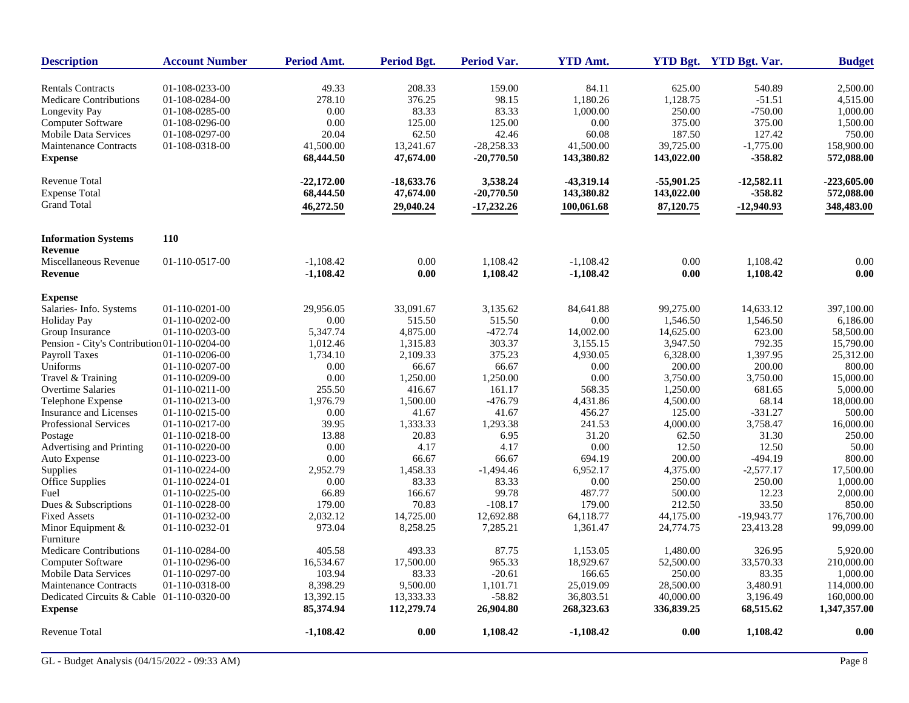| <b>Description</b>                           | <b>Account Number</b> | <b>Period Amt.</b> | Period Bgt.  | <b>Period Var.</b> | <b>YTD Amt.</b> |              | YTD Bgt. YTD Bgt. Var. | <b>Budget</b> |
|----------------------------------------------|-----------------------|--------------------|--------------|--------------------|-----------------|--------------|------------------------|---------------|
| <b>Rentals Contracts</b>                     | 01-108-0233-00        | 49.33              | 208.33       | 159.00             | 84.11           | 625.00       | 540.89                 | 2,500.00      |
| <b>Medicare Contributions</b>                | 01-108-0284-00        | 278.10             | 376.25       | 98.15              | 1,180.26        | 1,128.75     | $-51.51$               | 4,515.00      |
| Longevity Pay                                | 01-108-0285-00        | 0.00               | 83.33        | 83.33              | 1,000.00        | 250.00       | $-750.00$              | 1,000.00      |
| Computer Software                            | 01-108-0296-00        | 0.00               | 125.00       | 125.00             | 0.00            | 375.00       | 375.00                 | 1,500.00      |
| <b>Mobile Data Services</b>                  | 01-108-0297-00        | 20.04              | 62.50        | 42.46              | 60.08           | 187.50       | 127.42                 | 750.00        |
| <b>Maintenance Contracts</b>                 | 01-108-0318-00        | 41,500.00          | 13,241.67    | $-28,258.33$       | 41,500.00       | 39,725.00    | $-1,775.00$            | 158,900.00    |
| <b>Expense</b>                               |                       | 68,444.50          | 47,674.00    | $-20,770.50$       | 143,380.82      | 143,022.00   | $-358.82$              | 572,088.00    |
| <b>Revenue Total</b>                         |                       | $-22.172.00$       | $-18,633,76$ | 3,538.24           | -43,319.14      | $-55,901,25$ | $-12,582.11$           | $-223,605,00$ |
| <b>Expense Total</b>                         |                       | 68,444.50          | 47,674.00    | $-20,770.50$       | 143,380.82      | 143,022.00   | $-358.82$              | 572,088.00    |
| <b>Grand Total</b>                           |                       | 46,272.50          | 29,040.24    | $-17,232.26$       | 100,061.68      | 87,120.75    | $-12,940.93$           | 348,483.00    |
| <b>Information Systems</b>                   | 110                   |                    |              |                    |                 |              |                        |               |
| <b>Revenue</b>                               |                       |                    |              |                    |                 |              |                        |               |
| Miscellaneous Revenue                        | 01-110-0517-00        | $-1,108.42$        | 0.00         | 1,108.42           | $-1,108.42$     | 0.00         | 1,108.42               | 0.00          |
| <b>Revenue</b>                               |                       | $-1,108.42$        | 0.00         | 1,108.42           | $-1,108.42$     | 0.00         | 1,108.42               | 0.00          |
| <b>Expense</b>                               |                       |                    |              |                    |                 |              |                        |               |
| Salaries- Info. Systems                      | 01-110-0201-00        | 29,956.05          | 33,091.67    | 3,135.62           | 84,641.88       | 99,275.00    | 14,633.12              | 397,100.00    |
| <b>Holiday Pay</b>                           | 01-110-0202-00        | 0.00               | 515.50       | 515.50             | 0.00            | 1,546.50     | 1,546.50               | 6,186.00      |
| Group Insurance                              | 01-110-0203-00        | 5,347.74           | 4,875.00     | $-472.74$          | 14,002.00       | 14,625.00    | 623.00                 | 58,500.00     |
| Pension - City's Contribution 01-110-0204-00 |                       | 1,012.46           | 1,315.83     | 303.37             | 3,155.15        | 3,947.50     | 792.35                 | 15,790.00     |
| <b>Payroll Taxes</b>                         | 01-110-0206-00        | 1,734.10           | 2,109.33     | 375.23             | 4,930.05        | 6,328.00     | 1,397.95               | 25,312.00     |
| Uniforms                                     | 01-110-0207-00        | 0.00               | 66.67        | 66.67              | 0.00            | 200.00       | 200.00                 | 800.00        |
| Travel & Training                            | 01-110-0209-00        | $0.00\,$           | 1,250.00     | 1,250.00           | 0.00            | 3,750.00     | 3,750.00               | 15,000.00     |
| <b>Overtime Salaries</b>                     | 01-110-0211-00        | 255.50             | 416.67       | 161.17             | 568.35          | 1,250.00     | 681.65                 | 5,000.00      |
| Telephone Expense                            | 01-110-0213-00        | 1,976.79           | 1,500.00     | $-476.79$          | 4,431.86        | 4,500.00     | 68.14                  | 18,000.00     |
| Insurance and Licenses                       | 01-110-0215-00        | $0.00\,$           | 41.67        | 41.67              | 456.27          | 125.00       | $-331.27$              | 500.00        |
| Professional Services                        | 01-110-0217-00        | 39.95              | 1,333.33     | 1,293.38           | 241.53          | 4,000.00     | 3,758.47               | 16,000.00     |
| Postage                                      | 01-110-0218-00        | 13.88              | 20.83        | 6.95               | 31.20           | 62.50        | 31.30                  | 250.00        |
| Advertising and Printing                     | 01-110-0220-00        | 0.00               | 4.17         | 4.17               | 0.00            | 12.50        | 12.50                  | 50.00         |
| Auto Expense                                 | 01-110-0223-00        | 0.00               | 66.67        | 66.67              | 694.19          | 200.00       | $-494.19$              | 800.00        |
| Supplies                                     | 01-110-0224-00        | 2,952.79           | 1,458.33     | $-1,494.46$        | 6,952.17        | 4,375.00     | $-2,577.17$            | 17,500.00     |
| Office Supplies                              | 01-110-0224-01        | 0.00               | 83.33        | 83.33              | 0.00            | 250.00       | 250.00                 | 1,000.00      |
| Fuel                                         | 01-110-0225-00        | 66.89              | 166.67       | 99.78              | 487.77          | 500.00       | 12.23                  | 2,000.00      |
| Dues & Subscriptions                         | 01-110-0228-00        | 179.00             | 70.83        | $-108.17$          | 179.00          | 212.50       | 33.50                  | 850.00        |
| <b>Fixed Assets</b>                          | 01-110-0232-00        | 2,032.12           | 14,725.00    | 12,692.88          | 64,118.77       | 44,175.00    | $-19,943.77$           | 176,700.00    |
| Minor Equipment $&$<br>Furniture             | 01-110-0232-01        | 973.04             | 8,258.25     | 7,285.21           | 1,361.47        | 24,774.75    | 23,413.28              | 99,099.00     |
| Medicare Contributions                       | 01-110-0284-00        | 405.58             | 493.33       | 87.75              | 1,153.05        | 1,480.00     | 326.95                 | 5.920.00      |
| <b>Computer Software</b>                     | 01-110-0296-00        | 16,534.67          | 17,500.00    | 965.33             | 18,929.67       | 52,500.00    | 33,570.33              | 210,000.00    |
| <b>Mobile Data Services</b>                  | 01-110-0297-00        | 103.94             | 83.33        | $-20.61$           | 166.65          | 250.00       | 83.35                  | 1,000.00      |
| <b>Maintenance Contracts</b>                 | 01-110-0318-00        | 8,398.29           | 9,500.00     | 1,101.71           | 25,019.09       | 28,500.00    | 3,480.91               | 114,000.00    |
| Dedicated Circuits & Cable 01-110-0320-00    |                       | 13,392.15          | 13,333.33    | $-58.82$           | 36,803.51       | 40,000.00    | 3,196.49               | 160,000.00    |
| <b>Expense</b>                               |                       | 85,374.94          | 112,279.74   | 26,904.80          | 268,323.63      | 336,839.25   | 68,515.62              | 1,347,357.00  |
| <b>Revenue Total</b>                         |                       | $-1,108.42$        | 0.00         | 1,108.42           | -1,108.42       | 0.00         | 1,108.42               | 0.00          |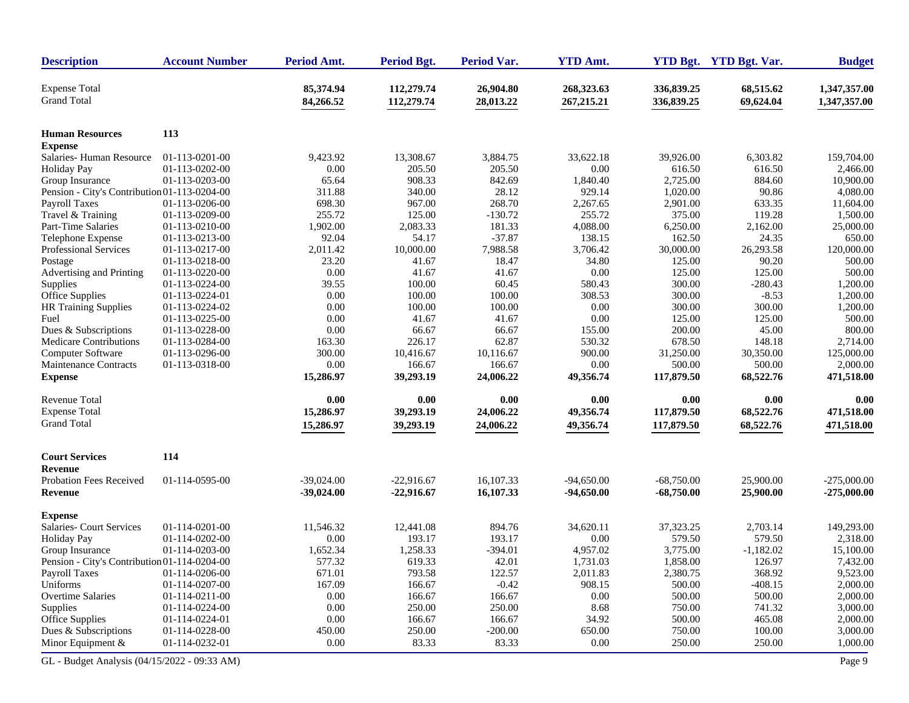| <b>Description</b>                           | <b>Account Number</b> | Period Amt.            | <b>Period Bgt.</b>       | Period Var.            | <b>YTD Amt.</b>           |                          | YTD Bgt. YTD Bgt. Var. | <b>Budget</b>                |
|----------------------------------------------|-----------------------|------------------------|--------------------------|------------------------|---------------------------|--------------------------|------------------------|------------------------------|
| <b>Expense Total</b><br><b>Grand Total</b>   |                       | 85,374.94<br>84,266.52 | 112,279.74<br>112,279.74 | 26,904.80<br>28,013.22 | 268,323.63<br>267, 215.21 | 336,839.25<br>336,839.25 | 68,515.62<br>69,624.04 | 1,347,357.00<br>1,347,357.00 |
| <b>Human Resources</b>                       | 113                   |                        |                          |                        |                           |                          |                        |                              |
| <b>Expense</b>                               |                       |                        |                          |                        |                           |                          |                        |                              |
| Salaries-Human Resource                      | 01-113-0201-00        | 9,423.92               | 13,308.67                | 3,884.75               | 33,622.18                 | 39,926.00                | 6,303.82               | 159,704.00                   |
| <b>Holiday Pay</b>                           | 01-113-0202-00        | 0.00                   | 205.50                   | 205.50                 | 0.00                      | 616.50                   | 616.50                 | 2.466.00                     |
| Group Insurance                              | 01-113-0203-00        | 65.64                  | 908.33                   | 842.69                 | 1,840.40                  | 2,725.00                 | 884.60                 | 10,900.00                    |
| Pension - City's Contribution 01-113-0204-00 |                       | 311.88                 | 340.00                   | 28.12                  | 929.14                    | 1,020.00                 | 90.86                  | 4,080.00                     |
| Payroll Taxes                                | 01-113-0206-00        | 698.30                 | 967.00                   | 268.70                 | 2,267.65                  | 2,901.00                 | 633.35                 | 11,604.00                    |
| Travel & Training                            | 01-113-0209-00        | 255.72                 | 125.00                   | $-130.72$              | 255.72                    | 375.00                   | 119.28                 | 1,500.00                     |
| Part-Time Salaries                           | 01-113-0210-00        | 1,902.00               | 2,083.33                 | 181.33                 | 4,088.00                  | 6,250.00                 | 2,162.00               | 25,000.00                    |
| Telephone Expense                            | 01-113-0213-00        | 92.04                  | 54.17                    | $-37.87$               | 138.15                    | 162.50                   | 24.35                  | 650.00                       |
| Professional Services                        | 01-113-0217-00        | 2,011.42               | 10,000.00                | 7,988.58               | 3,706.42                  | 30,000.00                | 26,293.58              | 120,000.00                   |
| Postage                                      | 01-113-0218-00        | 23.20                  | 41.67                    | 18.47                  | 34.80                     | 125.00                   | 90.20                  | 500.00                       |
| Advertising and Printing                     | 01-113-0220-00        | 0.00                   | 41.67                    | 41.67                  | 0.00                      | 125.00                   | 125.00                 | 500.00                       |
| Supplies                                     | 01-113-0224-00        | 39.55                  | 100.00                   | 60.45                  | 580.43                    | 300.00                   | $-280.43$              | 1,200.00                     |
| <b>Office Supplies</b>                       | 01-113-0224-01        | 0.00                   | 100.00                   | 100.00                 | 308.53                    | 300.00                   | $-8.53$                | 1,200.00                     |
| <b>HR Training Supplies</b>                  | 01-113-0224-02        | 0.00                   | 100.00                   | 100.00                 | 0.00                      | 300.00                   | 300.00                 | 1,200.00                     |
| Fuel                                         | 01-113-0225-00        | 0.00                   | 41.67                    | 41.67                  | 0.00                      | 125.00                   | 125.00                 | 500.00                       |
| Dues & Subscriptions                         | 01-113-0228-00        | 0.00                   | 66.67                    | 66.67                  | 155.00                    | 200.00                   | 45.00                  | 800.00                       |
| Medicare Contributions                       | 01-113-0284-00        | 163.30                 | 226.17                   | 62.87                  | 530.32                    | 678.50                   | 148.18                 | 2,714.00                     |
| Computer Software                            | 01-113-0296-00        | 300.00                 | 10,416.67                | 10,116.67              | 900.00                    | 31,250.00                | 30,350.00              | 125,000.00                   |
| <b>Maintenance Contracts</b>                 | 01-113-0318-00        | 0.00                   | 166.67                   | 166.67                 | 0.00                      | 500.00                   | 500.00                 | 2,000.00                     |
| <b>Expense</b>                               |                       | 15,286.97              | 39,293.19                | 24,006.22              | 49,356.74                 | 117,879.50               | 68,522.76              | 471,518.00                   |
| <b>Revenue Total</b>                         |                       | 0.00                   | 0.00                     | $0.00\,$               | 0.00                      | 0.00                     | 0.00                   | 0.00                         |
| <b>Expense Total</b>                         |                       | 15,286.97              | 39,293.19                | 24,006.22              | 49,356.74                 | 117,879.50               | 68,522.76              | 471,518.00                   |
| <b>Grand Total</b>                           |                       | 15,286.97              | 39,293.19                | 24,006.22              | 49,356.74                 | 117,879.50               | 68,522.76              | 471,518.00                   |
| <b>Court Services</b>                        | 114                   |                        |                          |                        |                           |                          |                        |                              |
| <b>Revenue</b>                               |                       |                        |                          |                        |                           |                          |                        |                              |
| <b>Probation Fees Received</b>               | 01-114-0595-00        | $-39,024.00$           | $-22,916.67$             | 16,107.33              | $-94,650.00$              | $-68,750.00$             | 25,900.00              | $-275,000.00$                |
| Revenue                                      |                       | $-39,024.00$           | $-22,916.67$             | 16,107.33              | $-94,650.00$              | $-68,750.00$             | 25,900.00              | $-275,000.00$                |
| <b>Expense</b>                               |                       |                        |                          |                        |                           |                          |                        |                              |
| Salaries- Court Services                     | 01-114-0201-00        | 11,546.32              | 12,441.08                | 894.76                 | 34,620.11                 | 37,323.25                | 2,703.14               | 149,293.00                   |
| <b>Holiday Pay</b>                           | 01-114-0202-00        | 0.00                   | 193.17                   | 193.17                 | 0.00                      | 579.50                   | 579.50                 | 2,318.00                     |
| Group Insurance                              | 01-114-0203-00        | 1,652.34               | 1,258.33                 | $-394.01$              | 4,957.02                  | 3,775.00                 | $-1,182.02$            | 15,100.00                    |
| Pension - City's Contribution 01-114-0204-00 |                       | 577.32                 | 619.33                   | 42.01                  | 1,731.03                  | 1,858.00                 | 126.97                 | 7,432.00                     |
| <b>Payroll Taxes</b>                         | 01-114-0206-00        | 671.01                 | 793.58                   | 122.57                 | 2,011.83                  | 2,380.75                 | 368.92                 | 9,523.00                     |
| Uniforms                                     | 01-114-0207-00        | 167.09                 | 166.67                   | $-0.42$                | 908.15                    | 500.00                   | $-408.15$              | 2,000.00                     |
| <b>Overtime Salaries</b>                     | 01-114-0211-00        | 0.00                   | 166.67                   | 166.67                 | $0.00\,$                  | 500.00                   | 500.00                 | 2,000.00                     |
| Supplies                                     | 01-114-0224-00        | 0.00                   | 250.00                   | 250.00                 | 8.68                      | 750.00                   | 741.32                 | 3,000.00                     |
| Office Supplies                              | 01-114-0224-01        | 0.00                   | 166.67                   | 166.67                 | 34.92                     | 500.00                   | 465.08                 | 2,000.00                     |
| Dues & Subscriptions                         | 01-114-0228-00        | 450.00                 | 250.00                   | $-200.00$              | 650.00                    | 750.00                   | 100.00                 | 3,000.00                     |
| Minor Equipment &                            | 01-114-0232-01        | 0.00                   | 83.33                    | 83.33                  | 0.00                      | 250.00                   | 250.00                 | 1,000.00                     |
| GL - Budget Analysis (04/15/2022 - 09:33 AM) |                       |                        |                          |                        |                           |                          |                        | Page 9                       |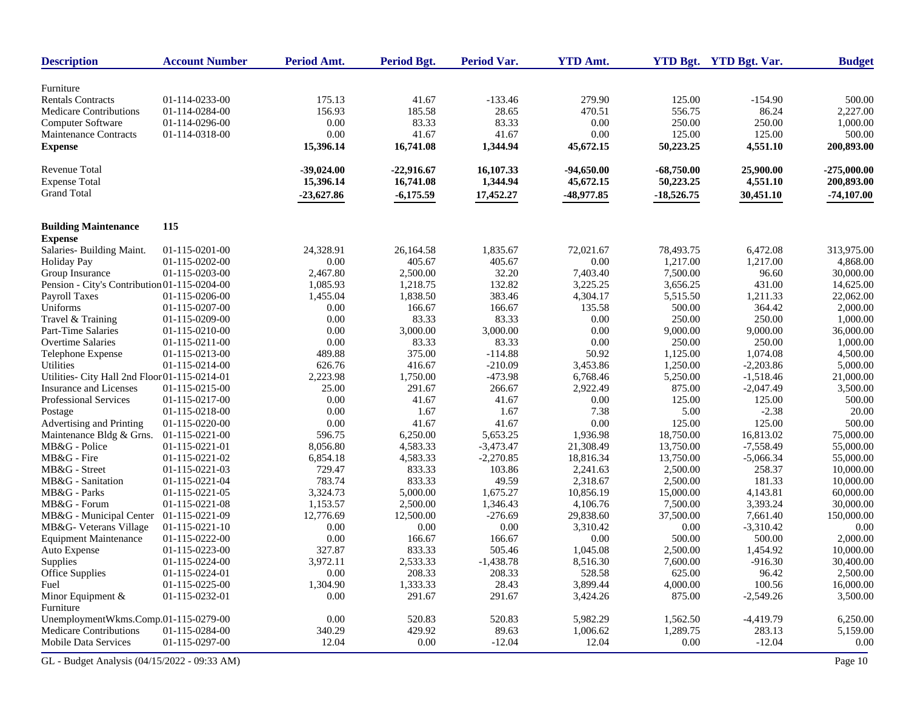| <b>Description</b>                                | <b>Account Number</b>            | Period Amt.  | <b>Period Bgt.</b> | Period Var.     | <b>YTD Amt.</b>      |                    | YTD Bgt. YTD Bgt. Var. | <b>Budget</b>         |
|---------------------------------------------------|----------------------------------|--------------|--------------------|-----------------|----------------------|--------------------|------------------------|-----------------------|
|                                                   |                                  |              |                    |                 |                      |                    |                        |                       |
| Furniture                                         |                                  |              |                    |                 |                      |                    |                        |                       |
| <b>Rentals Contracts</b>                          | 01-114-0233-00                   | 175.13       | 41.67              | $-133.46$       | 279.90               | 125.00             | $-154.90$              | 500.00                |
| <b>Medicare Contributions</b>                     | 01-114-0284-00                   | 156.93       | 185.58             | 28.65           | 470.51               | 556.75             | 86.24                  | 2.227.00              |
| Computer Software                                 | 01-114-0296-00                   | 0.00         | 83.33              | 83.33           | 0.00                 | 250.00             | 250.00                 | 1,000.00              |
| Maintenance Contracts                             | 01-114-0318-00                   | 0.00         | 41.67              | 41.67           | 0.00                 | 125.00             | 125.00                 | 500.00                |
| <b>Expense</b>                                    |                                  | 15,396.14    | 16,741.08          | 1,344.94        | 45,672.15            | 50,223.25          | 4,551.10               | 200,893.00            |
| <b>Revenue Total</b>                              |                                  | $-39,024.00$ | $-22,916.67$       | 16,107.33       | $-94,650.00$         | $-68,750.00$       | 25,900.00              | $-275,000.00$         |
| <b>Expense Total</b>                              |                                  | 15,396.14    | 16,741.08          | 1,344.94        | 45,672.15            | 50,223.25          | 4,551.10               | 200,893.00            |
| <b>Grand Total</b>                                |                                  | $-23,627.86$ | $-6,175.59$        | 17,452.27       | -48,977.85           | $-18,526.75$       | 30,451.10              | $-74,107.00$          |
|                                                   |                                  |              |                    |                 |                      |                    |                        |                       |
| <b>Building Maintenance</b><br><b>Expense</b>     | 115                              |              |                    |                 |                      |                    |                        |                       |
| Salaries- Building Maint.                         | 01-115-0201-00                   | 24,328.91    | 26,164.58          | 1,835.67        | 72,021.67            | 78,493.75          | 6,472.08               | 313,975.00            |
| <b>Holiday Pay</b>                                | 01-115-0202-00                   | 0.00         | 405.67             | 405.67          | 0.00                 | 1,217.00           | 1,217.00               | 4,868.00              |
| Group Insurance                                   | 01-115-0203-00                   | 2,467.80     | 2,500.00           | 32.20           | 7,403.40             | 7,500.00           | 96.60                  | 30,000.00             |
| Pension - City's Contribution 01-115-0204-00      |                                  | 1,085.93     | 1,218.75           | 132.82          | 3,225.25             | 3,656.25           | 431.00                 | 14,625.00             |
| <b>Payroll Taxes</b>                              | 01-115-0206-00                   | 1,455.04     | 1,838.50           | 383.46          | 4,304.17             | 5,515.50           | 1,211.33               | 22,062.00             |
| Uniforms                                          | 01-115-0207-00                   | 0.00         | 166.67             | 166.67          | 135.58               | 500.00             | 364.42                 | 2,000.00              |
| Travel & Training                                 | 01-115-0209-00                   | 0.00         | 83.33              | 83.33           | 0.00                 | 250.00             | 250.00                 | 1,000.00              |
| Part-Time Salaries                                | 01-115-0210-00                   | 0.00         | 3,000.00           | 3,000.00        | 0.00                 | 9,000.00           | 9,000.00               | 36,000.00             |
| <b>Overtime Salaries</b>                          | 01-115-0211-00                   | 0.00         | 83.33              | 83.33           | 0.00                 | 250.00             | 250.00                 | 1,000.00              |
| Telephone Expense                                 | 01-115-0213-00                   | 489.88       | 375.00             | $-114.88$       | 50.92                | 1,125.00           | 1,074.08               | 4,500.00              |
| <b>Utilities</b>                                  | 01-115-0214-00                   | 626.76       | 416.67             | $-210.09$       | 3,453.86             | 1,250.00           | $-2,203.86$            | 5,000.00              |
| Utilities- City Hall 2nd Floor 01-115-0214-01     |                                  | 2,223.98     | 1,750.00           | $-473.98$       | 6,768.46             | 5,250.00           | $-1,518.46$            | 21,000.00             |
| Insurance and Licenses                            | 01-115-0215-00                   | 25.00        | 291.67             | 266.67          | 2,922.49             | 875.00             | $-2,047.49$            | 3,500.00              |
| Professional Services                             | 01-115-0217-00                   | 0.00         | 41.67              | 41.67           | 0.00                 | 125.00             | 125.00                 | 500.00                |
| Postage                                           | 01-115-0218-00                   | 0.00         | 1.67               | 1.67            | 7.38                 | 5.00               | $-2.38$                | 20.00                 |
| Advertising and Printing                          | 01-115-0220-00                   | 0.00         | 41.67              | 41.67           | 0.00                 | 125.00             | 125.00                 | 500.00                |
| Maintenance Bldg & Grns.                          | 01-115-0221-00                   | 596.75       | 6,250.00           | 5,653.25        | 1,936.98             | 18,750.00          | 16,813.02              | 75,000.00             |
| MB&G - Police                                     | 01-115-0221-01                   | 8,056.80     | 4,583.33           | $-3,473.47$     | 21,308.49            | 13,750.00          | $-7,558.49$            | 55,000.00             |
| MB&G - Fire                                       | 01-115-0221-02                   | 6,854.18     | 4,583.33           | $-2,270.85$     | 18,816.34            | 13,750.00          | $-5,066.34$            | 55,000.00             |
| MB&G - Street                                     | 01-115-0221-03                   | 729.47       | 833.33             | 103.86          | 2,241.63             | 2,500.00           | 258.37                 | 10,000.00             |
| MB&G - Sanitation                                 | 01-115-0221-04                   | 783.74       | 833.33             | 49.59           | 2,318.67             | 2,500.00           | 181.33                 | 10,000.00             |
| MB&G - Parks                                      | 01-115-0221-05                   | 3,324.73     | 5,000.00           | 1,675.27        | 10,856.19            | 15,000.00          | 4,143.81               | 60,000.00             |
| MB&G - Forum                                      | 01-115-0221-08                   | 1,153.57     | 2,500.00           | 1,346.43        | 4,106.76             | 7,500.00           | 3,393.24               | 30,000.00             |
|                                                   | 01-115-0221-09                   | 12,776.69    | 12,500.00          | $-276.69$       | 29,838.60            | 37,500.00          | 7,661.40               | 150,000.00            |
| MB&G - Municipal Center<br>MB&G- Veterans Village | 01-115-0221-10                   | 0.00         | 0.00               | 0.00            | 3,310.42             | 0.00               | $-3,310.42$            | 0.00                  |
| <b>Equipment Maintenance</b>                      | 01-115-0222-00                   | 0.00         | 166.67             | 166.67          | 0.00                 | 500.00             | 500.00                 | 2,000.00              |
|                                                   | 01-115-0223-00                   | 327.87       | 833.33             | 505.46          | 1,045.08             | 2,500.00           | 1,454.92               | 10,000.00             |
| Auto Expense<br>Supplies                          | 01-115-0224-00                   | 3,972.11     | 2,533.33           | $-1,438.78$     | 8,516.30             | 7,600.00           | $-916.30$              | 30,400.00             |
| <b>Office Supplies</b>                            | 01-115-0224-01                   | $0.00\,$     | 208.33             | 208.33          | 528.58               | 625.00             | 96.42                  | 2,500.00              |
| Fuel                                              |                                  | 1,304.90     |                    |                 |                      |                    |                        |                       |
|                                                   | 01-115-0225-00<br>01-115-0232-01 |              | 1,333.33<br>291.67 | 28.43<br>291.67 | 3,899.44<br>3,424.26 | 4,000.00<br>875.00 | 100.56                 | 16,000.00<br>3,500.00 |
| Minor Equipment &<br>Furniture                    |                                  | 0.00         |                    |                 |                      |                    | $-2,549.26$            |                       |
| UnemploymentWkms.Comp.01-115-0279-00              |                                  | $0.00\,$     | 520.83             | 520.83          | 5,982.29             | 1,562.50           | $-4,419.79$            | 6,250.00              |
| Medicare Contributions                            | 01-115-0284-00                   | 340.29       | 429.92             | 89.63           | 1,006.62             | 1,289.75           | 283.13                 | 5,159.00              |
| Mobile Data Services                              | 01-115-0297-00                   | 12.04        | $0.00\,$           | $-12.04$        | 12.04                | $0.00\,$           | $-12.04$               | $0.00\,$              |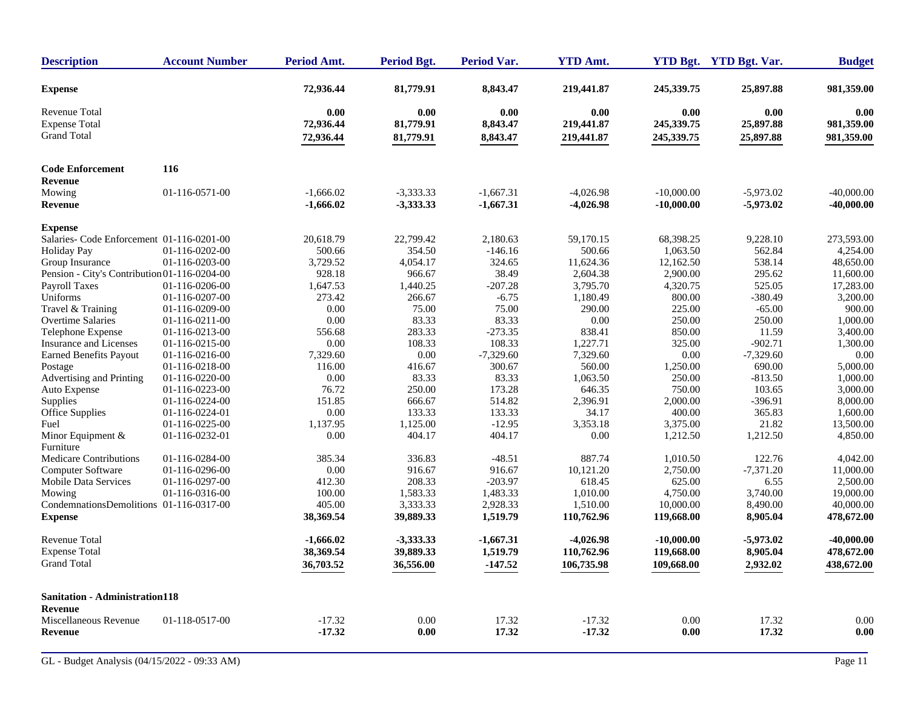| <b>Description</b>                           | <b>Account Number</b> | Period Amt.            | <b>Period Bgt.</b>     | Period Var.          | <b>YTD Amt.</b> |              | YTD Bgt. YTD Bgt. Var. | <b>Budget</b>            |
|----------------------------------------------|-----------------------|------------------------|------------------------|----------------------|-----------------|--------------|------------------------|--------------------------|
| <b>Expense</b>                               |                       | 72,936.44              | 81,779.91              | 8,843.47             | 219,441.87      | 245,339.75   | 25,897.88              | 981,359.00               |
| <b>Revenue Total</b>                         |                       | 0.00                   | 0.00                   | 0.00                 | 0.00            | 0.00         | 0.00                   | 0.00                     |
| <b>Expense Total</b><br><b>Grand Total</b>   |                       | 72,936.44<br>72,936.44 | 81,779.91<br>81,779.91 | 8,843.47<br>8,843.47 | 219,441.87      | 245,339.75   | 25,897.88<br>25,897.88 | 981,359.00<br>981,359.00 |
|                                              |                       |                        |                        |                      | 219,441.87      | 245,339.75   |                        |                          |
| <b>Code Enforcement</b><br><b>Revenue</b>    | 116                   |                        |                        |                      |                 |              |                        |                          |
| Mowing                                       | 01-116-0571-00        | $-1.666.02$            | $-3,333.33$            | $-1,667.31$          | $-4.026.98$     | $-10,000,00$ | $-5.973.02$            | $-40,000,00$             |
| <b>Revenue</b>                               |                       | $-1,666.02$            | $-3,333.33$            | $-1,667.31$          | -4,026.98       | $-10,000.00$ | $-5,973.02$            | $-40,000.00$             |
| <b>Expense</b>                               |                       |                        |                        |                      |                 |              |                        |                          |
| Salaries- Code Enforcement 01-116-0201-00    |                       | 20,618.79              | 22,799.42              | 2,180.63             | 59,170.15       | 68,398.25    | 9,228.10               | 273,593.00               |
| <b>Holiday Pay</b>                           | 01-116-0202-00        | 500.66                 | 354.50                 | $-146.16$            | 500.66          | 1,063.50     | 562.84                 | 4,254.00                 |
| Group Insurance                              | 01-116-0203-00        | 3,729.52               | 4,054.17               | 324.65               | 11,624.36       | 12,162.50    | 538.14                 | 48,650.00                |
| Pension - City's Contribution 01-116-0204-00 |                       | 928.18                 | 966.67                 | 38.49                | 2,604.38        | 2,900.00     | 295.62                 | 11,600.00                |
| <b>Payroll Taxes</b>                         | 01-116-0206-00        | 1,647.53               | 1,440.25               | $-207.28$            | 3,795.70        | 4,320.75     | 525.05                 | 17,283.00                |
| Uniforms                                     | 01-116-0207-00        | 273.42                 | 266.67                 | $-6.75$              | 1,180.49        | 800.00       | -380.49                | 3,200.00                 |
| Travel & Training                            | 01-116-0209-00        | 0.00                   | 75.00                  | 75.00                | 290.00          | 225.00       | $-65.00$               | 900.00                   |
| <b>Overtime Salaries</b>                     | 01-116-0211-00        | 0.00                   | 83.33                  | 83.33                | 0.00            | 250.00       | 250.00                 | 1.000.00                 |
| Telephone Expense                            | 01-116-0213-00        | 556.68                 | 283.33                 | $-273.35$            | 838.41          | 850.00       | 11.59                  | 3,400.00                 |
| Insurance and Licenses                       | 01-116-0215-00        | 0.00                   | 108.33                 | 108.33               | 1,227.71        | 325.00       | $-902.71$              | 1,300.00                 |
| <b>Earned Benefits Payout</b>                | 01-116-0216-00        | 7,329.60               | 0.00                   | $-7,329.60$          | 7,329.60        | 0.00         | $-7,329.60$            | 0.00                     |
| Postage                                      | 01-116-0218-00        | 116.00                 | 416.67                 | 300.67               | 560.00          | 1,250.00     | 690.00                 | 5,000.00                 |
| Advertising and Printing                     | 01-116-0220-00        | 0.00                   | 83.33                  | 83.33                | 1,063.50        | 250.00       | $-813.50$              | 1,000.00                 |
| Auto Expense                                 | 01-116-0223-00        | 76.72                  | 250.00                 | 173.28               | 646.35          | 750.00       | 103.65                 | 3,000.00                 |
| Supplies                                     | 01-116-0224-00        | 151.85                 | 666.67                 | 514.82               | 2,396.91        | 2,000.00     | $-396.91$              | 8,000.00                 |
| Office Supplies                              | 01-116-0224-01        | 0.00                   | 133.33                 | 133.33               | 34.17           | 400.00       | 365.83                 | 1,600.00                 |
| Fuel                                         | 01-116-0225-00        | 1,137.95               | 1,125.00               | $-12.95$             | 3,353.18        | 3,375.00     | 21.82                  | 13,500.00                |
| Minor Equipment $&$<br>Furniture             | 01-116-0232-01        | 0.00                   | 404.17                 | 404.17               | 0.00            | 1,212.50     | 1,212.50               | 4,850.00                 |
| Medicare Contributions                       | 01-116-0284-00        | 385.34                 | 336.83                 | $-48.51$             | 887.74          | 1,010.50     | 122.76                 | 4,042.00                 |
| Computer Software                            | 01-116-0296-00        | 0.00                   | 916.67                 | 916.67               | 10,121.20       | 2,750.00     | $-7,371.20$            | 11,000.00                |
| <b>Mobile Data Services</b>                  | 01-116-0297-00        | 412.30                 | 208.33                 | $-203.97$            | 618.45          | 625.00       | 6.55                   | 2,500.00                 |
| Mowing                                       | 01-116-0316-00        | 100.00                 | 1,583.33               | 1,483.33             | 1,010.00        | 4,750.00     | 3,740.00               | 19,000.00                |
| CondemnationsDemolitions 01-116-0317-00      |                       | 405.00                 | 3,333.33               | 2,928.33             | 1,510.00        | 10,000.00    | 8,490.00               | 40,000.00                |
| <b>Expense</b>                               |                       | 38,369.54              | 39,889.33              | 1,519.79             | 110,762.96      | 119,668.00   | 8,905.04               | 478,672.00               |
| <b>Revenue Total</b>                         |                       | $-1.666.02$            | $-3,333.33$            | $-1,667.31$          | $-4,026.98$     | $-10,000.00$ | $-5,973.02$            | $-40,000.00$             |
| <b>Expense Total</b>                         |                       | 38,369.54              | 39,889.33              | 1,519.79             | 110,762.96      | 119,668.00   | 8,905.04               | 478,672.00               |
| <b>Grand Total</b>                           |                       | 36,703.52              | 36,556.00              | $-147.52$            | 106,735.98      | 109,668.00   | 2,932.02               | 438,672.00               |
| Sanitation - Administration118               |                       |                        |                        |                      |                 |              |                        |                          |
| Revenue                                      |                       |                        |                        |                      |                 |              |                        |                          |
| Miscellaneous Revenue                        | 01-118-0517-00        | $-17.32$               | 0.00                   | 17.32                | $-17.32$        | 0.00         | 17.32                  | 0.00                     |
| <b>Revenue</b>                               |                       | $-17.32$               | 0.00                   | 17.32                | $-17.32$        | 0.00         | 17.32                  | 0.00                     |
|                                              |                       |                        |                        |                      |                 |              |                        |                          |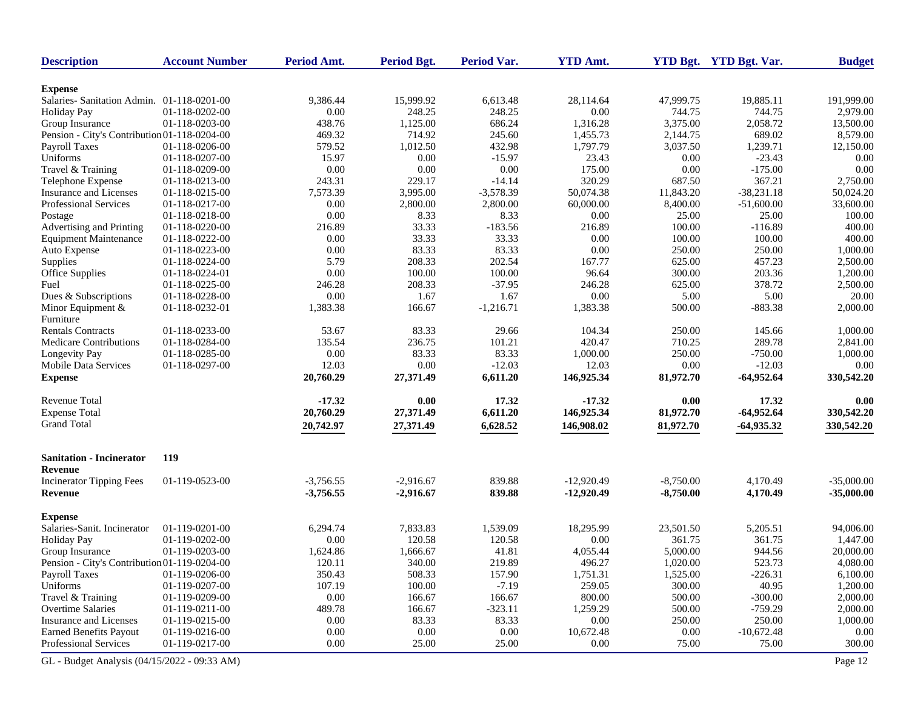| <b>Description</b>                           | <b>Account Number</b> | Period Amt. | <b>Period Bgt.</b> | <b>Period Var.</b> | <b>YTD Amt.</b> |             | YTD Bgt. YTD Bgt. Var. | <b>Budget</b> |
|----------------------------------------------|-----------------------|-------------|--------------------|--------------------|-----------------|-------------|------------------------|---------------|
| <b>Expense</b>                               |                       |             |                    |                    |                 |             |                        |               |
| Salaries- Sanitation Admin. 01-118-0201-00   |                       | 9,386.44    | 15,999.92          | 6,613.48           | 28,114.64       | 47,999.75   | 19,885.11              | 191,999.00    |
| <b>Holiday Pay</b>                           | 01-118-0202-00        | 0.00        | 248.25             | 248.25             | 0.00            | 744.75      | 744.75                 | 2,979.00      |
| Group Insurance                              | 01-118-0203-00        | 438.76      | 1,125.00           | 686.24             | 1,316.28        | 3,375.00    | 2,058.72               | 13,500.00     |
| Pension - City's Contribution 01-118-0204-00 |                       | 469.32      | 714.92             | 245.60             | 1,455.73        | 2,144.75    | 689.02                 | 8,579.00      |
| Payroll Taxes                                | 01-118-0206-00        | 579.52      | 1,012.50           | 432.98             | 1,797.79        | 3,037.50    | 1,239.71               | 12,150.00     |
| Uniforms                                     | 01-118-0207-00        | 15.97       | 0.00               | $-15.97$           | 23.43           | 0.00        | $-23.43$               | 0.00          |
| Travel & Training                            | 01-118-0209-00        | 0.00        | 0.00               | 0.00               | 175.00          | 0.00        | $-175.00$              | 0.00          |
| Telephone Expense                            | 01-118-0213-00        | 243.31      | 229.17             | $-14.14$           | 320.29          | 687.50      | 367.21                 | 2,750.00      |
| Insurance and Licenses                       | 01-118-0215-00        | 7,573.39    | 3,995.00           | $-3,578.39$        | 50,074.38       | 11,843.20   | $-38,231.18$           | 50,024.20     |
| <b>Professional Services</b>                 | 01-118-0217-00        | 0.00        | 2,800.00           | 2,800.00           | 60,000.00       | 8,400.00    | $-51,600.00$           | 33,600.00     |
| Postage                                      | 01-118-0218-00        | 0.00        | 8.33               | 8.33               | 0.00            | 25.00       | 25.00                  | 100.00        |
| Advertising and Printing                     | 01-118-0220-00        | 216.89      | 33.33              | $-183.56$          | 216.89          | 100.00      | $-116.89$              | 400.00        |
| <b>Equipment Maintenance</b>                 | 01-118-0222-00        | 0.00        | 33.33              | 33.33              | 0.00            | 100.00      | 100.00                 | 400.00        |
| Auto Expense                                 | 01-118-0223-00        | 0.00        | 83.33              | 83.33              | 0.00            | 250.00      | 250.00                 | 1,000.00      |
| Supplies                                     | 01-118-0224-00        | 5.79        | 208.33             | 202.54             | 167.77          | 625.00      | 457.23                 | 2,500.00      |
| Office Supplies                              | 01-118-0224-01        | 0.00        | 100.00             | 100.00             | 96.64           | 300.00      | 203.36                 | 1,200.00      |
| Fuel                                         | 01-118-0225-00        | 246.28      | 208.33             | $-37.95$           | 246.28          | 625.00      | 378.72                 | 2,500.00      |
| Dues & Subscriptions                         | 01-118-0228-00        | 0.00        | 1.67               | 1.67               | 0.00            | 5.00        | 5.00                   | 20.00         |
| Minor Equipment &                            | 01-118-0232-01        | 1,383.38    | 166.67             | $-1,216.71$        | 1,383.38        | 500.00      | $-883.38$              | 2,000.00      |
| Furniture                                    |                       |             |                    |                    |                 |             |                        |               |
| <b>Rentals Contracts</b>                     | 01-118-0233-00        | 53.67       | 83.33              | 29.66              | 104.34          | 250.00      | 145.66                 | 1,000.00      |
| <b>Medicare Contributions</b>                | 01-118-0284-00        | 135.54      | 236.75             | 101.21             | 420.47          | 710.25      | 289.78                 | 2,841.00      |
| Longevity Pay                                | 01-118-0285-00        | 0.00        | 83.33              | 83.33              | 1,000.00        | 250.00      | $-750.00$              | 1,000.00      |
| Mobile Data Services                         | 01-118-0297-00        | 12.03       | 0.00               | $-12.03$           | 12.03           | 0.00        | $-12.03$               | 0.00          |
| <b>Expense</b>                               |                       | 20,760.29   | 27,371.49          | 6,611.20           | 146,925.34      | 81,972.70   | $-64,952.64$           | 330,542.20    |
|                                              |                       |             |                    |                    |                 |             |                        |               |
| <b>Revenue Total</b>                         |                       | $-17.32$    | 0.00               | 17.32              | $-17.32$        | 0.00        | 17.32                  | 0.00          |
| <b>Expense Total</b>                         |                       | 20,760.29   | 27,371.49          | 6,611.20           | 146,925.34      | 81,972.70   | $-64,952.64$           | 330,542.20    |
| <b>Grand Total</b>                           |                       | 20,742.97   | 27,371.49          | 6,628.52           | 146,908.02      | 81,972.70   | $-64,935.32$           | 330,542.20    |
| <b>Sanitation - Incinerator</b>              | 119                   |             |                    |                    |                 |             |                        |               |
| Revenue                                      |                       |             |                    |                    |                 |             |                        |               |
| <b>Incinerator Tipping Fees</b>              | 01-119-0523-00        | $-3,756.55$ | $-2,916.67$        | 839.88             | $-12,920.49$    | $-8,750.00$ | 4,170.49               | $-35,000.00$  |
| <b>Revenue</b>                               |                       | $-3,756.55$ | $-2,916.67$        | 839.88             | $-12,920.49$    | $-8,750.00$ | 4,170.49               | $-35,000.00$  |
| <b>Expense</b>                               |                       |             |                    |                    |                 |             |                        |               |
| Salaries-Sanit. Incinerator                  | 01-119-0201-00        | 6,294.74    | 7,833.83           | 1,539.09           | 18,295.99       | 23,501.50   | 5,205.51               | 94,006.00     |
| <b>Holiday Pay</b>                           | 01-119-0202-00        | 0.00        | 120.58             | 120.58             | 0.00            | 361.75      | 361.75                 | 1,447.00      |
| Group Insurance                              | 01-119-0203-00        | 1,624.86    | 1,666.67           | 41.81              | 4,055.44        | 5,000.00    | 944.56                 | 20,000.00     |
| Pension - City's Contribution 01-119-0204-00 |                       | 120.11      | 340.00             | 219.89             | 496.27          | 1.020.00    | 523.73                 | 4,080.00      |
| Payroll Taxes                                | 01-119-0206-00        | 350.43      | 508.33             | 157.90             | 1,751.31        | 1,525.00    | $-226.31$              | 6,100.00      |
| Uniforms                                     | 01-119-0207-00        | 107.19      | 100.00             | $-7.19$            | 259.05          | 300.00      | 40.95                  | 1,200.00      |
| Travel & Training                            | 01-119-0209-00        | 0.00        | 166.67             | 166.67             | 800.00          | 500.00      | $-300.00$              | 2,000.00      |
| Overtime Salaries                            | 01-119-0211-00        | 489.78      | 166.67             | $-323.11$          | 1,259.29        | 500.00      | $-759.29$              | 2,000.00      |
| Insurance and Licenses                       | 01-119-0215-00        | 0.00        | 83.33              | 83.33              | 0.00            | 250.00      | 250.00                 | 1,000.00      |
| <b>Earned Benefits Payout</b>                | 01-119-0216-00        | 0.00        | 0.00               | $0.00\,$           | 10,672.48       | 0.00        | $-10,672.48$           | 0.00          |
| Professional Services                        | 01-119-0217-00        | 0.00        | 25.00              | 25.00              | 0.00            | 75.00       | 75.00                  | 300.00        |
| GL - Budget Analysis (04/15/2022 - 09:33 AM) |                       |             |                    |                    |                 |             |                        | Page 12       |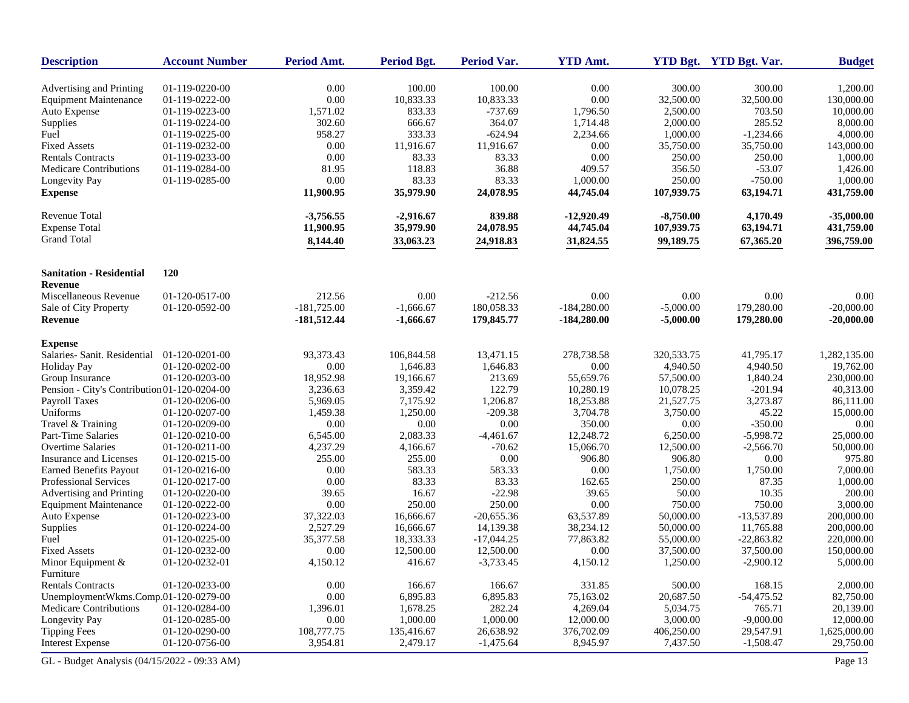| <b>Description</b>                           | <b>Account Number</b> | Period Amt.   | Period Bgt. | Period Var.  | <b>YTD Amt.</b> |             | YTD Bgt. YTD Bgt. Var. | <b>Budget</b> |
|----------------------------------------------|-----------------------|---------------|-------------|--------------|-----------------|-------------|------------------------|---------------|
| Advertising and Printing                     | 01-119-0220-00        | 0.00          | 100.00      | 100.00       | 0.00            | 300.00      | 300.00                 | 1,200.00      |
| <b>Equipment Maintenance</b>                 | 01-119-0222-00        | 0.00          | 10,833.33   | 10,833.33    | 0.00            | 32,500.00   | 32,500.00              | 130,000.00    |
| Auto Expense                                 | 01-119-0223-00        | 1,571.02      | 833.33      | $-737.69$    | 1,796.50        | 2,500.00    | 703.50                 | 10,000.00     |
| Supplies                                     | 01-119-0224-00        | 302.60        | 666.67      | 364.07       | 1,714.48        | 2,000.00    | 285.52                 | 8,000.00      |
| Fuel                                         | 01-119-0225-00        | 958.27        | 333.33      | $-624.94$    | 2,234.66        | 1,000.00    | $-1,234.66$            | 4,000.00      |
| <b>Fixed Assets</b>                          | 01-119-0232-00        | 0.00          | 11,916.67   | 11,916.67    | 0.00            | 35,750.00   | 35,750.00              | 143,000.00    |
| <b>Rentals Contracts</b>                     | 01-119-0233-00        | 0.00          | 83.33       | 83.33        | 0.00            | 250.00      | 250.00                 | 1,000.00      |
| Medicare Contributions                       | 01-119-0284-00        | 81.95         | 118.83      | 36.88        | 409.57          | 356.50      | $-53.07$               | 1,426.00      |
| Longevity Pay                                | 01-119-0285-00        | 0.00          | 83.33       | 83.33        | 1,000.00        | 250.00      | $-750.00$              | 1,000.00      |
| <b>Expense</b>                               |                       | 11,900.95     | 35,979.90   | 24,078.95    | 44,745.04       | 107,939.75  | 63,194.71              | 431,759.00    |
| Revenue Total                                |                       | $-3,756.55$   | $-2,916.67$ | 839.88       | $-12,920.49$    | $-8,750.00$ | 4,170.49               | $-35,000.00$  |
| <b>Expense Total</b>                         |                       | 11,900.95     | 35,979.90   | 24,078.95    | 44,745.04       | 107,939.75  | 63,194.71              | 431,759.00    |
| <b>Grand Total</b>                           |                       | 8,144.40      | 33,063.23   | 24,918.83    | 31,824.55       | 99,189.75   | 67,365.20              | 396,759.00    |
| <b>Sanitation - Residential</b>              | <b>120</b>            |               |             |              |                 |             |                        |               |
| Revenue                                      |                       |               |             |              |                 |             |                        |               |
| Miscellaneous Revenue                        | 01-120-0517-00        | 212.56        | 0.00        | $-212.56$    | 0.00            | 0.00        | 0.00                   | 0.00          |
| Sale of City Property                        | 01-120-0592-00        | $-181,725.00$ | $-1,666.67$ | 180,058.33   | $-184,280.00$   | $-5,000.00$ | 179,280.00             | $-20,000.00$  |
| Revenue                                      |                       | $-181,512.44$ | $-1,666.67$ | 179,845.77   | $-184,280.00$   | $-5,000.00$ | 179,280.00             | $-20,000.00$  |
| <b>Expense</b>                               |                       |               |             |              |                 |             |                        |               |
| Salaries- Sanit. Residential                 | 01-120-0201-00        | 93,373.43     | 106,844.58  | 13,471.15    | 278,738.58      | 320.533.75  | 41,795.17              | 1,282,135.00  |
| <b>Holiday Pay</b>                           | 01-120-0202-00        | 0.00          | 1,646.83    | 1,646.83     | 0.00            | 4,940.50    | 4,940.50               | 19,762.00     |
| Group Insurance                              | 01-120-0203-00        | 18,952.98     | 19,166.67   | 213.69       | 55,659.76       | 57,500.00   | 1,840.24               | 230,000.00    |
| Pension - City's Contribution 01-120-0204-00 |                       | 3,236.63      | 3,359.42    | 122.79       | 10,280.19       | 10,078.25   | $-201.94$              | 40,313.00     |
| Payroll Taxes                                | 01-120-0206-00        | 5,969.05      | 7,175.92    | 1,206.87     | 18,253.88       | 21,527.75   | 3,273.87               | 86,111.00     |
| Uniforms                                     | 01-120-0207-00        | 1,459.38      | 1,250.00    | $-209.38$    | 3,704.78        | 3,750.00    | 45.22                  | 15,000.00     |
| Travel & Training                            | 01-120-0209-00        | 0.00          | 0.00        | 0.00         | 350.00          | 0.00        | $-350.00$              | 0.00          |
| Part-Time Salaries                           | 01-120-0210-00        | 6,545.00      | 2,083.33    | $-4,461.67$  | 12,248.72       | 6,250.00    | $-5,998.72$            | 25,000.00     |
| <b>Overtime Salaries</b>                     | 01-120-0211-00        | 4,237.29      | 4,166.67    | $-70.62$     | 15,066.70       | 12,500.00   | $-2,566.70$            | 50,000.00     |
| Insurance and Licenses                       | 01-120-0215-00        | 255.00        | 255.00      | 0.00         | 906.80          | 906.80      | 0.00                   | 975.80        |
| <b>Earned Benefits Payout</b>                | 01-120-0216-00        | 0.00          | 583.33      | 583.33       | 0.00            | 1,750.00    | 1,750.00               | 7,000.00      |
| Professional Services                        | 01-120-0217-00        | 0.00          | 83.33       | 83.33        | 162.65          | 250.00      | 87.35                  | 1,000.00      |
| Advertising and Printing                     | 01-120-0220-00        | 39.65         | 16.67       | $-22.98$     | 39.65           | 50.00       | 10.35                  | 200.00        |
| <b>Equipment Maintenance</b>                 | 01-120-0222-00        | 0.00          | 250.00      | 250.00       | 0.00            | 750.00      | 750.00                 | 3,000.00      |
| Auto Expense                                 | 01-120-0223-00        | 37,322.03     | 16,666.67   | $-20,655.36$ | 63,537.89       | 50,000.00   | $-13,537.89$           | 200,000.00    |
| Supplies                                     | 01-120-0224-00        | 2,527.29      | 16,666.67   | 14,139.38    | 38,234.12       | 50,000.00   | 11,765.88              | 200,000.00    |
| Fuel                                         | 01-120-0225-00        | 35,377.58     | 18,333.33   | $-17,044.25$ | 77,863.82       | 55,000.00   | $-22,863.82$           | 220,000.00    |
| <b>Fixed Assets</b>                          | 01-120-0232-00        | 0.00          | 12,500.00   | 12,500.00    | 0.00            | 37,500.00   | 37,500.00              | 150,000.00    |
| Minor Equipment $\&$                         | 01-120-0232-01        | 4,150.12      | 416.67      | $-3,733.45$  | 4,150.12        | 1,250.00    | $-2,900.12$            | 5,000.00      |
| Furniture                                    |                       |               |             |              |                 |             |                        |               |
| <b>Rentals Contracts</b>                     | 01-120-0233-00        | 0.00          | 166.67      | 166.67       | 331.85          | 500.00      | 168.15                 | 2,000.00      |
| UnemploymentWkms.Comp.01-120-0279-00         |                       | 0.00          | 6,895.83    | 6,895.83     | 75,163.02       | 20,687.50   | $-54,475.52$           | 82,750.00     |
| Medicare Contributions                       | 01-120-0284-00        | 1,396.01      | 1,678.25    | 282.24       | 4,269.04        | 5,034.75    | 765.71                 | 20,139.00     |
| Longevity Pay                                | 01-120-0285-00        | 0.00          | 1,000.00    | 1,000.00     | 12,000.00       | 3,000.00    | $-9,000.00$            | 12,000.00     |
| <b>Tipping Fees</b>                          | 01-120-0290-00        | 108,777.75    | 135,416.67  | 26,638.92    | 376,702.09      | 406,250.00  | 29,547.91              | 1,625,000.00  |
| <b>Interest Expense</b>                      | 01-120-0756-00        | 3,954.81      | 2,479.17    | $-1,475.64$  | 8,945.97        | 7,437.50    | $-1,508.47$            | 29,750.00     |
| GL - Budget Analysis (04/15/2022 - 09:33 AM) |                       |               |             |              |                 |             |                        | Page 13       |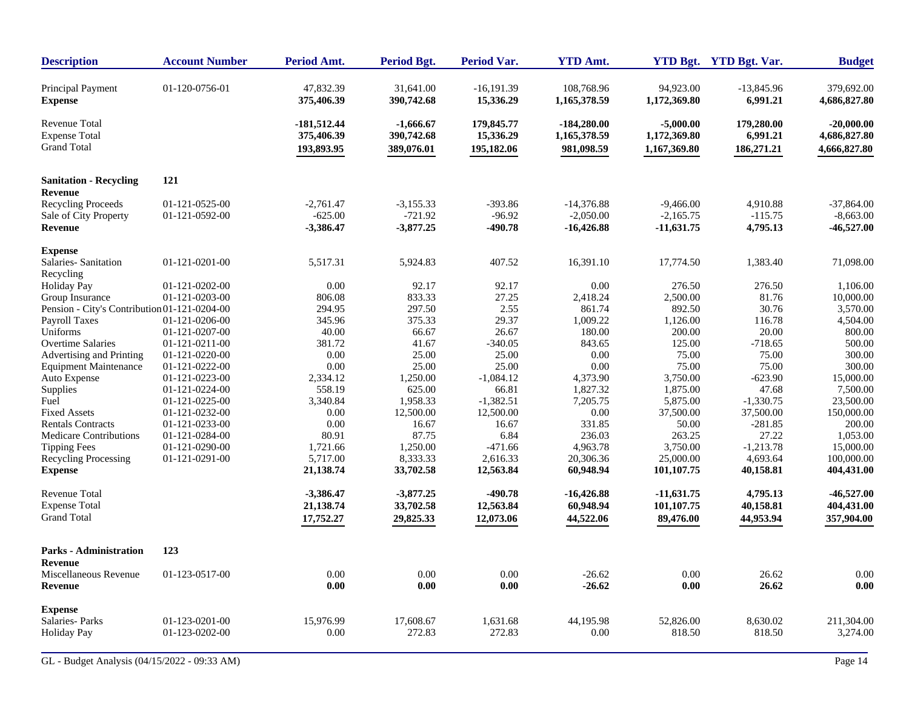| <b>Description</b>                                                 | <b>Account Number</b> | Period Amt.                               | <b>Period Bgt.</b>                    | Period Var.                           | <b>YTD Amt.</b>                             |                                             | YTD Bgt. YTD Bgt. Var.               | <b>Budget</b>                                |
|--------------------------------------------------------------------|-----------------------|-------------------------------------------|---------------------------------------|---------------------------------------|---------------------------------------------|---------------------------------------------|--------------------------------------|----------------------------------------------|
| Principal Payment<br><b>Expense</b>                                | 01-120-0756-01        | 47.832.39<br>375,406.39                   | 31.641.00<br>390,742.68               | $-16.191.39$<br>15,336.29             | 108.768.96<br>1,165,378.59                  | 94.923.00<br>1,172,369.80                   | $-13,845.96$<br>6,991.21             | 379,692.00<br>4,686,827.80                   |
| <b>Revenue Total</b><br><b>Expense Total</b><br><b>Grand Total</b> |                       | $-181,512.44$<br>375,406.39<br>193,893.95 | -1.666.67<br>390,742.68<br>389,076.01 | 179,845.77<br>15,336.29<br>195,182.06 | $-184,280.00$<br>1,165,378.59<br>981,098.59 | $-5,000.00$<br>1,172,369.80<br>1,167,369.80 | 179,280.00<br>6,991.21<br>186,271.21 | $-20,000,00$<br>4,686,827.80<br>4,666,827.80 |
| <b>Sanitation - Recycling</b><br><b>Revenue</b>                    | 121                   |                                           |                                       |                                       |                                             |                                             |                                      |                                              |
| <b>Recycling Proceeds</b>                                          | 01-121-0525-00        | $-2.761.47$                               | $-3.155.33$                           | $-393.86$                             | $-14.376.88$                                | $-9.466.00$                                 | 4,910.88                             | $-37,864,00$                                 |
| Sale of City Property                                              | 01-121-0592-00        | $-625.00$                                 | $-721.92$                             | $-96.92$                              | $-2,050.00$                                 | $-2,165.75$                                 | $-115.75$                            | $-8,663.00$                                  |
| Revenue                                                            |                       | $-3,386.47$                               | $-3,877.25$                           | $-490.78$                             | $-16,426.88$                                | $-11,631.75$                                | 4,795.13                             | $-46,527.00$                                 |
| <b>Expense</b>                                                     |                       |                                           |                                       |                                       |                                             |                                             |                                      |                                              |
| Salaries-Sanitation<br>Recycling                                   | 01-121-0201-00        | 5,517.31                                  | 5,924.83                              | 407.52                                | 16,391.10                                   | 17,774.50                                   | 1,383.40                             | 71,098.00                                    |
| <b>Holiday Pay</b>                                                 | 01-121-0202-00        | 0.00                                      | 92.17                                 | 92.17                                 | 0.00                                        | 276.50                                      | 276.50                               | 1,106.00                                     |
| Group Insurance                                                    | 01-121-0203-00        | 806.08                                    | 833.33                                | 27.25                                 | 2,418.24                                    | 2,500.00                                    | 81.76                                | 10,000.00                                    |
| Pension - City's Contribution 01-121-0204-00                       |                       | 294.95                                    | 297.50                                | 2.55                                  | 861.74                                      | 892.50                                      | 30.76                                | 3,570.00                                     |
| Payroll Taxes                                                      | 01-121-0206-00        | 345.96                                    | 375.33                                | 29.37                                 | 1,009.22                                    | 1,126.00                                    | 116.78                               | 4,504.00                                     |
| Uniforms                                                           | 01-121-0207-00        | 40.00                                     | 66.67                                 | 26.67                                 | 180.00                                      | 200.00                                      | 20.00                                | 800.00                                       |
| <b>Overtime Salaries</b>                                           | 01-121-0211-00        | 381.72                                    | 41.67                                 | $-340.05$                             | 843.65                                      | 125.00                                      | $-718.65$                            | 500.00                                       |
| Advertising and Printing                                           | 01-121-0220-00        | 0.00                                      | 25.00                                 | 25.00                                 | 0.00                                        | 75.00                                       | 75.00                                | 300.00                                       |
| <b>Equipment Maintenance</b>                                       | 01-121-0222-00        | 0.00                                      | 25.00                                 | 25.00                                 | 0.00                                        | 75.00                                       | 75.00                                | 300.00                                       |
| Auto Expense                                                       | 01-121-0223-00        | 2,334.12                                  | 1,250.00                              | $-1,084.12$                           | 4,373.90                                    | 3,750.00                                    | $-623.90$                            | 15,000.00                                    |
| Supplies                                                           | 01-121-0224-00        | 558.19                                    | 625.00                                | 66.81                                 | 1,827.32                                    | 1,875.00                                    | 47.68                                | 7,500.00                                     |
| Fuel                                                               | 01-121-0225-00        | 3,340.84                                  | 1,958.33                              | $-1,382.51$                           | 7,205.75                                    | 5,875.00                                    | $-1,330.75$                          | 23,500.00                                    |
| <b>Fixed Assets</b>                                                | 01-121-0232-00        | 0.00                                      | 12,500.00                             | 12,500.00                             | 0.00                                        | 37,500.00                                   | 37,500.00                            | 150,000.00                                   |
| <b>Rentals Contracts</b>                                           | 01-121-0233-00        | 0.00                                      | 16.67                                 | 16.67                                 | 331.85                                      | 50.00                                       | $-281.85$                            | 200.00                                       |
| <b>Medicare Contributions</b>                                      | 01-121-0284-00        | 80.91                                     | 87.75                                 | 6.84                                  | 236.03                                      | 263.25                                      | 27.22                                | 1,053.00                                     |
| <b>Tipping Fees</b>                                                | 01-121-0290-00        | 1,721.66                                  | 1,250.00                              | $-471.66$                             | 4,963.78                                    | 3,750.00                                    | $-1,213.78$                          | 15,000.00                                    |
| <b>Recycling Processing</b>                                        | 01-121-0291-00        | 5,717.00                                  | 8,333.33                              | 2,616.33                              | 20,306.36                                   | 25,000.00                                   | 4,693.64                             | 100,000.00                                   |
| <b>Expense</b>                                                     |                       | 21,138.74                                 | 33,702.58                             | 12,563.84                             | 60,948.94                                   | 101,107.75                                  | 40,158.81                            | 404,431.00                                   |
| <b>Revenue Total</b>                                               |                       | $-3,386.47$                               | $-3,877.25$                           | $-490.78$                             | $-16,426.88$                                | $-11,631.75$                                | 4,795.13                             | $-46,527.00$                                 |
| <b>Expense Total</b>                                               |                       | 21,138.74                                 | 33,702.58                             | 12,563.84                             | 60,948.94                                   | 101,107.75                                  | 40,158.81                            | 404,431.00                                   |
| <b>Grand Total</b>                                                 |                       | 17,752.27                                 | 29,825.33                             | 12,073.06                             | 44,522.06                                   | 89,476.00                                   | 44,953.94                            | 357,904.00                                   |
| <b>Parks - Administration</b>                                      | 123                   |                                           |                                       |                                       |                                             |                                             |                                      |                                              |
| <b>Revenue</b>                                                     |                       |                                           |                                       |                                       |                                             |                                             |                                      |                                              |
| Miscellaneous Revenue<br>Revenue                                   | 01-123-0517-00        | 0.00<br>0.00                              | 0.00<br>0.00                          | 0.00<br>0.00                          | $-26.62$<br>$-26.62$                        | 0.00<br>0.00                                | 26.62<br>26.62                       | 0.00<br>0.00                                 |
|                                                                    |                       |                                           |                                       |                                       |                                             |                                             |                                      |                                              |
| <b>Expense</b><br>Salaries-Parks                                   | 01-123-0201-00        | 15,976.99                                 | 17,608.67                             | 1,631.68                              | 44,195.98                                   | 52,826.00                                   | 8,630.02                             | 211,304.00                                   |
| <b>Holiday Pay</b>                                                 | 01-123-0202-00        | 0.00                                      | 272.83                                | 272.83                                | 0.00                                        | 818.50                                      | 818.50                               | 3,274.00                                     |
|                                                                    |                       |                                           |                                       |                                       |                                             |                                             |                                      |                                              |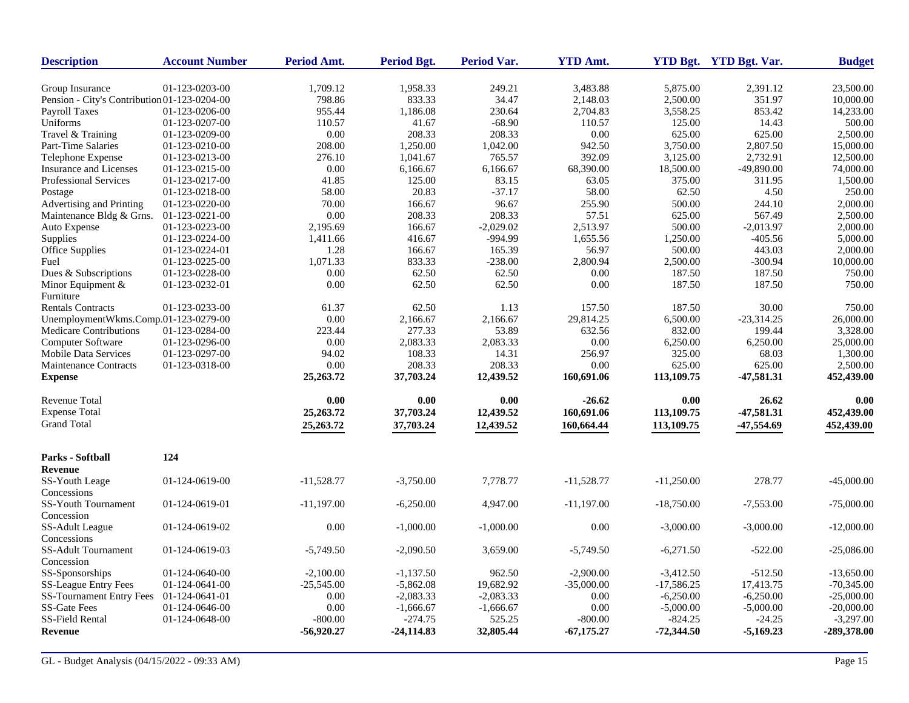| <b>Description</b>                           | <b>Account Number</b> | Period Amt.  | Period Bgt.  | <b>Period Var.</b> | <b>YTD Amt.</b> |              | YTD Bgt. YTD Bgt. Var. | <b>Budget</b> |
|----------------------------------------------|-----------------------|--------------|--------------|--------------------|-----------------|--------------|------------------------|---------------|
| Group Insurance                              | 01-123-0203-00        | 1,709.12     | 1,958.33     | 249.21             | 3,483.88        | 5,875.00     | 2,391.12               | 23,500.00     |
| Pension - City's Contribution 01-123-0204-00 |                       | 798.86       | 833.33       | 34.47              | 2,148.03        | 2,500.00     | 351.97                 | 10,000.00     |
| <b>Payroll Taxes</b>                         | 01-123-0206-00        | 955.44       | 1,186.08     | 230.64             | 2,704.83        | 3,558.25     | 853.42                 | 14,233.00     |
| Uniforms                                     | 01-123-0207-00        | 110.57       | 41.67        | $-68.90$           | 110.57          | 125.00       | 14.43                  | 500.00        |
| Travel & Training                            | 01-123-0209-00        | 0.00         | 208.33       | 208.33             | 0.00            | 625.00       | 625.00                 | 2,500.00      |
| Part-Time Salaries                           | 01-123-0210-00        | 208.00       | 1,250.00     | 1,042.00           | 942.50          | 3,750.00     | 2,807.50               | 15,000.00     |
| Telephone Expense                            | 01-123-0213-00        | 276.10       | 1,041.67     | 765.57             | 392.09          | 3,125.00     | 2,732.91               | 12,500.00     |
| Insurance and Licenses                       | 01-123-0215-00        | 0.00         | 6,166.67     | 6,166.67           | 68,390.00       | 18,500.00    | $-49,890.00$           | 74,000.00     |
| <b>Professional Services</b>                 | 01-123-0217-00        | 41.85        | 125.00       | 83.15              | 63.05           | 375.00       | 311.95                 | 1,500.00      |
| Postage                                      | 01-123-0218-00        | 58.00        | 20.83        | $-37.17$           | 58.00           | 62.50        | 4.50                   | 250.00        |
| Advertising and Printing                     | 01-123-0220-00        | 70.00        | 166.67       | 96.67              | 255.90          | 500.00       | 244.10                 | 2,000.00      |
| Maintenance Bldg & Grns.                     | 01-123-0221-00        | 0.00         | 208.33       | 208.33             | 57.51           | 625.00       | 567.49                 | 2,500.00      |
| Auto Expense                                 | 01-123-0223-00        | 2,195.69     | 166.67       | $-2,029.02$        | 2,513.97        | 500.00       | $-2,013.97$            | 2,000.00      |
| Supplies                                     | 01-123-0224-00        | 1,411.66     | 416.67       | -994.99            | 1,655.56        | 1,250.00     | $-405.56$              | 5,000.00      |
| Office Supplies                              | 01-123-0224-01        | 1.28         | 166.67       | 165.39             | 56.97           | 500.00       | 443.03                 | 2,000.00      |
| Fuel                                         | 01-123-0225-00        | 1,071.33     | 833.33       | $-238.00$          | 2,800.94        | 2,500.00     | $-300.94$              | 10,000.00     |
| Dues & Subscriptions                         | 01-123-0228-00        | 0.00         | 62.50        | 62.50              | 0.00            | 187.50       | 187.50                 | 750.00        |
| Minor Equipment $&$<br>Furniture             | 01-123-0232-01        | 0.00         | 62.50        | 62.50              | 0.00            | 187.50       | 187.50                 | 750.00        |
| <b>Rentals Contracts</b>                     | 01-123-0233-00        | 61.37        | 62.50        | 1.13               | 157.50          | 187.50       | 30.00                  | 750.00        |
| UnemploymentWkms.Comp.01-123-0279-00         |                       | 0.00         | 2,166.67     | 2,166.67           | 29,814.25       | 6,500.00     | $-23,314.25$           | 26,000.00     |
| Medicare Contributions                       | 01-123-0284-00        | 223.44       | 277.33       | 53.89              | 632.56          | 832.00       | 199.44                 | 3,328.00      |
| Computer Software                            | 01-123-0296-00        | 0.00         | 2,083.33     | 2,083.33           | 0.00            | 6,250.00     | 6,250.00               | 25,000.00     |
| Mobile Data Services                         | 01-123-0297-00        | 94.02        | 108.33       | 14.31              | 256.97          | 325.00       | 68.03                  | 1,300.00      |
| <b>Maintenance Contracts</b>                 | 01-123-0318-00        | 0.00         | 208.33       | 208.33             | 0.00            | 625.00       | 625.00                 | 2,500.00      |
| <b>Expense</b>                               |                       | 25,263.72    | 37,703.24    | 12,439.52          | 160,691.06      | 113,109.75   | $-47,581.31$           | 452,439.00    |
| <b>Revenue Total</b>                         |                       | 0.00         | 0.00         | 0.00               | $-26.62$        | 0.00         | 26.62                  | 0.00          |
| <b>Expense Total</b>                         |                       | 25,263.72    | 37,703.24    | 12,439.52          | 160,691.06      | 113,109.75   | -47,581.31             | 452,439.00    |
| <b>Grand Total</b>                           |                       | 25,263.72    | 37,703.24    | 12,439.52          | 160,664.44      | 113,109.75   | -47,554.69             | 452,439.00    |
| Parks - Softball                             | 124                   |              |              |                    |                 |              |                        |               |
| <b>Revenue</b>                               |                       |              |              |                    |                 |              |                        |               |
| SS-Youth Leage<br>Concessions                | 01-124-0619-00        | $-11,528.77$ | $-3,750.00$  | 7,778.77           | $-11,528.77$    | $-11,250.00$ | 278.77                 | $-45,000.00$  |
| SS-Youth Tournament<br>Concession            | 01-124-0619-01        | $-11,197.00$ | $-6,250.00$  | 4,947.00           | $-11,197.00$    | $-18,750.00$ | $-7,553.00$            | $-75,000.00$  |
| <b>SS-Adult League</b><br>Concessions        | 01-124-0619-02        | 0.00         | $-1,000.00$  | $-1,000.00$        | 0.00            | $-3,000.00$  | $-3,000.00$            | $-12,000.00$  |
| SS-Adult Tournament<br>Concession            | 01-124-0619-03        | $-5,749.50$  | $-2,090.50$  | 3,659.00           | $-5,749.50$     | $-6,271.50$  | $-522.00$              | $-25,086.00$  |
| SS-Sponsorships                              | 01-124-0640-00        | $-2,100.00$  | $-1,137.50$  | 962.50             | $-2,900.00$     | $-3,412.50$  | $-512.50$              | $-13,650.00$  |
| <b>SS-League Entry Fees</b>                  | 01-124-0641-00        | $-25,545.00$ | $-5,862.08$  | 19,682.92          | $-35,000.00$    | $-17,586.25$ | 17,413.75              | $-70,345.00$  |
| <b>SS-Tournament Entry Fees</b>              | 01-124-0641-01        | 0.00         | $-2,083.33$  | $-2,083.33$        | 0.00            | $-6,250.00$  | $-6,250.00$            | $-25,000.00$  |
| <b>SS-Gate Fees</b>                          | 01-124-0646-00        | 0.00         | $-1,666.67$  | $-1,666.67$        | 0.00            | $-5,000.00$  | $-5,000.00$            | $-20,000.00$  |
| SS-Field Rental                              | 01-124-0648-00        | $-800.00$    | -274.75      | 525.25             | $-800.00$       | $-824.25$    | $-24.25$               | $-3,297.00$   |
| <b>Revenue</b>                               |                       | $-56,920.27$ | $-24,114.83$ | 32,805.44          | $-67,175.27$    | $-72,344.50$ | $-5,169.23$            | -289,378.00   |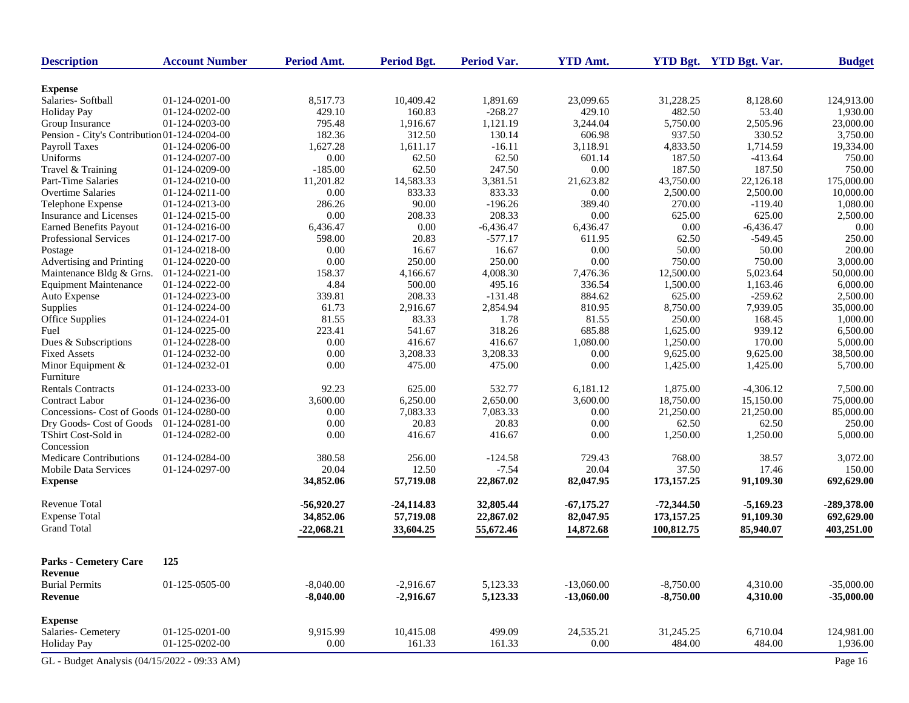| <b>Description</b>                           | <b>Account Number</b> | Period Amt.  | <b>Period Bgt.</b> | <b>Period Var.</b> | <b>YTD Amt.</b> |              | YTD Bgt. YTD Bgt. Var. | <b>Budget</b> |
|----------------------------------------------|-----------------------|--------------|--------------------|--------------------|-----------------|--------------|------------------------|---------------|
| <b>Expense</b>                               |                       |              |                    |                    |                 |              |                        |               |
| Salaries-Softball                            | 01-124-0201-00        | 8,517.73     | 10,409.42          | 1,891.69           | 23,099.65       | 31,228.25    | 8,128.60               | 124,913.00    |
| <b>Holiday Pay</b>                           | 01-124-0202-00        | 429.10       | 160.83             | $-268.27$          | 429.10          | 482.50       | 53.40                  | 1,930.00      |
| Group Insurance                              | 01-124-0203-00        | 795.48       | 1,916.67           | 1,121.19           | 3,244.04        | 5,750.00     | 2,505.96               | 23,000.00     |
| Pension - City's Contribution 01-124-0204-00 |                       | 182.36       | 312.50             | 130.14             | 606.98          | 937.50       | 330.52                 | 3,750.00      |
| Payroll Taxes                                | 01-124-0206-00        | 1,627.28     | 1,611.17           | $-16.11$           | 3,118.91        | 4,833.50     | 1,714.59               | 19,334.00     |
| Uniforms                                     | 01-124-0207-00        | 0.00         | 62.50              | 62.50              | 601.14          | 187.50       | $-413.64$              | 750.00        |
| Travel & Training                            | 01-124-0209-00        | $-185.00$    | 62.50              | 247.50             | 0.00            | 187.50       | 187.50                 | 750.00        |
| Part-Time Salaries                           | 01-124-0210-00        | 11,201.82    | 14,583.33          | 3,381.51           | 21,623.82       | 43,750.00    | 22,126.18              | 175,000.00    |
| <b>Overtime Salaries</b>                     | 01-124-0211-00        | 0.00         | 833.33             | 833.33             | 0.00            | 2,500.00     | 2,500.00               | 10,000.00     |
| Telephone Expense                            | 01-124-0213-00        | 286.26       | 90.00              | $-196.26$          | 389.40          | 270.00       | $-119.40$              | 1,080.00      |
| Insurance and Licenses                       | 01-124-0215-00        | 0.00         | 208.33             | 208.33             | 0.00            | 625.00       | 625.00                 | 2,500.00      |
| <b>Earned Benefits Payout</b>                | 01-124-0216-00        | 6,436.47     | 0.00               | $-6,436.47$        | 6,436.47        | 0.00         | $-6,436.47$            | 0.00          |
| Professional Services                        | 01-124-0217-00        | 598.00       | 20.83              | $-577.17$          | 611.95          | 62.50        | $-549.45$              | 250.00        |
| Postage                                      | 01-124-0218-00        | 0.00         | 16.67              | 16.67              | 0.00            | 50.00        | 50.00                  | 200.00        |
| Advertising and Printing                     | 01-124-0220-00        | 0.00         | 250.00             | 250.00             | 0.00            | 750.00       | 750.00                 | 3,000.00      |
| Maintenance Bldg & Grns.                     | 01-124-0221-00        | 158.37       | 4,166.67           | 4,008.30           | 7,476.36        | 12,500.00    | 5,023.64               | 50,000.00     |
| <b>Equipment Maintenance</b>                 | 01-124-0222-00        | 4.84         | 500.00             | 495.16             | 336.54          | 1,500.00     | 1,163.46               | 6,000.00      |
| Auto Expense                                 | 01-124-0223-00        | 339.81       | 208.33             | $-131.48$          | 884.62          | 625.00       | $-259.62$              | 2,500.00      |
| Supplies                                     | 01-124-0224-00        | 61.73        | 2,916.67           | 2,854.94           | 810.95          | 8,750.00     | 7,939.05               | 35,000.00     |
| <b>Office Supplies</b>                       | 01-124-0224-01        | 81.55        | 83.33              | 1.78               | 81.55           | 250.00       | 168.45                 | 1,000.00      |
| Fuel                                         | 01-124-0225-00        | 223.41       | 541.67             | 318.26             | 685.88          | 1,625.00     | 939.12                 | 6,500.00      |
| Dues & Subscriptions                         | 01-124-0228-00        | 0.00         | 416.67             | 416.67             | 1,080.00        | 1,250.00     | 170.00                 | 5,000.00      |
| <b>Fixed Assets</b>                          | 01-124-0232-00        | 0.00         | 3,208.33           | 3,208.33           | 0.00            | 9,625.00     | 9,625.00               | 38,500.00     |
| Minor Equipment &                            | 01-124-0232-01        | 0.00         | 475.00             | 475.00             | 0.00            | 1,425.00     | 1,425.00               | 5,700.00      |
| Furniture                                    |                       |              |                    |                    |                 |              |                        |               |
| <b>Rentals Contracts</b>                     | 01-124-0233-00        | 92.23        | 625.00             | 532.77             | 6,181.12        | 1,875.00     | $-4,306.12$            | 7,500.00      |
| Contract Labor                               | 01-124-0236-00        | 3,600.00     | 6,250.00           | 2,650.00           | 3,600.00        | 18,750.00    | 15,150.00              | 75,000.00     |
| Concessions- Cost of Goods 01-124-0280-00    |                       | 0.00         | 7,083.33           | 7,083.33           | 0.00            | 21,250.00    | 21,250.00              | 85,000.00     |
| Dry Goods- Cost of Goods                     | 01-124-0281-00        | 0.00         | 20.83              | 20.83              | 0.00            | 62.50        | 62.50                  | 250.00        |
| TShirt Cost-Sold in                          | 01-124-0282-00        | 0.00         | 416.67             | 416.67             | 0.00            | 1,250.00     | 1,250.00               | 5,000.00      |
| Concession                                   |                       |              |                    |                    |                 |              |                        |               |
| <b>Medicare Contributions</b>                | 01-124-0284-00        | 380.58       | 256.00             | $-124.58$          | 729.43          | 768.00       | 38.57                  | 3,072.00      |
| Mobile Data Services                         | 01-124-0297-00        | 20.04        | 12.50              | $-7.54$            | 20.04           | 37.50        | 17.46                  | 150.00        |
| <b>Expense</b>                               |                       | 34,852.06    | 57,719.08          | 22,867.02          | 82,047.95       | 173, 157. 25 | 91,109.30              | 692,629.00    |
| <b>Revenue Total</b>                         |                       | $-56,920.27$ | $-24,114.83$       | 32,805.44          | $-67,175.27$    | $-72,344.50$ | $-5,169.23$            | -289,378.00   |
| <b>Expense Total</b>                         |                       | 34,852.06    | 57,719.08          | 22,867.02          | 82,047.95       | 173, 157. 25 | 91,109.30              | 692,629.00    |
| <b>Grand Total</b>                           |                       | $-22,068.21$ | 33,604.25          | 55,672.46          | 14,872.68       | 100,812.75   | 85,940.07              | 403,251.00    |
| <b>Parks - Cemetery Care</b>                 | 125                   |              |                    |                    |                 |              |                        |               |
| Revenue                                      |                       |              |                    |                    |                 |              |                        |               |
| <b>Burial Permits</b>                        | 01-125-0505-00        | $-8,040.00$  | $-2,916.67$        | 5,123.33           | $-13,060.00$    | $-8,750.00$  | 4,310.00               | $-35,000.00$  |
| <b>Revenue</b>                               |                       | $-8,040.00$  | $-2,916.67$        | 5,123.33           | $-13,060.00$    | $-8,750.00$  | 4,310.00               | $-35,000.00$  |
| <b>Expense</b>                               |                       |              |                    |                    |                 |              |                        |               |
| Salaries- Cemetery                           | 01-125-0201-00        | 9,915.99     | 10,415.08          | 499.09             | 24,535.21       | 31,245.25    | 6,710.04               | 124,981.00    |
| <b>Holiday Pay</b>                           | 01-125-0202-00        | 0.00         | 161.33             | 161.33             | 0.00            | 484.00       | 484.00                 | 1,936.00      |
| GL - Budget Analysis (04/15/2022 - 09:33 AM) |                       |              |                    |                    |                 |              |                        | Page 16       |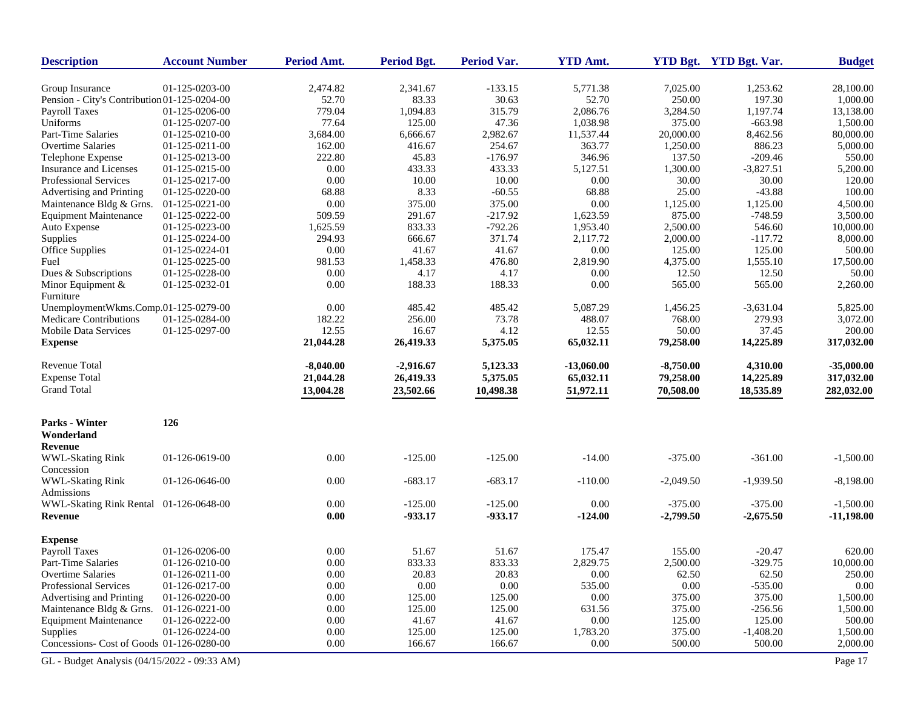| <b>Description</b>                           | <b>Account Number</b> | Period Amt. | <b>Period Bgt.</b> | <b>Period Var.</b> | <b>YTD Amt.</b> |             | YTD Bgt. YTD Bgt. Var. | <b>Budget</b> |
|----------------------------------------------|-----------------------|-------------|--------------------|--------------------|-----------------|-------------|------------------------|---------------|
| Group Insurance                              | 01-125-0203-00        | 2,474.82    | 2,341.67           | $-133.15$          | 5,771.38        | 7,025.00    | 1,253.62               | 28,100.00     |
| Pension - City's Contribution 01-125-0204-00 |                       | 52.70       | 83.33              | 30.63              | 52.70           | 250.00      | 197.30                 | 1,000.00      |
| Payroll Taxes                                | 01-125-0206-00        | 779.04      | 1,094.83           | 315.79             | 2,086.76        | 3,284.50    | 1,197.74               | 13,138.00     |
| Uniforms                                     | 01-125-0207-00        | 77.64       | 125.00             | 47.36              | 1,038.98        | 375.00      | $-663.98$              | 1,500.00      |
| Part-Time Salaries                           | 01-125-0210-00        | 3,684.00    | 6,666.67           | 2,982.67           | 11,537.44       | 20,000.00   | 8,462.56               | 80,000.00     |
| Overtime Salaries                            | 01-125-0211-00        | 162.00      | 416.67             | 254.67             | 363.77          | 1,250.00    | 886.23                 | 5,000.00      |
| Telephone Expense                            | 01-125-0213-00        | 222.80      | 45.83              | $-176.97$          | 346.96          | 137.50      | $-209.46$              | 550.00        |
| Insurance and Licenses                       | 01-125-0215-00        | 0.00        | 433.33             | 433.33             | 5,127.51        | 1,300.00    | $-3,827.51$            | 5,200.00      |
| Professional Services                        | 01-125-0217-00        | 0.00        | 10.00              | 10.00              | 0.00            | 30.00       | 30.00                  | 120.00        |
| Advertising and Printing                     | 01-125-0220-00        | 68.88       | 8.33               | $-60.55$           | 68.88           | 25.00       | $-43.88$               | 100.00        |
| Maintenance Bldg & Grns.                     | 01-125-0221-00        | 0.00        | 375.00             | 375.00             | 0.00            | 1,125.00    | 1,125.00               | 4,500.00      |
| <b>Equipment Maintenance</b>                 | 01-125-0222-00        | 509.59      | 291.67             | $-217.92$          | 1,623.59        | 875.00      | $-748.59$              | 3,500.00      |
| Auto Expense                                 | 01-125-0223-00        | 1,625.59    | 833.33             | $-792.26$          | 1,953.40        | 2,500.00    | 546.60                 | 10,000.00     |
| Supplies                                     | 01-125-0224-00        | 294.93      | 666.67             | 371.74             | 2,117.72        | 2,000.00    | $-117.72$              | 8,000.00      |
| Office Supplies                              | 01-125-0224-01        | 0.00        | 41.67              | 41.67              | 0.00            | 125.00      | 125.00                 | 500.00        |
| Fuel                                         | 01-125-0225-00        | 981.53      | 1,458.33           | 476.80             | 2,819.90        | 4,375.00    | 1,555.10               | 17,500.00     |
| Dues & Subscriptions                         | 01-125-0228-00        | 0.00        | 4.17               | 4.17               | 0.00            | 12.50       | 12.50                  | 50.00         |
| Minor Equipment &                            | 01-125-0232-01        | 0.00        | 188.33             | 188.33             | 0.00            | 565.00      | 565.00                 | 2,260.00      |
| Furniture                                    |                       |             |                    |                    |                 |             |                        |               |
| UnemploymentWkms.Comp.01-125-0279-00         |                       | 0.00        | 485.42             | 485.42             | 5,087.29        | 1,456.25    | $-3,631.04$            | 5,825.00      |
| Medicare Contributions                       | 01-125-0284-00        | 182.22      | 256.00             | 73.78              | 488.07          | 768.00      | 279.93                 | 3,072.00      |
| Mobile Data Services                         | 01-125-0297-00        | 12.55       | 16.67              | 4.12               | 12.55           | 50.00       | 37.45                  | 200.00        |
| <b>Expense</b>                               |                       | 21,044.28   | 26,419.33          | 5,375.05           | 65,032.11       | 79,258.00   | 14,225.89              | 317,032.00    |
| <b>Revenue Total</b>                         |                       |             |                    |                    |                 |             |                        |               |
|                                              |                       | $-8,040.00$ | $-2,916.67$        | 5,123.33           | $-13,060.00$    | $-8,750.00$ | 4,310.00               | $-35,000.00$  |
| <b>Expense Total</b>                         |                       | 21,044.28   | 26,419.33          | 5,375.05           | 65,032.11       | 79,258.00   | 14,225.89              | 317,032.00    |
| <b>Grand Total</b>                           |                       | 13,004.28   | 23,502.66          | 10,498.38          | 51,972.11       | 70,508.00   | 18,535.89              | 282,032.00    |
| Parks - Winter                               | 126                   |             |                    |                    |                 |             |                        |               |
| Wonderland                                   |                       |             |                    |                    |                 |             |                        |               |
| Revenue                                      |                       |             |                    |                    |                 |             |                        |               |
| <b>WWL-Skating Rink</b>                      | 01-126-0619-00        | 0.00        | $-125.00$          | $-125.00$          | $-14.00$        | $-375.00$   | $-361.00$              | $-1,500.00$   |
| Concession                                   |                       |             |                    |                    |                 |             |                        |               |
| WWL-Skating Rink<br>Admissions               | 01-126-0646-00        | 0.00        | $-683.17$          | $-683.17$          | $-110.00$       | $-2,049.50$ | $-1,939.50$            | $-8,198.00$   |
| WWL-Skating Rink Rental                      | 01-126-0648-00        | 0.00        | $-125.00$          | $-125.00$          | 0.00            | $-375.00$   | $-375.00$              | $-1,500.00$   |
| Revenue                                      |                       | 0.00        | -933.17            | -933.17            | $-124.00$       | $-2,799.50$ | $-2,675.50$            | $-11,198.00$  |
| <b>Expense</b>                               |                       |             |                    |                    |                 |             |                        |               |
| <b>Payroll Taxes</b>                         | 01-126-0206-00        | 0.00        | 51.67              | 51.67              | 175.47          | 155.00      | $-20.47$               | 620.00        |
| Part-Time Salaries                           | 01-126-0210-00        | 0.00        | 833.33             | 833.33             | 2,829.75        | 2,500.00    | $-329.75$              | 10,000.00     |
| Overtime Salaries                            | 01-126-0211-00        | 0.00        | 20.83              | 20.83              | 0.00            | 62.50       | 62.50                  | 250.00        |
| <b>Professional Services</b>                 | 01-126-0217-00        | 0.00        | 0.00               | 0.00               | 535.00          | 0.00        | $-535.00$              | 0.00          |
| Advertising and Printing                     | 01-126-0220-00        | 0.00        | 125.00             | 125.00             | 0.00            | 375.00      | 375.00                 | 1,500.00      |
| Maintenance Bldg & Grns.                     | 01-126-0221-00        | 0.00        | 125.00             | 125.00             | 631.56          | 375.00      | $-256.56$              | 1,500.00      |
| <b>Equipment Maintenance</b>                 | 01-126-0222-00        | 0.00        | 41.67              | 41.67              | 0.00            | 125.00      | 125.00                 | 500.00        |
| Supplies                                     | 01-126-0224-00        | 0.00        | 125.00             | 125.00             | 1,783.20        | 375.00      | $-1,408.20$            | 1,500.00      |
| Concessions- Cost of Goods 01-126-0280-00    |                       | 0.00        | 166.67             | 166.67             | 0.00            | 500.00      | 500.00                 | 2,000.00      |
|                                              |                       |             |                    |                    |                 |             |                        |               |
| GL - Budget Analysis (04/15/2022 - 09:33 AM) |                       |             |                    |                    |                 |             |                        | Page 17       |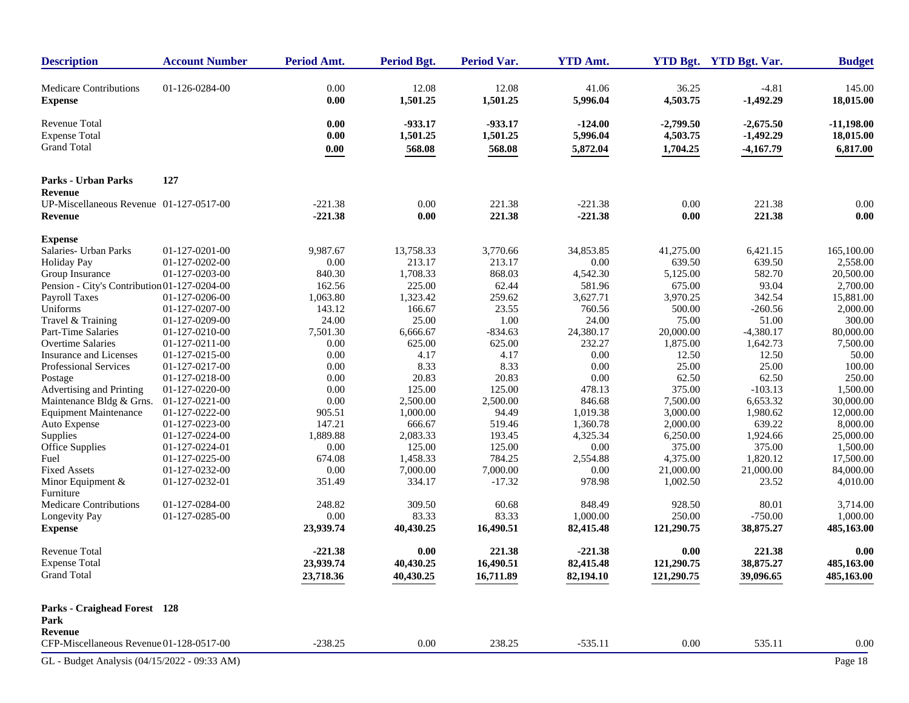| <b>Description</b>                                                                                                                                                                                                                                                                                                                                                              | <b>Account Number</b>                                                                                                                                                                                                                                    | Period Amt.                                                                                                                                   | <b>Period Bgt.</b>                                                                                                                                        | Period Var.                                                                                                                                     | <b>YTD Amt.</b>                                                                                                                                       |                                                                                                                                                                | YTD Bgt. YTD Bgt. Var.                                                                                                                                           | <b>Budget</b>                                                                                                                                                                  |
|---------------------------------------------------------------------------------------------------------------------------------------------------------------------------------------------------------------------------------------------------------------------------------------------------------------------------------------------------------------------------------|----------------------------------------------------------------------------------------------------------------------------------------------------------------------------------------------------------------------------------------------------------|-----------------------------------------------------------------------------------------------------------------------------------------------|-----------------------------------------------------------------------------------------------------------------------------------------------------------|-------------------------------------------------------------------------------------------------------------------------------------------------|-------------------------------------------------------------------------------------------------------------------------------------------------------|----------------------------------------------------------------------------------------------------------------------------------------------------------------|------------------------------------------------------------------------------------------------------------------------------------------------------------------|--------------------------------------------------------------------------------------------------------------------------------------------------------------------------------|
| <b>Medicare Contributions</b><br><b>Expense</b>                                                                                                                                                                                                                                                                                                                                 | 01-126-0284-00                                                                                                                                                                                                                                           | 0.00<br>0.00                                                                                                                                  | 12.08<br>1,501.25                                                                                                                                         | 12.08<br>1,501.25                                                                                                                               | 41.06<br>5,996.04                                                                                                                                     | 36.25<br>4,503.75                                                                                                                                              | $-4.81$<br>$-1,492.29$                                                                                                                                           | 145.00<br>18,015.00                                                                                                                                                            |
| <b>Revenue Total</b><br><b>Expense Total</b><br><b>Grand Total</b>                                                                                                                                                                                                                                                                                                              |                                                                                                                                                                                                                                                          | 0.00<br>0.00<br>0.00                                                                                                                          | $-933.17$<br>1,501.25<br>568.08                                                                                                                           | -933.17<br>1,501.25<br>568.08                                                                                                                   | $-124.00$<br>5,996.04<br>5,872.04                                                                                                                     | $-2,799.50$<br>4,503.75<br>1,704.25                                                                                                                            | $-2,675.50$<br>$-1,492.29$<br>$-4,167.79$                                                                                                                        | $-11,198.00$<br>18,015.00<br>6,817.00                                                                                                                                          |
| <b>Parks - Urban Parks</b>                                                                                                                                                                                                                                                                                                                                                      | 127                                                                                                                                                                                                                                                      |                                                                                                                                               |                                                                                                                                                           |                                                                                                                                                 |                                                                                                                                                       |                                                                                                                                                                |                                                                                                                                                                  |                                                                                                                                                                                |
| <b>Revenue</b><br>UP-Miscellaneous Revenue 01-127-0517-00<br><b>Revenue</b>                                                                                                                                                                                                                                                                                                     |                                                                                                                                                                                                                                                          | $-221.38$<br>$-221.38$                                                                                                                        | 0.00<br>0.00                                                                                                                                              | 221.38<br>221.38                                                                                                                                | $-221.38$<br>$-221.38$                                                                                                                                | 0.00<br>0.00                                                                                                                                                   | 221.38<br>221.38                                                                                                                                                 | 0.00<br>0.00                                                                                                                                                                   |
| <b>Expense</b>                                                                                                                                                                                                                                                                                                                                                                  |                                                                                                                                                                                                                                                          |                                                                                                                                               |                                                                                                                                                           |                                                                                                                                                 |                                                                                                                                                       |                                                                                                                                                                |                                                                                                                                                                  |                                                                                                                                                                                |
| Salaries- Urban Parks<br><b>Holiday Pay</b><br>Group Insurance<br>Pension - City's Contribution 01-127-0204-00<br><b>Payroll Taxes</b><br>Uniforms<br>Travel & Training<br>Part-Time Salaries<br><b>Overtime Salaries</b><br>Insurance and Licenses<br>Professional Services<br>Postage<br>Advertising and Printing<br>Maintenance Bldg & Grns.<br><b>Equipment Maintenance</b> | 01-127-0201-00<br>01-127-0202-00<br>01-127-0203-00<br>01-127-0206-00<br>01-127-0207-00<br>01-127-0209-00<br>01-127-0210-00<br>01-127-0211-00<br>01-127-0215-00<br>01-127-0217-00<br>01-127-0218-00<br>01-127-0220-00<br>01-127-0221-00<br>01-127-0222-00 | 9,987.67<br>$0.00\,$<br>840.30<br>162.56<br>1,063.80<br>143.12<br>24.00<br>7,501.30<br>0.00<br>0.00<br>0.00<br>0.00<br>0.00<br>0.00<br>905.51 | 13,758.33<br>213.17<br>1,708.33<br>225.00<br>1,323.42<br>166.67<br>25.00<br>6,666.67<br>625.00<br>4.17<br>8.33<br>20.83<br>125.00<br>2,500.00<br>1,000.00 | 3,770.66<br>213.17<br>868.03<br>62.44<br>259.62<br>23.55<br>1.00<br>$-834.63$<br>625.00<br>4.17<br>8.33<br>20.83<br>125.00<br>2,500.00<br>94.49 | 34,853.85<br>0.00<br>4,542.30<br>581.96<br>3,627.71<br>760.56<br>24.00<br>24,380.17<br>232.27<br>0.00<br>0.00<br>0.00<br>478.13<br>846.68<br>1,019.38 | 41,275.00<br>639.50<br>5,125.00<br>675.00<br>3,970.25<br>500.00<br>75.00<br>20,000.00<br>1,875.00<br>12.50<br>25.00<br>62.50<br>375.00<br>7,500.00<br>3,000.00 | 6,421.15<br>639.50<br>582.70<br>93.04<br>342.54<br>$-260.56$<br>51.00<br>$-4,380.17$<br>1,642.73<br>12.50<br>25.00<br>62.50<br>$-103.13$<br>6,653.32<br>1,980.62 | 165,100.00<br>2,558.00<br>20,500.00<br>2,700.00<br>15,881.00<br>2,000.00<br>300.00<br>80,000.00<br>7,500.00<br>50.00<br>100.00<br>250.00<br>1,500.00<br>30,000.00<br>12,000.00 |
| Auto Expense<br>Supplies<br>Office Supplies<br>Fuel<br><b>Fixed Assets</b><br>Minor Equipment &                                                                                                                                                                                                                                                                                 | 01-127-0223-00<br>01-127-0224-00<br>01-127-0224-01<br>01-127-0225-00<br>01-127-0232-00<br>01-127-0232-01                                                                                                                                                 | 147.21<br>1,889.88<br>0.00<br>674.08<br>$0.00\,$<br>351.49                                                                                    | 666.67<br>2,083.33<br>125.00<br>1,458.33<br>7,000.00<br>334.17                                                                                            | 519.46<br>193.45<br>125.00<br>784.25<br>7,000.00<br>$-17.32$                                                                                    | 1,360.78<br>4,325.34<br>0.00<br>2,554.88<br>0.00<br>978.98                                                                                            | 2,000.00<br>6,250.00<br>375.00<br>4,375.00<br>21,000.00<br>1,002.50                                                                                            | 639.22<br>1,924.66<br>375.00<br>1,820.12<br>21,000.00<br>23.52                                                                                                   | 8,000.00<br>25,000.00<br>1,500.00<br>17,500.00<br>84,000.00<br>4,010.00                                                                                                        |
| Furniture<br><b>Medicare Contributions</b><br>Longevity Pay<br><b>Expense</b>                                                                                                                                                                                                                                                                                                   | 01-127-0284-00<br>01-127-0285-00                                                                                                                                                                                                                         | 248.82<br>0.00<br>23,939.74                                                                                                                   | 309.50<br>83.33<br>40,430.25                                                                                                                              | 60.68<br>83.33<br>16,490.51                                                                                                                     | 848.49<br>1,000.00<br>82,415.48                                                                                                                       | 928.50<br>250.00<br>121,290.75                                                                                                                                 | 80.01<br>$-750.00$<br>38,875.27                                                                                                                                  | 3,714.00<br>1,000.00<br>485,163.00                                                                                                                                             |
| <b>Revenue Total</b><br><b>Expense Total</b><br><b>Grand Total</b>                                                                                                                                                                                                                                                                                                              |                                                                                                                                                                                                                                                          | $-221.38$<br>23,939.74<br>23,718.36                                                                                                           | 0.00<br>40,430.25<br>40,430.25                                                                                                                            | 221.38<br>16,490.51<br>16,711.89                                                                                                                | $-221.38$<br>82,415.48<br>82,194.10                                                                                                                   | 0.00<br>121,290.75<br>121,290.75                                                                                                                               | 221.38<br>38,875.27<br>39,096.65                                                                                                                                 | 0.00<br>485,163.00<br>485,163.00                                                                                                                                               |
| Parks - Craighead Forest 128<br>Park                                                                                                                                                                                                                                                                                                                                            |                                                                                                                                                                                                                                                          |                                                                                                                                               |                                                                                                                                                           |                                                                                                                                                 |                                                                                                                                                       |                                                                                                                                                                |                                                                                                                                                                  |                                                                                                                                                                                |
| Revenue<br>CFP-Miscellaneous Revenue 01-128-0517-00                                                                                                                                                                                                                                                                                                                             |                                                                                                                                                                                                                                                          | $-238.25$                                                                                                                                     | 0.00                                                                                                                                                      | 238.25                                                                                                                                          | $-535.11$                                                                                                                                             | $0.00\,$                                                                                                                                                       | 535.11                                                                                                                                                           | 0.00                                                                                                                                                                           |
| GL - Budget Analysis (04/15/2022 - 09:33 AM)                                                                                                                                                                                                                                                                                                                                    |                                                                                                                                                                                                                                                          |                                                                                                                                               |                                                                                                                                                           |                                                                                                                                                 |                                                                                                                                                       |                                                                                                                                                                |                                                                                                                                                                  | Page 18                                                                                                                                                                        |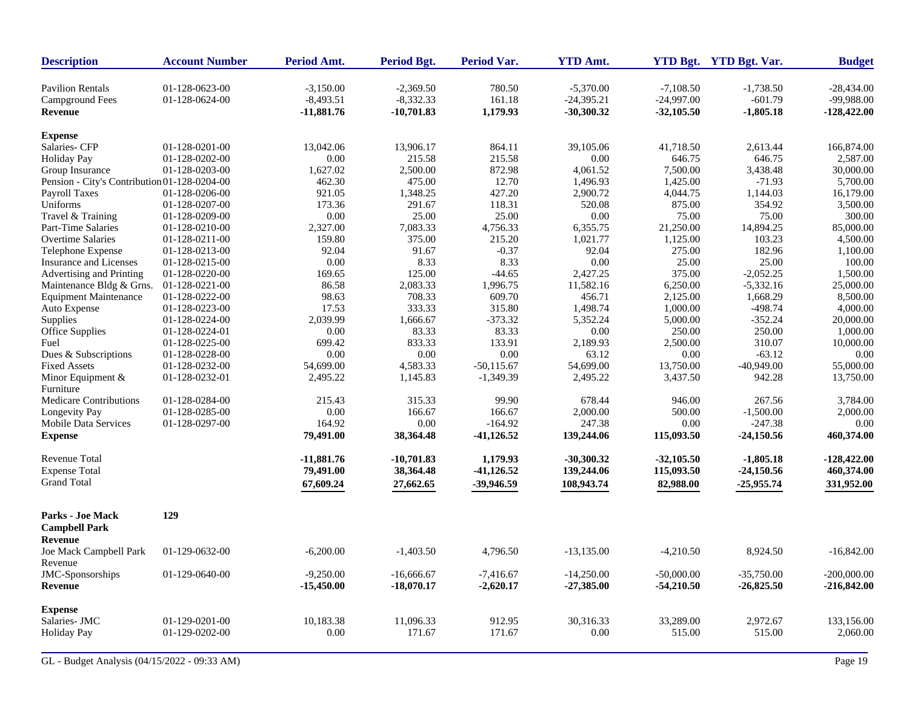| <b>Description</b>                           | <b>Account Number</b>            | <b>Period Amt.</b>         | <b>Period Bgt.</b>         | Period Var.      | <b>YTD Amt.</b>             |                             | YTD Bgt. YTD Bgt. Var.   | <b>Budget</b>              |
|----------------------------------------------|----------------------------------|----------------------------|----------------------------|------------------|-----------------------------|-----------------------------|--------------------------|----------------------------|
| <b>Pavilion Rentals</b><br>Campground Fees   | 01-128-0623-00<br>01-128-0624-00 | $-3.150.00$<br>$-8,493.51$ | $-2.369.50$<br>$-8,332.33$ | 780.50<br>161.18 | $-5.370.00$<br>$-24,395.21$ | $-7.108.50$<br>$-24,997.00$ | $-1,738.50$<br>$-601.79$ | $-28.434.00$<br>-99,988.00 |
| <b>Revenue</b>                               |                                  | $-11,881.76$               | $-10,701.83$               | 1,179.93         | $-30,300.32$                | $-32,105.50$                | $-1,805.18$              | $-128,422.00$              |
| <b>Expense</b>                               |                                  |                            |                            |                  |                             |                             |                          |                            |
| Salaries- CFP                                | 01-128-0201-00                   | 13,042.06                  | 13,906.17                  | 864.11           | 39,105.06                   | 41,718.50                   | 2,613.44                 | 166,874.00                 |
| <b>Holiday Pay</b>                           | 01-128-0202-00                   | 0.00                       | 215.58                     | 215.58           | 0.00                        | 646.75                      | 646.75                   | 2,587.00                   |
| Group Insurance                              | 01-128-0203-00                   | 1,627.02                   | 2,500.00                   | 872.98           | 4,061.52                    | 7,500.00                    | 3,438.48                 | 30,000.00                  |
| Pension - City's Contribution 01-128-0204-00 |                                  | 462.30                     | 475.00                     | 12.70            | 1,496.93                    | 1,425.00                    | $-71.93$                 | 5,700.00                   |
| <b>Payroll Taxes</b>                         | 01-128-0206-00                   | 921.05                     | 1,348.25                   | 427.20           | 2,900.72                    | 4,044.75                    | 1,144.03                 | 16,179.00                  |
| Uniforms                                     | 01-128-0207-00                   | 173.36                     | 291.67                     | 118.31           | 520.08                      | 875.00                      | 354.92                   | 3,500.00                   |
| Travel & Training                            | 01-128-0209-00                   | 0.00                       | 25.00                      | 25.00            | 0.00                        | 75.00                       | 75.00                    | 300.00                     |
| Part-Time Salaries                           | 01-128-0210-00                   | 2,327.00                   | 7,083.33                   | 4,756.33         | 6,355.75                    | 21,250.00                   | 14,894.25                | 85,000.00                  |
| <b>Overtime Salaries</b>                     | 01-128-0211-00                   | 159.80                     | 375.00                     | 215.20           | 1,021.77                    | 1,125.00                    | 103.23                   | 4,500.00                   |
| Telephone Expense                            | 01-128-0213-00                   | 92.04                      | 91.67                      | $-0.37$          | 92.04                       | 275.00                      | 182.96                   | 1,100.00                   |
| <b>Insurance and Licenses</b>                | 01-128-0215-00                   | 0.00                       | 8.33                       | 8.33             | 0.00                        | 25.00                       | 25.00                    | 100.00                     |
| Advertising and Printing                     | 01-128-0220-00                   | 169.65                     | 125.00                     | $-44.65$         | 2,427.25                    | 375.00                      | $-2,052.25$              | 1,500.00                   |
| Maintenance Bldg & Grns.                     | 01-128-0221-00                   | 86.58                      | 2,083.33                   | 1,996.75         | 11,582.16                   | 6,250.00                    | $-5,332.16$              | 25,000.00                  |
| <b>Equipment Maintenance</b>                 | 01-128-0222-00                   | 98.63                      | 708.33                     | 609.70           | 456.71                      | 2,125.00                    | 1,668.29                 | 8,500.00                   |
| Auto Expense                                 | 01-128-0223-00                   | 17.53                      | 333.33                     | 315.80           | 1,498.74                    | 1,000.00                    | $-498.74$                | 4,000.00                   |
| Supplies                                     | 01-128-0224-00                   | 2,039.99                   | 1,666.67                   | $-373.32$        | 5,352.24                    | 5,000.00                    | $-352.24$                | 20,000.00                  |
| <b>Office Supplies</b>                       | 01-128-0224-01                   | 0.00                       | 83.33                      | 83.33            | 0.00                        | 250.00                      | 250.00                   | 1,000.00                   |
| Fuel                                         | 01-128-0225-00                   | 699.42                     | 833.33                     | 133.91           | 2,189.93                    | 2,500.00                    | 310.07                   | 10,000.00                  |
| Dues & Subscriptions                         | 01-128-0228-00                   | 0.00                       | 0.00                       | 0.00             | 63.12                       | 0.00                        | $-63.12$                 | 0.00                       |
| <b>Fixed Assets</b>                          | 01-128-0232-00                   | 54,699.00                  | 4,583.33                   | $-50,115.67$     | 54,699.00                   | 13,750.00                   | $-40,949.00$             | 55,000.00                  |
| Minor Equipment $&$                          | 01-128-0232-01                   | 2,495.22                   | 1,145.83                   | $-1,349.39$      | 2,495.22                    | 3,437.50                    | 942.28                   | 13,750.00                  |
| Furniture                                    |                                  |                            |                            |                  |                             |                             |                          |                            |
| Medicare Contributions                       | 01-128-0284-00                   | 215.43                     | 315.33                     | 99.90            | 678.44                      | 946.00                      | 267.56                   | 3,784.00                   |
| Longevity Pay                                | 01-128-0285-00                   | $0.00\,$                   | 166.67                     | 166.67           | 2,000.00                    | 500.00                      | $-1,500.00$              | 2,000.00                   |
| <b>Mobile Data Services</b>                  | 01-128-0297-00                   | 164.92                     | 0.00                       | $-164.92$        | 247.38                      | 0.00                        | $-247.38$                | 0.00                       |
| <b>Expense</b>                               |                                  | 79,491.00                  | 38,364.48                  | $-41,126.52$     | 139,244.06                  | 115,093.50                  | $-24,150.56$             | 460,374.00                 |
| <b>Revenue Total</b>                         |                                  | $-11,881.76$               | $-10,701.83$               | 1,179.93         | $-30,300.32$                | $-32,105.50$                | $-1,805.18$              | $-128,422.00$              |
| <b>Expense Total</b>                         |                                  | 79,491.00                  | 38,364.48                  | $-41,126.52$     | 139,244.06                  | 115,093.50                  | $-24,150.56$             | 460,374.00                 |
| <b>Grand Total</b>                           |                                  | 67,609.24                  | 27,662.65                  | -39,946.59       | 108,943.74                  | 82,988.00                   | $-25,955.74$             | 331,952.00                 |
|                                              |                                  |                            |                            |                  |                             |                             |                          |                            |
| <b>Parks - Joe Mack</b>                      | 129                              |                            |                            |                  |                             |                             |                          |                            |
| <b>Campbell Park</b>                         |                                  |                            |                            |                  |                             |                             |                          |                            |
| <b>Revenue</b>                               |                                  |                            |                            |                  |                             |                             |                          |                            |
| Joe Mack Campbell Park<br>Revenue            | 01-129-0632-00                   | $-6,200.00$                | $-1,403.50$                | 4,796.50         | $-13,135.00$                | $-4,210.50$                 | 8,924.50                 | $-16,842.00$               |
| JMC-Sponsorships                             | 01-129-0640-00                   | $-9,250.00$                | $-16,666.67$               | $-7,416.67$      | $-14,250.00$                | $-50,000.00$                | $-35,750.00$             | $-200,000.00$              |
| <b>Revenue</b>                               |                                  | $-15,450.00$               | $-18,070.17$               | $-2,620.17$      | $-27,385.00$                | $-54,210.50$                | $-26,825.50$             | $-216,842.00$              |
| <b>Expense</b>                               |                                  |                            |                            |                  |                             |                             |                          |                            |
| Salaries- JMC                                | 01-129-0201-00                   | 10,183.38                  | 11,096.33                  | 912.95           | 30,316.33                   | 33,289.00                   | 2,972.67                 | 133,156.00                 |
| <b>Holiday Pay</b>                           | 01-129-0202-00                   | 0.00                       | 171.67                     | 171.67           | 0.00                        | 515.00                      | 515.00                   | 2,060.00                   |
|                                              |                                  |                            |                            |                  |                             |                             |                          |                            |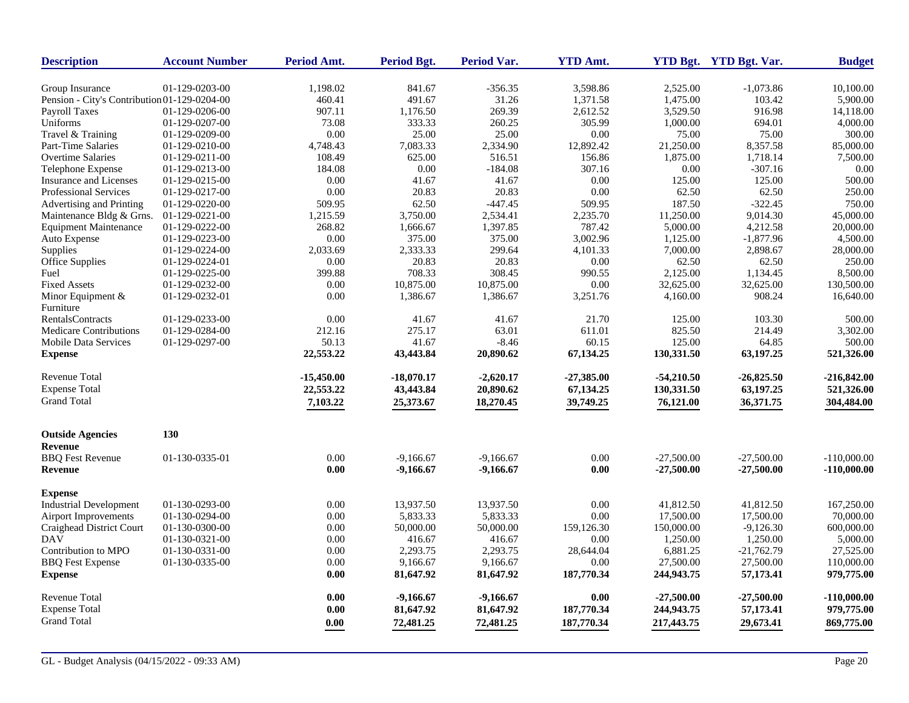| <b>Description</b>                           | <b>Account Number</b> | Period Amt.        | <b>Period Bgt.</b> | <b>Period Var.</b> | <b>YTD Amt.</b> |              | YTD Bgt. YTD Bgt. Var. | <b>Budget</b> |
|----------------------------------------------|-----------------------|--------------------|--------------------|--------------------|-----------------|--------------|------------------------|---------------|
| Group Insurance                              | 01-129-0203-00        | 1,198.02           | 841.67             | $-356.35$          | 3,598.86        | 2,525.00     | $-1,073.86$            | 10,100.00     |
| Pension - City's Contribution 01-129-0204-00 |                       | 460.41             | 491.67             | 31.26              | 1,371.58        | 1,475.00     | 103.42                 | 5,900.00      |
| Payroll Taxes                                | 01-129-0206-00        | 907.11             | 1,176.50           | 269.39             | 2,612.52        | 3,529.50     | 916.98                 | 14,118.00     |
| Uniforms                                     | 01-129-0207-00        | 73.08              | 333.33             | 260.25             | 305.99          | 1,000.00     | 694.01                 | 4,000.00      |
| Travel & Training                            | 01-129-0209-00        | 0.00               | 25.00              | 25.00              | 0.00            | 75.00        | 75.00                  | 300.00        |
| <b>Part-Time Salaries</b>                    | 01-129-0210-00        | 4,748.43           | 7,083.33           | 2,334.90           | 12,892.42       | 21,250.00    | 8,357.58               | 85,000.00     |
| <b>Overtime Salaries</b>                     | 01-129-0211-00        | 108.49             | 625.00             | 516.51             | 156.86          | 1,875.00     | 1,718.14               | 7,500.00      |
| Telephone Expense                            | 01-129-0213-00        | 184.08             | 0.00               | $-184.08$          | 307.16          | 0.00         | $-307.16$              | 0.00          |
| <b>Insurance and Licenses</b>                | 01-129-0215-00        | 0.00               | 41.67              | 41.67              | 0.00            | 125.00       | 125.00                 | 500.00        |
| <b>Professional Services</b>                 | 01-129-0217-00        | $0.00\,$           | 20.83              | 20.83              | 0.00            | 62.50        | 62.50                  | 250.00        |
|                                              |                       |                    |                    | $-447.45$          | 509.95          | 187.50       | $-322.45$              | 750.00        |
| Advertising and Printing                     | 01-129-0220-00        | 509.95<br>1,215.59 | 62.50              | 2,534.41           | 2,235.70        | 11,250.00    | 9,014.30               |               |
| Maintenance Bldg & Grns.                     | 01-129-0221-00        |                    | 3,750.00           |                    |                 |              |                        | 45,000.00     |
| <b>Equipment Maintenance</b>                 | 01-129-0222-00        | 268.82             | 1,666.67           | 1,397.85           | 787.42          | 5,000.00     | 4,212.58               | 20,000.00     |
| Auto Expense                                 | 01-129-0223-00        | $0.00\,$           | 375.00             | 375.00             | 3,002.96        | 1,125.00     | $-1,877.96$            | 4,500.00      |
| Supplies                                     | 01-129-0224-00        | 2,033.69           | 2,333.33           | 299.64             | 4,101.33        | 7,000.00     | 2,898.67               | 28,000.00     |
| Office Supplies                              | 01-129-0224-01        | $0.00\,$           | 20.83              | 20.83              | 0.00            | 62.50        | 62.50                  | 250.00        |
| Fuel                                         | 01-129-0225-00        | 399.88             | 708.33             | 308.45             | 990.55          | 2,125.00     | 1,134.45               | 8,500.00      |
| <b>Fixed Assets</b>                          | 01-129-0232-00        | 0.00               | 10,875.00          | 10,875.00          | 0.00            | 32,625.00    | 32,625.00              | 130,500.00    |
| Minor Equipment &                            | 01-129-0232-01        | 0.00               | 1,386.67           | 1,386.67           | 3,251.76        | 4,160.00     | 908.24                 | 16,640.00     |
| Furniture                                    |                       |                    |                    |                    |                 |              |                        |               |
| <b>RentalsContracts</b>                      | 01-129-0233-00        | 0.00               | 41.67              | 41.67              | 21.70           | 125.00       | 103.30                 | 500.00        |
| <b>Medicare Contributions</b>                | 01-129-0284-00        | 212.16             | 275.17             | 63.01              | 611.01          | 825.50       | 214.49                 | 3,302.00      |
| <b>Mobile Data Services</b>                  | 01-129-0297-00        | 50.13              | 41.67              | $-8.46$            | 60.15           | 125.00       | 64.85                  | 500.00        |
| <b>Expense</b>                               |                       | 22,553.22          | 43,443.84          | 20,890.62          | 67,134.25       | 130,331.50   | 63,197.25              | 521,326.00    |
| Revenue Total                                |                       | -15,450.00         | $-18,070.17$       | $-2,620.17$        | $-27,385.00$    | $-54,210.50$ | $-26,825.50$           | $-216,842.00$ |
| <b>Expense Total</b>                         |                       | 22,553.22          | 43,443.84          | 20,890.62          | 67,134.25       | 130,331.50   | 63,197.25              | 521,326.00    |
| <b>Grand Total</b>                           |                       | 7,103.22           | 25,373.67          | 18,270.45          | 39,749.25       | 76,121.00    | 36,371.75              | 304,484.00    |
| <b>Outside Agencies</b>                      | 130                   |                    |                    |                    |                 |              |                        |               |
| <b>Revenue</b>                               |                       |                    |                    |                    |                 |              |                        |               |
| <b>BBQ</b> Fest Revenue                      | 01-130-0335-01        | 0.00               | $-9,166.67$        | $-9,166.67$        | 0.00            | $-27,500.00$ | $-27,500.00$           | $-110,000.00$ |
| <b>Revenue</b>                               |                       | 0.00               | -9,166.67          | $-9,166.67$        | 0.00            | $-27,500.00$ | $-27,500.00$           | $-110,000.00$ |
| <b>Expense</b>                               |                       |                    |                    |                    |                 |              |                        |               |
| <b>Industrial Development</b>                | 01-130-0293-00        | $0.00\,$           | 13,937.50          | 13,937.50          | 0.00            | 41,812.50    | 41,812.50              | 167,250.00    |
| <b>Airport Improvements</b>                  | 01-130-0294-00        | 0.00               | 5,833.33           | 5,833.33           | 0.00            | 17,500.00    | 17,500.00              | 70,000.00     |
| Craighead District Court                     | 01-130-0300-00        | 0.00               | 50,000.00          | 50,000.00          | 159,126.30      | 150,000.00   | $-9,126.30$            | 600,000.00    |
| <b>DAV</b>                                   | 01-130-0321-00        | 0.00               | 416.67             | 416.67             | 0.00            | 1,250.00     | 1,250.00               | 5,000.00      |
| Contribution to MPO                          | 01-130-0331-00        | 0.00               | 2,293.75           | 2,293.75           | 28,644.04       | 6,881.25     | $-21,762.79$           | 27,525.00     |
| <b>BBQ</b> Fest Expense                      | 01-130-0335-00        | 0.00               | 9,166.67           | 9,166.67           | 0.00            | 27,500.00    | 27,500.00              | 110,000.00    |
| <b>Expense</b>                               |                       | 0.00               | 81,647.92          | 81,647.92          | 187,770.34      | 244,943.75   | 57,173.41              | 979,775.00    |
| <b>Revenue Total</b>                         |                       | 0.00               | $-9,166.67$        | $-9,166.67$        | 0.00            | $-27,500,00$ | $-27,500.00$           | $-110,000.00$ |
| <b>Expense Total</b>                         |                       | 0.00               | 81,647.92          | 81,647.92          | 187,770.34      | 244,943.75   | 57,173.41              | 979,775.00    |
| <b>Grand Total</b>                           |                       | 0.00               | 72,481.25          | 72,481.25          | 187,770.34      | 217,443.75   | 29,673.41              | 869,775.00    |
|                                              |                       |                    |                    |                    |                 |              |                        |               |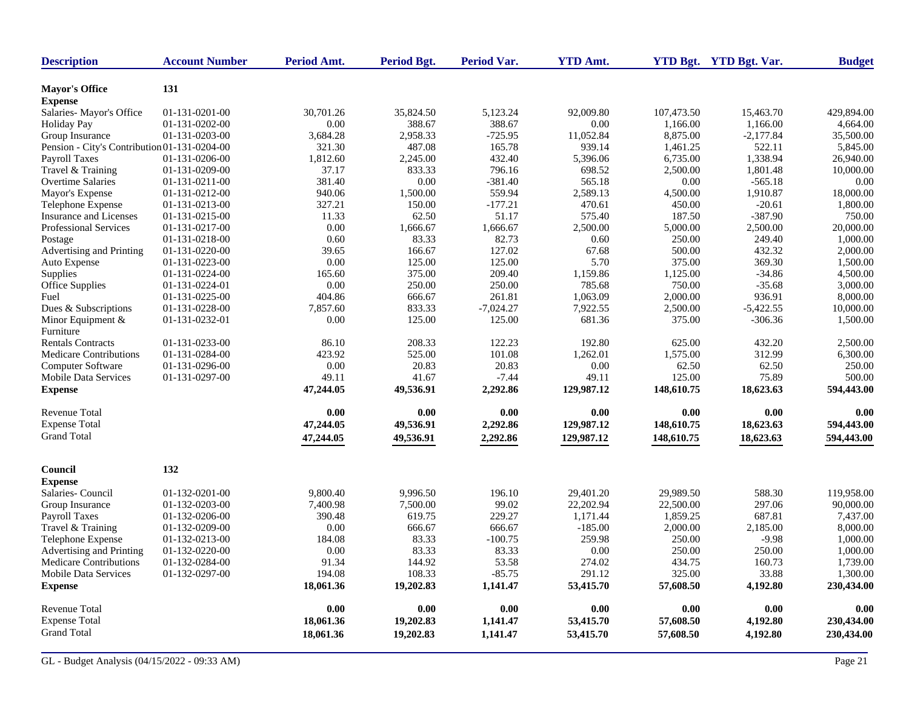| <b>Description</b>                           | <b>Account Number</b> | Period Amt. | Period Bgt. | <b>Period Var.</b> | <b>YTD Amt.</b> |            | YTD Bgt. YTD Bgt. Var. | <b>Budget</b> |
|----------------------------------------------|-----------------------|-------------|-------------|--------------------|-----------------|------------|------------------------|---------------|
| <b>Mayor's Office</b><br><b>Expense</b>      | 131                   |             |             |                    |                 |            |                        |               |
| Salaries-Mayor's Office                      | 01-131-0201-00        | 30.701.26   | 35,824.50   | 5,123.24           | 92,009.80       | 107,473.50 | 15,463.70              | 429,894.00    |
| <b>Holiday Pay</b>                           | 01-131-0202-00        | 0.00        | 388.67      | 388.67             | 0.00            | 1,166.00   | 1,166.00               | 4,664.00      |
| Group Insurance                              | 01-131-0203-00        | 3,684.28    | 2,958.33    | $-725.95$          | 11,052.84       | 8,875.00   | $-2,177.84$            | 35,500.00     |
| Pension - City's Contribution 01-131-0204-00 |                       | 321.30      | 487.08      | 165.78             | 939.14          | 1,461.25   | 522.11                 | 5,845.00      |
| <b>Payroll Taxes</b>                         | 01-131-0206-00        | 1,812.60    | 2,245.00    | 432.40             | 5,396.06        | 6,735.00   | 1,338.94               | 26,940.00     |
| Travel & Training                            | 01-131-0209-00        | 37.17       | 833.33      | 796.16             | 698.52          | 2,500.00   | 1,801.48               | 10,000.00     |
| <b>Overtime Salaries</b>                     | 01-131-0211-00        | 381.40      | 0.00        | $-381.40$          | 565.18          | 0.00       | $-565.18$              | 0.00          |
| Mayor's Expense                              | 01-131-0212-00        | 940.06      | 1,500.00    | 559.94             | 2.589.13        | 4,500.00   | 1,910.87               | 18,000.00     |
| Telephone Expense                            | 01-131-0213-00        | 327.21      | 150.00      | $-177.21$          | 470.61          | 450.00     | $-20.61$               | 1,800.00      |
| Insurance and Licenses                       | 01-131-0215-00        | 11.33       | 62.50       | 51.17              | 575.40          | 187.50     | $-387.90$              | 750.00        |
| <b>Professional Services</b>                 | 01-131-0217-00        | 0.00        | 1,666.67    | 1,666.67           | 2,500.00        | 5,000.00   | 2,500.00               | 20,000.00     |
| Postage                                      | 01-131-0218-00        | 0.60        | 83.33       | 82.73              | 0.60            | 250.00     | 249.40                 | 1,000.00      |
| Advertising and Printing                     | 01-131-0220-00        | 39.65       | 166.67      | 127.02             | 67.68           | 500.00     | 432.32                 | 2,000.00      |
| Auto Expense                                 | 01-131-0223-00        | 0.00        | 125.00      | 125.00             | 5.70            | 375.00     | 369.30                 | 1,500.00      |
| Supplies                                     | 01-131-0224-00        | 165.60      | 375.00      | 209.40             | 1,159.86        | 1,125.00   | $-34.86$               | 4,500.00      |
| <b>Office Supplies</b>                       | 01-131-0224-01        | 0.00        | 250.00      | 250.00             | 785.68          | 750.00     | $-35.68$               | 3,000.00      |
| Fuel                                         | 01-131-0225-00        | 404.86      | 666.67      | 261.81             | 1,063.09        | 2,000.00   | 936.91                 | 8,000.00      |
| Dues & Subscriptions                         | 01-131-0228-00        | 7,857.60    | 833.33      | $-7,024.27$        | 7,922.55        | 2,500.00   | $-5,422.55$            | 10,000.00     |
| Minor Equipment &                            | 01-131-0232-01        | 0.00        | 125.00      | 125.00             | 681.36          | 375.00     | $-306.36$              | 1,500.00      |
| Furniture                                    |                       |             |             |                    |                 |            |                        |               |
| <b>Rentals Contracts</b>                     | 01-131-0233-00        | 86.10       | 208.33      | 122.23             | 192.80          | 625.00     | 432.20                 | 2,500.00      |
|                                              |                       |             |             | 101.08             |                 |            | 312.99                 |               |
| Medicare Contributions                       | 01-131-0284-00        | 423.92      | 525.00      |                    | 1,262.01        | 1,575.00   | 62.50                  | 6,300.00      |
| <b>Computer Software</b>                     | 01-131-0296-00        | 0.00        | 20.83       | 20.83              | 0.00            | 62.50      |                        | 250.00        |
| Mobile Data Services                         | 01-131-0297-00        | 49.11       | 41.67       | $-7.44$            | 49.11           | 125.00     | 75.89                  | 500.00        |
| <b>Expense</b>                               |                       | 47,244.05   | 49,536.91   | 2,292.86           | 129,987.12      | 148,610.75 | 18,623.63              | 594,443.00    |
| Revenue Total                                |                       | 0.00        | 0.00        | 0.00               | 0.00            | 0.00       | 0.00                   | 0.00          |
| <b>Expense Total</b>                         |                       | 47,244.05   | 49,536.91   | 2,292.86           | 129,987.12      | 148,610.75 | 18,623.63              | 594,443.00    |
| <b>Grand Total</b>                           |                       | 47,244.05   | 49,536.91   | 2,292.86           | 129,987.12      | 148,610.75 | 18,623.63              | 594,443.00    |
| Council                                      | 132                   |             |             |                    |                 |            |                        |               |
| <b>Expense</b>                               |                       |             |             |                    |                 |            |                        |               |
| Salaries-Council                             | 01-132-0201-00        | 9,800.40    | 9,996.50    | 196.10             | 29,401.20       | 29,989.50  | 588.30                 | 119.958.00    |
| Group Insurance                              | 01-132-0203-00        | 7,400.98    | 7,500.00    | 99.02              | 22,202.94       | 22,500.00  | 297.06                 | 90,000.00     |
| <b>Payroll Taxes</b>                         | 01-132-0206-00        | 390.48      | 619.75      | 229.27             | 1,171.44        | 1,859.25   | 687.81                 | 7,437.00      |
| Travel & Training                            | 01-132-0209-00        | 0.00        | 666.67      | 666.67             | $-185.00$       | 2,000.00   | 2,185.00               | 8,000.00      |
| Telephone Expense                            | 01-132-0213-00        | 184.08      | 83.33       | $-100.75$          | 259.98          | 250.00     | $-9.98$                | 1,000.00      |
| Advertising and Printing                     | 01-132-0220-00        | 0.00        | 83.33       | 83.33              | 0.00            | 250.00     | 250.00                 | 1,000.00      |
| <b>Medicare Contributions</b>                | 01-132-0284-00        | 91.34       | 144.92      | 53.58              | 274.02          | 434.75     | 160.73                 | 1,739.00      |
| <b>Mobile Data Services</b>                  | 01-132-0297-00        | 194.08      | 108.33      | $-85.75$           | 291.12          | 325.00     | 33.88                  | 1,300.00      |
| <b>Expense</b>                               |                       | 18,061.36   | 19,202.83   | 1,141.47           | 53,415.70       | 57,608.50  | 4,192.80               | 230,434.00    |
| <b>Revenue Total</b>                         |                       | 0.00        | 0.00        | 0.00               | 0.00            | 0.00       | 0.00                   | 0.00          |
| <b>Expense Total</b>                         |                       | 18,061.36   | 19,202.83   | 1,141.47           | 53,415.70       | 57,608.50  | 4,192.80               | 230,434.00    |
| <b>Grand Total</b>                           |                       | 18,061.36   | 19,202.83   | 1,141.47           | 53,415.70       | 57,608.50  | 4,192.80               | 230,434.00    |
|                                              |                       |             |             |                    |                 |            |                        |               |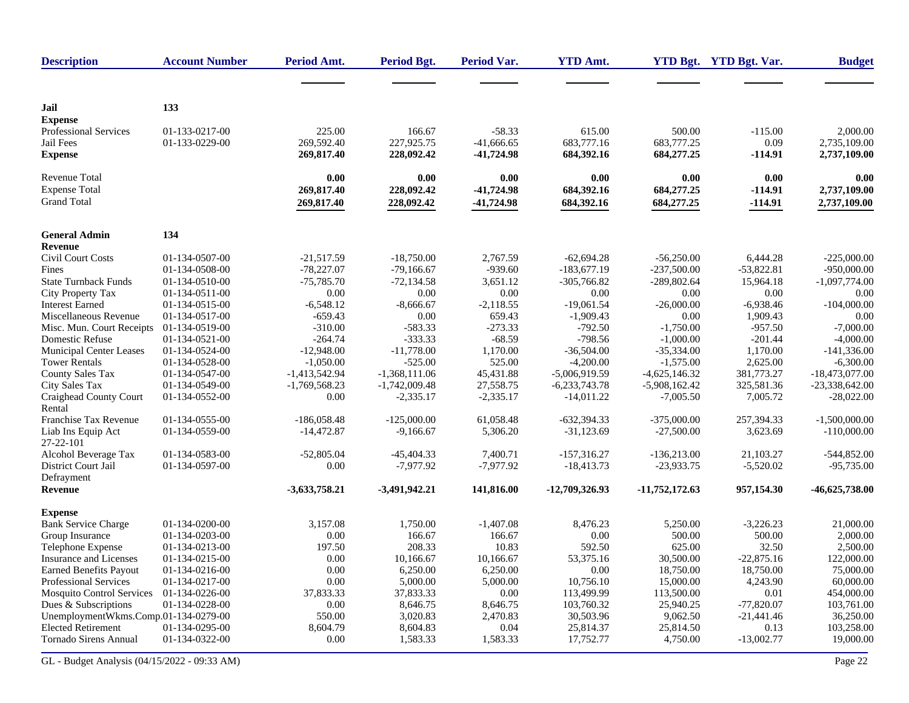| <b>Description</b>                                          | <b>Account Number</b>            | Period Amt.                        | <b>Period Bgt.</b>                 | Period Var.                              | <b>YTD Amt.</b>                    |                                    | YTD Bgt. YTD Bgt. Var.         | <b>Budget</b>                            |
|-------------------------------------------------------------|----------------------------------|------------------------------------|------------------------------------|------------------------------------------|------------------------------------|------------------------------------|--------------------------------|------------------------------------------|
|                                                             |                                  |                                    |                                    |                                          |                                    |                                    |                                |                                          |
| Jail<br><b>Expense</b>                                      | 133                              |                                    |                                    |                                          |                                    |                                    |                                |                                          |
| Professional Services<br>Jail Fees<br><b>Expense</b>        | 01-133-0217-00<br>01-133-0229-00 | 225.00<br>269,592.40<br>269,817.40 | 166.67<br>227,925.75<br>228,092.42 | $-58.33$<br>$-41,666.65$<br>$-41,724.98$ | 615.00<br>683,777.16<br>684,392.16 | 500.00<br>683,777.25<br>684,277.25 | $-115.00$<br>0.09<br>$-114.91$ | 2,000.00<br>2,735,109.00<br>2,737,109.00 |
|                                                             |                                  |                                    |                                    |                                          |                                    |                                    |                                |                                          |
| Revenue Total<br><b>Expense Total</b><br><b>Grand Total</b> |                                  | 0.00<br>269,817.40<br>269,817.40   | 0.00<br>228,092.42<br>228,092.42   | 0.00<br>-41,724.98<br>-41,724.98         | 0.00<br>684,392.16<br>684,392.16   | 0.00<br>684,277.25<br>684,277.25   | 0.00<br>$-114.91$<br>$-114.91$ | 0.00<br>2,737,109.00<br>2,737,109.00     |
| <b>General Admin</b><br>Revenue                             | 134                              |                                    |                                    |                                          |                                    |                                    |                                |                                          |
| Civil Court Costs                                           | 01-134-0507-00                   | $-21,517.59$                       | $-18,750.00$                       | 2,767.59                                 | $-62,694.28$                       | $-56,250.00$                       | 6,444.28                       | $-225,000.00$                            |
| Fines                                                       | 01-134-0508-00                   | $-78,227.07$                       | $-79,166.67$                       | $-939.60$                                | $-183,677.19$                      | $-237,500.00$                      | $-53,822.81$                   | $-950,000.00$                            |
| <b>State Turnback Funds</b>                                 | 01-134-0510-00                   | $-75,785.70$                       | $-72,134.58$                       | 3,651.12                                 | $-305,766.82$                      | $-289,802.64$                      | 15,964.18                      | $-1,097,774.00$                          |
| City Property Tax                                           | $01-134-0511-00$                 | 0.00                               | 0.00                               | 0.00                                     | 0.00                               | 0.00                               | 0.00                           | 0.00                                     |
| <b>Interest Earned</b>                                      | 01-134-0515-00                   | $-6,548.12$                        | $-8,666.67$                        | $-2,118.55$                              | $-19,061.54$                       | $-26,000.00$                       | $-6,938.46$                    | $-104,000.00$                            |
| Miscellaneous Revenue                                       | 01-134-0517-00                   | $-659.43$                          | 0.00                               | 659.43                                   | $-1,909.43$                        | 0.00                               | 1,909.43                       | 0.00                                     |
| Misc. Mun. Court Receipts                                   | 01-134-0519-00                   | $-310.00$                          | $-583.33$                          | $-273.33$                                | $-792.50$                          | $-1,750.00$                        | $-957.50$                      | $-7,000.00$                              |
| Domestic Refuse                                             | 01-134-0521-00                   | $-264.74$                          | $-333.33$                          | $-68.59$                                 | $-798.56$                          | $-1,000.00$                        | $-201.44$                      | $-4,000.00$                              |
| <b>Municipal Center Leases</b>                              | 01-134-0524-00                   | $-12,948.00$                       | $-11,778.00$                       | 1,170.00                                 | $-36,504.00$                       | $-35,334.00$                       | 1,170.00                       | $-141,336.00$                            |
| <b>Tower Rentals</b>                                        | 01-134-0528-00                   | $-1,050.00$                        | $-525.00$                          | 525.00                                   | $-4,200.00$                        | $-1,575.00$                        | 2,625.00                       | $-6,300.00$                              |
| <b>County Sales Tax</b>                                     | 01-134-0547-00                   | $-1,413,542.94$                    | $-1,368,111.06$                    | 45,431.88                                | $-5,006,919.59$                    | $-4,625,146.32$                    | 381,773.27                     | $-18,473,077.00$                         |
| <b>City Sales Tax</b>                                       | 01-134-0549-00                   | $-1,769,568.23$                    | $-1,742,009.48$                    | 27,558.75                                | $-6,233,743.78$                    | $-5,908,162.42$                    | 325,581.36                     | $-23,338,642.00$                         |
| Craighead County Court<br>Rental                            | 01-134-0552-00                   | 0.00                               | $-2,335.17$                        | $-2,335.17$                              | $-14,011.22$                       | $-7,005.50$                        | 7,005.72                       | $-28,022.00$                             |
| <b>Franchise Tax Revenue</b>                                | 01-134-0555-00                   | $-186,058.48$                      | $-125,000,00$                      | 61.058.48                                | $-632,394.33$                      | $-375,000,00$                      | 257,394.33                     | $-1.500,000,00$                          |
| Liab Ins Equip Act<br>27-22-101                             | 01-134-0559-00                   | $-14,472.87$                       | $-9,166.67$                        | 5,306.20                                 | $-31,123.69$                       | $-27,500.00$                       | 3,623.69                       | $-110,000.00$                            |
| Alcohol Beverage Tax                                        | 01-134-0583-00                   | $-52,805.04$                       | $-45,404.33$                       | 7,400.71                                 | $-157,316.27$                      | $-136,213.00$                      | 21,103.27                      | $-544,852.00$                            |
| District Court Jail<br>Defrayment                           | 01-134-0597-00                   | 0.00                               | $-7,977.92$                        | $-7,977.92$                              | $-18,413.73$                       | $-23,933.75$                       | $-5,520.02$                    | $-95,735.00$                             |
| <b>Revenue</b>                                              |                                  | $-3,633,758.21$                    | $-3,491,942.21$                    | 141,816.00                               | -12,709,326.93                     | $-11,752,172.63$                   | 957,154.30                     | -46,625,738.00                           |
| <b>Expense</b>                                              |                                  |                                    |                                    |                                          |                                    |                                    |                                |                                          |
| <b>Bank Service Charge</b>                                  | 01-134-0200-00                   | 3.157.08                           | 1.750.00                           | $-1,407.08$                              | 8,476.23                           | 5,250.00                           | $-3,226.23$                    | 21,000.00                                |
| Group Insurance                                             | 01-134-0203-00                   | 0.00                               | 166.67                             | 166.67                                   | 0.00                               | 500.00                             | 500.00                         | 2,000.00                                 |
| Telephone Expense                                           | 01-134-0213-00                   | 197.50                             | 208.33                             | 10.83                                    | 592.50                             | 625.00                             | 32.50                          | 2,500.00                                 |
| Insurance and Licenses                                      | 01-134-0215-00                   | 0.00                               | 10,166.67                          | 10,166.67                                | 53,375.16                          | 30,500.00                          | $-22,875.16$                   | 122,000.00                               |
| <b>Earned Benefits Payout</b>                               | 01-134-0216-00                   | 0.00                               | 6,250.00                           | 6,250.00                                 | 0.00                               | 18,750.00                          | 18,750.00                      | 75,000.00                                |
| Professional Services                                       | 01-134-0217-00                   | 0.00                               | 5,000.00                           | 5,000.00                                 | 10.756.10                          | 15,000.00                          | 4,243.90                       | 60,000.00                                |
| <b>Mosquito Control Services</b>                            | 01-134-0226-00                   | 37,833.33                          | 37,833.33                          | 0.00                                     | 113,499.99                         | 113,500.00                         | 0.01                           | 454,000.00                               |
| Dues & Subscriptions                                        | 01-134-0228-00                   | 0.00                               | 8,646.75                           | 8,646.75                                 | 103,760.32                         | 25,940.25                          | $-77,820.07$                   | 103,761.00                               |
| UnemploymentWkms.Comp.01-134-0279-00                        |                                  | 550.00                             | 3,020.83                           | 2,470.83                                 | 30,503.96                          | 9,062.50                           | $-21,441.46$                   | 36,250.00                                |
| <b>Elected Retirement</b>                                   | 01-134-0295-00                   | 8,604.79                           | 8,604.83                           | 0.04                                     | 25,814.37                          | 25,814.50                          | 0.13                           | 103,258.00                               |
| <b>Tornado Sirens Annual</b>                                | 01-134-0322-00                   | 0.00                               | 1,583.33                           | 1,583.33                                 | 17,752.77                          | 4,750.00                           | $-13,002.77$                   | 19,000.00                                |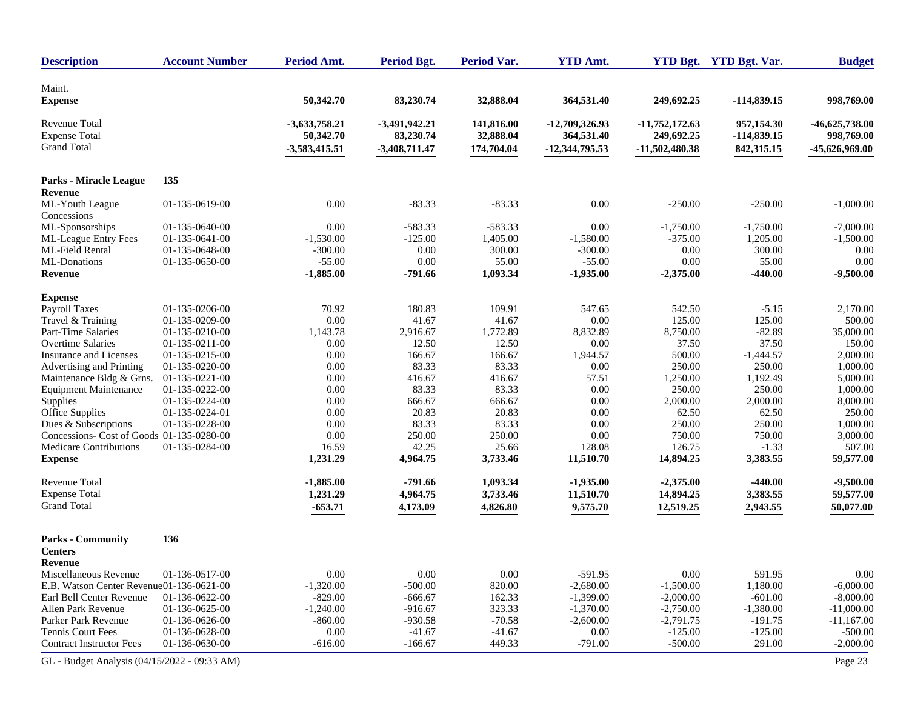| <b>Description</b>                                                 | <b>Account Number</b> | Period Amt.                                     | <b>Period Bgt.</b>                              | <b>Period Var.</b>                    | <b>YTD Amt.</b>                                  |                                                    | YTD Bgt. YTD Bgt. Var.                    | <b>Budget</b>                                    |
|--------------------------------------------------------------------|-----------------------|-------------------------------------------------|-------------------------------------------------|---------------------------------------|--------------------------------------------------|----------------------------------------------------|-------------------------------------------|--------------------------------------------------|
| Maint.                                                             |                       |                                                 |                                                 |                                       |                                                  |                                                    |                                           |                                                  |
| <b>Expense</b>                                                     |                       | 50,342.70                                       | 83,230.74                                       | 32,888.04                             | 364,531.40                                       | 249,692.25                                         | $-114,839.15$                             | 998,769.00                                       |
| <b>Revenue Total</b><br><b>Expense Total</b><br><b>Grand Total</b> |                       | $-3,633,758.21$<br>50,342.70<br>$-3,583,415.51$ | $-3,491,942.21$<br>83,230.74<br>$-3,408,711.47$ | 141,816.00<br>32,888.04<br>174,704.04 | $-12,709,326.93$<br>364,531.40<br>-12,344,795.53 | $-11,752,172.63$<br>249,692.25<br>$-11,502,480.38$ | 957,154.30<br>$-114,839.15$<br>842,315.15 | $-46,625,738.00$<br>998,769.00<br>-45,626,969.00 |
| <b>Parks - Miracle League</b>                                      | 135                   |                                                 |                                                 |                                       |                                                  |                                                    |                                           |                                                  |
| Revenue<br>ML-Youth League<br>Concessions                          | 01-135-0619-00        | 0.00                                            | $-83.33$                                        | $-83.33$                              | 0.00                                             | $-250.00$                                          | $-250.00$                                 | $-1,000.00$                                      |
| ML-Sponsorships                                                    | 01-135-0640-00        | 0.00                                            | $-583.33$                                       | $-583.33$                             | 0.00                                             | $-1,750.00$                                        | $-1,750.00$                               | $-7,000.00$                                      |
| ML-League Entry Fees                                               | 01-135-0641-00        | $-1,530.00$                                     | $-125.00$                                       | 1,405.00                              | $-1,580.00$                                      | $-375.00$                                          | 1,205.00                                  | $-1,500.00$                                      |
| ML-Field Rental                                                    | 01-135-0648-00        | $-300.00$                                       | 0.00                                            | 300.00                                | $-300.00$                                        | 0.00                                               | 300.00                                    | 0.00                                             |
| ML-Donations                                                       | 01-135-0650-00        | $-55.00$                                        | 0.00                                            | 55.00                                 | $-55.00$                                         | 0.00                                               | 55.00                                     | 0.00                                             |
| Revenue                                                            |                       | $-1,885.00$                                     | $-791.66$                                       | 1,093.34                              | $-1,935.00$                                      | $-2,375.00$                                        | $-440.00$                                 | $-9,500.00$                                      |
| <b>Expense</b>                                                     |                       |                                                 |                                                 |                                       |                                                  |                                                    |                                           |                                                  |
| <b>Payroll Taxes</b>                                               | 01-135-0206-00        | 70.92                                           | 180.83                                          | 109.91                                | 547.65                                           | 542.50                                             | $-5.15$                                   | 2,170.00                                         |
| Travel & Training                                                  | 01-135-0209-00        | 0.00                                            | 41.67                                           | 41.67                                 | 0.00                                             | 125.00                                             | 125.00                                    | 500.00                                           |
| <b>Part-Time Salaries</b>                                          | 01-135-0210-00        | 1,143.78                                        | 2,916.67                                        | 1,772.89                              | 8,832.89                                         | 8,750.00                                           | $-82.89$                                  | 35,000.00                                        |
| <b>Overtime Salaries</b>                                           | 01-135-0211-00        | 0.00                                            | 12.50                                           | 12.50                                 | 0.00                                             | 37.50                                              | 37.50                                     | 150.00                                           |
| Insurance and Licenses                                             | 01-135-0215-00        | 0.00                                            | 166.67                                          | 166.67                                | 1,944.57                                         | 500.00                                             | $-1,444.57$                               | 2,000.00                                         |
| Advertising and Printing                                           | 01-135-0220-00        | 0.00                                            | 83.33                                           | 83.33                                 | 0.00                                             | 250.00                                             | 250.00                                    | 1,000.00                                         |
| Maintenance Bldg & Grns.                                           | 01-135-0221-00        | 0.00                                            | 416.67                                          | 416.67                                | 57.51                                            | 1,250.00                                           | 1,192.49                                  | 5,000.00                                         |
| <b>Equipment Maintenance</b>                                       | 01-135-0222-00        | 0.00                                            | 83.33                                           | 83.33                                 | 0.00                                             | 250.00                                             | 250.00                                    | 1,000.00                                         |
| Supplies                                                           | 01-135-0224-00        | 0.00                                            | 666.67                                          | 666.67                                | 0.00                                             | 2,000.00                                           | 2,000.00                                  | 8,000.00                                         |
| Office Supplies                                                    | 01-135-0224-01        | 0.00                                            | 20.83                                           | 20.83                                 | 0.00                                             | 62.50                                              | 62.50                                     | 250.00                                           |
| Dues & Subscriptions                                               | 01-135-0228-00        | 0.00                                            | 83.33                                           | 83.33                                 | 0.00                                             | 250.00                                             | 250.00                                    | 1,000.00                                         |
| Concessions- Cost of Goods 01-135-0280-00                          |                       | 0.00                                            | 250.00                                          | 250.00                                | 0.00                                             | 750.00                                             | 750.00                                    | 3,000.00                                         |
| <b>Medicare Contributions</b>                                      | 01-135-0284-00        | 16.59                                           | 42.25                                           | 25.66                                 | 128.08                                           | 126.75                                             | $-1.33$                                   | 507.00                                           |
| <b>Expense</b>                                                     |                       | 1,231.29                                        | 4,964.75                                        | 3,733.46                              | 11,510.70                                        | 14,894.25                                          | 3,383.55                                  | 59,577.00                                        |
| <b>Revenue Total</b>                                               |                       | $-1,885.00$                                     | $-791.66$                                       | 1,093.34                              | $-1,935.00$                                      | $-2,375.00$                                        | $-440.00$                                 | $-9,500.00$                                      |
| <b>Expense Total</b>                                               |                       | 1,231.29                                        | 4,964.75                                        | 3,733.46                              | 11,510.70                                        | 14,894.25                                          | 3,383.55                                  | 59,577.00                                        |
| <b>Grand Total</b>                                                 |                       | $-653.71$                                       | 4,173.09                                        | 4,826.80                              | 9,575.70                                         | 12,519.25                                          | 2,943.55                                  | 50,077.00                                        |
|                                                                    |                       |                                                 |                                                 |                                       |                                                  |                                                    |                                           |                                                  |
| <b>Parks - Community</b><br><b>Centers</b>                         | 136                   |                                                 |                                                 |                                       |                                                  |                                                    |                                           |                                                  |
| Revenue                                                            |                       |                                                 |                                                 |                                       |                                                  |                                                    |                                           |                                                  |
| Miscellaneous Revenue                                              | 01-136-0517-00        | 0.00                                            | 0.00                                            | 0.00                                  | $-591.95$                                        | 0.00                                               | 591.95                                    | 0.00                                             |
| E.B. Watson Center Revenue01-136-0621-00                           |                       | $-1,320.00$                                     | $-500.00$                                       | 820.00                                | $-2,680.00$                                      | $-1,500.00$                                        | 1,180.00                                  | $-6,000.00$                                      |
| Earl Bell Center Revenue                                           | 01-136-0622-00        | $-829.00$                                       | $-666.67$                                       | 162.33                                | $-1,399.00$                                      | $-2,000.00$                                        | $-601.00$                                 | $-8,000.00$                                      |
| Allen Park Revenue                                                 | 01-136-0625-00        | $-1,240.00$                                     | $-916.67$                                       | 323.33                                | $-1,370.00$                                      | $-2,750.00$                                        | $-1,380.00$                               | $-11,000.00$                                     |
| Parker Park Revenue                                                | 01-136-0626-00        | $-860.00$                                       | $-930.58$                                       | $-70.58$                              | $-2,600.00$                                      | $-2,791.75$                                        | $-191.75$                                 | $-11,167.00$                                     |
| Tennis Court Fees                                                  | 01-136-0628-00        | 0.00                                            | $-41.67$                                        | $-41.67$                              | 0.00                                             | $-125.00$                                          | $-125.00$                                 | $-500.00$                                        |
| <b>Contract Instructor Fees</b>                                    | 01-136-0630-00        | $-616.00$                                       | $-166.67$                                       | 449.33                                | $-791.00$                                        | $-500.00$                                          | 291.00                                    | $-2,000.00$                                      |
| GL - Budget Analysis (04/15/2022 - 09:33 AM)                       |                       |                                                 |                                                 |                                       |                                                  |                                                    |                                           | Page 23                                          |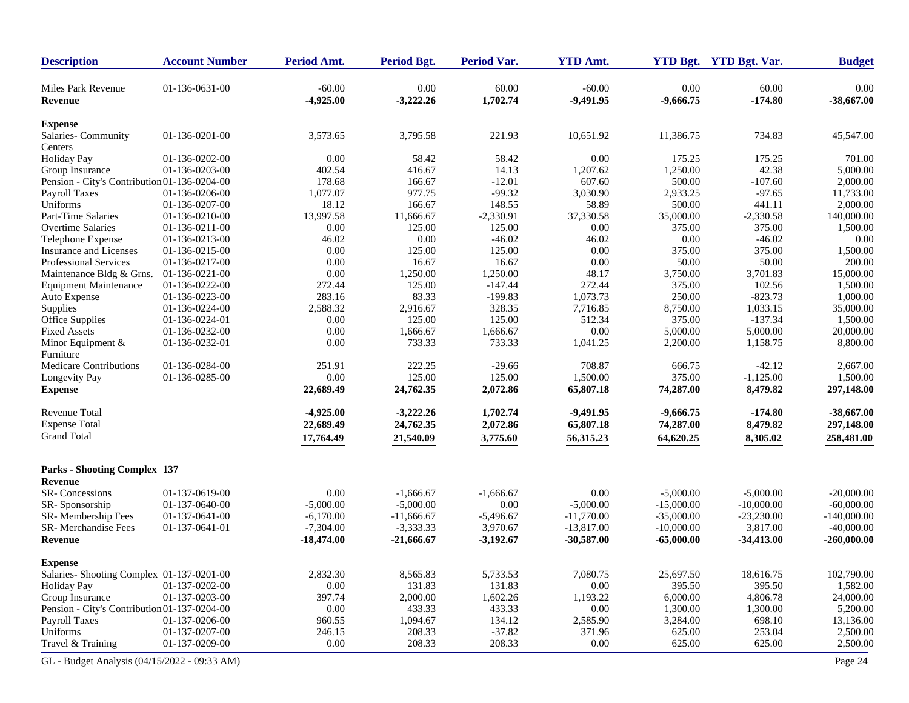| <b>Description</b>                           | <b>Account Number</b> | Period Amt.             | <b>Period Bgt.</b>  | <b>Period Var.</b> | <b>YTD Amt.</b>         |                     | YTD Bgt. YTD Bgt. Var. | <b>Budget</b>        |
|----------------------------------------------|-----------------------|-------------------------|---------------------|--------------------|-------------------------|---------------------|------------------------|----------------------|
| Miles Park Revenue<br>Revenue                | 01-136-0631-00        | $-60.00$<br>$-4,925.00$ | 0.00<br>$-3,222.26$ | 60.00<br>1,702.74  | $-60.00$<br>$-9,491.95$ | 0.00<br>$-9,666.75$ | 60.00<br>$-174.80$     | 0.00<br>$-38,667.00$ |
| <b>Expense</b>                               |                       |                         |                     |                    |                         |                     |                        |                      |
| Salaries-Community<br>Centers                | 01-136-0201-00        | 3,573.65                | 3,795.58            | 221.93             | 10,651.92               | 11,386.75           | 734.83                 | 45,547.00            |
| <b>Holiday Pay</b>                           | 01-136-0202-00        | 0.00                    | 58.42               | 58.42              | 0.00                    | 175.25              | 175.25                 | 701.00               |
| Group Insurance                              | 01-136-0203-00        | 402.54                  | 416.67              | 14.13              | 1,207.62                | 1,250.00            | 42.38                  | 5,000.00             |
| Pension - City's Contribution 01-136-0204-00 |                       | 178.68                  | 166.67              | $-12.01$           | 607.60                  | 500.00              | $-107.60$              | 2,000.00             |
| Payroll Taxes                                | 01-136-0206-00        | 1,077.07                | 977.75              | $-99.32$           | 3,030.90                | 2,933.25            | $-97.65$               | 11,733.00            |
| Uniforms                                     | 01-136-0207-00        | 18.12                   | 166.67              | 148.55             | 58.89                   | 500.00              | 441.11                 | 2,000.00             |
| Part-Time Salaries                           | 01-136-0210-00        | 13,997.58               | 11,666.67           | $-2,330.91$        | 37,330.58               | 35,000.00           | $-2,330.58$            | 140,000.00           |
| <b>Overtime Salaries</b>                     | 01-136-0211-00        | 0.00                    | 125.00              | 125.00             | 0.00                    | 375.00              | 375.00                 | 1,500.00             |
| Telephone Expense                            | 01-136-0213-00        | 46.02                   | 0.00                | $-46.02$           | 46.02                   | 0.00                | $-46.02$               | 0.00                 |
| Insurance and Licenses                       | 01-136-0215-00        | 0.00                    | 125.00              | 125.00             | 0.00                    | 375.00              | 375.00                 | 1,500.00             |
| <b>Professional Services</b>                 | 01-136-0217-00        | 0.00                    | 16.67               | 16.67              | 0.00                    | 50.00               | 50.00                  | 200.00               |
| Maintenance Bldg & Grns.                     | 01-136-0221-00        | 0.00                    | 1,250.00            | 1,250.00           | 48.17                   | 3,750.00            | 3,701.83               | 15,000.00            |
| <b>Equipment Maintenance</b>                 | 01-136-0222-00        | 272.44                  | 125.00              | $-147.44$          | 272.44                  | 375.00              | 102.56                 | 1,500.00             |
| Auto Expense                                 | 01-136-0223-00        | 283.16                  | 83.33               | $-199.83$          | 1,073.73                | 250.00              | $-823.73$              | 1,000.00             |
| Supplies                                     | 01-136-0224-00        | 2,588.32                | 2,916.67            | 328.35             | 7,716.85                | 8,750.00            | 1,033.15               | 35,000.00            |
| <b>Office Supplies</b>                       | 01-136-0224-01        | 0.00                    | 125.00              | 125.00             | 512.34                  | 375.00              | $-137.34$              | 1,500.00             |
| <b>Fixed Assets</b>                          | 01-136-0232-00        | 0.00                    | 1,666.67            | 1,666.67           | 0.00                    | 5,000.00            | 5,000.00               | 20,000.00            |
| Minor Equipment &                            | 01-136-0232-01        | 0.00                    | 733.33              | 733.33             | 1,041.25                | 2,200.00            | 1,158.75               | 8,800.00             |
| Furniture                                    |                       |                         |                     |                    |                         |                     |                        |                      |
| <b>Medicare Contributions</b>                | 01-136-0284-00        | 251.91                  | 222.25              | $-29.66$           | 708.87                  | 666.75              | $-42.12$               | 2,667.00             |
| Longevity Pay                                | 01-136-0285-00        | 0.00                    | 125.00              | 125.00             | 1,500.00                | 375.00              | $-1,125.00$            | 1,500.00             |
| <b>Expense</b>                               |                       | 22,689.49               | 24,762.35           | 2,072.86           | 65,807.18               | 74,287.00           | 8,479.82               | 297,148.00           |
| <b>Revenue Total</b>                         |                       | $-4,925.00$             | $-3,222.26$         | 1,702.74           | $-9,491.95$             | $-9,666.75$         | $-174.80$              | $-38,667.00$         |
| <b>Expense Total</b>                         |                       |                         | 24,762.35           | 2,072.86           |                         | 74,287.00           |                        |                      |
|                                              |                       | 22,689.49               |                     |                    | 65,807.18               |                     | 8,479.82               | 297,148.00           |
| <b>Grand Total</b>                           |                       | 17,764.49               | 21,540.09           | 3,775.60           | 56,315.23               | 64,620.25           | 8,305.02               | 258,481.00           |
| <b>Parks - Shooting Complex 137</b>          |                       |                         |                     |                    |                         |                     |                        |                      |
| Revenue                                      |                       |                         |                     |                    |                         |                     |                        |                      |
| SR-Concessions                               | 01-137-0619-00        | 0.00                    | $-1,666.67$         | $-1,666.67$        | 0.00                    | $-5,000.00$         | $-5,000.00$            | $-20,000.00$         |
| SR-Sponsorship                               | 01-137-0640-00        | $-5,000.00$             | $-5,000.00$         | 0.00               | $-5,000.00$             | $-15,000.00$        | $-10,000.00$           | $-60,000,00$         |
| SR-Membership Fees                           | 01-137-0641-00        | $-6,170.00$             | $-11,666.67$        | $-5,496.67$        | $-11,770.00$            | $-35,000.00$        | $-23,230.00$           | $-140,000.00$        |
| SR-Merchandise Fees                          | 01-137-0641-01        | $-7,304.00$             | $-3,333.33$         | 3,970.67           | $-13,817.00$            | $-10,000.00$        | 3,817.00               | $-40,000.00$         |
| Revenue                                      |                       | $-18,474.00$            | $-21,666.67$        | $-3,192.67$        | $-30,587.00$            | $-65,000.00$        | $-34,413.00$           | $-260,000.00$        |
| <b>Expense</b>                               |                       |                         |                     |                    |                         |                     |                        |                      |
| Salaries- Shooting Complex 01-137-0201-00    |                       | 2,832.30                | 8,565.83            | 5,733.53           | 7,080.75                | 25,697.50           | 18,616.75              | 102,790.00           |
| <b>Holiday Pay</b>                           | 01-137-0202-00        | 0.00                    | 131.83              | 131.83             | 0.00                    | 395.50              | 395.50                 | 1,582.00             |
| Group Insurance                              | 01-137-0203-00        | 397.74                  | 2,000.00            | 1,602.26           | 1,193.22                | 6,000.00            | 4,806.78               | 24,000.00            |
| Pension - City's Contribution 01-137-0204-00 |                       | 0.00                    | 433.33              | 433.33             | 0.00                    | 1,300.00            | 1,300.00               | 5,200.00             |
| Payroll Taxes                                | 01-137-0206-00        | 960.55                  | 1,094.67            | 134.12             | 2,585.90                | 3,284.00            | 698.10                 | 13,136.00            |
| Uniforms                                     | 01-137-0207-00        | 246.15                  | 208.33              | $-37.82$           | 371.96                  | 625.00              | 253.04                 | 2,500.00             |
| Travel & Training                            | 01-137-0209-00        | $0.00\,$                | 208.33              | 208.33             | $0.00\,$                | 625.00              | 625.00                 | 2,500.00             |
| GL - Budget Analysis (04/15/2022 - 09:33 AM) |                       |                         |                     |                    |                         |                     |                        | Page 24              |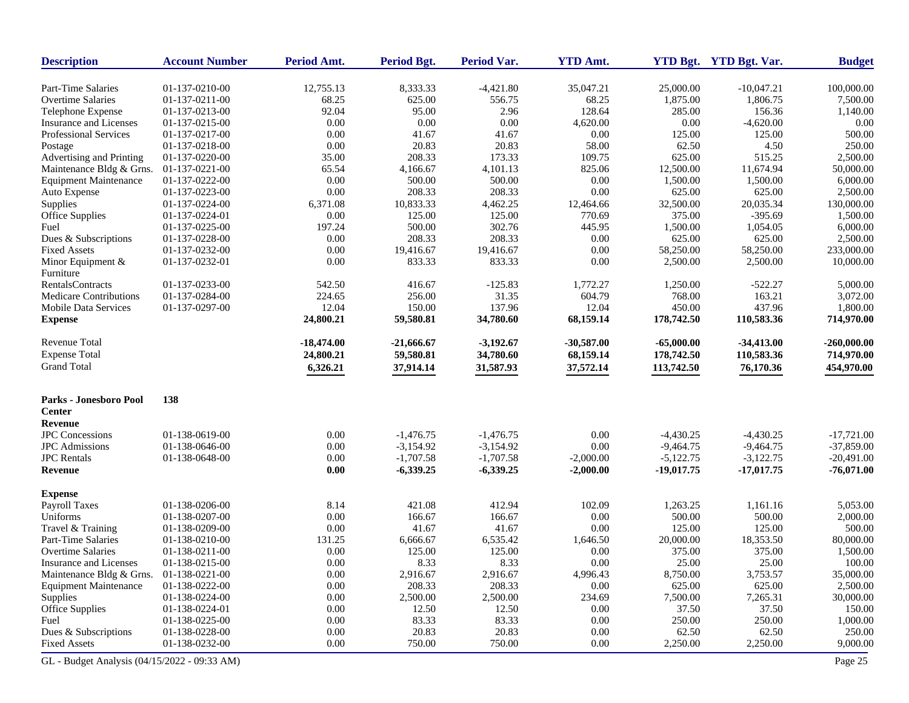| <b>Description</b>             | <b>Account Number</b> | Period Amt.  | Period Bgt.  | Period Var. | <b>YTD Amt.</b> |              | YTD Bgt. YTD Bgt. Var. | <b>Budget</b> |
|--------------------------------|-----------------------|--------------|--------------|-------------|-----------------|--------------|------------------------|---------------|
| Part-Time Salaries             | 01-137-0210-00        | 12,755.13    | 8,333.33     | $-4,421.80$ | 35,047.21       | 25,000.00    | $-10,047.21$           | 100,000.00    |
| Overtime Salaries              | 01-137-0211-00        | 68.25        | 625.00       | 556.75      | 68.25           | 1,875.00     | 1,806.75               | 7,500.00      |
| Telephone Expense              | 01-137-0213-00        | 92.04        | 95.00        | 2.96        | 128.64          | 285.00       | 156.36                 | 1,140.00      |
| Insurance and Licenses         | 01-137-0215-00        | 0.00         | 0.00         | 0.00        | 4,620.00        | 0.00         | $-4,620.00$            | 0.00          |
| Professional Services          | 01-137-0217-00        | 0.00         | 41.67        | 41.67       | 0.00            | 125.00       | 125.00                 | 500.00        |
| Postage                        | 01-137-0218-00        | 0.00         | 20.83        | 20.83       | 58.00           | 62.50        | 4.50                   | 250.00        |
| Advertising and Printing       | 01-137-0220-00        | 35.00        | 208.33       | 173.33      | 109.75          | 625.00       | 515.25                 | 2,500.00      |
| Maintenance Bldg & Grns.       | 01-137-0221-00        | 65.54        | 4,166.67     | 4,101.13    | 825.06          | 12,500.00    | 11,674.94              | 50,000.00     |
| <b>Equipment Maintenance</b>   | 01-137-0222-00        | 0.00         | 500.00       | 500.00      | 0.00            | 1,500.00     | 1,500.00               | 6,000.00      |
| Auto Expense                   | 01-137-0223-00        | 0.00         | 208.33       | 208.33      | 0.00            | 625.00       | 625.00                 | 2,500.00      |
| Supplies                       | 01-137-0224-00        | 6,371.08     | 10,833.33    | 4,462.25    | 12,464.66       | 32,500.00    | 20,035.34              | 130,000.00    |
| Office Supplies                | 01-137-0224-01        | 0.00         | 125.00       | 125.00      | 770.69          | 375.00       | $-395.69$              | 1,500.00      |
| Fuel                           | 01-137-0225-00        | 197.24       | 500.00       | 302.76      | 445.95          | 1,500.00     | 1,054.05               | 6,000.00      |
| Dues & Subscriptions           | 01-137-0228-00        | 0.00         | 208.33       | 208.33      | 0.00            | 625.00       | 625.00                 | 2,500.00      |
| <b>Fixed Assets</b>            | 01-137-0232-00        | 0.00         | 19,416.67    | 19,416.67   | 0.00            | 58,250.00    | 58,250.00              | 233,000.00    |
| Minor Equipment &<br>Furniture | 01-137-0232-01        | 0.00         | 833.33       | 833.33      | 0.00            | 2,500.00     | 2,500.00               | 10,000.00     |
| <b>RentalsContracts</b>        | 01-137-0233-00        | 542.50       | 416.67       | $-125.83$   | 1,772.27        | 1,250.00     | $-522.27$              | 5,000.00      |
| <b>Medicare Contributions</b>  | 01-137-0284-00        | 224.65       | 256.00       | 31.35       | 604.79          | 768.00       | 163.21                 | 3,072.00      |
| Mobile Data Services           | 01-137-0297-00        | 12.04        | 150.00       | 137.96      | 12.04           | 450.00       | 437.96                 | 1,800.00      |
| <b>Expense</b>                 |                       | 24,800.21    | 59,580.81    | 34,780.60   | 68,159.14       | 178,742.50   | 110,583.36             | 714,970.00    |
| Revenue Total                  |                       | $-18,474.00$ | $-21,666.67$ | $-3,192.67$ | $-30,587.00$    | $-65,000.00$ | $-34,413.00$           | $-260,000.00$ |
| <b>Expense Total</b>           |                       | 24,800.21    | 59,580.81    | 34,780.60   | 68,159.14       | 178,742.50   | 110,583.36             | 714,970.00    |
| <b>Grand Total</b>             |                       | 6,326.21     | 37,914.14    | 31,587.93   | 37,572.14       | 113,742.50   | 76,170.36              | 454,970.00    |
| <b>Parks - Jonesboro Pool</b>  | 138                   |              |              |             |                 |              |                        |               |
| <b>Center</b>                  |                       |              |              |             |                 |              |                        |               |
| <b>Revenue</b>                 |                       |              |              |             |                 |              |                        |               |
| <b>JPC</b> Concessions         | 01-138-0619-00        | 0.00         | $-1,476.75$  | $-1,476.75$ | 0.00            | $-4,430.25$  | $-4,430.25$            | $-17,721.00$  |
| <b>JPC</b> Admissions          | 01-138-0646-00        | 0.00         | $-3,154.92$  | $-3,154.92$ | 0.00            | $-9,464.75$  | $-9,464.75$            | $-37,859.00$  |
| <b>JPC</b> Rentals             | 01-138-0648-00        | 0.00         | $-1,707.58$  | $-1,707.58$ | $-2,000.00$     | $-5,122.75$  | $-3,122.75$            | $-20,491.00$  |
| <b>Revenue</b>                 |                       | $0.00\,$     | $-6,339.25$  | $-6,339.25$ | $-2,000.00$     | $-19,017.75$ | $-17,017.75$           | $-76,071.00$  |
| <b>Expense</b>                 |                       |              |              |             |                 |              |                        |               |
| <b>Payroll Taxes</b>           | 01-138-0206-00        | 8.14         | 421.08       | 412.94      | 102.09          | 1,263.25     | 1,161.16               | 5,053.00      |
| Uniforms                       | 01-138-0207-00        | 0.00         | 166.67       | 166.67      | 0.00            | 500.00       | 500.00                 | 2,000.00      |
| Travel & Training              | 01-138-0209-00        | 0.00         | 41.67        | 41.67       | 0.00            | 125.00       | 125.00                 | 500.00        |
| Part-Time Salaries             | 01-138-0210-00        | 131.25       | 6,666.67     | 6,535.42    | 1,646.50        | 20,000.00    | 18,353.50              | 80,000.00     |
| <b>Overtime Salaries</b>       | 01-138-0211-00        | 0.00         | 125.00       | 125.00      | 0.00            | 375.00       | 375.00                 | 1,500.00      |
| Insurance and Licenses         | 01-138-0215-00        | 0.00         | 8.33         | 8.33        | 0.00            | 25.00        | 25.00                  | 100.00        |
| Maintenance Bldg & Grns.       | 01-138-0221-00        | 0.00         | 2,916.67     | 2,916.67    | 4,996.43        | 8,750.00     | 3,753.57               | 35,000.00     |
| <b>Equipment Maintenance</b>   | 01-138-0222-00        | $0.00\,$     | 208.33       | 208.33      | 0.00            | 625.00       | 625.00                 | 2,500.00      |
| Supplies                       | 01-138-0224-00        | 0.00         | 2,500.00     | 2,500.00    | 234.69          | 7,500.00     | 7,265.31               | 30,000.00     |
| Office Supplies                | 01-138-0224-01        | 0.00         | 12.50        | 12.50       | 0.00            | 37.50        | 37.50                  | 150.00        |
| Fuel                           | 01-138-0225-00        | 0.00         | 83.33        | 83.33       | 0.00            | 250.00       | 250.00                 | 1,000.00      |
| Dues & Subscriptions           | 01-138-0228-00        | 0.00         | 20.83        | 20.83       | 0.00            | 62.50        | 62.50                  | 250.00        |
| <b>Fixed Assets</b>            | 01-138-0232-00        | 0.00         | 750.00       | 750.00      | 0.00            | 2,250.00     | 2,250.00               | 9,000.00      |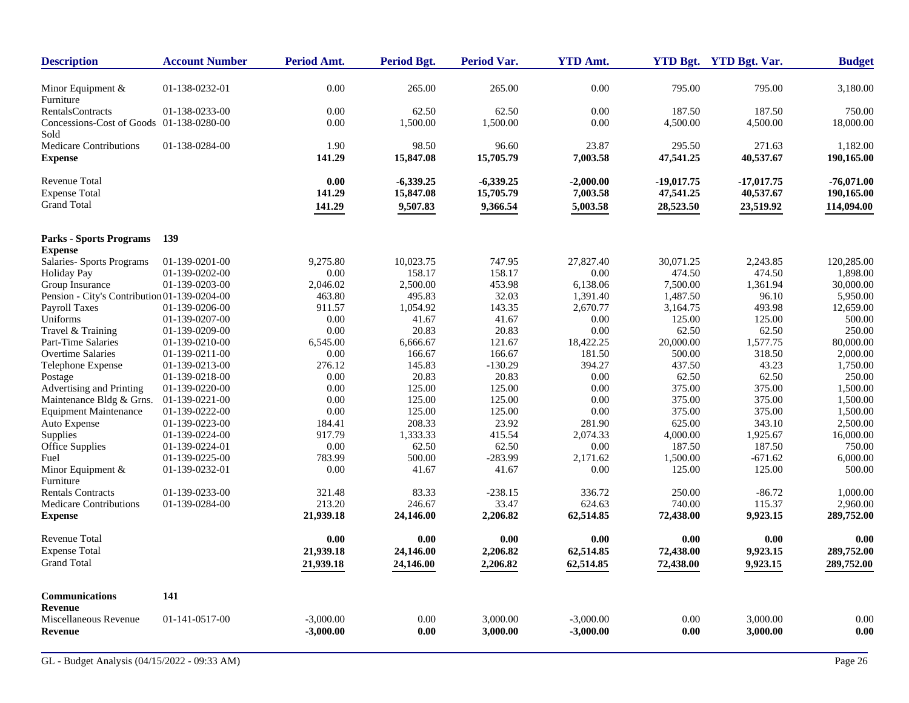| <b>Description</b>                               | <b>Account Number</b> | <b>Period Amt.</b> | Period Bgt. | Period Var. | <b>YTD Amt.</b> |              | YTD Bgt. YTD Bgt. Var. | <b>Budget</b> |
|--------------------------------------------------|-----------------------|--------------------|-------------|-------------|-----------------|--------------|------------------------|---------------|
| Minor Equipment $&$                              | 01-138-0232-01        | 0.00               | 265.00      | 265.00      | 0.00            | 795.00       | 795.00                 | 3,180.00      |
| Furniture                                        |                       |                    |             |             |                 |              |                        |               |
| <b>RentalsContracts</b>                          | 01-138-0233-00        | 0.00               | 62.50       | 62.50       | 0.00            | 187.50       | 187.50                 | 750.00        |
| Concessions-Cost of Goods 01-138-0280-00<br>Sold |                       | 0.00               | 1,500.00    | 1,500.00    | 0.00            | 4,500.00     | 4,500.00               | 18,000.00     |
| <b>Medicare Contributions</b>                    | 01-138-0284-00        | 1.90               | 98.50       | 96.60       | 23.87           | 295.50       | 271.63                 | 1.182.00      |
| <b>Expense</b>                                   |                       | 141.29             | 15,847.08   | 15,705.79   | 7,003.58        | 47,541.25    | 40,537.67              | 190,165.00    |
| <b>Revenue Total</b>                             |                       | 0.00               | $-6,339.25$ | $-6,339.25$ | $-2,000.00$     | $-19,017.75$ | $-17,017.75$           | $-76,071.00$  |
| <b>Expense Total</b>                             |                       | 141.29             | 15,847.08   | 15,705.79   | 7,003.58        | 47,541.25    | 40,537.67              | 190,165.00    |
| <b>Grand Total</b>                               |                       | 141.29             | 9,507.83    | 9,366.54    | 5,003.58        | 28,523.50    | 23,519.92              | 114,094.00    |
| <b>Parks - Sports Programs</b>                   | 139                   |                    |             |             |                 |              |                        |               |
| <b>Expense</b>                                   |                       |                    |             |             |                 |              |                        |               |
| Salaries- Sports Programs                        | 01-139-0201-00        | 9,275.80           | 10,023.75   | 747.95      | 27,827.40       | 30,071.25    | 2,243.85               | 120,285.00    |
| <b>Holiday Pay</b>                               | 01-139-0202-00        | 0.00               | 158.17      | 158.17      | 0.00            | 474.50       | 474.50                 | 1,898.00      |
| Group Insurance                                  | 01-139-0203-00        | 2,046.02           | 2,500.00    | 453.98      | 6,138.06        | 7,500.00     | 1,361.94               | 30,000.00     |
| Pension - City's Contribution 01-139-0204-00     |                       | 463.80             | 495.83      | 32.03       | 1,391.40        | 1,487.50     | 96.10                  | 5,950.00      |
| Payroll Taxes                                    | 01-139-0206-00        | 911.57             | 1,054.92    | 143.35      | 2,670.77        | 3,164.75     | 493.98                 | 12,659.00     |
| Uniforms                                         | 01-139-0207-00        | 0.00               | 41.67       | 41.67       | 0.00            | 125.00       | 125.00                 | 500.00        |
| Travel & Training                                | 01-139-0209-00        | 0.00               | 20.83       | 20.83       | 0.00            | 62.50        | 62.50                  | 250.00        |
| Part-Time Salaries                               | 01-139-0210-00        | 6,545.00           | 6,666.67    | 121.67      | 18,422.25       | 20,000.00    | 1,577.75               | 80,000.00     |
| <b>Overtime Salaries</b>                         | 01-139-0211-00        | 0.00               | 166.67      | 166.67      | 181.50          | 500.00       | 318.50                 | 2,000.00      |
| Telephone Expense                                | 01-139-0213-00        | 276.12             | 145.83      | $-130.29$   | 394.27          | 437.50       | 43.23                  | 1,750.00      |
| Postage                                          | 01-139-0218-00        | 0.00               | 20.83       | 20.83       | 0.00            | 62.50        | 62.50                  | 250.00        |
| Advertising and Printing                         | 01-139-0220-00        | 0.00               | 125.00      | 125.00      | 0.00            | 375.00       | 375.00                 | 1,500.00      |
| Maintenance Bldg & Grns.                         | 01-139-0221-00        | 0.00               | 125.00      | 125.00      | 0.00            | 375.00       | 375.00                 | 1,500.00      |
| <b>Equipment Maintenance</b>                     | 01-139-0222-00        | $0.00\,$           | 125.00      | 125.00      | 0.00            | 375.00       | 375.00                 | 1,500.00      |
| Auto Expense                                     | 01-139-0223-00        | 184.41             | 208.33      | 23.92       | 281.90          | 625.00       | 343.10                 | 2,500.00      |
| Supplies                                         | 01-139-0224-00        | 917.79             | 1,333.33    | 415.54      | 2,074.33        | 4,000.00     | 1,925.67               | 16,000.00     |
| Office Supplies                                  | 01-139-0224-01        | 0.00               | 62.50       | 62.50       | 0.00            | 187.50       | 187.50                 | 750.00        |
| Fuel                                             | 01-139-0225-00        | 783.99             | 500.00      | $-283.99$   | 2,171.62        | 1,500.00     | $-671.62$              | 6,000.00      |
| Minor Equipment $&$<br>Furniture                 | 01-139-0232-01        | 0.00               | 41.67       | 41.67       | 0.00            | 125.00       | 125.00                 | 500.00        |
| <b>Rentals Contracts</b>                         | 01-139-0233-00        | 321.48             | 83.33       | $-238.15$   | 336.72          | 250.00       | $-86.72$               | 1,000.00      |
| Medicare Contributions                           | 01-139-0284-00        | 213.20             | 246.67      | 33.47       | 624.63          | 740.00       | 115.37                 | 2,960.00      |
| <b>Expense</b>                                   |                       | 21,939.18          | 24,146.00   | 2,206.82    | 62,514.85       | 72,438.00    | 9,923.15               | 289,752.00    |
| <b>Revenue Total</b>                             |                       | 0.00               | 0.00        | 0.00        | 0.00            | 0.00         | 0.00                   | 0.00          |
| <b>Expense Total</b>                             |                       | 21,939.18          | 24,146.00   | 2,206.82    | 62,514.85       | 72,438.00    | 9,923.15               | 289,752.00    |
| <b>Grand Total</b>                               |                       | 21,939.18          | 24,146.00   | 2,206.82    | 62,514.85       | 72,438.00    | 9,923.15               | 289,752.00    |
| <b>Communications</b>                            | 141                   |                    |             |             |                 |              |                        |               |
| <b>Revenue</b>                                   |                       |                    |             |             |                 |              |                        |               |
| Miscellaneous Revenue                            | 01-141-0517-00        | $-3,000.00$        | 0.00        | 3,000.00    | $-3,000.00$     | 0.00         | 3,000.00               | 0.00          |
| Revenue                                          |                       | $-3,000.00$        | 0.00        | 3,000.00    | $-3,000.00$     | 0.00         | 3,000.00               | 0.00          |
|                                                  |                       |                    |             |             |                 |              |                        |               |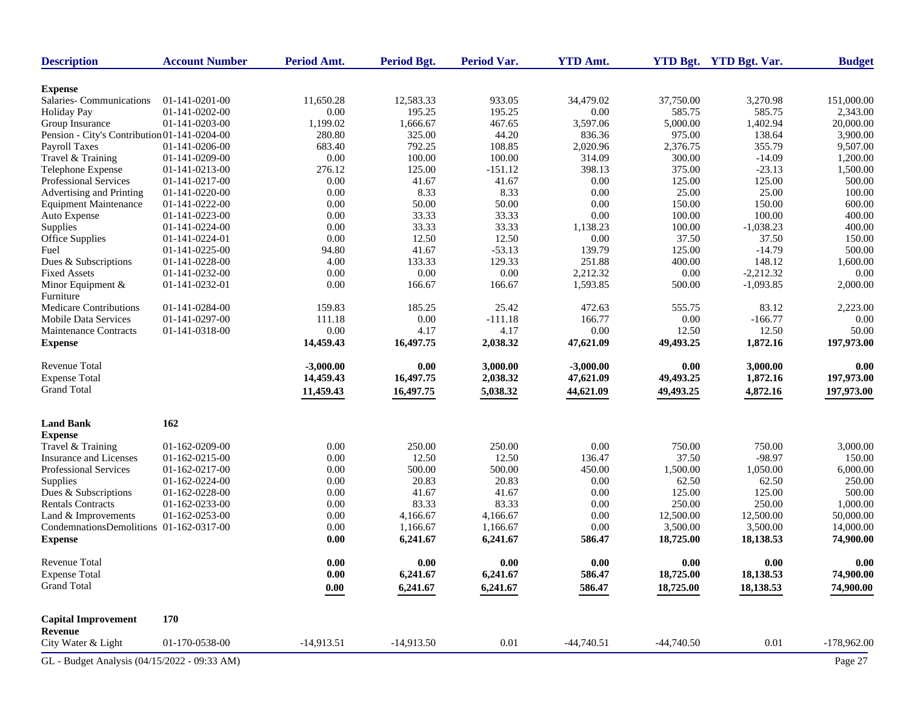| <b>Description</b>                           | <b>Account Number</b> | Period Amt.         | <b>Period Bgt.</b> | <b>Period Var.</b> | <b>YTD Amt.</b> |              | YTD Bgt. YTD Bgt. Var. | <b>Budget</b> |
|----------------------------------------------|-----------------------|---------------------|--------------------|--------------------|-----------------|--------------|------------------------|---------------|
| <b>Expense</b>                               |                       |                     |                    |                    |                 |              |                        |               |
| Salaries-Communications                      | 01-141-0201-00        | 11,650.28           | 12,583.33          | 933.05             | 34,479.02       | 37,750.00    | 3,270.98               | 151,000.00    |
| <b>Holiday Pay</b>                           | 01-141-0202-00        | 0.00                | 195.25             | 195.25             | 0.00            | 585.75       | 585.75                 | 2,343.00      |
| Group Insurance                              | 01-141-0203-00        | 1,199.02            | 1,666.67           | 467.65             | 3,597.06        | 5,000.00     | 1,402.94               | 20,000.00     |
| Pension - City's Contribution 01-141-0204-00 |                       | 280.80              | 325.00             | 44.20              | 836.36          | 975.00       | 138.64                 | 3,900.00      |
| <b>Payroll Taxes</b>                         | 01-141-0206-00        | 683.40              | 792.25             | 108.85             | 2,020.96        | 2,376.75     | 355.79                 | 9,507.00      |
| Travel & Training                            | 01-141-0209-00        | $0.00\,$            | 100.00             | 100.00             | 314.09          | 300.00       | $-14.09$               | 1,200.00      |
| Telephone Expense                            | 01-141-0213-00        | 276.12              | 125.00             | $-151.12$          | 398.13          | 375.00       | $-23.13$               | 1,500.00      |
| Professional Services                        | 01-141-0217-00        | 0.00                | 41.67              | 41.67              | 0.00            | 125.00       | 125.00                 | 500.00        |
| Advertising and Printing                     | 01-141-0220-00        | 0.00                | 8.33               | 8.33               | 0.00            | 25.00        | 25.00                  | 100.00        |
| <b>Equipment Maintenance</b>                 | 01-141-0222-00        | 0.00                | 50.00              | 50.00              | 0.00            | 150.00       | 150.00                 | 600.00        |
| Auto Expense                                 | 01-141-0223-00        | 0.00                | 33.33              | 33.33              | 0.00            | 100.00       | 100.00                 | 400.00        |
| Supplies                                     | 01-141-0224-00        | 0.00                | 33.33              | 33.33              | 1,138.23        | 100.00       | $-1,038.23$            | 400.00        |
| Office Supplies                              | 01-141-0224-01        | 0.00                | 12.50              | 12.50              | 0.00            | 37.50        | 37.50                  | 150.00        |
| Fuel                                         | 01-141-0225-00        | 94.80               | 41.67              | $-53.13$           | 139.79          | 125.00       | $-14.79$               | 500.00        |
| Dues & Subscriptions                         | 01-141-0228-00        | 4.00                | 133.33             | 129.33             | 251.88          | 400.00       | 148.12                 | 1,600.00      |
| <b>Fixed Assets</b>                          | 01-141-0232-00        | 0.00                | 0.00               | 0.00               | 2,212.32        | 0.00         | $-2,212.32$            | 0.00          |
| Minor Equipment &<br>Furniture               | 01-141-0232-01        | $0.00\,$            | 166.67             | 166.67             | 1,593.85        | 500.00       | $-1,093.85$            | 2,000.00      |
| Medicare Contributions                       | 01-141-0284-00        | 159.83              | 185.25             | 25.42              | 472.63          | 555.75       | 83.12                  | 2,223.00      |
| <b>Mobile Data Services</b>                  | 01-141-0297-00        | 111.18              | 0.00               | $-111.18$          | 166.77          | 0.00         | $-166.77$              | 0.00          |
| Maintenance Contracts                        | 01-141-0318-00        | $0.00\,$            | 4.17               | 4.17               | 0.00            | 12.50        | 12.50                  | 50.00         |
| <b>Expense</b>                               |                       | 14,459.43           | 16,497.75          | 2,038.32           | 47,621.09       | 49,493.25    | 1,872.16               | 197,973.00    |
| Revenue Total                                |                       | $-3,000.00$         | 0.00               | 3,000.00           | $-3,000.00$     | 0.00         | 3,000.00               | 0.00          |
| <b>Expense Total</b>                         |                       | 14,459.43           | 16,497.75          | 2,038.32           | 47,621.09       | 49,493.25    | 1,872.16               | 197,973.00    |
| <b>Grand Total</b>                           |                       | 11,459.43           | 16,497.75          | 5,038.32           | 44,621.09       | 49,493.25    | 4,872.16               | 197,973.00    |
| <b>Land Bank</b>                             | 162                   |                     |                    |                    |                 |              |                        |               |
| <b>Expense</b>                               |                       |                     |                    |                    |                 |              |                        |               |
| Travel & Training                            | 01-162-0209-00        | 0.00                | 250.00             | 250.00             | 0.00            | 750.00       | 750.00                 | 3,000.00      |
| Insurance and Licenses                       | 01-162-0215-00        | 0.00                | 12.50              | 12.50              | 136.47          | 37.50        | $-98.97$               | 150.00        |
| Professional Services                        | 01-162-0217-00        | 0.00                | 500.00             | 500.00             | 450.00          | 1,500.00     | 1,050.00               | 6,000.00      |
| Supplies                                     | 01-162-0224-00        | 0.00                | 20.83              | 20.83              | 0.00            | 62.50        | 62.50                  | 250.00        |
| Dues & Subscriptions                         | 01-162-0228-00        | 0.00                | 41.67              | 41.67              | 0.00            | 125.00       | 125.00                 | 500.00        |
| <b>Rentals Contracts</b>                     | 01-162-0233-00        | 0.00                | 83.33              | 83.33              | 0.00            | 250.00       | 250.00                 | 1,000.00      |
| Land & Improvements                          | 01-162-0253-00        | 0.00                | 4,166.67           | 4,166.67           | 0.00            | 12,500.00    | 12,500.00              | 50,000.00     |
| CondemnationsDemolitions 01-162-0317-00      |                       | 0.00                | 1,166.67           | 1,166.67           | $0.00\,$        | 3,500.00     | 3,500.00               | 14,000.00     |
| <b>Expense</b>                               |                       | 0.00                | 6,241.67           | 6,241.67           | 586.47          | 18,725.00    | 18,138.53              | 74,900.00     |
| Revenue Total                                |                       | 0.00                | 0.00               | 0.00               | 0.00            | 0.00         | 0.00                   | 0.00          |
| <b>Expense Total</b>                         |                       | $\boldsymbol{0.00}$ | 6,241.67           | 6,241.67           | 586.47          | 18,725.00    | 18,138.53              | 74,900.00     |
| <b>Grand Total</b>                           |                       | $\boldsymbol{0.00}$ | 6,241.67           | 6,241.67           | 586.47          | 18,725.00    | 18,138.53              | 74,900.00     |
| <b>Capital Improvement</b><br>Revenue        | 170                   |                     |                    |                    |                 |              |                        |               |
| City Water & Light                           | 01-170-0538-00        | $-14,913.51$        | $-14,913.50$       | $0.01\,$           | $-44,740.51$    | $-44,740.50$ | $0.01\,$               | $-178,962.00$ |
| GL - Budget Analysis (04/15/2022 - 09:33 AM) |                       |                     |                    |                    |                 |              |                        | Page 27       |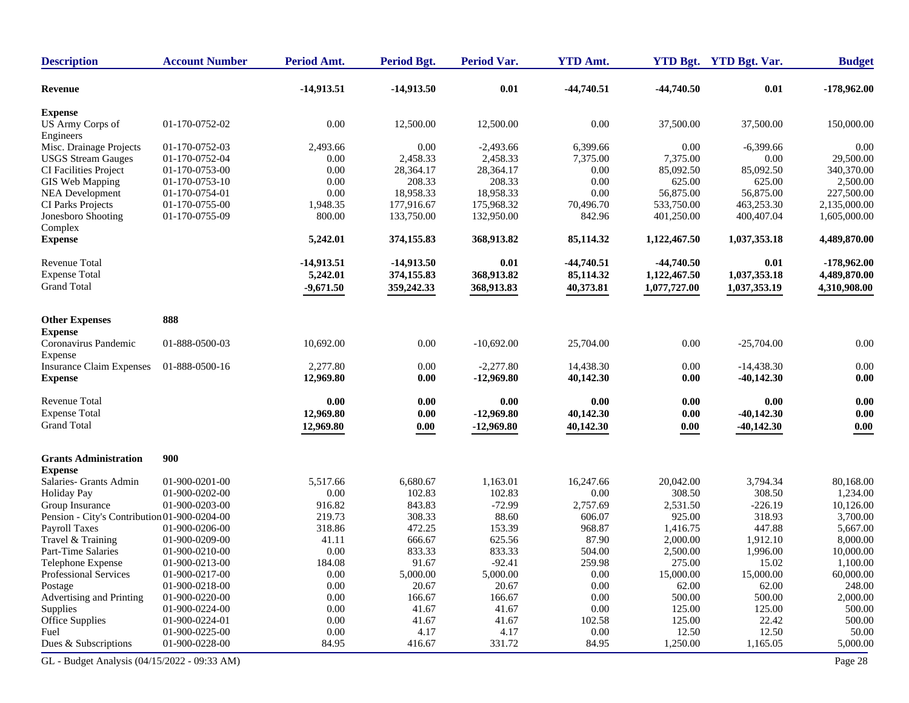| <b>Description</b>                           | <b>Account Number</b> | Period Amt.  | <b>Period Bgt.</b> | <b>Period Var.</b> | <b>YTD Amt.</b> |              | YTD Bgt. YTD Bgt. Var. | <b>Budget</b> |
|----------------------------------------------|-----------------------|--------------|--------------------|--------------------|-----------------|--------------|------------------------|---------------|
| Revenue                                      |                       | $-14,913.51$ | $-14,913.50$       | 0.01               | $-44,740.51$    | $-44,740.50$ | 0.01                   | $-178,962.00$ |
| <b>Expense</b>                               |                       |              |                    |                    |                 |              |                        |               |
| US Army Corps of<br>Engineers                | 01-170-0752-02        | $0.00\,$     | 12,500.00          | 12,500.00          | 0.00            | 37,500.00    | 37,500.00              | 150,000.00    |
| Misc. Drainage Projects                      | 01-170-0752-03        | 2,493.66     | 0.00               | $-2,493.66$        | 6,399.66        | 0.00         | $-6,399.66$            | 0.00          |
| <b>USGS</b> Stream Gauges                    | 01-170-0752-04        | 0.00         | 2,458.33           | 2,458.33           | 7,375.00        | 7,375.00     | 0.00                   | 29,500.00     |
| <b>CI Facilities Project</b>                 | 01-170-0753-00        | 0.00         | 28,364.17          | 28,364.17          | 0.00            | 85,092.50    | 85,092.50              | 340,370.00    |
| GIS Web Mapping                              | 01-170-0753-10        | 0.00         | 208.33             | 208.33             | 0.00            | 625.00       | 625.00                 | 2,500.00      |
| <b>NEA Development</b>                       | 01-170-0754-01        | 0.00         | 18,958.33          | 18,958.33          | 0.00            | 56,875.00    | 56,875.00              | 227,500.00    |
| CI Parks Projects                            | 01-170-0755-00        | 1,948.35     | 177,916.67         | 175,968.32         | 70,496.70       | 533,750.00   | 463,253.30             | 2,135,000.00  |
| Jonesboro Shooting                           | 01-170-0755-09        | 800.00       | 133,750.00         | 132,950.00         | 842.96          | 401,250.00   | 400,407.04             | 1,605,000.00  |
| Complex<br><b>Expense</b>                    |                       | 5,242.01     | 374,155.83         | 368,913.82         | 85,114.32       | 1,122,467.50 | 1,037,353.18           | 4,489,870.00  |
| <b>Revenue Total</b>                         |                       | -14,913.51   | $-14,913.50$       | 0.01               | $-44,740.51$    | $-44,740.50$ | 0.01                   | $-178,962.00$ |
| <b>Expense Total</b>                         |                       | 5,242.01     | 374,155.83         | 368,913.82         | 85,114.32       | 1,122,467.50 | 1,037,353.18           | 4,489,870.00  |
| <b>Grand Total</b>                           |                       | $-9,671.50$  | 359,242.33         | 368,913.83         | 40,373.81       | 1,077,727.00 | 1,037,353.19           | 4,310,908.00  |
| <b>Other Expenses</b>                        | 888                   |              |                    |                    |                 |              |                        |               |
|                                              |                       |              |                    |                    |                 |              |                        |               |
| <b>Expense</b>                               |                       |              |                    |                    |                 |              |                        |               |
| Coronavirus Pandemic<br>Expense              | 01-888-0500-03        | 10,692.00    | 0.00               | $-10,692.00$       | 25,704.00       | 0.00         | $-25,704.00$           | 0.00          |
| <b>Insurance Claim Expenses</b>              | 01-888-0500-16        | 2,277.80     | 0.00               | $-2,277.80$        | 14,438.30       | 0.00         | $-14,438.30$           | 0.00          |
| <b>Expense</b>                               |                       | 12,969.80    | 0.00               | $-12,969.80$       | 40,142.30       | 0.00         | $-40,142.30$           | $0.00\,$      |
| Revenue Total                                |                       | 0.00         | 0.00               | 0.00               | 0.00            | 0.00         | 0.00                   | 0.00          |
| <b>Expense Total</b>                         |                       | 12,969.80    | 0.00               | $-12,969.80$       | 40,142.30       | 0.00         | $-40,142.30$           | 0.00          |
| <b>Grand Total</b>                           |                       | 12,969.80    | 0.00               | $-12,969.80$       | 40,142.30       | 0.00         | $-40,142.30$           | 0.00          |
| <b>Grants Administration</b>                 | 900                   |              |                    |                    |                 |              |                        |               |
| <b>Expense</b>                               |                       |              |                    |                    |                 |              |                        |               |
| Salaries- Grants Admin                       | 01-900-0201-00        | 5,517.66     | 6,680.67           | 1,163.01           | 16,247.66       | 20,042.00    | 3,794.34               | 80,168.00     |
| <b>Holiday Pay</b>                           | 01-900-0202-00        | 0.00         | 102.83             | 102.83             | 0.00            | 308.50       | 308.50                 | 1,234.00      |
| Group Insurance                              | 01-900-0203-00        | 916.82       | 843.83             | $-72.99$           | 2,757.69        | 2,531.50     | $-226.19$              | 10,126.00     |
| Pension - City's Contribution 01-900-0204-00 |                       | 219.73       | 308.33             | 88.60              | 606.07          | 925.00       | 318.93                 | 3,700.00      |
| Payroll Taxes                                | 01-900-0206-00        | 318.86       | 472.25             | 153.39             | 968.87          | 1,416.75     | 447.88                 | 5,667.00      |
| Travel & Training                            | 01-900-0209-00        | 41.11        | 666.67             | 625.56             | 87.90           | 2,000.00     | 1,912.10               | 8,000.00      |
| Part-Time Salaries                           | 01-900-0210-00        | $0.00\,$     | 833.33             | 833.33             | 504.00          | 2,500.00     | 1,996.00               | 10,000.00     |
| Telephone Expense                            | 01-900-0213-00        | 184.08       | 91.67              | $-92.41$           | 259.98          | 275.00       | 15.02                  | 1,100.00      |
| Professional Services                        | 01-900-0217-00        | $0.00\,$     | 5,000.00           | 5,000.00           | 0.00            | 15,000.00    | 15,000.00              | 60,000.00     |
| Postage                                      | 01-900-0218-00        | $0.00\,$     | 20.67              | 20.67              | $0.00\,$        | 62.00        | 62.00                  | 248.00        |
| Advertising and Printing                     | 01-900-0220-00        | 0.00         | 166.67             | 166.67             | 0.00            | 500.00       | 500.00                 | 2,000.00      |
| Supplies                                     | 01-900-0224-00        | 0.00         | 41.67              | 41.67              | 0.00            | 125.00       | 125.00                 | 500.00        |
| Office Supplies                              | 01-900-0224-01        | 0.00         | 41.67              | 41.67              | 102.58          | 125.00       | 22.42                  | 500.00        |
| Fuel                                         | 01-900-0225-00        | 0.00         | 4.17               | 4.17               | 0.00            | 12.50        | 12.50                  | 50.00         |
| Dues & Subscriptions                         | 01-900-0228-00        | 84.95        | 416.67             | 331.72             | 84.95           | 1,250.00     | 1,165.05               | 5,000.00      |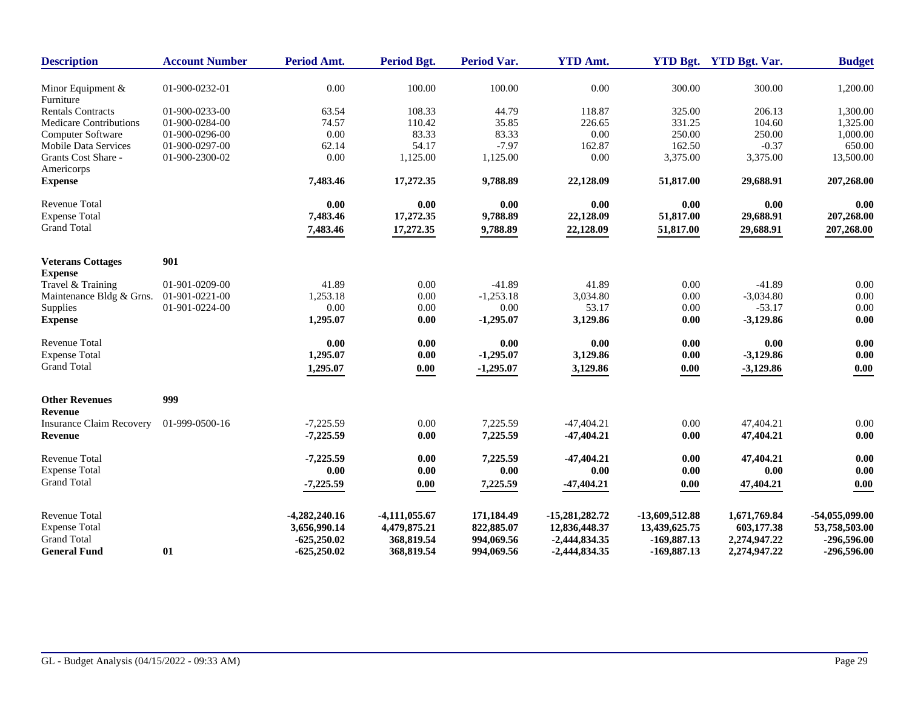| 01-900-0232-01<br>$0.00\,$<br>100.00<br>100.00<br>0.00<br>300.00<br>300.00<br>Minor Equipment &<br>Furniture<br>44.79<br><b>Rentals Contracts</b><br>01-900-0233-00<br>63.54<br>108.33<br>118.87<br>325.00<br>206.13<br>74.57<br>110.42<br>35.85<br>331.25<br>104.60<br><b>Medicare Contributions</b><br>01-900-0284-00<br>226.65<br>$0.00\,$<br>83.33<br>83.33<br>0.00<br>250.00<br>250.00<br>Computer Software<br>01-900-0296-00<br>54.17<br>$-7.97$<br>162.87<br>162.50<br>$-0.37$<br>Mobile Data Services<br>01-900-0297-00<br>62.14<br>Grants Cost Share -<br>0.00<br>1,125.00<br>1,125.00<br>0.00<br>3,375.00<br>3,375.00<br>01-900-2300-02<br>Americorps<br><b>Expense</b><br>7,483.46<br>17,272.35<br>9,788.89<br>22,128.09<br>51,817.00<br>29,688.91 | <b>Budget</b> |
|---------------------------------------------------------------------------------------------------------------------------------------------------------------------------------------------------------------------------------------------------------------------------------------------------------------------------------------------------------------------------------------------------------------------------------------------------------------------------------------------------------------------------------------------------------------------------------------------------------------------------------------------------------------------------------------------------------------------------------------------------------------|---------------|
|                                                                                                                                                                                                                                                                                                                                                                                                                                                                                                                                                                                                                                                                                                                                                               | 1,200.00      |
|                                                                                                                                                                                                                                                                                                                                                                                                                                                                                                                                                                                                                                                                                                                                                               | 1,300.00      |
|                                                                                                                                                                                                                                                                                                                                                                                                                                                                                                                                                                                                                                                                                                                                                               | 1,325.00      |
|                                                                                                                                                                                                                                                                                                                                                                                                                                                                                                                                                                                                                                                                                                                                                               | 1,000.00      |
|                                                                                                                                                                                                                                                                                                                                                                                                                                                                                                                                                                                                                                                                                                                                                               | 650.00        |
|                                                                                                                                                                                                                                                                                                                                                                                                                                                                                                                                                                                                                                                                                                                                                               | 13,500.00     |
|                                                                                                                                                                                                                                                                                                                                                                                                                                                                                                                                                                                                                                                                                                                                                               | 207,268.00    |
| <b>Revenue Total</b><br>0.00<br>0.00<br>0.00<br>0.00<br>0.00<br>0.00                                                                                                                                                                                                                                                                                                                                                                                                                                                                                                                                                                                                                                                                                          | 0.00          |
| <b>Expense Total</b><br>7,483.46<br>17,272.35<br>9,788.89<br>22,128.09<br>51,817.00<br>29,688.91                                                                                                                                                                                                                                                                                                                                                                                                                                                                                                                                                                                                                                                              | 207,268.00    |
| <b>Grand Total</b><br>51,817.00<br>7,483.46<br>17,272.35<br>9,788.89<br>22,128.09<br>29,688.91                                                                                                                                                                                                                                                                                                                                                                                                                                                                                                                                                                                                                                                                | 207,268.00    |
| 901<br><b>Veterans Cottages</b>                                                                                                                                                                                                                                                                                                                                                                                                                                                                                                                                                                                                                                                                                                                               |               |
| <b>Expense</b>                                                                                                                                                                                                                                                                                                                                                                                                                                                                                                                                                                                                                                                                                                                                                |               |
| $-41.89$<br>Travel & Training<br>01-901-0209-00<br>41.89<br>0.00<br>$-41.89$<br>41.89<br>0.00                                                                                                                                                                                                                                                                                                                                                                                                                                                                                                                                                                                                                                                                 | 0.00          |
| 1,253.18<br>$-1,253.18$<br>3,034.80<br>0.00<br>Maintenance Bldg & Grns.<br>01-901-0221-00<br>0.00<br>$-3,034.80$                                                                                                                                                                                                                                                                                                                                                                                                                                                                                                                                                                                                                                              | 0.00<br>0.00  |
| 0.00<br>53.17<br>$-53.17$<br>Supplies<br>01-901-0224-00<br>0.00<br>0.00<br>0.00                                                                                                                                                                                                                                                                                                                                                                                                                                                                                                                                                                                                                                                                               |               |
| 3,129.86<br>$-3,129.86$<br><b>Expense</b><br>1,295.07<br>0.00<br>$-1,295.07$<br>0.00                                                                                                                                                                                                                                                                                                                                                                                                                                                                                                                                                                                                                                                                          | 0.00          |
| Revenue Total<br>0.00<br>0.00<br>0.00<br>0.00<br>0.00<br>0.00                                                                                                                                                                                                                                                                                                                                                                                                                                                                                                                                                                                                                                                                                                 | 0.00          |
| <b>Expense Total</b><br>1,295.07<br>$-1,295.07$<br>3,129.86<br>$-3,129.86$<br>0.00<br>0.00                                                                                                                                                                                                                                                                                                                                                                                                                                                                                                                                                                                                                                                                    | 0.00          |
| <b>Grand Total</b><br>$-1,295.07$<br>3,129.86<br>1,295.07<br>$-3,129.86$<br>$0.00\,$<br>0.00                                                                                                                                                                                                                                                                                                                                                                                                                                                                                                                                                                                                                                                                  | $0.00\,$      |
| 999<br><b>Other Revenues</b>                                                                                                                                                                                                                                                                                                                                                                                                                                                                                                                                                                                                                                                                                                                                  |               |
| Revenue                                                                                                                                                                                                                                                                                                                                                                                                                                                                                                                                                                                                                                                                                                                                                       |               |
| $-7.225.59$<br>0.00<br>7,225.59<br>$-47,404,21$<br>0.00<br>47.404.21<br><b>Insurance Claim Recovery</b><br>01-999-0500-16                                                                                                                                                                                                                                                                                                                                                                                                                                                                                                                                                                                                                                     | 0.00          |
| 7,225.59<br>47,404.21<br>$-7,225.59$<br>0.00<br>$-47,404.21$<br>0.00<br><b>Revenue</b>                                                                                                                                                                                                                                                                                                                                                                                                                                                                                                                                                                                                                                                                        | 0.00          |
| Revenue Total<br>$-7,225.59$<br>0.00<br>7,225.59<br>$-47,404.21$<br>0.00<br>47,404.21                                                                                                                                                                                                                                                                                                                                                                                                                                                                                                                                                                                                                                                                         | 0.00          |
| <b>Expense Total</b><br>0.00<br>0.00<br>0.00<br>0.00<br>0.00<br>0.00                                                                                                                                                                                                                                                                                                                                                                                                                                                                                                                                                                                                                                                                                          | 0.00          |
| <b>Grand Total</b><br>$-7,225.59$<br>7,225.59<br>$-47,404.21$<br>47,404.21<br>$0.00\,$<br>0.00                                                                                                                                                                                                                                                                                                                                                                                                                                                                                                                                                                                                                                                                | 0.00          |
| <b>Revenue Total</b><br>$-4,282,240.16$<br>$-4,111,055.67$<br>171,184.49<br>$-15,281,282,72$<br>-13,609,512.88<br>1,671,769.84<br>$-54,055,099.00$                                                                                                                                                                                                                                                                                                                                                                                                                                                                                                                                                                                                            |               |
| <b>Expense Total</b><br>3,656,990.14<br>4,479,875.21<br>822,885.07<br>12,836,448.37<br>603,177.38<br>53,758,503.00<br>13,439,625.75                                                                                                                                                                                                                                                                                                                                                                                                                                                                                                                                                                                                                           |               |
| <b>Grand Total</b><br>994,069.56<br>$-625,250.02$<br>368,819.54<br>$-2,444,834.35$<br>$-169,887.13$<br>2,274,947.22                                                                                                                                                                                                                                                                                                                                                                                                                                                                                                                                                                                                                                           |               |
| 01<br>368,819.54<br>$-169,887.13$<br>-296,596.00<br><b>General Fund</b><br>$-625,250.02$<br>994,069.56<br>$-2,444,834.35$<br>2,274,947.22                                                                                                                                                                                                                                                                                                                                                                                                                                                                                                                                                                                                                     | -296,596.00   |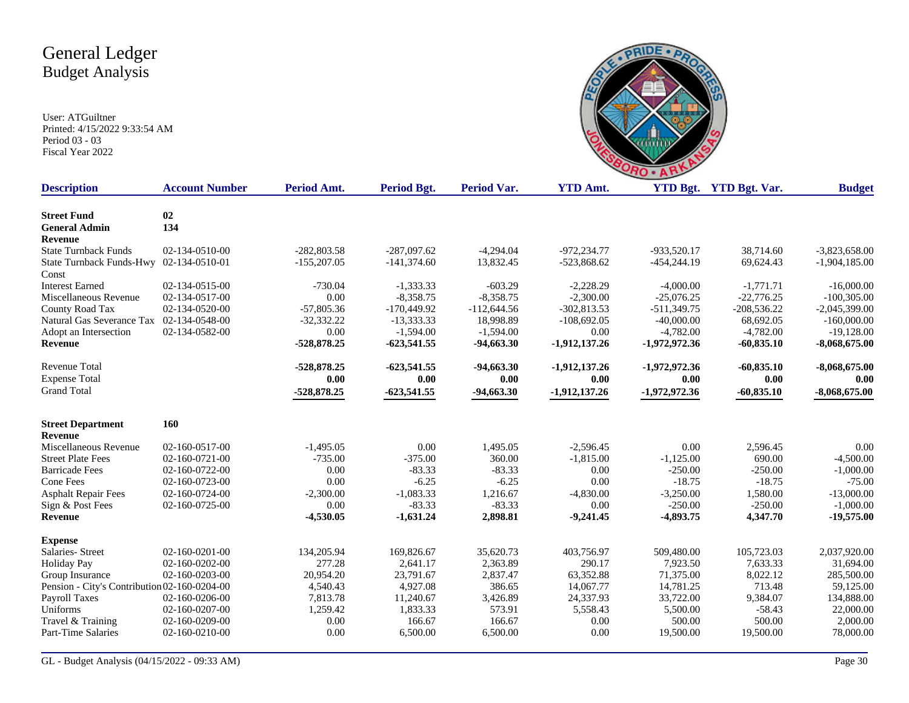

| <b>Description</b>                           | <b>Account Number</b>  | <b>Period Amt.</b> | <b>Period Bgt.</b> | Period Var.   | <b>YTD Amt.</b> |                 | YTD Bgt. YTD Bgt. Var. | <b>Budget</b>   |
|----------------------------------------------|------------------------|--------------------|--------------------|---------------|-----------------|-----------------|------------------------|-----------------|
| <b>Street Fund</b>                           | 02                     |                    |                    |               |                 |                 |                        |                 |
| <b>General Admin</b>                         | 134                    |                    |                    |               |                 |                 |                        |                 |
| <b>Revenue</b>                               |                        |                    |                    |               |                 |                 |                        |                 |
| <b>State Turnback Funds</b>                  | 02-134-0510-00         | $-282,803.58$      | $-287,097.62$      | $-4,294.04$   | $-972.234.77$   | -933,520.17     | 38,714.60              | $-3,823,658.00$ |
| State Turnback Funds-Hwy 02-134-0510-01      |                        | $-155,207.05$      | $-141,374.60$      | 13,832.45     | $-523,868.62$   | $-454,244.19$   | 69,624.43              | $-1,904,185.00$ |
| Const                                        |                        |                    |                    |               |                 |                 |                        |                 |
| <b>Interest Earned</b>                       | 02-134-0515-00         | $-730.04$          | $-1,333.33$        | $-603.29$     | $-2,228.29$     | $-4,000.00$     | $-1,771.71$            | $-16,000.00$    |
| Miscellaneous Revenue                        | 02-134-0517-00         | 0.00               | $-8,358.75$        | $-8,358.75$   | $-2,300.00$     | $-25,076.25$    | $-22,776.25$           | $-100,305.00$   |
| County Road Tax                              | 02-134-0520-00         | $-57,805.36$       | $-170,449.92$      | $-112,644.56$ | $-302,813.53$   | $-511,349.75$   | $-208,536.22$          | $-2,045,399.00$ |
| Natural Gas Severance Tax                    | 02-134-0548-00         | $-32,332.22$       | $-13,333.33$       | 18,998.89     | $-108,692.05$   | $-40,000.00$    | 68,692.05              | $-160,000.00$   |
| Adopt an Intersection                        | 02-134-0582-00         | 0.00               | $-1,594.00$        | $-1,594.00$   | 0.00            | $-4,782.00$     | $-4,782.00$            | $-19,128.00$    |
| Revenue                                      |                        | $-528,878.25$      | $-623,541.55$      | $-94,663.30$  | $-1,912,137.26$ | $-1,972,972.36$ | $-60,835.10$           | $-8,068,675.00$ |
| Revenue Total                                |                        | $-528,878.25$      | $-623,541.55$      | $-94,663.30$  | $-1,912,137.26$ | $-1,972,972.36$ | $-60,835.10$           | $-8,068,675.00$ |
| <b>Expense Total</b>                         |                        | 0.00               | 0.00               | 0.00          | 0.00            | 0.00            | 0.00                   | 0.00            |
| <b>Grand Total</b>                           |                        | $-528,878.25$      | $-623,541.55$      | $-94,663.30$  | $-1,912,137.26$ | $-1,972,972.36$ | $-60,835.10$           | $-8,068,675.00$ |
| <b>Street Department</b>                     | <b>160</b>             |                    |                    |               |                 |                 |                        |                 |
| <b>Revenue</b>                               |                        |                    |                    |               |                 |                 |                        |                 |
| Miscellaneous Revenue                        | 02-160-0517-00         | $-1,495.05$        | 0.00               | 1,495.05      | $-2,596.45$     | 0.00            | 2,596.45               | 0.00            |
| <b>Street Plate Fees</b>                     | 02-160-0721-00         | $-735.00$          | $-375.00$          | 360.00        | $-1,815.00$     | $-1,125.00$     | 690.00                 | $-4,500.00$     |
| <b>Barricade Fees</b>                        | 02-160-0722-00         | 0.00               | $-83.33$           | $-83.33$      | 0.00            | $-250.00$       | $-250.00$              | $-1,000.00$     |
| Cone Fees                                    | 02-160-0723-00         | 0.00               | $-6.25$            | $-6.25$       | 0.00            | $-18.75$        | $-18.75$               | $-75.00$        |
| <b>Asphalt Repair Fees</b>                   | 02-160-0724-00         | $-2,300.00$        | $-1,083.33$        | 1,216.67      | $-4,830.00$     | $-3,250.00$     | 1,580.00               | $-13,000.00$    |
| Sign & Post Fees                             | 02-160-0725-00         | 0.00               | $-83.33$           | $-83.33$      | 0.00            | $-250.00$       | $-250.00$              | $-1,000.00$     |
| Revenue                                      |                        | $-4,530.05$        | $-1,631.24$        | 2,898.81      | $-9,241.45$     | $-4,893.75$     | 4,347.70               | -19,575.00      |
| <b>Expense</b>                               |                        |                    |                    |               |                 |                 |                        |                 |
| Salaries-Street                              | 02-160-0201-00         | 134,205.94         | 169,826.67         | 35,620.73     | 403,756.97      | 509,480.00      | 105,723.03             | 2,037,920.00    |
| <b>Holiday Pay</b>                           | 02-160-0202-00         | 277.28             | 2,641.17           | 2,363.89      | 290.17          | 7,923.50        | 7,633.33               | 31,694.00       |
| Group Insurance                              | $02 - 160 - 0203 - 00$ | 20,954.20          | 23,791.67          | 2,837.47      | 63,352.88       | 71,375.00       | 8,022.12               | 285,500.00      |
| Pension - City's Contribution 02-160-0204-00 |                        | 4,540.43           | 4,927.08           | 386.65        | 14,067.77       | 14,781.25       | 713.48                 | 59,125.00       |
| Payroll Taxes                                | 02-160-0206-00         | 7,813.78           | 11,240.67          | 3,426.89      | 24,337.93       | 33,722.00       | 9,384.07               | 134,888.00      |
| Uniforms                                     | 02-160-0207-00         | 1,259.42           | 1,833.33           | 573.91        | 5,558.43        | 5,500.00        | $-58.43$               | 22,000.00       |
| Travel & Training                            | 02-160-0209-00         | 0.00               | 166.67             | 166.67        | 0.00            | 500.00          | 500.00                 | 2,000.00        |
| Part-Time Salaries                           | 02-160-0210-00         | 0.00               | 6,500.00           | 6,500.00      | 0.00            | 19,500.00       | 19,500.00              | 78,000.00       |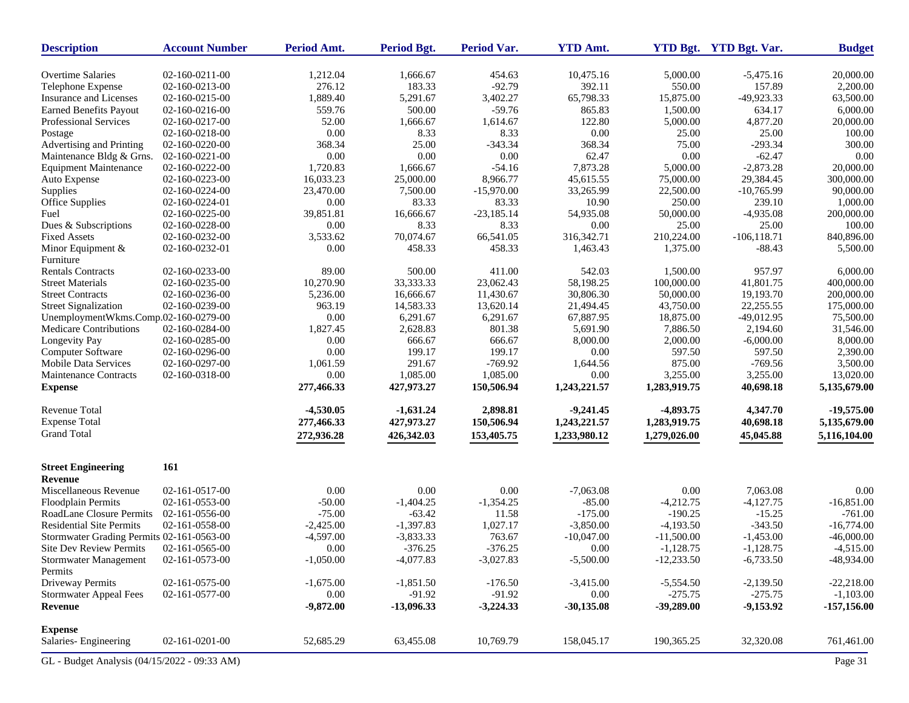| <b>Description</b>                           | <b>Account Number</b> | Period Amt.         | Period Bgt.              | Period Var.             | <b>YTD Amt.</b>      |                           | <b>YTD Bgt.</b> YTD Bgt. Var. | <b>Budget</b>                |
|----------------------------------------------|-----------------------|---------------------|--------------------------|-------------------------|----------------------|---------------------------|-------------------------------|------------------------------|
| <b>Overtime Salaries</b>                     | 02-160-0211-00        | 1,212.04            | 1,666.67                 | 454.63                  | 10,475.16            | 5,000.00                  | $-5,475.16$                   | 20,000.00                    |
| Telephone Expense                            | 02-160-0213-00        | 276.12              | 183.33                   | $-92.79$                | 392.11               | 550.00                    | 157.89                        | 2,200.00                     |
| Insurance and Licenses                       | 02-160-0215-00        | 1,889.40            | 5,291.67                 | 3,402.27                | 65,798.33            | 15,875.00                 | -49,923.33                    | 63,500.00                    |
| <b>Earned Benefits Payout</b>                | 02-160-0216-00        | 559.76              | 500.00                   | $-59.76$                | 865.83               | 1,500.00                  | 634.17                        | 6,000.00                     |
| Professional Services                        | 02-160-0217-00        | 52.00               | 1,666.67                 | 1,614.67                | 122.80               | 5,000.00                  | 4,877.20                      | 20,000.00                    |
| Postage                                      | 02-160-0218-00        | 0.00                | 8.33                     | 8.33                    | 0.00                 | 25.00                     | 25.00                         | 100.00                       |
| Advertising and Printing                     | 02-160-0220-00        | 368.34              | 25.00                    | $-343.34$               | 368.34               | 75.00                     | $-293.34$                     | 300.00                       |
| Maintenance Bldg & Grns.                     | 02-160-0221-00        | 0.00                | 0.00                     | 0.00                    | 62.47                | 0.00                      | $-62.47$                      | 0.00                         |
| <b>Equipment Maintenance</b>                 | 02-160-0222-00        | 1,720.83            | 1,666.67                 | $-54.16$                | 7,873.28             | 5,000.00                  | $-2,873.28$                   | 20,000.00                    |
| Auto Expense                                 | 02-160-0223-00        | 16,033.23           | 25,000.00                | 8,966.77                | 45,615.55            | 75,000.00                 | 29,384.45                     | 300,000.00                   |
| Supplies                                     | 02-160-0224-00        | 23,470.00           | 7,500.00                 | $-15,970.00$            | 33,265.99            | 22,500.00                 | $-10,765.99$                  | 90,000.00                    |
| Office Supplies                              | 02-160-0224-01        | 0.00                | 83.33                    | 83.33                   | 10.90                | 250.00                    | 239.10                        | 1,000.00                     |
| Fuel                                         | 02-160-0225-00        | 39,851.81           | 16,666.67                | $-23,185.14$            | 54,935.08            | 50,000.00                 | $-4,935.08$                   | 200,000.00                   |
| Dues & Subscriptions                         | 02-160-0228-00        | 0.00                | 8.33                     | 8.33                    | 0.00                 | 25.00                     | 25.00                         | 100.00                       |
| <b>Fixed Assets</b>                          | 02-160-0232-00        | 3,533.62            | 70,074.67                | 66,541.05               | 316,342.71           | 210,224.00                | $-106, 118.71$                | 840,896.00                   |
| Minor Equipment &<br>Furniture               | 02-160-0232-01        | 0.00                | 458.33                   | 458.33                  | 1,463.43             | 1,375.00                  | $-88.43$                      | 5,500.00                     |
| <b>Rentals Contracts</b>                     | 02-160-0233-00        | 89.00               | 500.00                   | 411.00                  | 542.03               | 1,500.00                  | 957.97                        | 6,000.00                     |
| <b>Street Materials</b>                      | 02-160-0235-00        | 10,270.90           | 33,333.33                | 23,062.43               | 58,198.25            | 100,000.00                | 41,801.75                     | 400,000.00                   |
| <b>Street Contracts</b>                      | 02-160-0236-00        | 5,236.00            | 16,666.67                | 11,430.67               | 30,806.30            | 50,000.00                 | 19,193.70                     | 200,000.00                   |
| <b>Street Signalization</b>                  | 02-160-0239-00        | 963.19              | 14,583.33                | 13,620.14               | 21,494.45            | 43,750.00                 | 22,255.55                     | 175,000.00                   |
| UnemploymentWkms.Comp.02-160-0279-00         |                       | 0.00                | 6,291.67                 | 6,291.67                | 67,887.95            | 18,875.00                 | $-49,012.95$                  | 75,500.00                    |
| Medicare Contributions                       | 02-160-0284-00        | 1,827.45            | 2,628.83                 | 801.38                  | 5,691.90             | 7,886.50                  | 2,194.60                      | 31,546.00                    |
|                                              | 02-160-0285-00        | 0.00                | 666.67                   | 666.67                  | 8,000.00             | 2,000.00                  | $-6,000.00$                   | 8,000.00                     |
| Longevity Pay                                | 02-160-0296-00        |                     |                          | 199.17                  |                      | 597.50                    |                               |                              |
| Computer Software                            |                       | 0.00                | 199.17                   |                         | 0.00                 |                           | 597.50                        | 2,390.00                     |
| <b>Mobile Data Services</b>                  | 02-160-0297-00        | 1,061.59            | 291.67<br>1,085.00       | $-769.92$<br>1,085.00   | 1,644.56<br>0.00     | 875.00                    | $-769.56$                     | 3,500.00                     |
| Maintenance Contracts<br><b>Expense</b>      | 02-160-0318-00        | 0.00<br>277,466.33  | 427,973.27               | 150,506.94              | 1,243,221.57         | 3,255.00<br>1,283,919.75  | 3,255.00<br>40,698.18         | 13,020.00<br>5,135,679.00    |
| Revenue Total                                |                       | $-4,530.05$         | $-1,631.24$              | 2,898.81                | $-9,241.45$          | $-4,893.75$               | 4,347.70                      | $-19,575.00$                 |
| <b>Expense Total</b>                         |                       | 277,466.33          | 427,973.27               | 150,506.94              | 1,243,221.57         | 1,283,919.75              | 40,698.18                     | 5,135,679.00                 |
| <b>Grand Total</b>                           |                       | 272,936.28          | 426,342.03               | 153,405.75              | 1,233,980.12         | 1,279,026.00              | 45,045.88                     | 5,116,104.00                 |
| <b>Street Engineering</b><br>Revenue         | 161                   |                     |                          |                         |                      |                           |                               |                              |
| Miscellaneous Revenue                        | 02-161-0517-00        | 0.00                | 0.00                     | 0.00                    | $-7,063.08$          | 0.00                      | 7,063.08                      | 0.00                         |
| Floodplain Permits                           | 02-161-0553-00        | $-50.00$            | $-1,404.25$              | $-1,354.25$             | $-85.00$             | $-4,212.75$               | $-4,127.75$                   | $-16,851.00$                 |
| <b>RoadLane Closure Permits</b>              | 02-161-0556-00        | $-75.00$            | $-63.42$                 | 11.58                   | $-175.00$            | $-190.25$                 | $-15.25$                      | $-761.00$                    |
| <b>Residential Site Permits</b>              | 02-161-0558-00        | $-2,425.00$         | $-1,397.83$              | 1,027.17                | $-3,850.00$          | $-4,193.50$               | $-343.50$                     | $-16,774.00$                 |
| Stormwater Grading Permits 02-161-0563-00    |                       | $-4,597.00$         | $-3,833.33$              | 763.67                  | $-10,047.00$         | $-11,500.00$              | $-1,453.00$                   | $-46,000.00$                 |
| <b>Site Dev Review Permits</b>               | 02-161-0565-00        | 0.00                | $-376.25$                | $-376.25$               | 0.00                 | $-1,128.75$               | $-1,128.75$                   | $-4,515.00$                  |
| <b>Stormwater Management</b>                 | 02-161-0573-00        | $-1,050.00$         | $-4,077.83$              | $-3,027.83$             | $-5,500.00$          | $-12,233.50$              | $-6,733.50$                   | $-48,934.00$                 |
| Permits                                      |                       |                     |                          |                         |                      |                           |                               |                              |
| Driveway Permits                             | 02-161-0575-00        | $-1,675.00$         | $-1,851.50$              | $-176.50$               | $-3,415.00$          | $-5,554.50$               | $-2,139.50$                   | $-22,218.00$                 |
| <b>Stormwater Appeal Fees</b><br>Revenue     | 02-161-0577-00        | 0.00<br>$-9,872.00$ | $-91.92$<br>$-13,096.33$ | $-91.92$<br>$-3,224.33$ | 0.00<br>$-30,135.08$ | $-275.75$<br>$-39,289.00$ | $-275.75$<br>$-9,153.92$      | $-1,103.00$<br>$-157,156.00$ |
| <b>Expense</b>                               |                       |                     |                          |                         |                      |                           |                               |                              |
| Salaries-Engineering                         | 02-161-0201-00        | 52,685.29           | 63,455.08                | 10,769.79               | 158,045.17           | 190,365.25                | 32,320.08                     | 761,461.00                   |
| GL - Budget Analysis (04/15/2022 - 09:33 AM) |                       |                     |                          |                         |                      |                           |                               | Page 31                      |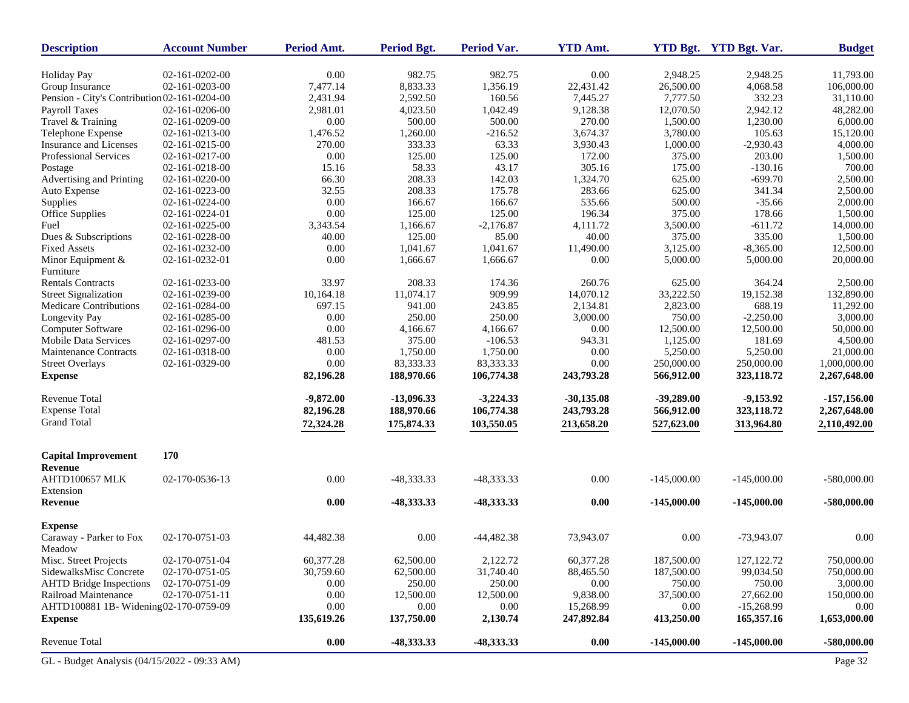| <b>Description</b>                           | <b>Account Number</b> | Period Amt. | <b>Period Bgt.</b> | <b>Period Var.</b> | <b>YTD Amt.</b> |               | YTD Bgt. YTD Bgt. Var. | <b>Budget</b> |
|----------------------------------------------|-----------------------|-------------|--------------------|--------------------|-----------------|---------------|------------------------|---------------|
| <b>Holiday Pay</b>                           | 02-161-0202-00        | 0.00        | 982.75             | 982.75             | 0.00            | 2.948.25      | 2,948.25               | 11,793.00     |
| Group Insurance                              | 02-161-0203-00        | 7,477.14    | 8,833.33           | 1,356.19           | 22,431.42       | 26,500.00     | 4,068.58               | 106,000.00    |
| Pension - City's Contribution 02-161-0204-00 |                       | 2,431.94    | 2,592.50           | 160.56             | 7,445.27        | 7.777.50      | 332.23                 | 31,110.00     |
| Payroll Taxes                                | 02-161-0206-00        | 2,981.01    | 4,023.50           | 1,042.49           | 9,128.38        | 12,070.50     | 2,942.12               | 48,282.00     |
| Travel & Training                            | 02-161-0209-00        | 0.00        | 500.00             | 500.00             | 270.00          | 1,500.00      | 1,230.00               | 6,000.00      |
| Telephone Expense                            | 02-161-0213-00        | 1,476.52    | 1,260.00           | $-216.52$          | 3,674.37        | 3,780.00      | 105.63                 | 15,120.00     |
| Insurance and Licenses                       | 02-161-0215-00        | 270.00      | 333.33             | 63.33              | 3,930.43        | 1,000.00      | $-2,930.43$            | 4,000.00      |
| Professional Services                        | 02-161-0217-00        | 0.00        | 125.00             | 125.00             | 172.00          | 375.00        | 203.00                 | 1,500.00      |
| Postage                                      | 02-161-0218-00        | 15.16       | 58.33              | 43.17              | 305.16          | 175.00        | $-130.16$              | 700.00        |
| Advertising and Printing                     | 02-161-0220-00        | 66.30       | 208.33             | 142.03             | 1,324.70        | 625.00        | $-699.70$              | 2,500.00      |
| Auto Expense                                 | 02-161-0223-00        | 32.55       | 208.33             | 175.78             | 283.66          | 625.00        | 341.34                 | 2,500.00      |
| Supplies                                     | 02-161-0224-00        | 0.00        | 166.67             | 166.67             | 535.66          | 500.00        | $-35.66$               | 2,000.00      |
| Office Supplies                              | 02-161-0224-01        | 0.00        | 125.00             | 125.00             | 196.34          | 375.00        | 178.66                 | 1,500.00      |
| Fuel                                         | 02-161-0225-00        | 3,343.54    | 1,166.67           | $-2,176.87$        | 4,111.72        | 3,500.00      | $-611.72$              | 14,000.00     |
| Dues & Subscriptions                         | 02-161-0228-00        | 40.00       | 125.00             | 85.00              | 40.00           | 375.00        | 335.00                 | 1,500.00      |
| <b>Fixed Assets</b>                          | 02-161-0232-00        | 0.00        | 1,041.67           | 1,041.67           | 11,490.00       | 3,125.00      | $-8,365.00$            | 12,500.00     |
| Minor Equipment &                            | 02-161-0232-01        | 0.00        | 1,666.67           | 1,666.67           | 0.00            | 5,000.00      | 5,000.00               | 20,000.00     |
| Furniture                                    |                       |             |                    |                    |                 |               |                        |               |
| <b>Rentals Contracts</b>                     | 02-161-0233-00        | 33.97       | 208.33             | 174.36             | 260.76          | 625.00        | 364.24                 | 2,500.00      |
| <b>Street Signalization</b>                  | 02-161-0239-00        | 10,164.18   | 11,074.17          | 909.99             | 14,070.12       | 33,222.50     | 19,152.38              | 132,890.00    |
| Medicare Contributions                       | 02-161-0284-00        | 697.15      | 941.00             | 243.85             | 2,134.81        | 2,823.00      | 688.19                 | 11,292.00     |
| Longevity Pay                                | 02-161-0285-00        | 0.00        | 250.00             | 250.00             | 3,000.00        | 750.00        | $-2,250.00$            | 3,000.00      |
| Computer Software                            | 02-161-0296-00        | 0.00        | 4,166.67           | 4,166.67           | 0.00            | 12,500.00     | 12,500.00              | 50,000.00     |
| <b>Mobile Data Services</b>                  | 02-161-0297-00        | 481.53      | 375.00             | $-106.53$          | 943.31          | 1,125.00      | 181.69                 | 4,500.00      |
| Maintenance Contracts                        | 02-161-0318-00        | 0.00        | 1,750.00           | 1,750.00           | 0.00            | 5.250.00      | 5,250.00               | 21,000.00     |
| <b>Street Overlays</b>                       | 02-161-0329-00        | 0.00        | 83,333.33          | 83,333.33          | 0.00            | 250,000.00    | 250,000.00             | 1,000,000.00  |
| <b>Expense</b>                               |                       | 82,196.28   | 188,970.66         | 106,774.38         | 243,793.28      | 566,912.00    | 323,118.72             | 2,267,648.00  |
| <b>Revenue Total</b>                         |                       | $-9,872.00$ | $-13,096.33$       | $-3,224.33$        | $-30,135.08$    | $-39,289.00$  | $-9,153.92$            | $-157,156.00$ |
| <b>Expense Total</b>                         |                       | 82,196.28   | 188,970.66         | 106,774.38         | 243,793.28      | 566,912.00    | 323,118.72             | 2,267,648.00  |
| <b>Grand Total</b>                           |                       | 72,324.28   | 175,874.33         | 103,550.05         | 213,658.20      | 527,623.00    | 313,964.80             | 2,110,492.00  |
| <b>Capital Improvement</b>                   | 170                   |             |                    |                    |                 |               |                        |               |
| Revenue<br>AHTD100657 MLK<br>Extension       | 02-170-0536-13        | 0.00        | -48,333.33         | -48,333.33         | 0.00            | $-145,000.00$ | $-145,000.00$          | $-580,000.00$ |
| Revenue                                      |                       | 0.00        | -48,333.33         | -48,333.33         | 0.00            | $-145,000.00$ | $-145,000.00$          | -580,000.00   |
| <b>Expense</b>                               |                       |             |                    |                    |                 |               |                        |               |
| Caraway - Parker to Fox<br>Meadow            | 02-170-0751-03        | 44,482.38   | 0.00               | $-44,482.38$       | 73,943.07       | 0.00          | $-73,943.07$           | 0.00          |
| Misc. Street Projects                        | 02-170-0751-04        | 60,377.28   | 62,500.00          | 2,122.72           | 60,377.28       | 187,500.00    | 127, 122. 72           | 750,000.00    |
| SidewalksMisc Concrete                       | 02-170-0751-05        | 30,759.60   | 62,500.00          | 31,740.40          | 88,465.50       | 187,500.00    | 99,034.50              | 750,000.00    |
| <b>AHTD Bridge Inspections</b>               | 02-170-0751-09        | 0.00        | 250.00             | 250.00             | 0.00            | 750.00        | 750.00                 | 3,000.00      |
| Railroad Maintenance                         | 02-170-0751-11        | 0.00        | 12,500.00          | 12,500.00          | 9,838.00        | 37,500.00     | 27,662.00              | 150,000.00    |
| AHTD100881 1B- Widening02-170-0759-09        |                       | 0.00        | 0.00               | 0.00               | 15,268.99       | 0.00          | $-15,268.99$           | 0.00          |
| <b>Expense</b>                               |                       | 135,619.26  | 137,750.00         | 2,130.74           | 247,892.84      | 413,250.00    | 165,357.16             | 1,653,000.00  |
| Revenue Total                                |                       | $0.00\,$    | $-48,333.33$       | -48,333.33         | 0.00            | $-145,000.00$ | $-145,000.00$          | $-580,000.00$ |
| GL - Budget Analysis (04/15/2022 - 09:33 AM) |                       |             |                    |                    |                 |               |                        | Page 32       |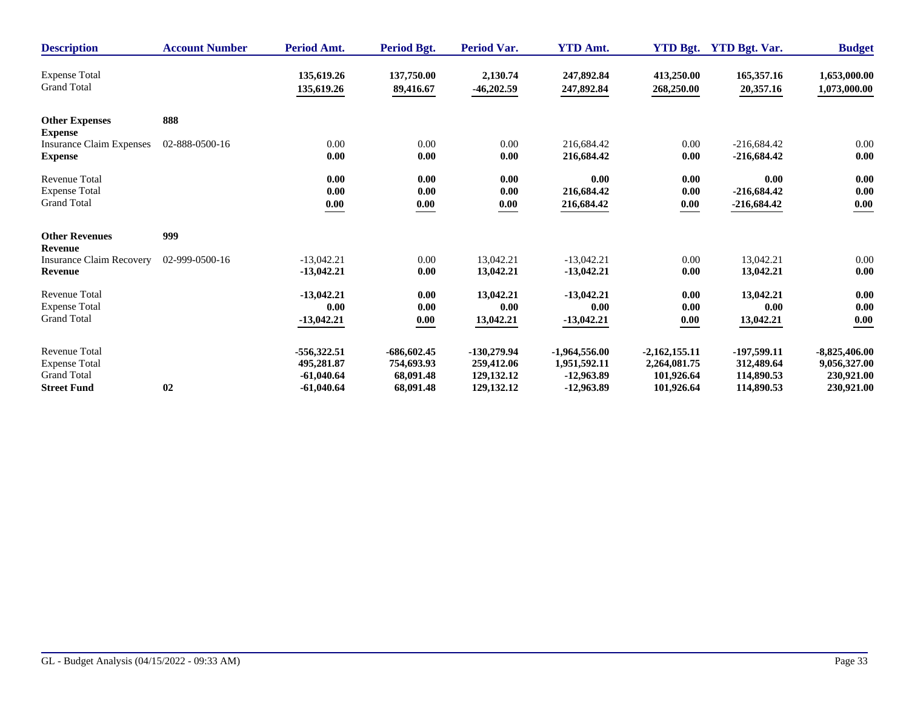| <b>Description</b>                      | <b>Account Number</b> | Period Amt.   | Period Bgt.   | <b>Period Var.</b> | <b>YTD Amt.</b> |                 | YTD Bgt. YTD Bgt. Var. | <b>Budget</b>   |
|-----------------------------------------|-----------------------|---------------|---------------|--------------------|-----------------|-----------------|------------------------|-----------------|
| <b>Expense Total</b>                    |                       | 135,619.26    | 137,750.00    | 2,130.74           | 247,892.84      | 413,250.00      | 165,357.16             | 1,653,000.00    |
| <b>Grand Total</b>                      |                       | 135,619.26    | 89,416.67     | $-46,202.59$       | 247,892.84      | 268,250.00      | 20,357.16              | 1,073,000.00    |
| <b>Other Expenses</b><br><b>Expense</b> | 888                   |               |               |                    |                 |                 |                        |                 |
| <b>Insurance Claim Expenses</b>         | 02-888-0500-16        | 0.00          | 0.00          | $0.00\,$           | 216.684.42      | 0.00            | $-216,684.42$          | 0.00            |
| <b>Expense</b>                          |                       | 0.00          | 0.00          | 0.00               | 216,684.42      | 0.00            | $-216,684.42$          | 0.00            |
| <b>Revenue Total</b>                    |                       | 0.00          | 0.00          | 0.00               | 0.00            | 0.00            | 0.00                   | 0.00            |
| <b>Expense Total</b>                    |                       | 0.00          | 0.00          | 0.00               | 216,684.42      | 0.00            | $-216,684.42$          | 0.00            |
| <b>Grand Total</b>                      |                       | 0.00          | 0.00          | 0.00               | 216,684.42      | 0.00            | $-216,684.42$          | 0.00            |
| <b>Other Revenues</b><br>Revenue        | 999                   |               |               |                    |                 |                 |                        |                 |
| <b>Insurance Claim Recovery</b>         | 02-999-0500-16        | $-13,042.21$  | 0.00          | 13.042.21          | $-13.042.21$    | 0.00            | 13.042.21              | 0.00            |
| <b>Revenue</b>                          |                       | $-13,042.21$  | 0.00          | 13,042.21          | $-13,042.21$    | 0.00            | 13,042.21              | 0.00            |
| <b>Revenue Total</b>                    |                       | $-13,042.21$  | 0.00          | 13,042.21          | $-13,042.21$    | 0.00            | 13,042.21              | 0.00            |
| <b>Expense Total</b>                    |                       | 0.00          | 0.00          | 0.00               | 0.00            | 0.00            | 0.00                   | 0.00            |
| <b>Grand Total</b>                      |                       | $-13,042.21$  | 0.00          | 13,042.21          | $-13,042.21$    | 0.00            | 13,042.21              | 0.00            |
| <b>Revenue Total</b>                    | 02                    | $-556,322.51$ | $-686,602.45$ | $-130,279.94$      | $-1,964,556.00$ | $-2,162,155.11$ | $-197,599.11$          | $-8,825,406.00$ |
| <b>Expense Total</b>                    |                       | 495,281.87    | 754,693.93    | 259,412.06         | 1,951,592.11    | 2,264,081.75    | 312,489.64             | 9,056,327.00    |
| <b>Grand Total</b>                      |                       | $-61,040.64$  | 68,091.48     | 129, 132. 12       | $-12,963.89$    | 101,926.64      | 114,890.53             | 230,921.00      |
| <b>Street Fund</b>                      |                       | $-61,040.64$  | 68,091.48     | 129, 132. 12       | $-12,963.89$    | 101,926.64      | 114,890.53             | 230,921.00      |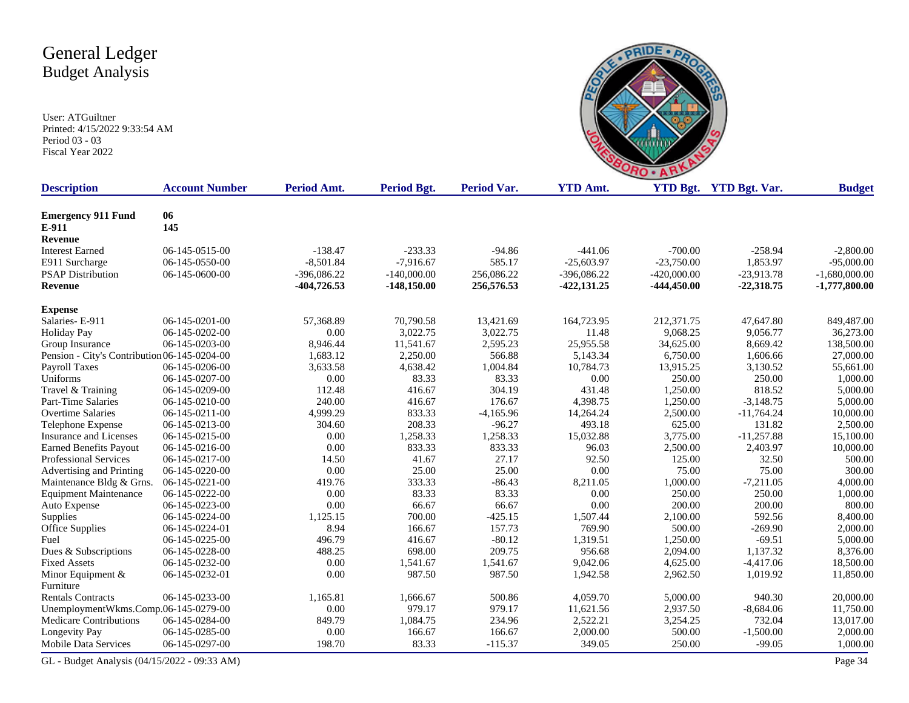User: ATGuiltner Printed: 4/15/2022 9:33:54 AM Period 03 - 03 Fiscal Year 2022



| <b>Description</b>                           | <b>Account Number</b> | Period Amt.   | <b>Period Bgt.</b> | <b>Period Var.</b> | <b>YTD Amt.</b> |               | YTD Bgt. YTD Bgt. Var. | <b>Budget</b>   |
|----------------------------------------------|-----------------------|---------------|--------------------|--------------------|-----------------|---------------|------------------------|-----------------|
| <b>Emergency 911 Fund</b>                    | 06                    |               |                    |                    |                 |               |                        |                 |
| E-911                                        | 145                   |               |                    |                    |                 |               |                        |                 |
| Revenue                                      |                       |               |                    |                    |                 |               |                        |                 |
| <b>Interest Earned</b>                       | 06-145-0515-00        | $-138.47$     | $-233.33$          | $-94.86$           | $-441.06$       | $-700.00$     | $-258.94$              | $-2,800.00$     |
| E911 Surcharge                               | 06-145-0550-00        | $-8,501.84$   | $-7,916.67$        | 585.17             | $-25,603.97$    | $-23,750.00$  | 1,853.97               | $-95,000.00$    |
| <b>PSAP Distribution</b>                     | 06-145-0600-00        | $-396,086.22$ | $-140,000.00$      | 256,086.22         | $-396,086.22$   | $-420,000.00$ | $-23,913.78$           | $-1,680,000.00$ |
| <b>Revenue</b>                               |                       | -404,726.53   | $-148,150.00$      | 256,576.53         | $-422, 131, 25$ | $-444,450.00$ | $-22,318.75$           | $-1,777,800.00$ |
| <b>Expense</b>                               |                       |               |                    |                    |                 |               |                        |                 |
| Salaries-E-911                               | 06-145-0201-00        | 57,368.89     | 70,790.58          | 13,421.69          | 164,723.95      | 212,371.75    | 47,647.80              | 849,487.00      |
| <b>Holiday Pay</b>                           | 06-145-0202-00        | 0.00          | 3,022.75           | 3,022.75           | 11.48           | 9,068.25      | 9,056.77               | 36,273.00       |
| Group Insurance                              | 06-145-0203-00        | 8,946.44      | 11,541.67          | 2,595.23           | 25,955.58       | 34,625.00     | 8,669.42               | 138,500.00      |
| Pension - City's Contribution 06-145-0204-00 |                       | 1,683.12      | 2,250.00           | 566.88             | 5,143.34        | 6,750.00      | 1,606.66               | 27,000.00       |
| <b>Payroll Taxes</b>                         | 06-145-0206-00        | 3,633.58      | 4,638.42           | 1,004.84           | 10,784.73       | 13,915.25     | 3,130.52               | 55,661.00       |
| Uniforms                                     | 06-145-0207-00        | 0.00          | 83.33              | 83.33              | 0.00            | 250.00        | 250.00                 | 1,000.00        |
| Travel & Training                            | 06-145-0209-00        | 112.48        | 416.67             | 304.19             | 431.48          | 1,250.00      | 818.52                 | 5,000.00        |
| <b>Part-Time Salaries</b>                    | 06-145-0210-00        | 240.00        | 416.67             | 176.67             | 4,398.75        | 1,250.00      | $-3,148.75$            | 5,000.00        |
| <b>Overtime Salaries</b>                     | 06-145-0211-00        | 4,999.29      | 833.33             | $-4,165.96$        | 14,264.24       | 2,500.00      | $-11,764.24$           | 10,000.00       |
| Telephone Expense                            | 06-145-0213-00        | 304.60        | 208.33             | $-96.27$           | 493.18          | 625.00        | 131.82                 | 2,500.00        |
| <b>Insurance and Licenses</b>                | 06-145-0215-00        | 0.00          | 1,258.33           | 1,258.33           | 15,032.88       | 3,775.00      | $-11,257.88$           | 15,100.00       |
| <b>Earned Benefits Payout</b>                | 06-145-0216-00        | 0.00          | 833.33             | 833.33             | 96.03           | 2,500.00      | 2,403.97               | 10,000.00       |
| Professional Services                        | 06-145-0217-00        | 14.50         | 41.67              | 27.17              | 92.50           | 125.00        | 32.50                  | 500.00          |
| Advertising and Printing                     | 06-145-0220-00        | 0.00          | 25.00              | 25.00              | 0.00            | 75.00         | 75.00                  | 300.00          |
| Maintenance Bldg & Grns.                     | 06-145-0221-00        | 419.76        | 333.33             | $-86.43$           | 8,211.05        | 1,000.00      | $-7,211.05$            | 4,000.00        |
| <b>Equipment Maintenance</b>                 | 06-145-0222-00        | 0.00          | 83.33              | 83.33              | 0.00            | 250.00        | 250.00                 | 1,000.00        |
| Auto Expense                                 | 06-145-0223-00        | 0.00          | 66.67              | 66.67              | 0.00            | 200.00        | 200.00                 | 800.00          |
| Supplies                                     | 06-145-0224-00        | 1,125.15      | 700.00             | $-425.15$          | 1,507.44        | 2,100.00      | 592.56                 | 8,400.00        |
| Office Supplies                              | 06-145-0224-01        | 8.94          | 166.67             | 157.73             | 769.90          | 500.00        | $-269.90$              | 2,000.00        |
| Fuel                                         | 06-145-0225-00        | 496.79        | 416.67             | $-80.12$           | 1,319.51        | 1,250.00      | $-69.51$               | 5,000.00        |
| Dues & Subscriptions                         | 06-145-0228-00        | 488.25        | 698.00             | 209.75             | 956.68          | 2,094.00      | 1,137.32               | 8,376.00        |
| <b>Fixed Assets</b>                          | 06-145-0232-00        | 0.00          | 1,541.67           | 1,541.67           | 9,042.06        | 4,625.00      | $-4,417.06$            | 18,500.00       |
| Minor Equipment $&$                          | 06-145-0232-01        | 0.00          | 987.50             | 987.50             | 1,942.58        | 2,962.50      | 1,019.92               | 11,850.00       |
| Furniture                                    |                       |               |                    |                    |                 |               |                        |                 |
| <b>Rentals Contracts</b>                     | 06-145-0233-00        | 1,165.81      | 1,666.67           | 500.86             | 4,059.70        | 5,000.00      | 940.30                 | 20,000.00       |
| UnemploymentWkms.Comp.06-145-0279-00         |                       | 0.00          | 979.17             | 979.17             | 11,621.56       | 2,937.50      | $-8,684.06$            | 11,750.00       |
| <b>Medicare Contributions</b>                | 06-145-0284-00        | 849.79        | 1,084.75           | 234.96             | 2,522.21        | 3,254.25      | 732.04                 | 13,017.00       |
| Longevity Pay                                | 06-145-0285-00        | 0.00          | 166.67             | 166.67             | 2,000.00        | 500.00        | $-1,500.00$            | 2,000.00        |
| <b>Mobile Data Services</b>                  | 06-145-0297-00        | 198.70        | 83.33              | $-115.37$          | 349.05          | 250.00        | $-99.05$               | 1,000.00        |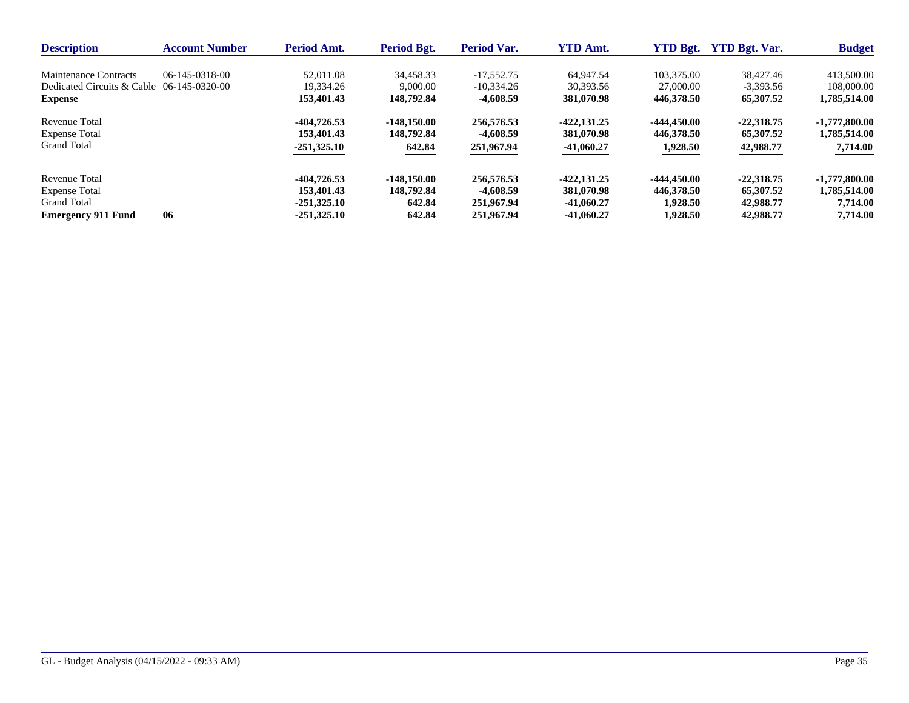| <b>Description</b>                        | <b>Account Number</b> | <b>Period Amt.</b> | Period Bgt.   | <b>Period Var.</b> | <b>YTD Amt.</b> | <b>YTD Bgt.</b> | <b>YTD Bgt. Var.</b> | <b>Budget</b>   |
|-------------------------------------------|-----------------------|--------------------|---------------|--------------------|-----------------|-----------------|----------------------|-----------------|
| Maintenance Contracts                     | 06-145-0318-00        | 52,011.08          | 34.458.33     | $-17.552.75$       | 64,947.54       | 103,375.00      | 38,427.46            | 413,500.00      |
| Dedicated Circuits & Cable 06-145-0320-00 |                       | 19.334.26          | 9,000.00      | $-10.334.26$       | 30.393.56       | 27,000.00       | $-3.393.56$          | 108,000.00      |
| <b>Expense</b>                            |                       | 153,401.43         | 148,792.84    | -4,608.59          | 381,070.98      | 446,378.50      | 65,307.52            | 1,785,514.00    |
| Revenue Total                             |                       | -404,726.53        | $-148.150.00$ | 256,576.53         | $-422.131.25$   | -444.450.00     | $-22,318.75$         | $-1,777,800.00$ |
| <b>Expense Total</b>                      |                       | 153,401.43         | 148,792.84    | -4,608.59          | 381,070.98      | 446,378.50      | 65,307.52            | 1,785,514.00    |
| <b>Grand Total</b>                        |                       | $-251,325.10$      | 642.84        | 251,967.94         | $-41,060.27$    | 1,928.50        | 42,988.77            | 7,714.00        |
| Revenue Total                             |                       | -404,726.53        | $-148.150.00$ | 256,576.53         | $-422.131.25$   | -444.450.00     | $-22.318.75$         | $-1,777,800.00$ |
| <b>Expense Total</b>                      |                       | 153,401.43         | 148,792.84    | -4.608.59          | 381,070.98      | 446,378.50      | 65,307.52            | 1,785,514.00    |
| <b>Grand Total</b>                        |                       | $-251.325.10$      | 642.84        | 251,967.94         | $-41,060.27$    | 1,928.50        | 42,988.77            | 7,714.00        |
| <b>Emergency 911 Fund</b>                 | 06                    | $-251.325.10$      | 642.84        | 251,967.94         | -41.060.27      | 1.928.50        | 42,988.77            | 7.714.00        |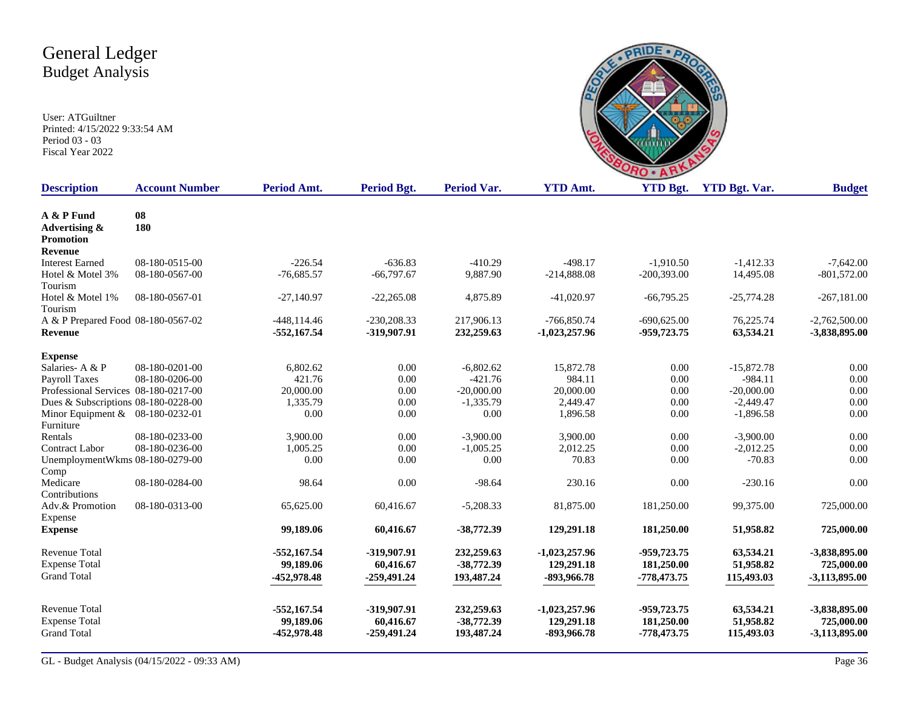

| <b>Description</b>                   | <b>Account Number</b> | Period Amt.    | <b>Period Bgt.</b> | <b>Period Var.</b> | <b>YTD Amt.</b> | <b>YTD Bgt.</b> | <b>YTD Bgt. Var.</b> | <b>Budget</b>   |
|--------------------------------------|-----------------------|----------------|--------------------|--------------------|-----------------|-----------------|----------------------|-----------------|
| A & P Fund                           | 08                    |                |                    |                    |                 |                 |                      |                 |
| Advertising &                        | 180                   |                |                    |                    |                 |                 |                      |                 |
| Promotion                            |                       |                |                    |                    |                 |                 |                      |                 |
| Revenue                              |                       |                |                    |                    |                 |                 |                      |                 |
| <b>Interest Earned</b>               | 08-180-0515-00        | $-226.54$      | $-636.83$          | $-410.29$          | $-498.17$       | $-1,910.50$     | $-1,412.33$          | $-7,642.00$     |
| Hotel & Motel 3%                     | 08-180-0567-00        | $-76,685.57$   | $-66,797.67$       | 9,887.90           | $-214,888.08$   | $-200,393.00$   | 14,495.08            | $-801,572.00$   |
| Tourism                              |                       |                |                    |                    |                 |                 |                      |                 |
| Hotel & Motel 1%                     | 08-180-0567-01        | $-27,140.97$   | $-22,265.08$       | 4,875.89           | $-41,020.97$    | $-66,795.25$    | $-25,774.28$         | $-267,181.00$   |
| Tourism                              |                       |                |                    |                    |                 |                 |                      |                 |
| A & P Prepared Food 08-180-0567-02   |                       | $-448, 114.46$ | $-230,208.33$      | 217,906.13         | $-766,850.74$   | $-690,625.00$   | 76,225.74            | $-2,762,500.00$ |
| <b>Revenue</b>                       |                       | $-552,167.54$  | -319,907.91        | 232,259.63         | $-1,023,257.96$ | -959,723.75     | 63,534.21            | -3,838,895.00   |
| <b>Expense</b>                       |                       |                |                    |                    |                 |                 |                      |                 |
| Salaries-A & P                       | 08-180-0201-00        | 6.802.62       | 0.00               | $-6,802.62$        | 15,872.78       | 0.00            | $-15,872.78$         | 0.00            |
| Payroll Taxes                        | 08-180-0206-00        | 421.76         | 0.00               | $-421.76$          | 984.11          | 0.00            | $-984.11$            | 0.00            |
| Professional Services 08-180-0217-00 |                       | 20,000.00      | 0.00               | $-20,000.00$       | 20,000.00       | 0.00            | $-20,000.00$         | 0.00            |
| Dues & Subscriptions 08-180-0228-00  |                       | 1,335.79       | 0.00               | $-1,335.79$        | 2,449.47        | 0.00            | $-2,449.47$          | 0.00            |
| Minor Equipment & 08-180-0232-01     |                       | 0.00           | 0.00               | 0.00               | 1,896.58        | 0.00            | $-1,896.58$          | 0.00            |
| Furniture                            |                       |                |                    |                    |                 |                 |                      |                 |
| Rentals                              | 08-180-0233-00        | 3,900.00       | 0.00               | $-3,900.00$        | 3,900.00        | 0.00            | $-3,900.00$          | 0.00            |
| <b>Contract Labor</b>                | 08-180-0236-00        | 1,005.25       | $0.00\,$           | $-1,005.25$        | 2,012.25        | 0.00            | $-2,012.25$          | 0.00            |
| UnemploymentWkms 08-180-0279-00      |                       | 0.00           | 0.00               | 0.00               | 70.83           | 0.00            | $-70.83$             | 0.00            |
| Comp                                 |                       |                |                    |                    |                 |                 |                      |                 |
| Medicare                             | 08-180-0284-00        | 98.64          | 0.00               | $-98.64$           | 230.16          | 0.00            | $-230.16$            | 0.00            |
| Contributions                        |                       |                |                    |                    |                 |                 |                      |                 |
| Adv.& Promotion                      | 08-180-0313-00        | 65,625.00      | 60,416.67          | $-5,208.33$        | 81,875.00       | 181,250.00      | 99,375.00            | 725,000.00      |
| Expense                              |                       |                |                    |                    |                 |                 |                      |                 |
| <b>Expense</b>                       |                       | 99,189.06      | 60,416.67          | $-38,772.39$       | 129,291.18      | 181,250.00      | 51,958.82            | 725,000.00      |
| <b>Revenue Total</b>                 |                       | $-552,167.54$  | -319,907.91        | 232,259.63         | $-1,023,257.96$ | -959,723.75     | 63,534.21            | -3,838,895.00   |
| <b>Expense Total</b>                 |                       | 99.189.06      | 60,416.67          | $-38,772.39$       | 129,291.18      | 181,250.00      | 51,958.82            | 725,000.00      |
| <b>Grand Total</b>                   |                       | -452,978.48    | $-259,491.24$      | 193,487.24         | -893,966.78     | -778,473.75     | 115,493.03           | $-3,113,895.00$ |
|                                      |                       |                |                    |                    |                 |                 |                      |                 |
| <b>Revenue Total</b>                 |                       | $-552,167.54$  | -319,907.91        | 232,259.63         | $-1,023,257.96$ | -959,723.75     | 63,534.21            | -3,838,895.00   |
| <b>Expense Total</b>                 |                       | 99,189.06      | 60,416.67          | $-38,772.39$       | 129,291.18      | 181,250.00      | 51,958.82            | 725,000.00      |
| <b>Grand Total</b>                   |                       | -452,978.48    | $-259,491,24$      | 193,487.24         | -893,966.78     | -778,473.75     | 115,493.03           | -3,113,895.00   |
|                                      |                       |                |                    |                    |                 |                 |                      |                 |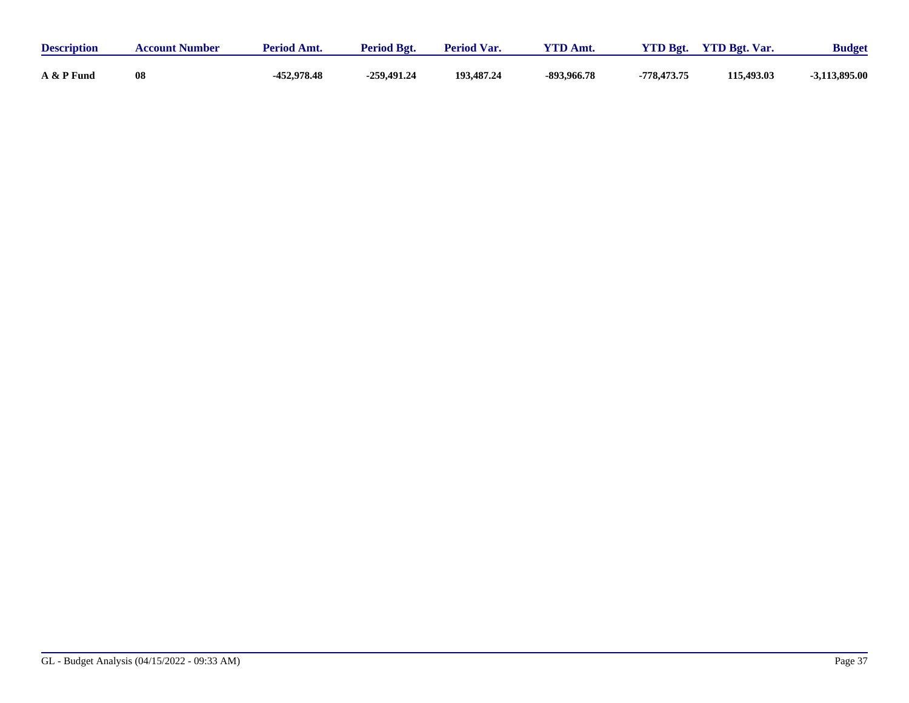| <b>Description</b> | <b>Account Number</b> | <b>Period Amt.</b> | <b>Period Bgt.</b> | <b>Period Var.</b> | $VTD$ Amt.  | $VTD$ Bgt.  | <b>YTD Bgt. Var.</b> | <b>Budget</b> |
|--------------------|-----------------------|--------------------|--------------------|--------------------|-------------|-------------|----------------------|---------------|
| A & P Fund         | 08                    | -452,978.48        | $-259,491,24$      | 193,487.24         | -893,966.78 | -778,473.75 | 115,493.03           | -3,113,895.00 |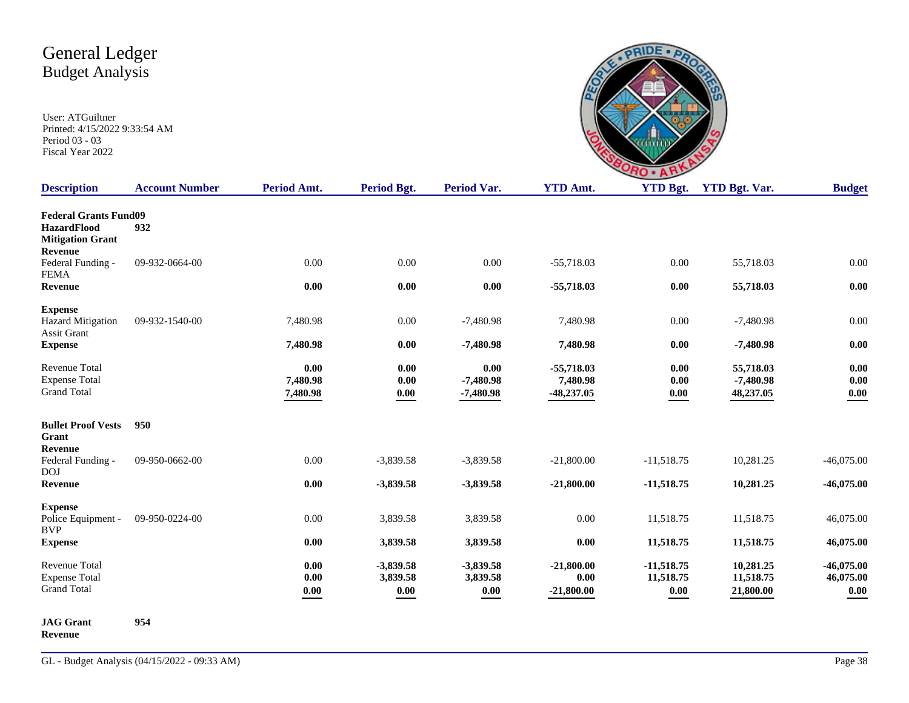| ÷<br>$\mathbf{C}$                       |                      |
|-----------------------------------------|----------------------|
| $V/TD \rightarrow 4$<br>$\Delta$ $\sim$ | $V/TD \rightarrow 4$ |

| <b>Description</b>                                                                       | <b>Account Number</b> | Period Amt.                  | Period Bgt.                         | <b>Period Var.</b>                 | <b>YTD Amt.</b>                          | <b>YTD Bgt.</b>                                  | <b>YTD Bgt. Var.</b>                  | <b>Budget</b>                         |
|------------------------------------------------------------------------------------------|-----------------------|------------------------------|-------------------------------------|------------------------------------|------------------------------------------|--------------------------------------------------|---------------------------------------|---------------------------------------|
| <b>Federal Grants Fund09</b><br><b>HazardFlood</b><br><b>Mitigation Grant</b><br>Revenue | 932                   |                              |                                     |                                    |                                          |                                                  |                                       |                                       |
| Federal Funding -<br><b>FEMA</b>                                                         | 09-932-0664-00        | 0.00                         | 0.00                                | 0.00                               | $-55,718.03$                             | 0.00                                             | 55,718.03                             | 0.00                                  |
| Revenue                                                                                  |                       | 0.00                         | 0.00                                | 0.00                               | $-55,718.03$                             | 0.00                                             | 55,718.03                             | 0.00                                  |
| <b>Expense</b><br><b>Hazard Mitigation</b><br>Assit Grant                                | 09-932-1540-00        | 7,480.98                     | 0.00                                | $-7,480.98$                        | 7,480.98                                 | 0.00                                             | $-7,480.98$                           | 0.00                                  |
| <b>Expense</b>                                                                           |                       | 7,480.98                     | 0.00                                | $-7,480.98$                        | 7,480.98                                 | 0.00                                             | $-7,480.98$                           | 0.00                                  |
| Revenue Total<br><b>Expense Total</b><br><b>Grand Total</b>                              |                       | 0.00<br>7,480.98<br>7,480.98 | 0.00<br>0.00<br>$\boldsymbol{0.00}$ | 0.00<br>$-7,480.98$<br>$-7,480.98$ | $-55,718.03$<br>7,480.98<br>$-48,237.05$ | 0.00<br>0.00<br>$\boldsymbol{0.00}$              | 55,718.03<br>$-7,480.98$<br>48,237.05 | 0.00<br>0.00<br>$0.00\,$              |
| <b>Bullet Proof Vests</b><br>Grant<br>Revenue                                            | 950                   |                              |                                     |                                    |                                          |                                                  |                                       |                                       |
| Federal Funding -<br><b>DOJ</b>                                                          | 09-950-0662-00        | 0.00                         | $-3,839.58$                         | $-3,839.58$                        | $-21,800.00$                             | $-11,518.75$                                     | 10,281.25                             | $-46,075.00$                          |
| Revenue                                                                                  |                       | 0.00                         | $-3,839.58$                         | $-3,839.58$                        | $-21,800.00$                             | $-11,518.75$                                     | 10,281.25                             | $-46,075.00$                          |
| <b>Expense</b><br>Police Equipment -<br><b>BVP</b>                                       | 09-950-0224-00        | 0.00                         | 3,839.58                            | 3,839.58                           | 0.00                                     | 11,518.75                                        | 11,518.75                             | 46,075.00                             |
| <b>Expense</b>                                                                           |                       | 0.00                         | 3,839.58                            | 3,839.58                           | 0.00                                     | 11,518.75                                        | 11,518.75                             | 46,075.00                             |
| Revenue Total<br><b>Expense Total</b><br><b>Grand Total</b>                              |                       | 0.00<br>0.00<br>0.00         | $-3,839.58$<br>3,839.58<br>0.00     | $-3,839.58$<br>3,839.58<br>0.00    | $-21,800.00$<br>0.00<br>$-21,800.00$     | $-11,518.75$<br>11,518.75<br>$\boldsymbol{0.00}$ | 10,281.25<br>11,518.75<br>21,800.00   | $-46,075.00$<br>46,075.00<br>$0.00\,$ |
| <b>JAG</b> Grant                                                                         | 954                   |                              |                                     |                                    |                                          |                                                  |                                       |                                       |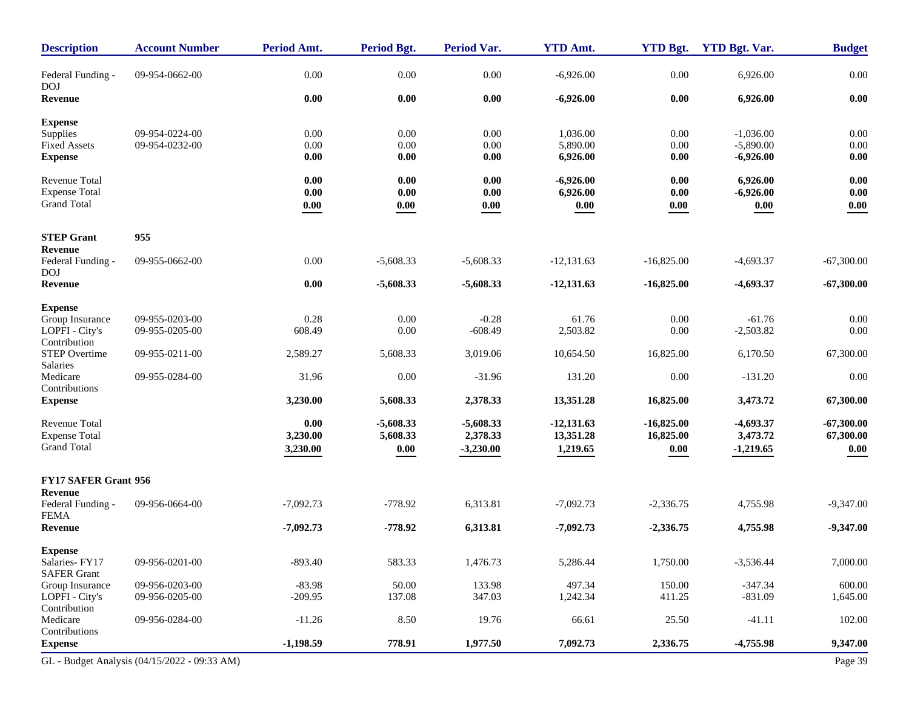| <b>Description</b>              | <b>Account Number</b>                        | Period Amt. | <b>Period Bgt.</b> | Period Var. | <b>YTD Amt.</b> | <b>YTD Bgt.</b> | <b>YTD Bgt. Var.</b> | <b>Budget</b> |
|---------------------------------|----------------------------------------------|-------------|--------------------|-------------|-----------------|-----------------|----------------------|---------------|
| Federal Funding -<br><b>DOJ</b> | 09-954-0662-00                               | 0.00        | 0.00               | 0.00        | $-6,926.00$     | $0.00\,$        | 6,926.00             | $0.00\,$      |
| Revenue                         |                                              | 0.00        | 0.00               | 0.00        | $-6,926.00$     | $0.00\,$        | 6,926.00             | $0.00\,$      |
| <b>Expense</b>                  |                                              |             |                    |             |                 |                 |                      |               |
| Supplies                        | 09-954-0224-00                               | 0.00        | 0.00               | 0.00        | 1,036.00        | 0.00            | $-1,036.00$          | 0.00          |
| Fixed Assets                    | 09-954-0232-00                               | 0.00        | 0.00               | 0.00        | 5,890.00        | 0.00            | $-5,890.00$          | $0.00\,$      |
| <b>Expense</b>                  |                                              | 0.00        | 0.00               | 0.00        | 6,926.00        | 0.00            | $-6,926.00$          | 0.00          |
| <b>Revenue Total</b>            |                                              | 0.00        | 0.00               | 0.00        | $-6,926.00$     | 0.00            | 6,926.00             | 0.00          |
| <b>Expense Total</b>            |                                              | 0.00        | 0.00               | 0.00        | 6,926.00        | 0.00            | $-6,926.00$          | 0.00          |
| <b>Grand Total</b>              |                                              | 0.00        | 0.00               | 0.00        | 0.00            | 0.00            | 0.00                 | 0.00          |
| <b>STEP Grant</b>               | 955                                          |             |                    |             |                 |                 |                      |               |
| Revenue                         |                                              |             |                    |             |                 |                 |                      |               |
| Federal Funding -<br><b>DOJ</b> | 09-955-0662-00                               | 0.00        | $-5,608.33$        | $-5,608.33$ | $-12,131.63$    | $-16,825.00$    | $-4,693.37$          | $-67,300.00$  |
| Revenue                         |                                              | $0.00\,$    | $-5,608.33$        | $-5,608.33$ | $-12,131.63$    | $-16,825.00$    | $-4,693.37$          | $-67,300.00$  |
| <b>Expense</b>                  |                                              |             |                    |             |                 |                 |                      |               |
| Group Insurance                 | 09-955-0203-00                               | 0.28        | 0.00               | $-0.28$     | 61.76           | 0.00            | $-61.76$             | 0.00          |
| LOPFI - City's                  | 09-955-0205-00                               | 608.49      | 0.00               | $-608.49$   | 2,503.82        | 0.00            | $-2,503.82$          | 0.00          |
| Contribution                    |                                              |             |                    |             |                 |                 |                      |               |
| STEP Overtime<br>Salaries       | 09-955-0211-00                               | 2,589.27    | 5,608.33           | 3,019.06    | 10,654.50       | 16,825.00       | 6,170.50             | 67,300.00     |
| Medicare                        | 09-955-0284-00                               | 31.96       | 0.00               | $-31.96$    | 131.20          | 0.00            | $-131.20$            | 0.00          |
| Contributions<br><b>Expense</b> |                                              | 3,230.00    | 5,608.33           | 2,378.33    | 13,351.28       | 16,825.00       | 3,473.72             | 67,300.00     |
|                                 |                                              |             |                    |             |                 |                 |                      |               |
| <b>Revenue Total</b>            |                                              | 0.00        | $-5,608.33$        | $-5,608.33$ | $-12,131.63$    | $-16,825.00$    | $-4,693.37$          | $-67,300.00$  |
| <b>Expense Total</b>            |                                              | 3,230.00    | 5,608.33           | 2,378.33    | 13,351.28       | 16,825.00       | 3,473.72             | 67,300.00     |
| <b>Grand Total</b>              |                                              | 3,230.00    | 0.00               | $-3,230.00$ | 1,219.65        | 0.00            | $-1,219.65$          | 0.00          |
| <b>FY17 SAFER Grant 956</b>     |                                              |             |                    |             |                 |                 |                      |               |
| Revenue                         |                                              |             |                    |             |                 |                 |                      |               |
| Federal Funding -               | 09-956-0664-00                               | $-7,092.73$ | $-778.92$          | 6,313.81    | $-7,092.73$     | $-2,336.75$     | 4,755.98             | $-9,347.00$   |
| <b>FEMA</b><br>Revenue          |                                              | $-7,092.73$ | $-778.92$          | 6,313.81    | $-7,092.73$     | $-2,336.75$     | 4,755.98             | $-9,347.00$   |
| <b>Expense</b>                  |                                              |             |                    |             |                 |                 |                      |               |
| Salaries-FY17                   | 09-956-0201-00                               | $-893.40$   | 583.33             | 1,476.73    | 5,286.44        | 1,750.00        | $-3,536.44$          | 7,000.00      |
| <b>SAFER Grant</b>              |                                              |             |                    |             |                 |                 |                      |               |
| Group Insurance                 | 09-956-0203-00                               | $-83.98$    | 50.00              | 133.98      | 497.34          | 150.00          | $-347.34$            | 600.00        |
| LOPFI - City's                  | 09-956-0205-00                               | $-209.95$   | 137.08             | 347.03      | 1,242.34        | 411.25          | $-831.09$            | 1,645.00      |
| Contribution<br>Medicare        |                                              |             |                    | 19.76       |                 |                 |                      |               |
| Contributions                   | 09-956-0284-00                               | $-11.26$    | 8.50               |             | 66.61           | 25.50           | $-41.11$             | 102.00        |
| <b>Expense</b>                  |                                              | $-1,198.59$ | 778.91             | 1,977.50    | 7,092.73        | 2,336.75        | $-4,755.98$          | 9,347.00      |
|                                 | GL - Budget Analysis (04/15/2022 - 09:33 AM) |             |                    |             |                 |                 |                      | Page 39       |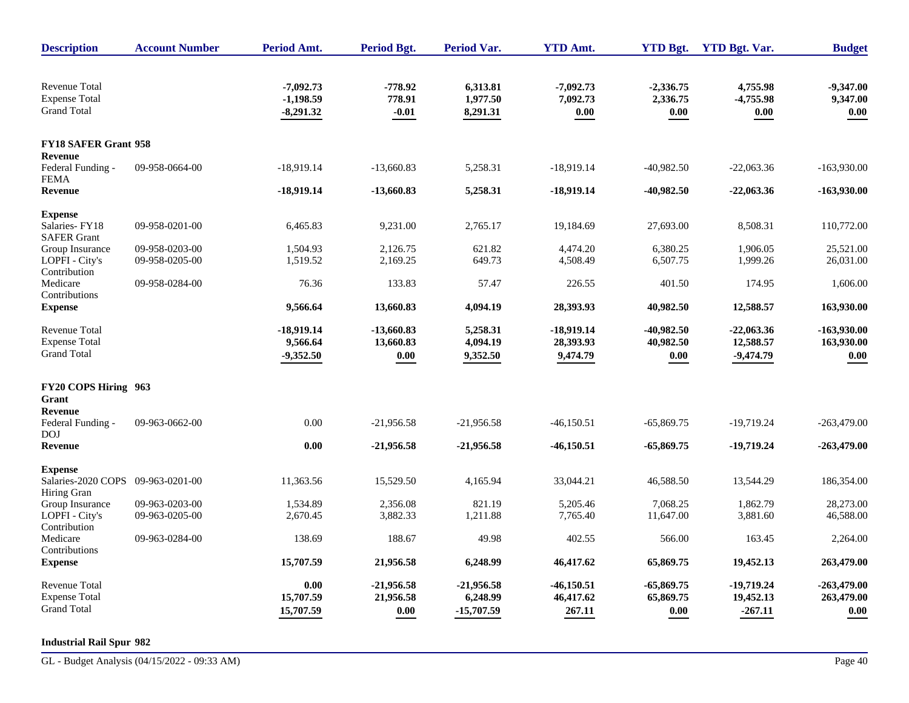| <b>Description</b>                               | <b>Account Number</b> | <b>Period Amt.</b>         | <b>Period Bgt.</b> | <b>Period Var.</b>   | <b>YTD Amt.</b>  | <b>YTD Bgt.</b>      | <b>YTD Bgt. Var.</b> | <b>Budget</b>    |
|--------------------------------------------------|-----------------------|----------------------------|--------------------|----------------------|------------------|----------------------|----------------------|------------------|
| <b>Revenue Total</b>                             |                       | $-7,092.73$                | $-778.92$          | 6,313.81             | $-7,092.73$      | $-2,336.75$          | 4,755.98             | $-9,347.00$      |
| <b>Expense Total</b><br><b>Grand Total</b>       |                       | $-1,198.59$<br>$-8,291.32$ | 778.91<br>$-0.01$  | 1,977.50<br>8,291.31 | 7,092.73<br>0.00 | 2,336.75<br>$0.00\,$ | $-4,755.98$<br>0.00  | 9,347.00<br>0.00 |
|                                                  |                       |                            |                    |                      |                  |                      |                      |                  |
| <b>FY18 SAFER Grant 958</b><br>Revenue           |                       |                            |                    |                      |                  |                      |                      |                  |
| Federal Funding -<br><b>FEMA</b>                 | 09-958-0664-00        | $-18,919.14$               | $-13,660.83$       | 5,258.31             | $-18,919.14$     | $-40,982.50$         | $-22,063.36$         | $-163,930.00$    |
| <b>Revenue</b>                                   |                       | -18,919.14                 | $-13,660.83$       | 5,258.31             | $-18,919.14$     | $-40,982.50$         | $-22,063.36$         | $-163,930.00$    |
| <b>Expense</b>                                   |                       |                            |                    |                      |                  |                      |                      |                  |
| Salaries-FY18<br><b>SAFER Grant</b>              | 09-958-0201-00        | 6,465.83                   | 9,231.00           | 2,765.17             | 19,184.69        | 27,693.00            | 8,508.31             | 110,772.00       |
| Group Insurance                                  | 09-958-0203-00        | 1,504.93                   | 2,126.75           | 621.82               | 4,474.20         | 6,380.25             | 1,906.05             | 25,521.00        |
| LOPFI - City's<br>Contribution                   | 09-958-0205-00        | 1,519.52                   | 2,169.25           | 649.73               | 4,508.49         | 6,507.75             | 1,999.26             | 26,031.00        |
| Medicare<br>Contributions                        | 09-958-0284-00        | 76.36                      | 133.83             | 57.47                | 226.55           | 401.50               | 174.95               | 1,606.00         |
| <b>Expense</b>                                   |                       | 9,566.64                   | 13,660.83          | 4,094.19             | 28,393.93        | 40,982.50            | 12,588.57            | 163,930.00       |
| Revenue Total                                    |                       | $-18,919.14$               | $-13,660.83$       | 5,258.31             | $-18,919.14$     | $-40.982.50$         | $-22,063.36$         | $-163,930.00$    |
| <b>Expense Total</b><br><b>Grand Total</b>       |                       | 9,566.64                   | 13,660.83          | 4,094.19             | 28,393.93        | 40,982.50            | 12,588.57            | 163,930.00       |
|                                                  |                       | $-9,352.50$                | $0.00\,$           | 9,352.50             | 9,474.79         | $0.00\,$             | $-9,474.79$          | 0.00             |
| FY20 COPS Hiring 963<br>Grant                    |                       |                            |                    |                      |                  |                      |                      |                  |
| <b>Revenue</b>                                   |                       |                            |                    |                      |                  |                      |                      |                  |
| Federal Funding -<br><b>DOJ</b>                  | 09-963-0662-00        | 0.00                       | $-21,956.58$       | $-21,956.58$         | $-46, 150.51$    | $-65,869.75$         | -19,719.24           | $-263,479.00$    |
| <b>Revenue</b>                                   |                       | 0.00                       | $-21,956.58$       | $-21,956.58$         | $-46,150.51$     | $-65,869.75$         | -19,719.24           | $-263,479.00$    |
| <b>Expense</b>                                   |                       |                            |                    |                      |                  |                      |                      |                  |
| Salaries-2020 COPS 09-963-0201-00<br>Hiring Gran |                       | 11,363.56                  | 15,529.50          | 4,165.94             | 33,044.21        | 46,588.50            | 13,544.29            | 186,354.00       |
| Group Insurance                                  | 09-963-0203-00        | 1,534.89                   | 2,356.08           | 821.19               | 5,205.46         | 7,068.25             | 1,862.79             | 28,273.00        |
| LOPFI - City's<br>Contribution                   | 09-963-0205-00        | 2,670.45                   | 3,882.33           | 1,211.88             | 7,765.40         | 11,647.00            | 3,881.60             | 46,588.00        |
| Medicare<br>Contributions                        | 09-963-0284-00        | 138.69                     | 188.67             | 49.98                | 402.55           | 566.00               | 163.45               | 2,264.00         |
| <b>Expense</b>                                   |                       | 15,707.59                  | 21,956.58          | 6,248.99             | 46,417.62        | 65,869.75            | 19,452.13            | 263,479.00       |
| Revenue Total                                    |                       | 0.00                       | $-21,956.58$       | $-21,956.58$         | $-46,150.51$     | $-65,869.75$         | $-19,719.24$         | $-263,479.00$    |
| <b>Expense Total</b>                             |                       | 15,707.59                  | 21,956.58          | 6,248.99             | 46,417.62        | 65,869.75            | 19,452.13            | 263,479.00       |
| <b>Grand Total</b>                               |                       | 15,707.59                  | 0.00               | $-15,707.59$         | 267.11           | 0.00                 | $-267.11$            | 0.00             |

#### **Industrial Rail Spur 982**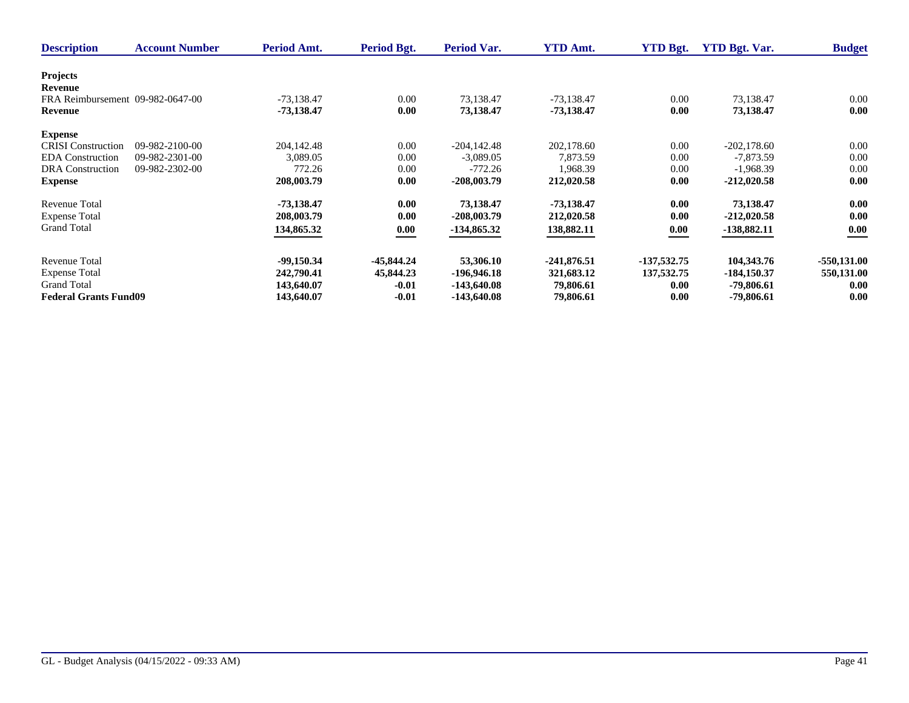| <b>Description</b>               | <b>Account Number</b> | <b>Period Amt.</b> | Period Bgt.  | <b>Period Var.</b> | <b>YTD Amt.</b> | <b>YTD Bgt.</b> | <b>YTD Bgt. Var.</b> | <b>Budget</b> |
|----------------------------------|-----------------------|--------------------|--------------|--------------------|-----------------|-----------------|----------------------|---------------|
| <b>Projects</b>                  |                       |                    |              |                    |                 |                 |                      |               |
| Revenue                          |                       |                    |              |                    |                 |                 |                      |               |
| FRA Reimbursement 09-982-0647-00 |                       | $-73.138.47$       | 0.00         | 73,138.47          | $-73,138.47$    | 0.00            | 73,138.47            | 0.00          |
|                                  |                       |                    |              |                    |                 |                 |                      |               |
| Revenue                          |                       | -73,138.47         | 0.00         | 73,138.47          | -73,138.47      | 0.00            | 73,138.47            | 0.00          |
| <b>Expense</b>                   |                       |                    |              |                    |                 |                 |                      |               |
| <b>CRISI</b> Construction        | 09-982-2100-00        | 204,142.48         | 0.00         | $-204.142.48$      | 202,178.60      | 0.00            | $-202.178.60$        | 0.00          |
| <b>EDA</b> Construction          | 09-982-2301-00        | 3,089.05           | 0.00         | $-3,089.05$        | 7,873.59        | 0.00            | $-7,873.59$          | 0.00          |
| <b>DRA</b> Construction          | 09-982-2302-00        | 772.26             | 0.00         | $-772.26$          | 1,968.39        | 0.00            | $-1,968.39$          | 0.00          |
| <b>Expense</b>                   |                       | 208,003.79         | 0.00         | $-208,003.79$      | 212,020.58      | 0.00            | $-212,020.58$        | 0.00          |
|                                  |                       |                    |              |                    |                 |                 |                      |               |
| <b>Revenue Total</b>             |                       | -73,138.47         | 0.00         | 73,138.47          | $-73,138.47$    | 0.00            | 73,138.47            | 0.00          |
| <b>Expense Total</b>             |                       | 208,003.79         | 0.00         | $-208,003.79$      | 212,020.58      | 0.00            | $-212,020.58$        | 0.00          |
| <b>Grand Total</b>               |                       | 134,865.32         | 0.00         | $-134,865.32$      | 138,882.11      | 0.00            | $-138,882.11$        | 0.00          |
|                                  |                       |                    |              |                    |                 |                 |                      |               |
| <b>Revenue Total</b>             |                       | $-99,150.34$       | $-45,844.24$ | 53,306.10          | $-241,876.51$   | -137,532.75     | 104,343.76           | $-550,131.00$ |
| <b>Expense Total</b>             |                       | 242,790.41         | 45,844.23    | -196,946.18        | 321,683.12      | 137, 532. 75    | $-184,150.37$        | 550,131.00    |
| <b>Grand Total</b>               |                       | 143,640.07         | $-0.01$      |                    | 79,806.61       | 0.00            | -79,806.61           | 0.00          |
|                                  |                       |                    |              | $-143,640.08$      |                 |                 |                      |               |
| <b>Federal Grants Fund09</b>     |                       | 143,640.07         | $-0.01$      | -143,640.08        | 79,806.61       | 0.00            | -79,806.61           | 0.00          |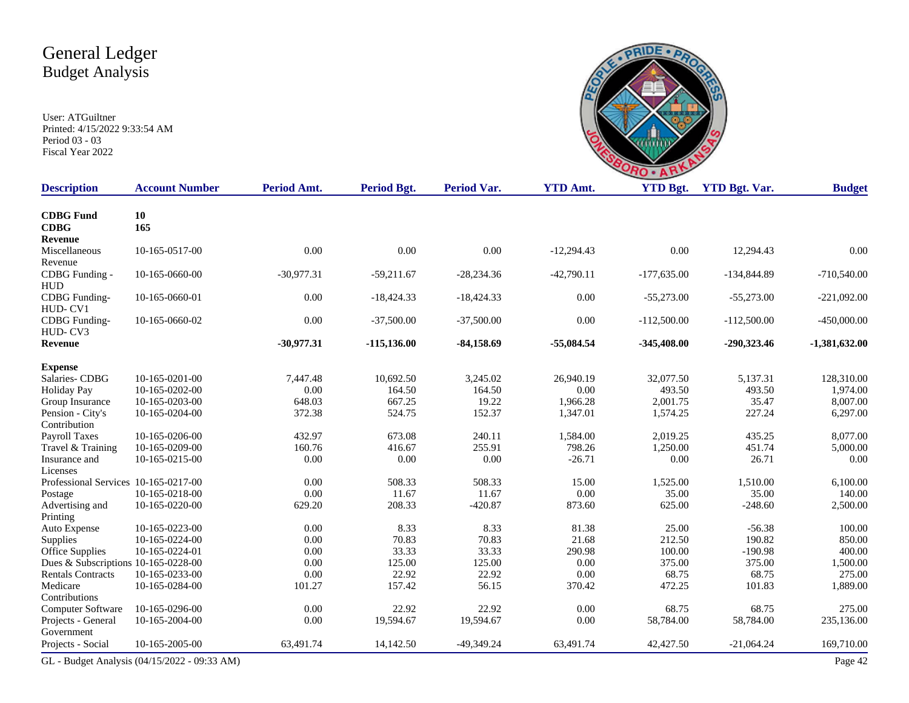

| <b>Description</b>                   | <b>Account Number</b>                        | Period Amt.  | Period Bgt.    | <b>Period Var.</b> | <b>YTD Amt.</b> | <b>YTD Bgt.</b> | <b>YTD Bgt. Var.</b> | <b>Budget</b>   |
|--------------------------------------|----------------------------------------------|--------------|----------------|--------------------|-----------------|-----------------|----------------------|-----------------|
| <b>CDBG</b> Fund<br><b>CDBG</b>      | 10<br>165                                    |              |                |                    |                 |                 |                      |                 |
| <b>Revenue</b>                       |                                              |              |                |                    |                 |                 |                      |                 |
| Miscellaneous                        | 10-165-0517-00                               | 0.00         | 0.00           | 0.00               | $-12,294.43$    | 0.00            | 12,294.43            | 0.00            |
| Revenue                              |                                              |              |                |                    |                 |                 |                      |                 |
| CDBG Funding -                       | 10-165-0660-00                               | $-30,977.31$ | $-59,211.67$   | $-28,234.36$       | $-42,790.11$    | $-177,635.00$   | $-134,844.89$        | $-710,540.00$   |
| <b>HUD</b>                           |                                              |              |                |                    |                 |                 |                      |                 |
| CDBG Funding-                        | 10-165-0660-01                               | 0.00         | $-18,424.33$   | $-18,424.33$       | 0.00            | $-55,273.00$    | $-55,273.00$         | $-221,092.00$   |
| HUD-CV1                              |                                              |              |                |                    |                 |                 |                      |                 |
| CDBG Funding-                        | 10-165-0660-02                               | 0.00         | $-37,500.00$   | $-37,500.00$       | 0.00            | $-112,500.00$   | $-112,500.00$        | $-450,000.00$   |
| HUD-CV3                              |                                              |              |                |                    |                 |                 |                      |                 |
| <b>Revenue</b>                       |                                              | $-30,977,31$ | $-115, 136.00$ | $-84,158.69$       | $-55,084.54$    | $-345,408.00$   | $-290,323.46$        | $-1,381,632.00$ |
| <b>Expense</b>                       |                                              |              |                |                    |                 |                 |                      |                 |
| Salaries-CDBG                        | 10-165-0201-00                               | 7,447.48     | 10,692.50      | 3,245.02           | 26,940.19       | 32,077.50       | 5,137.31             | 128,310.00      |
| <b>Holiday Pay</b>                   | 10-165-0202-00                               | 0.00         | 164.50         | 164.50             | 0.00            | 493.50          | 493.50               | 1,974.00        |
| Group Insurance                      | 10-165-0203-00                               | 648.03       | 667.25         | 19.22              | 1,966.28        | 2,001.75        | 35.47                | 8,007.00        |
| Pension - City's                     | 10-165-0204-00                               | 372.38       | 524.75         | 152.37             | 1,347.01        | 1,574.25        | 227.24               | 6,297.00        |
| Contribution                         |                                              |              |                |                    |                 |                 |                      |                 |
| <b>Payroll Taxes</b>                 | 10-165-0206-00                               | 432.97       | 673.08         | 240.11             | 1,584.00        | 2,019.25        | 435.25               | 8,077.00        |
| Travel & Training                    | 10-165-0209-00                               | 160.76       | 416.67         | 255.91             | 798.26          | 1,250.00        | 451.74               | 5,000.00        |
| Insurance and                        | 10-165-0215-00                               | 0.00         | 0.00           | 0.00               | $-26.71$        | $0.00\,$        | 26.71                | 0.00            |
| Licenses                             |                                              |              |                |                    |                 |                 |                      |                 |
| Professional Services 10-165-0217-00 |                                              | 0.00         | 508.33         | 508.33             | 15.00           | 1,525.00        | 1,510.00             | 6,100.00        |
| Postage                              | 10-165-0218-00                               | 0.00         | 11.67          | 11.67              | 0.00            | 35.00           | 35.00                | 140.00          |
| Advertising and                      | 10-165-0220-00                               | 629.20       | 208.33         | $-420.87$          | 873.60          | 625.00          | $-248.60$            | 2,500.00        |
| Printing                             |                                              |              |                |                    |                 |                 |                      |                 |
| Auto Expense                         | 10-165-0223-00                               | 0.00         | 8.33           | 8.33               | 81.38           | 25.00           | $-56.38$             | 100.00          |
| Supplies                             | 10-165-0224-00                               | 0.00         | 70.83          | 70.83              | 21.68           | 212.50          | 190.82               | 850.00          |
| <b>Office Supplies</b>               | 10-165-0224-01                               | 0.00         | 33.33          | 33.33              | 290.98          | 100.00          | $-190.98$            | 400.00          |
| Dues & Subscriptions 10-165-0228-00  |                                              | 0.00         | 125.00         | 125.00             | $0.00\,$        | 375.00          | 375.00               | 1,500.00        |
| <b>Rentals Contracts</b>             | 10-165-0233-00                               | 0.00         | 22.92          | 22.92              | 0.00            | 68.75           | 68.75                | 275.00          |
| Medicare                             | 10-165-0284-00                               | 101.27       | 157.42         | 56.15              | 370.42          | 472.25          | 101.83               | 1,889.00        |
| Contributions                        |                                              |              |                |                    |                 |                 |                      |                 |
| Computer Software                    | 10-165-0296-00                               | 0.00         | 22.92          | 22.92              | 0.00            | 68.75           | 68.75                | 275.00          |
| Projects - General                   | 10-165-2004-00                               | 0.00         | 19,594.67      | 19,594.67          | 0.00            | 58,784.00       | 58,784.00            | 235,136.00      |
| Government<br>Projects - Social      | 10-165-2005-00                               | 63,491.74    | 14,142.50      | $-49,349.24$       | 63,491.74       | 42,427.50       | $-21,064.24$         | 169,710.00      |
|                                      |                                              |              |                |                    |                 |                 |                      |                 |
|                                      | GL - Budget Analysis (04/15/2022 - 09:33 AM) |              |                |                    |                 |                 |                      | Page 42         |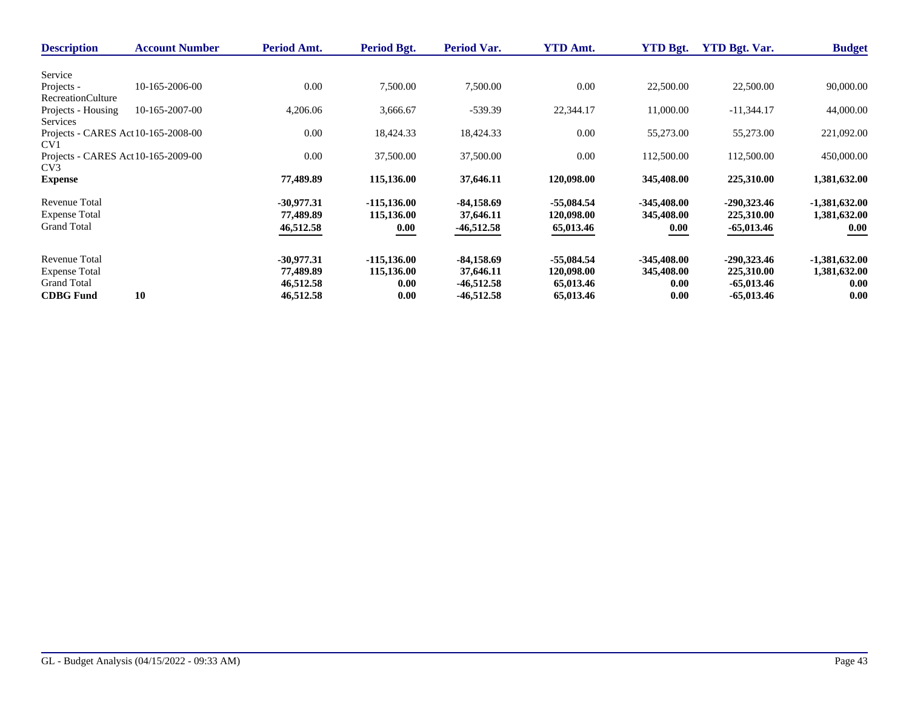| <b>Description</b>                  | <b>Account Number</b> | Period Amt.  | Period Bgt.    | Period Var.  | <b>YTD Amt.</b> | <b>YTD Bgt.</b> | <b>YTD Bgt. Var.</b> | <b>Budget</b>   |
|-------------------------------------|-----------------------|--------------|----------------|--------------|-----------------|-----------------|----------------------|-----------------|
|                                     |                       |              |                |              |                 |                 |                      |                 |
| Service                             |                       |              |                |              |                 |                 |                      |                 |
| Projects -                          | 10-165-2006-00        | 0.00         | 7,500.00       | 7,500.00     | 0.00            | 22,500.00       | 22,500.00            | 90,000.00       |
| <b>RecreationCulture</b>            |                       |              |                |              |                 |                 |                      |                 |
| Projects - Housing                  | 10-165-2007-00        | 4,206.06     | 3,666.67       | $-539.39$    | 22,344.17       | 11,000.00       | $-11,344.17$         | 44,000.00       |
| Services                            |                       |              |                |              |                 |                 |                      |                 |
| Projects - CARES Act 10-165-2008-00 |                       | 0.00         | 18,424.33      | 18,424.33    | 0.00            | 55,273.00       | 55,273.00            | 221,092.00      |
| CV1                                 |                       |              |                |              |                 |                 |                      |                 |
| Projects - CARES Act 10-165-2009-00 |                       | 0.00         | 37,500.00      | 37,500.00    | 0.00            | 112,500.00      | 112,500.00           | 450,000.00      |
| CV <sub>3</sub>                     |                       |              |                |              |                 |                 |                      |                 |
| <b>Expense</b>                      |                       | 77,489.89    | 115,136.00     | 37,646.11    | 120,098.00      | 345,408.00      | 225,310.00           | 1,381,632.00    |
| Revenue Total                       |                       | $-30,977.31$ | $-115, 136.00$ | $-84,158.69$ | $-55,084.54$    | $-345,408.00$   | $-290,323.46$        | $-1,381,632.00$ |
| <b>Expense Total</b>                |                       | 77,489.89    | 115,136.00     | 37,646.11    | 120,098.00      | 345,408.00      | 225,310.00           | 1,381,632.00    |
| <b>Grand Total</b>                  |                       | 46,512.58    | 0.00           | $-46,512.58$ | 65,013.46       | 0.00            | -65,013.46           | 0.00            |
|                                     |                       |              |                |              |                 |                 |                      |                 |
| <b>Revenue Total</b>                |                       | $-30,977.31$ | $-115, 136.00$ | $-84,158.69$ | $-55,084.54$    | $-345,408.00$   | $-290,323.46$        | $-1,381,632.00$ |
| <b>Expense Total</b>                |                       | 77,489.89    | 115,136.00     | 37,646.11    | 120,098.00      | 345,408.00      | 225,310.00           | 1,381,632.00    |
| <b>Grand Total</b>                  |                       | 46,512.58    | 0.00           | $-46,512.58$ | 65,013.46       | 0.00            | $-65,013.46$         | 0.00            |
| <b>CDBG</b> Fund                    | 10                    | 46,512.58    | 0.00           | $-46,512.58$ | 65,013.46       | 0.00            | $-65,013.46$         | 0.00            |
|                                     |                       |              |                |              |                 |                 |                      |                 |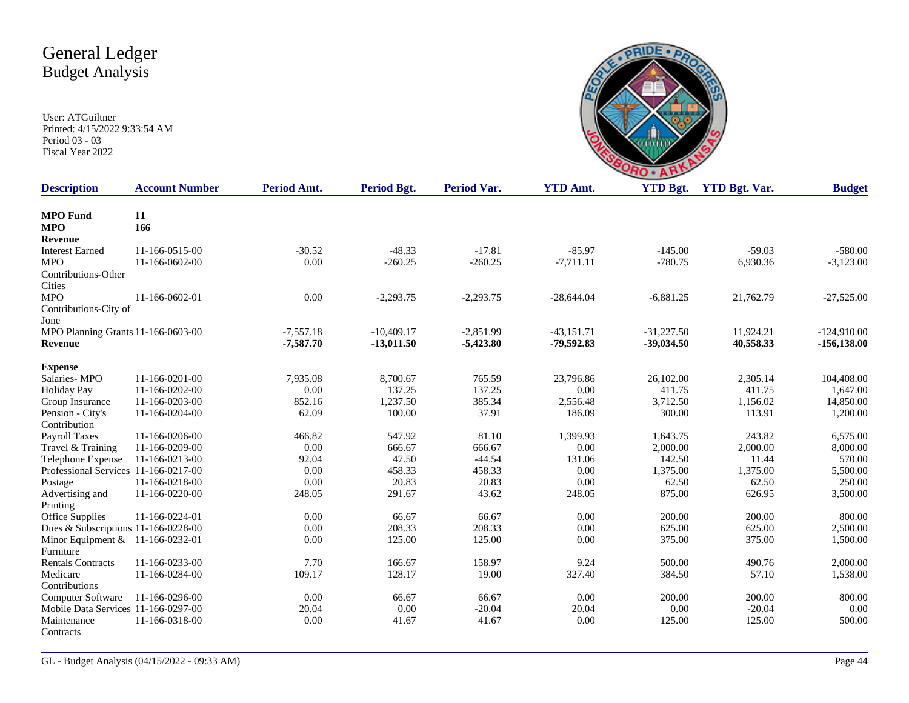

| <b>Description</b>                   | <b>Account Number</b> | Period Amt. | Period Bgt.  | Period Var. | <b>YTD Amt.</b> | <b>YTD Bgt.</b> | <b>YTD Bgt. Var.</b> | <b>Budget</b>  |
|--------------------------------------|-----------------------|-------------|--------------|-------------|-----------------|-----------------|----------------------|----------------|
| <b>MPO</b> Fund                      | 11                    |             |              |             |                 |                 |                      |                |
| <b>MPO</b>                           | 166                   |             |              |             |                 |                 |                      |                |
| Revenue                              |                       |             |              |             |                 |                 |                      |                |
| <b>Interest Earned</b>               | 11-166-0515-00        | $-30.52$    | $-48.33$     | $-17.81$    | $-85.97$        | $-145.00$       | $-59.03$             | $-580.00$      |
| <b>MPO</b>                           | 11-166-0602-00        | 0.00        | $-260.25$    | $-260.25$   | $-7,711.11$     | $-780.75$       | 6,930.36             | $-3,123.00$    |
| Contributions-Other                  |                       |             |              |             |                 |                 |                      |                |
| Cities                               |                       |             |              |             |                 |                 |                      |                |
| <b>MPO</b>                           | 11-166-0602-01        | 0.00        | $-2,293.75$  | $-2,293.75$ | $-28,644.04$    | $-6,881.25$     | 21,762.79            | $-27,525.00$   |
| Contributions-City of                |                       |             |              |             |                 |                 |                      |                |
| Jone                                 |                       |             |              |             |                 |                 |                      |                |
| MPO Planning Grants 11-166-0603-00   |                       | $-7,557.18$ | $-10,409.17$ | $-2,851.99$ | $-43,151.71$    | $-31,227.50$    | 11,924.21            | $-124,910.00$  |
| Revenue                              |                       | $-7,587,70$ | $-13,011.50$ | $-5,423.80$ | -79,592.83      | $-39,034.50$    | 40,558.33            | $-156, 138.00$ |
| <b>Expense</b>                       |                       |             |              |             |                 |                 |                      |                |
| Salaries-MPO                         | 11-166-0201-00        | 7,935.08    | 8,700.67     | 765.59      | 23,796.86       | 26,102.00       | 2,305.14             | 104,408.00     |
| <b>Holiday Pay</b>                   | 11-166-0202-00        | 0.00        | 137.25       | 137.25      | 0.00            | 411.75          | 411.75               | 1,647.00       |
| Group Insurance                      | 11-166-0203-00        | 852.16      | 1,237.50     | 385.34      | 2,556.48        | 3,712.50        | 1,156.02             | 14,850.00      |
| Pension - City's                     | 11-166-0204-00        | 62.09       | 100.00       | 37.91       | 186.09          | 300.00          | 113.91               | 1,200.00       |
| Contribution                         |                       |             |              |             |                 |                 |                      |                |
| Payroll Taxes                        | 11-166-0206-00        | 466.82      | 547.92       | 81.10       | 1,399.93        | 1,643.75        | 243.82               | 6,575.00       |
| Travel & Training                    | 11-166-0209-00        | 0.00        | 666.67       | 666.67      | 0.00            | 2,000.00        | 2,000.00             | 8,000.00       |
| Telephone Expense                    | 11-166-0213-00        | 92.04       | 47.50        | $-44.54$    | 131.06          | 142.50          | 11.44                | 570.00         |
| Professional Services 11-166-0217-00 |                       | 0.00        | 458.33       | 458.33      | 0.00            | 1,375.00        | 1,375.00             | 5,500.00       |
| Postage                              | 11-166-0218-00        | 0.00        | 20.83        | 20.83       | 0.00            | 62.50           | 62.50                | 250.00         |
| Advertising and                      | 11-166-0220-00        | 248.05      | 291.67       | 43.62       | 248.05          | 875.00          | 626.95               | 3,500.00       |
| Printing                             |                       |             |              |             |                 |                 |                      |                |
| Office Supplies                      | 11-166-0224-01        | 0.00        | 66.67        | 66.67       | 0.00            | 200.00          | 200.00               | 800.00         |
| Dues & Subscriptions 11-166-0228-00  |                       | 0.00        | 208.33       | 208.33      | 0.00            | 625.00          | 625.00               | 2,500.00       |
| Minor Equipment & 11-166-0232-01     |                       | 0.00        | 125.00       | 125.00      | 0.00            | 375.00          | 375.00               | 1,500.00       |
| Furniture                            |                       |             |              |             |                 |                 |                      |                |
| <b>Rentals Contracts</b>             | 11-166-0233-00        | 7.70        | 166.67       | 158.97      | 9.24            | 500.00          | 490.76               | 2,000.00       |
| Medicare                             | 11-166-0284-00        | 109.17      | 128.17       | 19.00       | 327.40          | 384.50          | 57.10                | 1,538.00       |
| Contributions                        |                       |             |              |             |                 |                 |                      |                |
| Computer Software                    | 11-166-0296-00        | 0.00        | 66.67        | 66.67       | 0.00            | 200.00          | 200.00               | 800.00         |
| Mobile Data Services 11-166-0297-00  |                       | 20.04       | 0.00         | $-20.04$    | 20.04           | 0.00            | $-20.04$             | 0.00           |
| Maintenance                          | 11-166-0318-00        | 0.00        | 41.67        | 41.67       | 0.00            | 125.00          | 125.00               | 500.00         |
| Contracts                            |                       |             |              |             |                 |                 |                      |                |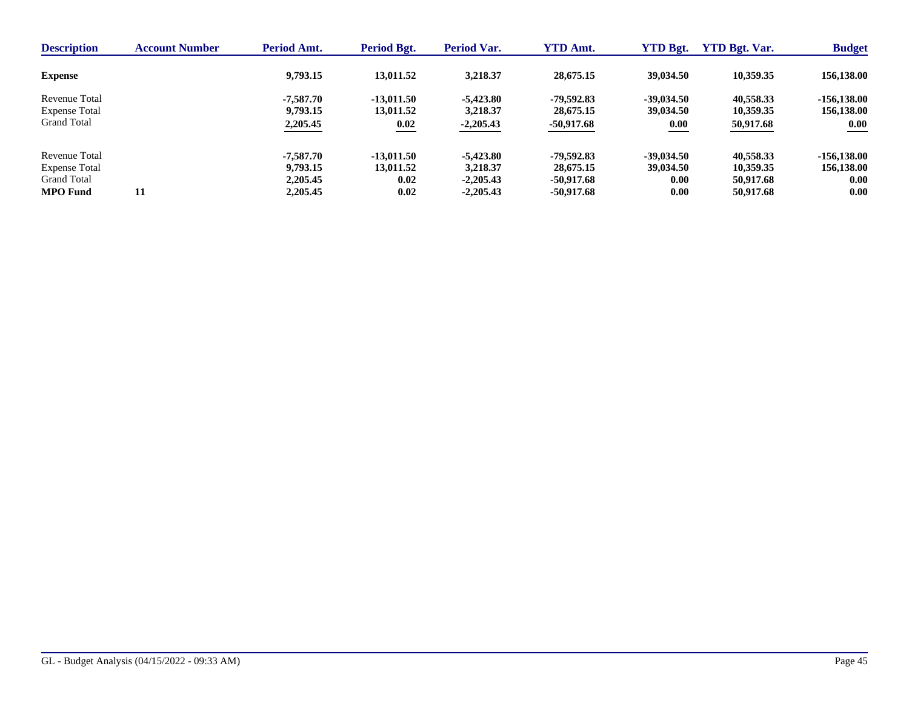| <b>Description</b>   | <b>Account Number</b> | Period Amt. | Period Bgt.  | Period Var. | <b>YTD Amt.</b> | <b>YTD Bgt.</b> | <b>YTD Bgt. Var.</b> | <b>Budget</b> |
|----------------------|-----------------------|-------------|--------------|-------------|-----------------|-----------------|----------------------|---------------|
| <b>Expense</b>       |                       | 9,793.15    | 13,011.52    | 3,218.37    | 28,675.15       | 39,034.50       | 10,359.35            | 156,138.00    |
| Revenue Total        |                       | -7.587.70   | $-13.011.50$ | $-5,423.80$ | -79.592.83      | $-39.034.50$    | 40,558.33            | $-156.138.00$ |
| <b>Expense Total</b> |                       | 9,793.15    | 13,011.52    | 3,218.37    | 28,675.15       | 39,034.50       | 10,359.35            | 156,138.00    |
| <b>Grand Total</b>   |                       | 2,205.45    | 0.02         | $-2,205.43$ | $-50,917.68$    | 0.00            | 50,917.68            | 0.00          |
| Revenue Total        |                       | -7.587.70   | $-13.011.50$ | $-5,423.80$ | -79.592.83      | $-39,034.50$    | 40,558.33            | $-156.138.00$ |
| <b>Expense Total</b> |                       | 9,793.15    | 13,011.52    | 3,218.37    | 28,675.15       | 39,034.50       | 10,359.35            | 156,138.00    |
| <b>Grand Total</b>   |                       | 2,205.45    | 0.02         | $-2.205.43$ | -50.917.68      | 0.00            | 50,917.68            | 0.00          |
| <b>MPO</b> Fund      | 11                    | 2,205.45    | 0.02         | $-2,205.43$ | -50,917.68      | 0.00            | 50,917.68            | 0.00          |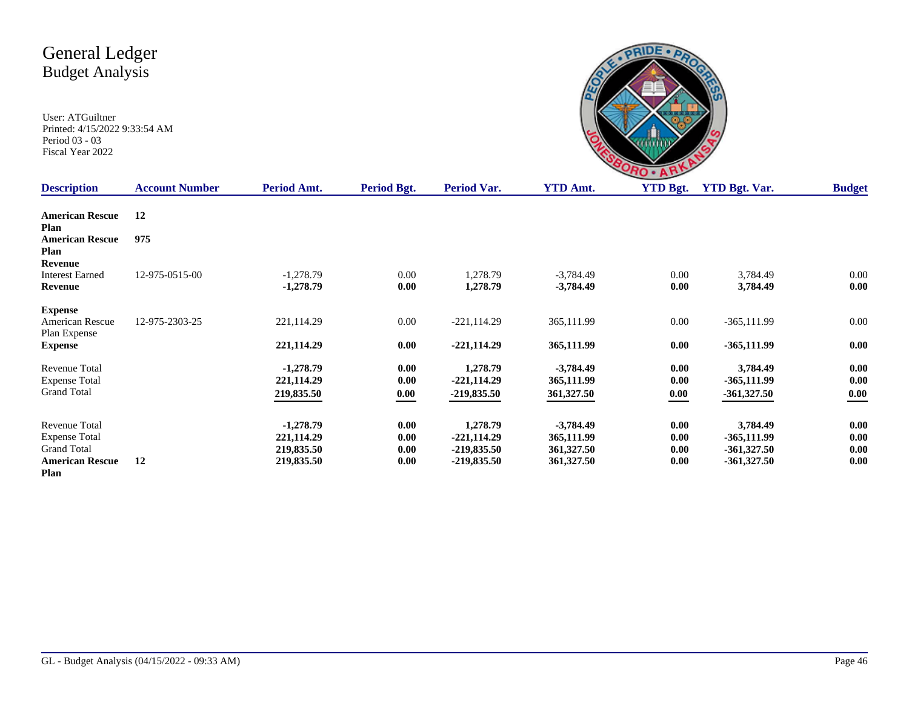User: ATGuiltner Printed: 4/15/2022 9:33:54 AM Period 03 - 03 Fiscal Year 2022

|                 | ٠<br><b>RO</b> |             |
|-----------------|----------------|-------------|
| A <sub>mt</sub> | VTD Rot        | $VTD$ $Rot$ |

| <b>Description</b>                                                                                   | <b>Account Number</b> | Period Amt.                                           | Period Bgt.                  | Period Var.                                               | <b>YTD Amt.</b>                                       | <b>YTD Bgt.</b>              | <b>YTD Bgt. Var.</b>                                        | <b>Budget</b>                |
|------------------------------------------------------------------------------------------------------|-----------------------|-------------------------------------------------------|------------------------------|-----------------------------------------------------------|-------------------------------------------------------|------------------------------|-------------------------------------------------------------|------------------------------|
| <b>American Rescue</b><br>Plan                                                                       | 12                    |                                                       |                              |                                                           |                                                       |                              |                                                             |                              |
| <b>American Rescue</b><br>Plan                                                                       | 975                   |                                                       |                              |                                                           |                                                       |                              |                                                             |                              |
| Revenue<br><b>Interest Earned</b><br>Revenue                                                         | 12-975-0515-00        | $-1,278.79$<br>$-1,278.79$                            | 0.00<br>0.00                 | 1,278.79<br>1,278.79                                      | $-3,784.49$<br>$-3,784.49$                            | 0.00<br>0.00                 | 3,784.49<br>3,784.49                                        | 0.00<br>0.00                 |
| <b>Expense</b><br>American Rescue<br>Plan Expense                                                    | 12-975-2303-25        | 221,114.29                                            | 0.00                         | $-221, 114.29$                                            | 365,111.99                                            | 0.00                         | $-365,111.99$                                               | 0.00                         |
| <b>Expense</b>                                                                                       |                       | 221,114.29                                            | 0.00                         | $-221,114.29$                                             | 365,111.99                                            | 0.00                         | $-365,111.99$                                               | 0.00                         |
| Revenue Total<br><b>Expense Total</b><br><b>Grand Total</b>                                          |                       | $-1,278.79$<br>221,114.29<br>219,835.50               | 0.00<br>0.00<br>0.00         | 1,278.79<br>$-221,114.29$<br>$-219,835.50$                | $-3,784.49$<br>365,111.99<br>361,327.50               | 0.00<br>0.00<br>0.00         | 3,784.49<br>$-365,111.99$<br>$-361,327.50$                  | 0.00<br>0.00<br>$0.00\,$     |
| <b>Revenue Total</b><br><b>Expense Total</b><br><b>Grand Total</b><br><b>American Rescue</b><br>Plan | 12                    | $-1,278.79$<br>221,114.29<br>219,835.50<br>219,835.50 | 0.00<br>0.00<br>0.00<br>0.00 | 1,278.79<br>$-221,114.29$<br>$-219,835.50$<br>-219,835.50 | $-3,784.49$<br>365,111.99<br>361,327.50<br>361,327.50 | 0.00<br>0.00<br>0.00<br>0.00 | 3,784.49<br>$-365,111.99$<br>$-361,327.50$<br>$-361,327.50$ | 0.00<br>0.00<br>0.00<br>0.00 |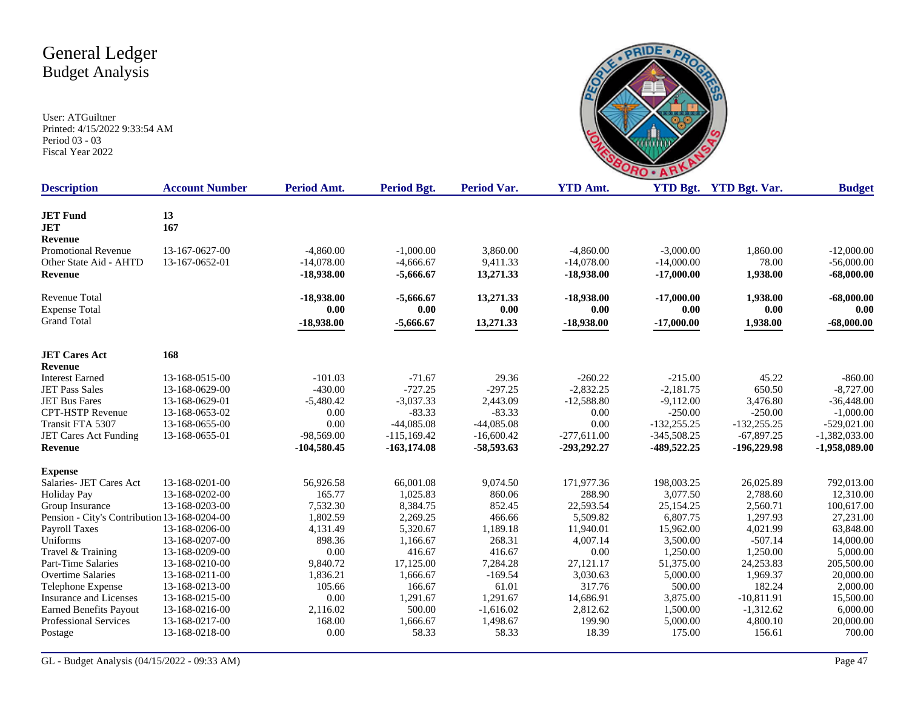

| <b>Description</b>                           | <b>Account Number</b> | Period Amt.   | Period Bgt.    | Period Var.  | <b>YTD Amt.</b> |               | <b>YTD Bgt.</b> YTD Bgt. Var. | <b>Budget</b>   |
|----------------------------------------------|-----------------------|---------------|----------------|--------------|-----------------|---------------|-------------------------------|-----------------|
| <b>JET Fund</b>                              | 13                    |               |                |              |                 |               |                               |                 |
| <b>JET</b>                                   | 167                   |               |                |              |                 |               |                               |                 |
| <b>Revenue</b>                               |                       |               |                |              |                 |               |                               |                 |
| <b>Promotional Revenue</b>                   | 13-167-0627-00        | $-4,860.00$   | $-1,000.00$    | 3,860.00     | $-4,860.00$     | $-3,000.00$   | 1,860.00                      | $-12,000.00$    |
| Other State Aid - AHTD                       | 13-167-0652-01        | $-14,078.00$  | $-4,666.67$    | 9,411.33     | $-14,078.00$    | $-14,000.00$  | 78.00                         | $-56,000.00$    |
| <b>Revenue</b>                               |                       | $-18,938.00$  | $-5,666.67$    | 13,271.33    | $-18,938.00$    | $-17,000.00$  | 1,938.00                      | $-68,000.00$    |
| Revenue Total                                |                       | $-18,938.00$  | $-5,666.67$    | 13,271.33    | $-18,938.00$    | $-17,000.00$  | 1,938.00                      | $-68,000.00$    |
| <b>Expense Total</b>                         |                       | 0.00          | 0.00           | 0.00         | 0.00            | 0.00          | 0.00                          | 0.00            |
| <b>Grand Total</b>                           |                       | $-18,938.00$  | $-5,666.67$    | 13,271.33    | $-18,938.00$    | $-17,000.00$  | 1,938.00                      | $-68,000.00$    |
| <b>JET Cares Act</b>                         | 168                   |               |                |              |                 |               |                               |                 |
| <b>Revenue</b>                               |                       |               |                |              |                 |               |                               |                 |
| <b>Interest Earned</b>                       | 13-168-0515-00        | $-101.03$     | $-71.67$       | 29.36        | $-260.22$       | $-215.00$     | 45.22                         | $-860.00$       |
| <b>JET Pass Sales</b>                        | 13-168-0629-00        | $-430.00$     | $-727.25$      | $-297.25$    | $-2,832.25$     | $-2,181.75$   | 650.50                        | $-8,727.00$     |
| <b>JET Bus Fares</b>                         | 13-168-0629-01        | $-5,480.42$   | $-3,037.33$    | 2,443.09     | $-12,588.80$    | $-9,112.00$   | 3,476.80                      | $-36,448.00$    |
| <b>CPT-HSTP Revenue</b>                      | 13-168-0653-02        | 0.00          | $-83.33$       | $-83.33$     | 0.00            | $-250.00$     | $-250.00$                     | $-1,000.00$     |
| Transit FTA 5307                             | 13-168-0655-00        | 0.00          | $-44,085.08$   | $-44,085.08$ | 0.00            | $-132,255.25$ | $-132,255.25$                 | $-529,021.00$   |
| JET Cares Act Funding                        | 13-168-0655-01        | $-98,569.00$  | $-115,169.42$  | $-16,600.42$ | $-277,611.00$   | $-345,508.25$ | $-67,897.25$                  | $-1,382,033.00$ |
| <b>Revenue</b>                               |                       | $-104,580.45$ | $-163, 174.08$ | -58,593.63   | -293,292.27     | -489,522.25   | $-196,229.98$                 | $-1,958,089.00$ |
| <b>Expense</b>                               |                       |               |                |              |                 |               |                               |                 |
| Salaries- JET Cares Act                      | 13-168-0201-00        | 56,926.58     | 66,001.08      | 9,074.50     | 171,977.36      | 198,003.25    | 26,025.89                     | 792,013.00      |
| <b>Holiday Pay</b>                           | 13-168-0202-00        | 165.77        | 1,025.83       | 860.06       | 288.90          | 3,077.50      | 2,788.60                      | 12,310.00       |
| Group Insurance                              | 13-168-0203-00        | 7,532.30      | 8,384.75       | 852.45       | 22,593.54       | 25,154.25     | 2,560.71                      | 100,617.00      |
| Pension - City's Contribution 13-168-0204-00 |                       | 1,802.59      | 2,269.25       | 466.66       | 5,509.82        | 6,807.75      | 1,297.93                      | 27,231.00       |
| Payroll Taxes                                | 13-168-0206-00        | 4,131.49      | 5,320.67       | 1,189.18     | 11,940.01       | 15,962.00     | 4,021.99                      | 63,848.00       |
| Uniforms                                     | 13-168-0207-00        | 898.36        | 1.166.67       | 268.31       | 4,007.14        | 3,500.00      | $-507.14$                     | 14,000.00       |
| Travel & Training                            | 13-168-0209-00        | 0.00          | 416.67         | 416.67       | 0.00            | 1,250.00      | 1,250.00                      | 5,000.00        |
| Part-Time Salaries                           | 13-168-0210-00        | 9,840.72      | 17,125.00      | 7,284.28     | 27,121.17       | 51,375.00     | 24,253.83                     | 205,500.00      |
| <b>Overtime Salaries</b>                     | 13-168-0211-00        | 1,836.21      | 1,666.67       | $-169.54$    | 3,030.63        | 5,000.00      | 1,969.37                      | 20,000.00       |
| Telephone Expense                            | 13-168-0213-00        | 105.66        | 166.67         | 61.01        | 317.76          | 500.00        | 182.24                        | 2,000.00        |
| Insurance and Licenses                       | 13-168-0215-00        | 0.00          | 1,291.67       | 1,291.67     | 14,686.91       | 3,875.00      | $-10,811.91$                  | 15,500.00       |
| <b>Earned Benefits Payout</b>                | 13-168-0216-00        | 2,116.02      | 500.00         | $-1,616.02$  | 2,812.62        | 1,500.00      | $-1,312.62$                   | 6,000.00        |
| Professional Services                        | 13-168-0217-00        | 168.00        | 1,666.67       | 1,498.67     | 199.90          | 5,000.00      | 4,800.10                      | 20,000.00       |
| Postage                                      | 13-168-0218-00        | 0.00          | 58.33          | 58.33        | 18.39           | 175.00        | 156.61                        | 700.00          |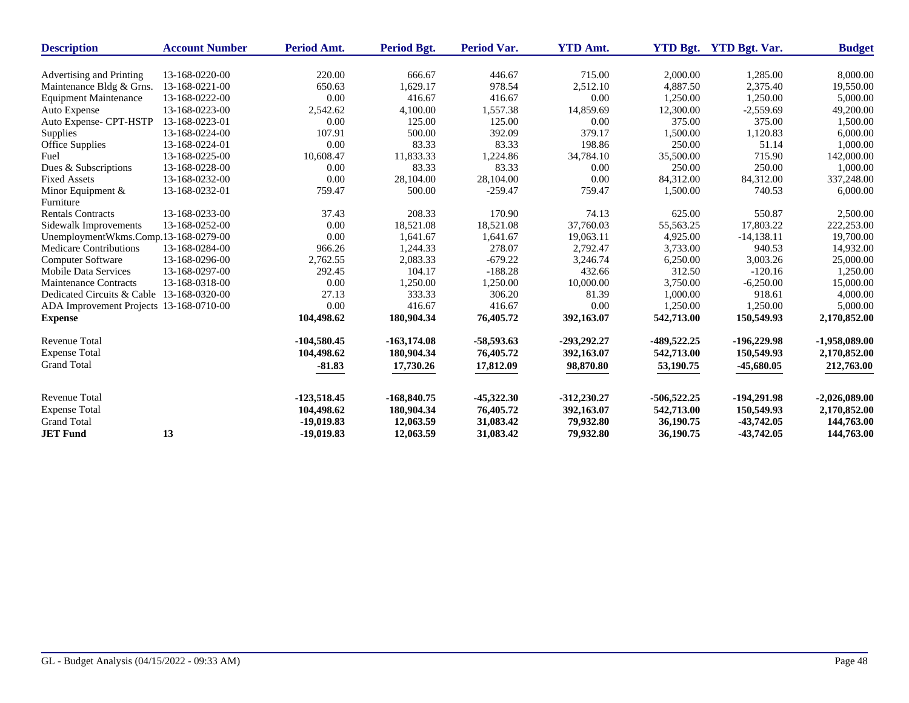| <b>Description</b>                        | <b>Account Number</b> | Period Amt.   | <b>Period Bgt.</b> | <b>Period Var.</b> | <b>YTD Amt.</b> | <b>YTD Bgt.</b> | <b>YTD Bgt. Var.</b> | <b>Budget</b>   |
|-------------------------------------------|-----------------------|---------------|--------------------|--------------------|-----------------|-----------------|----------------------|-----------------|
|                                           |                       |               |                    |                    |                 |                 |                      |                 |
| Advertising and Printing                  | 13-168-0220-00        | 220.00        | 666.67             | 446.67             | 715.00          | 2,000.00        | 1,285.00             | 8,000.00        |
| Maintenance Bldg & Grns.                  | 13-168-0221-00        | 650.63        | 1,629.17           | 978.54             | 2,512.10        | 4,887.50        | 2,375.40             | 19,550.00       |
| <b>Equipment Maintenance</b>              | 13-168-0222-00        | 0.00          | 416.67             | 416.67             | 0.00            | 1,250.00        | 1,250.00             | 5,000.00        |
| Auto Expense                              | 13-168-0223-00        | 2,542.62      | 4,100.00           | 1,557.38           | 14,859.69       | 12,300.00       | $-2,559.69$          | 49,200.00       |
| Auto Expense- CPT-HSTP                    | 13-168-0223-01        | 0.00          | 125.00             | 125.00             | 0.00            | 375.00          | 375.00               | 1,500.00        |
| <b>Supplies</b>                           | 13-168-0224-00        | 107.91        | 500.00             | 392.09             | 379.17          | 1,500.00        | 1,120.83             | 6,000.00        |
| Office Supplies                           | 13-168-0224-01        | 0.00          | 83.33              | 83.33              | 198.86          | 250.00          | 51.14                | 1,000.00        |
| Fuel                                      | 13-168-0225-00        | 10,608.47     | 11,833.33          | 1,224.86           | 34,784.10       | 35,500.00       | 715.90               | 142,000.00      |
| Dues & Subscriptions                      | 13-168-0228-00        | 0.00          | 83.33              | 83.33              | 0.00            | 250.00          | 250.00               | 1,000.00        |
| <b>Fixed Assets</b>                       | 13-168-0232-00        | 0.00          | 28,104.00          | 28,104.00          | 0.00            | 84,312.00       | 84,312.00            | 337,248.00      |
| Minor Equipment &                         | 13-168-0232-01        | 759.47        | 500.00             | $-259.47$          | 759.47          | 1,500.00        | 740.53               | 6,000.00        |
| Furniture                                 |                       |               |                    |                    |                 |                 |                      |                 |
| <b>Rentals Contracts</b>                  | 13-168-0233-00        | 37.43         | 208.33             | 170.90             | 74.13           | 625.00          | 550.87               | 2,500.00        |
| Sidewalk Improvements                     | 13-168-0252-00        | 0.00          | 18,521.08          | 18,521.08          | 37,760.03       | 55,563.25       | 17,803.22            | 222,253.00      |
| UnemploymentWkms.Comp.13-168-0279-00      |                       | 0.00          | 1,641.67           | 1,641.67           | 19,063.11       | 4,925.00        | $-14,138.11$         | 19,700.00       |
| Medicare Contributions                    | 13-168-0284-00        | 966.26        | 1,244.33           | 278.07             | 2,792.47        | 3,733.00        | 940.53               | 14,932.00       |
| Computer Software                         | 13-168-0296-00        | 2,762.55      | 2,083.33           | $-679.22$          | 3,246.74        | 6,250.00        | 3,003.26             | 25,000.00       |
| <b>Mobile Data Services</b>               | 13-168-0297-00        | 292.45        | 104.17             | $-188.28$          | 432.66          | 312.50          | $-120.16$            | 1,250.00        |
| <b>Maintenance Contracts</b>              | 13-168-0318-00        | 0.00          | 1,250.00           | 1,250.00           | 10,000.00       | 3,750.00        | $-6,250.00$          | 15,000.00       |
| Dedicated Circuits & Cable 13-168-0320-00 |                       | 27.13         | 333.33             | 306.20             | 81.39           | 1,000.00        | 918.61               | 4,000.00        |
| ADA Improvement Projects 13-168-0710-00   |                       | 0.00          | 416.67             | 416.67             | 0.00            | 1,250.00        | 1,250.00             | 5,000.00        |
| <b>Expense</b>                            |                       | 104,498.62    | 180,904.34         | 76,405.72          | 392,163.07      | 542,713.00      | 150,549.93           | 2,170,852.00    |
| Revenue Total                             |                       | $-104,580.45$ | $-163, 174.08$     | $-58,593.63$       | -293,292.27     | -489,522.25     | $-196,229.98$        | $-1,958,089.00$ |
| <b>Expense Total</b>                      |                       | 104,498.62    | 180,904.34         | 76,405.72          | 392,163.07      | 542,713.00      | 150,549.93           | 2,170,852.00    |
| <b>Grand Total</b>                        |                       | $-81.83$      | 17,730.26          | 17,812.09          | 98,870.80       | 53,190.75       | -45,680.05           | 212,763.00      |
|                                           |                       |               |                    |                    |                 |                 |                      |                 |
| <b>Revenue Total</b>                      |                       | $-123,518.45$ | $-168,840.75$      | $-45,322.30$       | $-312,230.27$   | $-506,522.25$   | $-194,291.98$        | $-2,026,089.00$ |
| <b>Expense Total</b>                      |                       | 104,498.62    | 180,904.34         | 76,405.72          | 392,163.07      | 542,713.00      | 150,549.93           | 2,170,852.00    |
| <b>Grand Total</b>                        |                       | $-19,019.83$  | 12,063.59          | 31,083.42          | 79,932.80       | 36,190.75       | $-43,742.05$         | 144,763.00      |
| <b>JET Fund</b>                           | 13                    | $-19,019.83$  | 12,063.59          | 31,083.42          | 79,932.80       | 36,190.75       | $-43,742.05$         | 144,763.00      |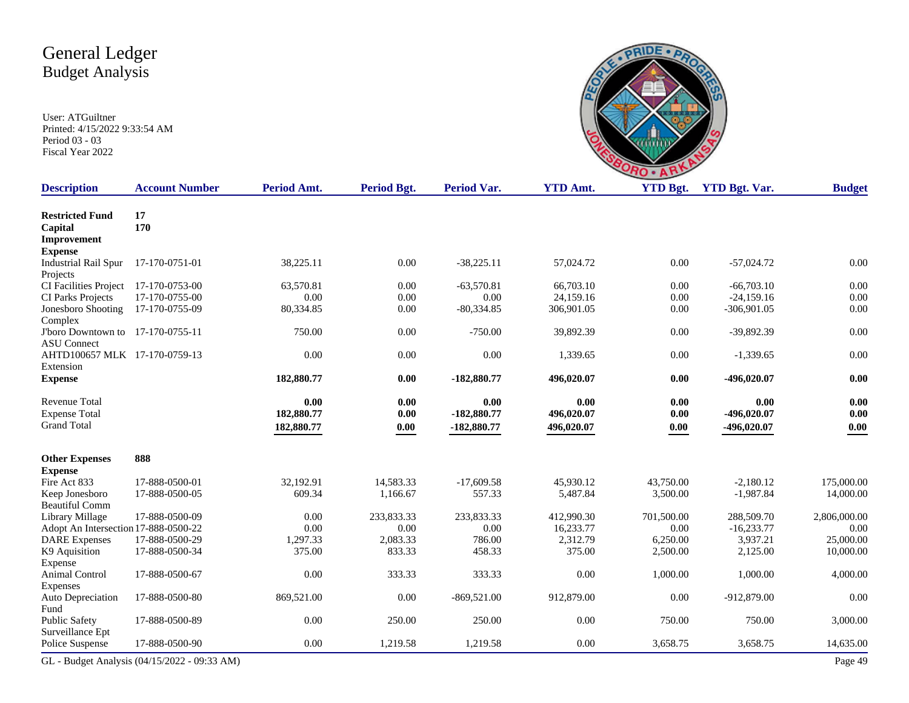|                 | RO.     |             |  |
|-----------------|---------|-------------|--|
| A <sub>mt</sub> | VTD Rot | VTD Rot Var |  |
|                 |         |             |  |

| <b>Description</b>                                      | <b>Account Number</b>                        | Period Amt. | <b>Period Bgt.</b> | <b>Period Var.</b> | <b>YTD Amt.</b> | <b>YTD Bgt.</b>    | <b>YTD Bgt. Var.</b> | <b>Budget</b> |
|---------------------------------------------------------|----------------------------------------------|-------------|--------------------|--------------------|-----------------|--------------------|----------------------|---------------|
| <b>Restricted Fund</b><br>Capital                       | 17<br>170                                    |             |                    |                    |                 |                    |                      |               |
| Improvement                                             |                                              |             |                    |                    |                 |                    |                      |               |
| <b>Expense</b>                                          |                                              |             |                    |                    |                 |                    |                      |               |
| <b>Industrial Rail Spur</b><br>Projects                 | 17-170-0751-01                               | 38,225.11   | 0.00               | $-38,225.11$       | 57,024.72       | 0.00               | $-57,024.72$         | 0.00          |
| CI Facilities Project                                   | 17-170-0753-00                               | 63,570.81   | 0.00               | $-63,570.81$       | 66,703.10       | 0.00               | $-66,703.10$         | 0.00          |
| CI Parks Projects                                       | 17-170-0755-00                               | 0.00        | 0.00               | 0.00               | 24,159.16       | 0.00               | $-24,159.16$         | 0.00          |
| Jonesboro Shooting<br>Complex                           | 17-170-0755-09                               | 80,334.85   | 0.00               | $-80,334.85$       | 306,901.05      | 0.00               | $-306,901.05$        | 0.00          |
| J'boro Downtown to 17-170-0755-11<br><b>ASU</b> Connect |                                              | 750.00      | 0.00               | $-750.00$          | 39,892.39       | 0.00               | -39,892.39           | 0.00          |
| AHTD100657 MLK 17-170-0759-13<br>Extension              |                                              | 0.00        | 0.00               | 0.00               | 1,339.65        | 0.00               | $-1,339.65$          | 0.00          |
| <b>Expense</b>                                          |                                              | 182,880.77  | 0.00               | $-182,880.77$      | 496,020.07      | 0.00               | -496,020.07          | 0.00          |
| <b>Revenue Total</b>                                    |                                              | 0.00        | 0.00               | 0.00               | 0.00            | 0.00               | 0.00                 | 0.00          |
| <b>Expense Total</b>                                    |                                              | 182,880.77  | 0.00               | -182,880.77        | 496,020.07      | 0.00               | -496,020.07          | 0.00          |
| <b>Grand Total</b>                                      |                                              | 182,880.77  | $0.00\,$           | -182,880.77        | 496,020.07      | 0.00               | -496,020.07          | 0.00          |
| <b>Other Expenses</b>                                   | 888                                          |             |                    |                    |                 |                    |                      |               |
| <b>Expense</b>                                          |                                              |             |                    |                    |                 |                    |                      |               |
| Fire Act 833                                            | 17-888-0500-01                               | 32,192.91   | 14,583.33          | $-17,609.58$       | 45,930.12       | 43,750.00          | $-2,180.12$          | 175,000.00    |
| Keep Jonesboro<br><b>Beautiful Comm</b>                 | 17-888-0500-05                               | 609.34      | 1,166.67           | 557.33             | 5,487.84        | 3,500.00           | $-1,987.84$          | 14,000.00     |
|                                                         |                                              | 0.00        |                    |                    |                 |                    |                      |               |
| Library Millage                                         | 17-888-0500-09                               | 0.00        | 233,833.33<br>0.00 | 233,833.33         | 412,990.30      | 701,500.00<br>0.00 | 288,509.70           | 2,806,000.00  |
| Adopt An Intersection 17-888-0500-22                    |                                              |             |                    | 0.00               | 16.233.77       |                    | $-16,233.77$         | 0.00          |
| <b>DARE</b> Expenses                                    | 17-888-0500-29                               | 1,297.33    | 2,083.33           | 786.00             | 2,312.79        | 6,250.00           | 3,937.21             | 25,000.00     |
| K9 Aquisition<br>Expense                                | 17-888-0500-34                               | 375.00      | 833.33             | 458.33             | 375.00          | 2,500.00           | 2,125.00             | 10,000.00     |
| Animal Control                                          | 17-888-0500-67                               | 0.00        | 333.33             | 333.33             | 0.00            | 1,000.00           | 1,000.00             | 4,000.00      |
| Expenses<br>Auto Depreciation                           | 17-888-0500-80                               | 869,521.00  | 0.00               | $-869,521.00$      | 912,879.00      | $0.00\,$           | -912,879.00          | 0.00          |
| Fund                                                    |                                              |             |                    |                    |                 |                    |                      |               |
| Public Safety<br>Surveillance Ept                       | 17-888-0500-89                               | 0.00        | 250.00             | 250.00             | 0.00            | 750.00             | 750.00               | 3,000.00      |
| Police Suspense                                         | 17-888-0500-90                               | 0.00        | 1,219.58           | 1,219.58           | 0.00            | 3,658.75           | 3,658.75             | 14,635.00     |
|                                                         | GL - Budget Analysis (04/15/2022 - 09:33 AM) |             |                    |                    |                 |                    |                      | Page 49       |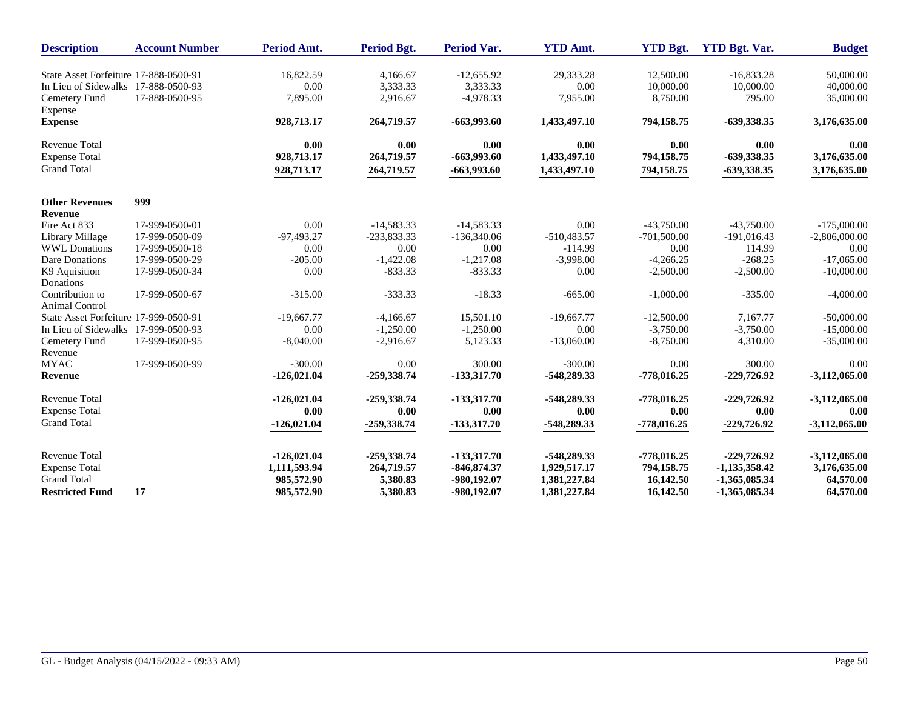| <b>Description</b>                    | <b>Account Number</b> | Period Amt.   | Period Bgt.   | <b>Period Var.</b> | <b>YTD Amt.</b> | <b>YTD Bgt.</b> | <b>YTD Bgt. Var.</b> | <b>Budget</b>   |
|---------------------------------------|-----------------------|---------------|---------------|--------------------|-----------------|-----------------|----------------------|-----------------|
| State Asset Forfeiture 17-888-0500-91 |                       | 16,822.59     | 4,166.67      | $-12,655.92$       | 29,333.28       | 12,500.00       | $-16,833.28$         | 50,000.00       |
| In Lieu of Sidewalks 17-888-0500-93   |                       | $0.00\,$      | 3,333.33      | 3,333.33           | $0.00\,$        | 10,000.00       | 10,000.00            | 40,000.00       |
| Cemetery Fund<br>Expense              | 17-888-0500-95        | 7,895.00      | 2,916.67      | $-4,978.33$        | 7,955.00        | 8,750.00        | 795.00               | 35,000.00       |
| <b>Expense</b>                        |                       | 928,713.17    | 264,719.57    | $-663,993.60$      | 1,433,497.10    | 794,158.75      | -639,338.35          | 3,176,635.00    |
| <b>Revenue Total</b>                  |                       | 0.00          | 0.00          | 0.00               | 0.00            | 0.00            | 0.00                 | 0.00            |
| <b>Expense Total</b>                  |                       | 928,713.17    | 264,719.57    | $-663,993.60$      | 1,433,497.10    | 794,158.75      | -639,338.35          | 3,176,635.00    |
| <b>Grand Total</b>                    |                       | 928,713.17    | 264,719.57    | $-663,993.60$      | 1,433,497.10    | 794,158.75      | -639,338.35          | 3,176,635.00    |
| <b>Other Revenues</b>                 | 999                   |               |               |                    |                 |                 |                      |                 |
| Revenue                               |                       |               |               |                    |                 |                 |                      |                 |
| Fire Act 833                          | 17-999-0500-01        | 0.00          | $-14,583.33$  | $-14,583.33$       | 0.00            | $-43,750.00$    | $-43,750.00$         | $-175,000,00$   |
| Library Millage                       | 17-999-0500-09        | -97,493.27    | $-233,833.33$ | $-136,340.06$      | $-510,483.57$   | $-701,500.00$   | $-191,016.43$        | $-2,806,000.00$ |
| <b>WWL Donations</b>                  | 17-999-0500-18        | 0.00          | 0.00          | 0.00               | $-114.99$       | 0.00            | 114.99               | 0.00            |
| Dare Donations                        | 17-999-0500-29        | $-205.00$     | $-1,422.08$   | $-1,217.08$        | $-3,998.00$     | $-4,266.25$     | $-268.25$            | $-17,065,00$    |
| K9 Aquisition                         | 17-999-0500-34        | 0.00          | $-833.33$     | $-833.33$          | 0.00            | $-2,500.00$     | $-2,500.00$          | $-10,000.00$    |
| Donations                             |                       |               |               |                    |                 |                 |                      |                 |
| Contribution to<br>Animal Control     | 17-999-0500-67        | $-315.00$     | $-333.33$     | $-18.33$           | $-665.00$       | $-1,000.00$     | $-335.00$            | $-4,000.00$     |
| State Asset Forfeiture 17-999-0500-91 |                       | $-19,667.77$  | $-4,166.67$   | 15,501.10          | $-19,667.77$    | $-12,500.00$    | 7,167.77             | $-50,000.00$    |
| In Lieu of Sidewalks 17-999-0500-93   |                       | 0.00          | $-1,250.00$   | $-1,250.00$        | 0.00            | $-3,750.00$     | $-3,750.00$          | $-15,000.00$    |
| Cemetery Fund                         | 17-999-0500-95        | $-8,040.00$   | $-2,916.67$   | 5,123.33           | $-13,060.00$    | $-8,750.00$     | 4,310.00             | $-35,000.00$    |
| Revenue                               |                       |               |               |                    |                 |                 |                      |                 |
| <b>MYAC</b>                           | 17-999-0500-99        | $-300.00$     | 0.00          | 300.00             | $-300.00$       | 0.00            | 300.00               | 0.00            |
| Revenue                               |                       | $-126,021.04$ | -259,338.74   | $-133,317,70$      | -548,289.33     | $-778,016.25$   | $-229,726.92$        | $-3,112,065.00$ |
| <b>Revenue Total</b>                  |                       | $-126,021.04$ | $-259,338.74$ | $-133,317.70$      | -548,289.33     | $-778,016.25$   | $-229,726.92$        | $-3,112,065.00$ |
| <b>Expense Total</b>                  |                       | 0.00          | 0.00          | 0.00               | 0.00            | 0.00            | 0.00                 | 0.00            |
| <b>Grand Total</b>                    |                       | $-126,021.04$ | $-259,338.74$ | $-133,317,70$      | -548,289.33     | $-778,016.25$   | $-229,726.92$        | $-3,112,065.00$ |
| <b>Revenue Total</b>                  |                       | $-126,021.04$ | -259,338.74   | $-133,317.70$      | -548,289.33     | $-778,016.25$   | $-229,726.92$        | $-3,112,065.00$ |
| <b>Expense Total</b>                  |                       | 1,111,593.94  | 264,719.57    | $-846,874.37$      | 1,929,517.17    | 794,158.75      | $-1,135,358.42$      | 3,176,635.00    |
| <b>Grand Total</b>                    |                       | 985,572.90    | 5,380.83      | -980,192.07        | 1,381,227.84    | 16,142.50       | $-1,365,085.34$      | 64,570.00       |
| <b>Restricted Fund</b>                | 17                    | 985,572.90    | 5,380.83      | -980,192.07        | 1,381,227.84    | 16,142.50       | $-1,365,085.34$      | 64,570.00       |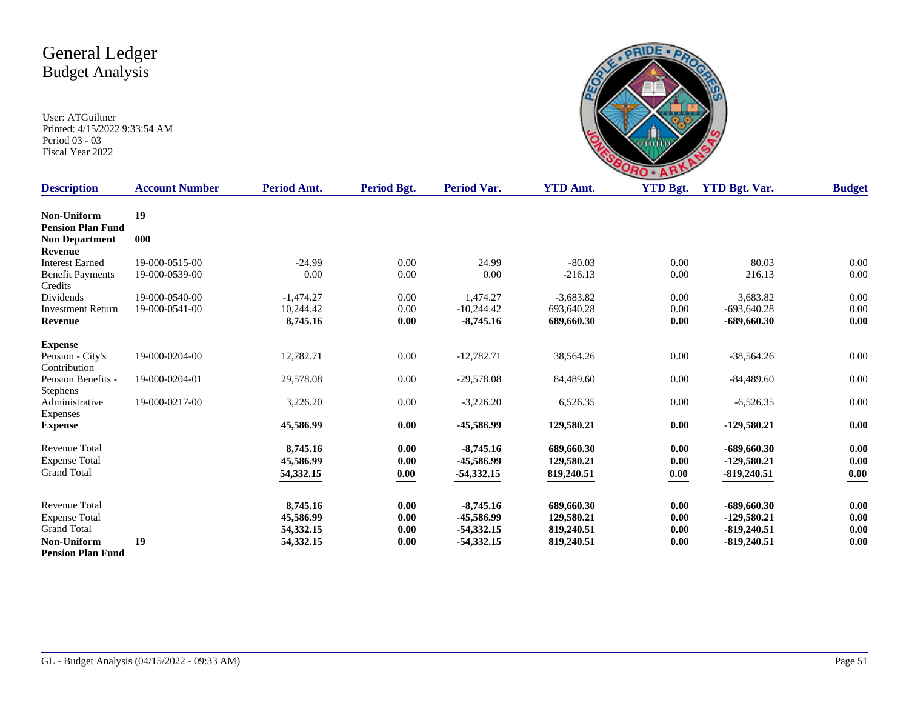| s.<br><b>C</b>             |        |
|----------------------------|--------|
| $\sqrt{7}$<br>п<br>n<br>n. | VIDD T |

| <b>Description</b>       | <b>Account Number</b> | Period Amt. | <b>Period Bgt.</b> | <b>Period Var.</b> | <b>YTD Amt.</b> | <b>YTD Bgt.</b> | <b>YTD Bgt. Var.</b> | <b>Budget</b> |
|--------------------------|-----------------------|-------------|--------------------|--------------------|-----------------|-----------------|----------------------|---------------|
| Non-Uniform              | 19                    |             |                    |                    |                 |                 |                      |               |
| <b>Pension Plan Fund</b> |                       |             |                    |                    |                 |                 |                      |               |
| <b>Non Department</b>    | 000                   |             |                    |                    |                 |                 |                      |               |
| <b>Revenue</b>           |                       |             |                    |                    |                 |                 |                      |               |
| <b>Interest Earned</b>   | 19-000-0515-00        | $-24.99$    | 0.00               | 24.99              | $-80.03$        | 0.00            | 80.03                | 0.00          |
| <b>Benefit Payments</b>  | 19-000-0539-00        | 0.00        | 0.00               | 0.00               | $-216.13$       | 0.00            | 216.13               | 0.00          |
| Credits                  |                       |             |                    |                    |                 |                 |                      |               |
| Dividends                | 19-000-0540-00        | $-1,474.27$ | 0.00               | 1,474.27           | $-3,683.82$     | 0.00            | 3,683.82             | 0.00          |
| <b>Investment Return</b> | 19-000-0541-00        | 10,244.42   | 0.00               | $-10,244.42$       | 693.640.28      | 0.00            | $-693.640.28$        | 0.00          |
| Revenue                  |                       | 8,745.16    | 0.00               | $-8,745.16$        | 689,660.30      | 0.00            | $-689,660.30$        | 0.00          |
| <b>Expense</b>           |                       |             |                    |                    |                 |                 |                      |               |
| Pension - City's         | 19-000-0204-00        | 12,782.71   | 0.00               | $-12,782.71$       | 38,564.26       | 0.00            | $-38,564.26$         | 0.00          |
| Contribution             |                       |             |                    |                    |                 |                 |                      |               |
| Pension Benefits -       | 19-000-0204-01        | 29,578.08   | 0.00               | $-29,578.08$       | 84,489.60       | 0.00            | $-84,489.60$         | 0.00          |
| <b>Stephens</b>          |                       |             |                    |                    |                 |                 |                      |               |
| Administrative           | 19-000-0217-00        | 3,226.20    | 0.00               | $-3,226.20$        | 6,526.35        | 0.00            | $-6,526.35$          | 0.00          |
| Expenses                 |                       |             |                    |                    |                 |                 |                      |               |
| <b>Expense</b>           |                       | 45,586.99   | 0.00               | -45,586.99         | 129,580.21      | 0.00            | -129,580.21          | $0.00\,$      |
| <b>Revenue Total</b>     |                       | 8,745.16    | 0.00               | $-8,745.16$        | 689,660.30      | 0.00            | $-689,660.30$        | 0.00          |
| <b>Expense Total</b>     |                       | 45,586.99   | 0.00               | -45,586.99         | 129,580.21      | 0.00            | $-129,580.21$        | 0.00          |
| <b>Grand Total</b>       |                       | 54,332.15   | 0.00               | $-54,332,15$       | 819,240.51      | 0.00            | $-819,240.51$        | 0.00          |
|                          |                       |             |                    |                    |                 |                 |                      |               |
| <b>Revenue Total</b>     |                       | 8,745.16    | 0.00               | $-8,745.16$        | 689,660.30      | 0.00            | -689,660.30          | 0.00          |
| <b>Expense Total</b>     |                       | 45,586.99   | 0.00               | -45,586.99         | 129,580.21      | 0.00            | $-129,580.21$        | $0.00\,$      |
| <b>Grand Total</b>       |                       | 54,332.15   | 0.00               | $-54,332.15$       | 819,240.51      | 0.00            | $-819,240.51$        | 0.00          |
| Non-Uniform              | 19                    | 54,332.15   | 0.00               | $-54,332.15$       | 819,240.51      | 0.00            | $-819,240.51$        | 0.00          |
| <b>Pension Plan Fund</b> |                       |             |                    |                    |                 |                 |                      |               |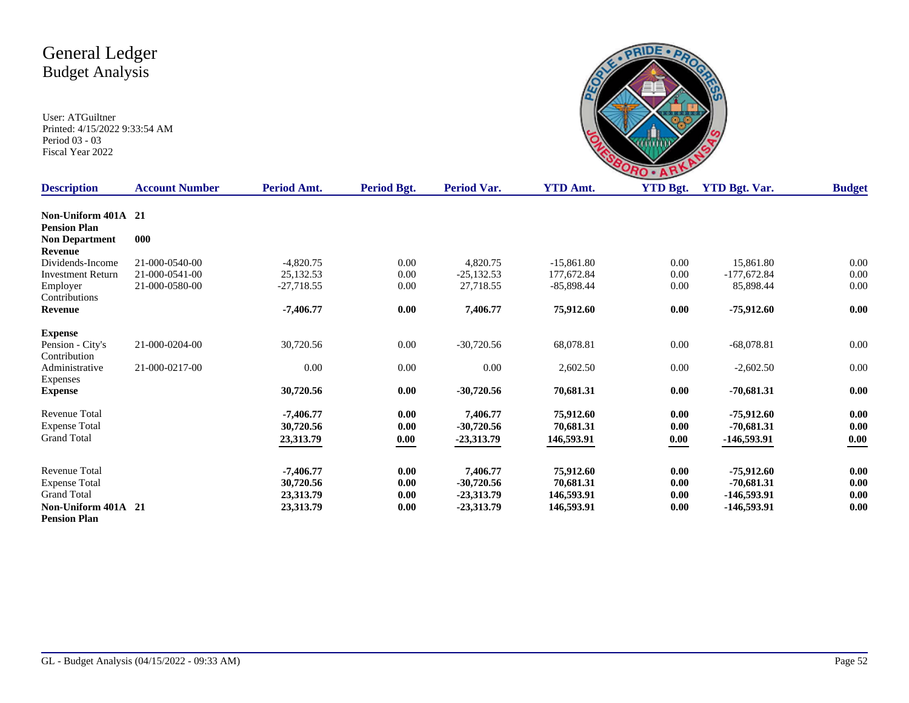

| <b>Description</b>       | <b>Account Number</b> | Period Amt.  | <b>Period Bgt.</b> | Period Var.  | <b>YTD Amt.</b> | <b>YTD Bgt.</b> | <b>YTD Bgt. Var.</b> | <b>Budget</b> |
|--------------------------|-----------------------|--------------|--------------------|--------------|-----------------|-----------------|----------------------|---------------|
|                          |                       |              |                    |              |                 |                 |                      |               |
| Non-Uniform 401A 21      |                       |              |                    |              |                 |                 |                      |               |
| <b>Pension Plan</b>      |                       |              |                    |              |                 |                 |                      |               |
| <b>Non Department</b>    | 000                   |              |                    |              |                 |                 |                      |               |
| Revenue                  |                       |              |                    |              |                 |                 |                      |               |
| Dividends-Income         | 21-000-0540-00        | $-4,820.75$  | 0.00               | 4,820.75     | $-15,861.80$    | 0.00            | 15,861.80            | 0.00          |
| <b>Investment Return</b> | 21-000-0541-00        | 25,132.53    | 0.00               | $-25,132.53$ | 177,672.84      | 0.00            | $-177,672.84$        | 0.00          |
| Employer                 | 21-000-0580-00        | $-27,718.55$ | 0.00               | 27,718.55    | $-85,898.44$    | 0.00            | 85,898.44            | 0.00          |
| Contributions            |                       |              |                    |              |                 |                 |                      |               |
| Revenue                  |                       | $-7,406.77$  | 0.00               | 7,406.77     | 75,912.60       | 0.00            | $-75,912.60$         | 0.00          |
| <b>Expense</b>           |                       |              |                    |              |                 |                 |                      |               |
| Pension - City's         | 21-000-0204-00        | 30,720.56    | 0.00               | $-30,720.56$ | 68,078.81       | 0.00            | $-68,078.81$         | 0.00          |
| Contribution             |                       |              |                    |              |                 |                 |                      |               |
| Administrative           | 21-000-0217-00        | 0.00         | 0.00               | 0.00         | 2,602.50        | 0.00            | $-2,602.50$          | 0.00          |
| Expenses                 |                       |              |                    |              |                 |                 |                      |               |
| <b>Expense</b>           |                       | 30,720.56    | 0.00               | $-30,720.56$ | 70,681.31       | 0.00            | $-70,681.31$         | 0.00          |
| Revenue Total            |                       | $-7,406.77$  | 0.00               | 7,406.77     | 75,912.60       | 0.00            | $-75,912.60$         | 0.00          |
| <b>Expense Total</b>     |                       | 30,720.56    | 0.00               | $-30,720.56$ | 70,681.31       | 0.00            | $-70,681.31$         | 0.00          |
| <b>Grand Total</b>       |                       | 23,313.79    | 0.00               | $-23,313.79$ | 146,593.91      |                 | -146,593.91          | 0.00          |
|                          |                       |              |                    |              |                 | 0.00            |                      |               |
| <b>Revenue Total</b>     |                       | $-7,406.77$  | 0.00               | 7,406.77     | 75,912.60       | 0.00            | $-75,912.60$         | $0.00\,$      |
| <b>Expense Total</b>     |                       | 30,720.56    | 0.00               | $-30,720.56$ | 70,681.31       | 0.00            | $-70.681.31$         | $0.00\,$      |
| <b>Grand Total</b>       |                       | 23,313.79    | 0.00               | $-23,313.79$ | 146,593.91      | 0.00            | -146,593.91          | 0.00          |
| Non-Uniform 401A 21      |                       | 23,313.79    | 0.00               | $-23,313.79$ | 146,593.91      | 0.00            | -146,593.91          | 0.00          |
| <b>Pension Plan</b>      |                       |              |                    |              |                 |                 |                      |               |
|                          |                       |              |                    |              |                 |                 |                      |               |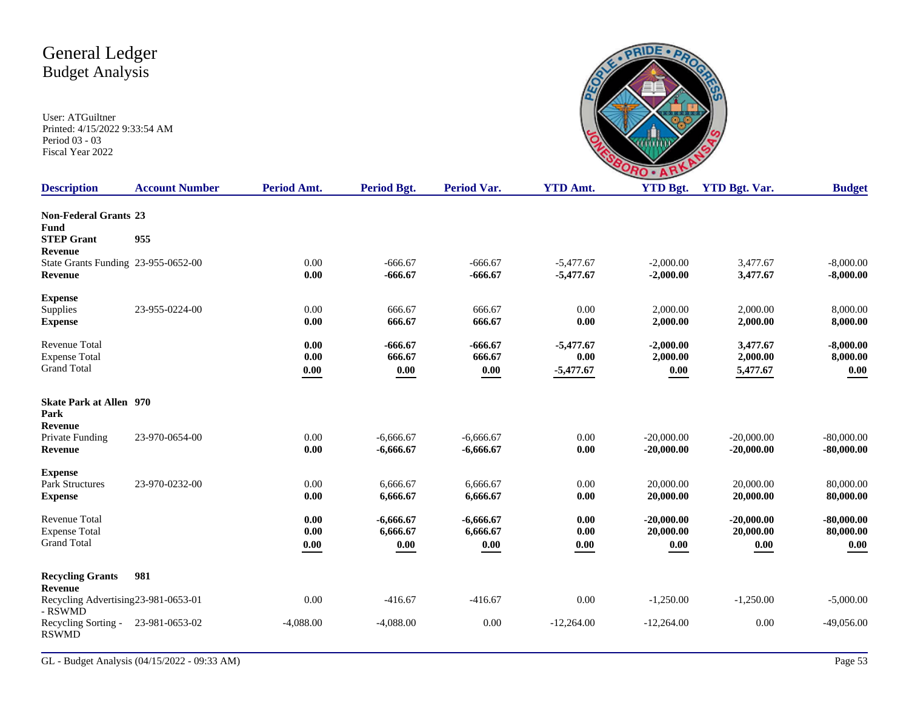

| <b>Description</b>                                                 | <b>Account Number</b> | Period Amt.          | <b>Period Bgt.</b>              | <b>Period Var.</b>              | <b>YTD Amt.</b>                    | <b>YTD Bgt.</b>                   | <b>YTD Bgt. Var.</b>              | <b>Budget</b>                                    |
|--------------------------------------------------------------------|-----------------------|----------------------|---------------------------------|---------------------------------|------------------------------------|-----------------------------------|-----------------------------------|--------------------------------------------------|
| <b>Non-Federal Grants 23</b><br><b>Fund</b>                        |                       |                      |                                 |                                 |                                    |                                   |                                   |                                                  |
| <b>STEP Grant</b><br>Revenue                                       | 955                   |                      |                                 |                                 |                                    |                                   |                                   |                                                  |
| State Grants Funding 23-955-0652-00<br>Revenue                     |                       | 0.00<br>0.00         | $-666.67$<br>$-666.67$          | $-666.67$<br>$-666.67$          | $-5,477.67$<br>$-5,477.67$         | $-2,000.00$<br>$-2,000.00$        | 3,477.67<br>3,477.67              | $-8,000.00$<br>$-8,000.00$                       |
| <b>Expense</b>                                                     |                       |                      |                                 |                                 |                                    |                                   |                                   |                                                  |
| Supplies<br><b>Expense</b>                                         | 23-955-0224-00        | 0.00<br>0.00         | 666.67<br>666.67                | 666.67<br>666.67                | 0.00<br>0.00                       | 2,000.00<br>2,000.00              | 2,000.00<br>2,000.00              | 8,000.00<br>8,000.00                             |
| <b>Revenue Total</b><br><b>Expense Total</b><br><b>Grand Total</b> |                       | 0.00<br>0.00<br>0.00 | $-666.67$<br>666.67<br>$0.00\,$ | $-666.67$<br>666.67<br>0.00     | $-5,477.67$<br>0.00<br>$-5,477.67$ | $-2,000.00$<br>2,000.00<br>0.00   | 3,477.67<br>2,000.00<br>5,477.67  | $-8,000.00$<br>8,000.00<br>0.00                  |
| <b>Skate Park at Allen</b> 970<br>Park                             |                       |                      |                                 |                                 |                                    |                                   |                                   |                                                  |
| Revenue<br>Private Funding<br><b>Revenue</b>                       | 23-970-0654-00        | 0.00<br>0.00         | $-6,666.67$<br>$-6,666.67$      | $-6,666.67$<br>$-6,666.67$      | 0.00<br>0.00                       | $-20,000.00$<br>$-20,000.00$      | $-20,000.00$<br>$-20,000.00$      | $-80,000.00$<br>$-80,000.00$                     |
| <b>Expense</b><br>Park Structures<br><b>Expense</b>                | 23-970-0232-00        | 0.00<br>0.00         | 6.666.67<br>6,666.67            | 6,666.67<br>6,666.67            | 0.00<br>0.00                       | 20,000.00<br>20,000.00            | 20,000.00<br>20,000.00            | 80,000.00<br>80,000.00                           |
| Revenue Total<br><b>Expense Total</b><br><b>Grand Total</b>        |                       | 0.00<br>0.00<br>0.00 | $-6,666.67$<br>6,666.67<br>0.00 | $-6,666.67$<br>6,666.67<br>0.00 | 0.00<br>0.00<br>0.00               | $-20,000.00$<br>20,000.00<br>0.00 | $-20,000.00$<br>20,000.00<br>0.00 | $-80,000.00$<br>80,000.00<br>$\boldsymbol{0.00}$ |
| <b>Recycling Grants</b><br>Revenue                                 | 981                   |                      |                                 |                                 |                                    |                                   |                                   |                                                  |
| Recycling Advertising 23-981-0653-01<br>- RSWMD                    |                       | 0.00                 | $-416.67$                       | $-416.67$                       | 0.00                               | $-1,250.00$                       | $-1,250.00$                       | $-5,000.00$                                      |
| Recycling Sorting -<br><b>RSWMD</b>                                | 23-981-0653-02        | $-4,088.00$          | $-4,088.00$                     | 0.00                            | $-12,264.00$                       | $-12,264.00$                      | 0.00                              | $-49,056.00$                                     |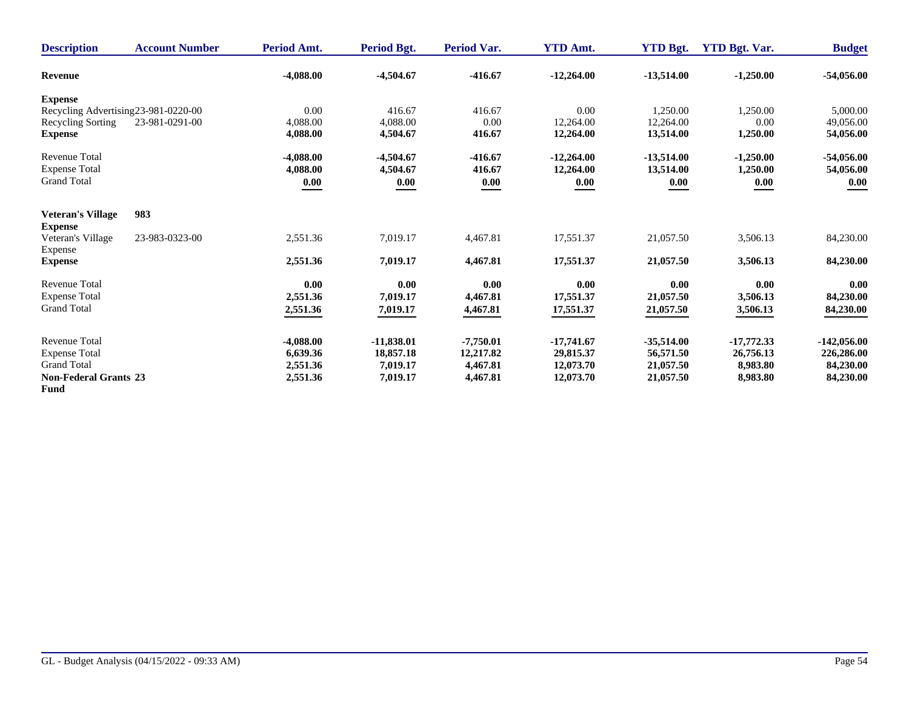| <b>Description</b>                         | <b>Account Number</b> | Period Amt.          | Period Bgt.           | <b>Period Var.</b>    | <b>YTD Amt.</b>        | <b>YTD Bgt.</b>        | <b>YTD Bgt. Var.</b>  | <b>Budget</b>           |
|--------------------------------------------|-----------------------|----------------------|-----------------------|-----------------------|------------------------|------------------------|-----------------------|-------------------------|
| Revenue                                    |                       | $-4,088.00$          | $-4,504.67$           | $-416.67$             | $-12,264.00$           | $-13,514.00$           | $-1,250.00$           | $-54,056.00$            |
| <b>Expense</b>                             |                       |                      |                       |                       |                        |                        |                       |                         |
| Recycling Advertising 23-981-0220-00       |                       | 0.00                 | 416.67                | 416.67                | 0.00                   | 1,250.00               | 1,250.00              | 5,000.00                |
| Recycling Sorting                          | 23-981-0291-00        | 4,088.00             | 4,088.00              | 0.00                  | 12,264.00              | 12,264.00              | 0.00                  | 49,056.00               |
| <b>Expense</b>                             |                       | 4,088.00             | 4,504.67              | 416.67                | 12,264.00              | 13,514.00              | 1,250.00              | 54,056.00               |
| <b>Revenue Total</b>                       |                       | $-4,088.00$          | $-4,504.67$           | $-416.67$             | $-12,264.00$           | $-13,514.00$           | $-1,250.00$           | $-54,056.00$            |
| <b>Expense Total</b>                       |                       | 4,088.00             | 4,504.67              | 416.67                | 12,264.00              | 13,514.00              | 1,250.00              | 54,056.00               |
| <b>Grand Total</b>                         |                       | 0.00                 | 0.00                  | 0.00                  | 0.00                   | 0.00                   | 0.00                  | 0.00                    |
| <b>Veteran's Village</b>                   | 983                   |                      |                       |                       |                        |                        |                       |                         |
| <b>Expense</b>                             |                       |                      |                       |                       |                        |                        |                       |                         |
| Veteran's Village                          | 23-983-0323-00        | 2,551.36             | 7,019.17              | 4,467.81              | 17,551.37              | 21,057.50              | 3,506.13              | 84,230.00               |
| Expense                                    |                       |                      |                       |                       |                        |                        |                       |                         |
| <b>Expense</b>                             |                       | 2,551.36             | 7,019.17              | 4,467.81              | 17,551.37              | 21,057.50              | 3,506.13              | 84,230.00               |
| <b>Revenue Total</b>                       |                       | 0.00                 | 0.00                  | 0.00                  | 0.00                   | 0.00                   | 0.00                  | 0.00                    |
| <b>Expense Total</b>                       |                       | 2,551.36             | 7,019.17              | 4,467.81              | 17,551.37              | 21,057.50              | 3,506.13              | 84,230.00               |
| <b>Grand Total</b>                         |                       | 2,551.36             | 7,019.17              | 4,467.81              | 17,551.37              | 21,057.50              | 3,506.13              | 84,230.00               |
|                                            |                       |                      |                       |                       |                        |                        |                       |                         |
| <b>Revenue Total</b>                       |                       | $-4,088.00$          | $-11,838.01$          | $-7,750.01$           | $-17,741.67$           | $-35,514.00$           | $-17,772.33$          | $-142,056.00$           |
| <b>Expense Total</b><br><b>Grand Total</b> |                       | 6,639.36<br>2,551.36 | 18,857.18<br>7,019.17 | 12,217.82<br>4,467.81 | 29,815.37<br>12,073.70 | 56,571.50<br>21,057.50 | 26,756.13<br>8,983.80 | 226,286.00<br>84,230.00 |
| <b>Non-Federal Grants 23</b>               |                       | 2,551.36             | 7,019.17              | 4,467.81              | 12,073.70              | 21,057.50              | 8,983.80              | 84,230.00               |
| Fund                                       |                       |                      |                       |                       |                        |                        |                       |                         |